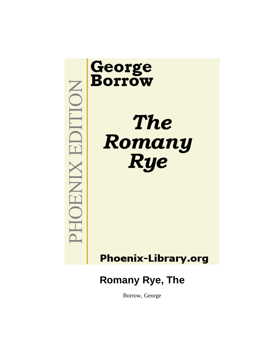

# **Phoenix-Library.org**

# **Romany Rye, The**

Borrow, George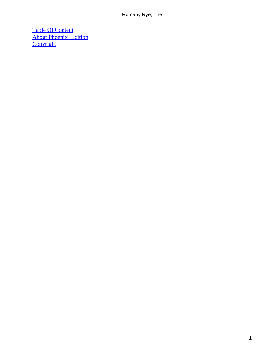[Table Of Content](#page-315-0) [About Phoenix−Edition](#page-318-0) **[Copyright](#page-319-0)**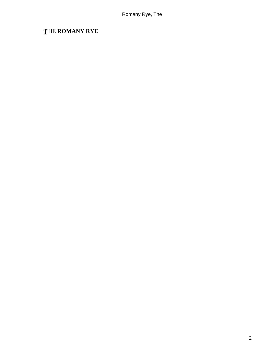# *T*HE **ROMANY RYE**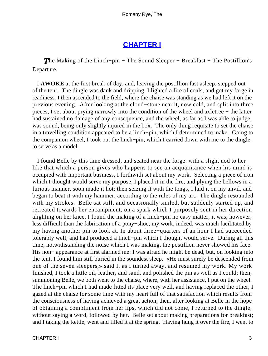### **[CHAPTER I](#page-315-0)**

*The Making of the Linch–pin – The Sound Sleeper – Breakfast – The Postillion's* Departure.

 I **AWOKE** at the first break of day, and, leaving the postillion fast asleep, stepped out of the tent. The dingle was dank and dripping. I lighted a fire of coals, and got my forge in readiness. I then ascended to the field, where the chaise was standing as we had left it on the previous evening. After looking at the cloud−stone near it, now cold, and split into three pieces, I set about prying narrowly into the condition of the wheel and axletree − the latter had sustained no damage of any consequence, and the wheel, as far as I was able to judge, was sound, being only slightly injured in the box. The only thing requisite to set the chaise in a travelling condition appeared to be a linch−pin, which I determined to make. Going to the companion wheel, I took out the linch−pin, which I carried down with me to the dingle, to serve as a model.

 I found Belle by this time dressed, and seated near the forge: with a slight nod to her like that which a person gives who happens to see an acquaintance when his mind is occupied with important business, I forthwith set about my work. Selecting a piece of iron which I thought would serve my purpose, I placed it in the fire, and plying the bellows in a furious manner, soon made it hot; then seizing it with the tongs, I laid it on my anvil, and began to beat it with my hammer, according to the rules of my art. The dingle resounded with my strokes. Belle sat still, and occasionally smiled, but suddenly started up, and retreated towards her encampment, on a spark which I purposely sent in her direction alighting on her knee. I found the making of a linch−pin no easy matter; it was, however, less difficult than the fabrication of a pony−shoe; my work, indeed, was much facilitated by my having another pin to look at. In about three−quarters of an hour I had succeeded tolerably well, and had produced a linch−pin which I thought would serve. During all this time, notwithstanding the noise which I was making, the postillion never showed his face. His non− appearance at first alarmed me: I was afraid he might be dead, but, on looking into the tent, I found him still buried in the soundest sleep. «He must surely be descended from one of the seven sleepers,» said I, as I turned away, and resumed my work. My work finished, I took a little oil, leather, and sand, and polished the pin as well as I could; then, summoning Belle, we both went to the chaise, where, with her assistance, I put on the wheel. The linch–pin which I had made fitted its place very well, and having replaced the other, I gazed at the chaise for some time with my heart full of that satisfaction which results from the consciousness of having achieved a great action; then, after looking at Belle in the hope of obtaining a compliment from her lips, which did not come, I returned to the dingle, without saying a word, followed by her. Belle set about making preparations for breakfast; and I taking the kettle, went and filled it at the spring. Having hung it over the fire, I went to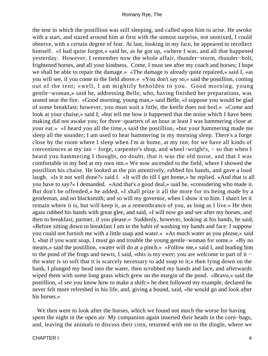the tent in which the postillion was still sleeping, and called upon him to arise. He awoke with a start, and stared around him at first with the utmost surprise, not unmixed, I could observe, with a certain degree of fear. At last, looking in my face, he appeared to recollect himself. «I had quite forgot,» said he, as he got up, «where I was, and all that happened yesterday. However, I remember now the whole affair, thunder−storm, thunder−bolt, frightened horses, and all your kindness. Come, I must see after my coach and horses; I hope we shall be able to repair the damage.» «The damage is already quite repaired,» said I, «as you will see, if you come to the field above.» «You don't say so,» said the postillion, coming out of the tent; «well, I am mightily beholden to you. Good morning, young gentle−woman,» said he, addressing Belle, who, having finished her preparations, was seated near the fire. «Good morning, young man,» said Belle, «I suppose you would be glad of some breakfast; however, you must wait a little, the kettle does not boil.» «Come and look at your chaise,» said I; «but tell me how it happened that the noise which I have been making did not awake you; for three−quarters of an hour at least I was hammering close at your ear.» «I heard you all the time,» said the postillion, «but your hammering made me sleep all the sounder; I am used to hear hammering in my morning sleep. There's a forge close by the room where I sleep when I'm at home, at my inn; for we have all kinds of conveniences at my inn − forge, carpenter's shop, and wheel−wright's, − so that when I heard you hammering I thought, no doubt, that it was the old noise, and that I was comfortable in my bed at my own inn.» We now ascended to the field, where I showed the postillion his chaise. He looked at the pin attentively, rubbed his hands, and gave a loud laugh. «Is it not well done?» said I. «It will do till I get home,» he replied. «And that is all you have to say?» I demanded. «And that's a good deal,» said he, «considering who made it. But don't be offended,» he added, «I shall prize it all the more for its being made by a gentleman, and no blacksmith; and so will my governor, when I show it to him. I shan't let it remain where it is, but will keep it, as a remembrance of you, as long as I live.» He then again rubbed his hands with great glee, and said, «I will now go and see after my horses, and then to breakfast, partner, if you please.» Suddenly, however, looking at his hands, he said, «Before sitting down to breakfast I am in the habit of washing my hands and face: I suppose you could not furnish me with a little soap and water.» «As much water as you please,» said I, «but if you want soap, I must go and trouble the young gentle−woman for some.» «By no means,» said the postillion, «water will do at a pinch.» «Follow me,» said I, and leading him to the pond of the frogs and newts, I said, «this is my ewer; you are welcome to part of it − the water is so soft that it is scarcely necessary to add soap to it;» then lying down on the bank, I plunged my head into the water, then scrubbed my hands and face, and afterwards wiped them with some long grass which grew on the margin of the pond. «Bravo,» said the postillion, «I see you know how to make a shift:» he then followed my example, declared he never felt more refreshed in his life, and, giving a bound, said, «he would go and look after his horses.»

We then went to look after the horses, which we found not much the worse for having spent the night in the open air. My companion again inserted their heads in the corn−bags, and, leaving the animals to discuss their corn, returned with me to the dingle, where we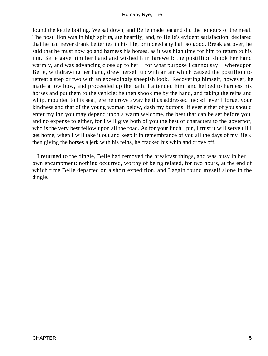found the kettle boiling. We sat down, and Belle made tea and did the honours of the meal. The postillion was in high spirits, ate heartily, and, to Belle's evident satisfaction, declared that he had never drank better tea in his life, or indeed any half so good. Breakfast over, he said that he must now go and harness his horses, as it was high time for him to return to his inn. Belle gave him her hand and wished him farewell: the postillion shook her hand warmly, and was advancing close up to her − for what purpose I cannot say − whereupon Belle, withdrawing her hand, drew herself up with an air which caused the postillion to retreat a step or two with an exceedingly sheepish look. Recovering himself, however, he made a low bow, and proceeded up the path. I attended him, and helped to harness his horses and put them to the vehicle; he then shook me by the hand, and taking the reins and whip, mounted to his seat; ere he drove away he thus addressed me: «If ever I forget your kindness and that of the young woman below, dash my buttons. If ever either of you should enter my inn you may depend upon a warm welcome, the best that can be set before you, and no expense to either, for I will give both of you the best of characters to the governor, who is the very best fellow upon all the road. As for your linch− pin, I trust it will serve till I get home, when I will take it out and keep it in remembrance of you all the days of my life:» then giving the horses a jerk with his reins, he cracked his whip and drove off.

 I returned to the dingle, Belle had removed the breakfast things, and was busy in her own encampment: nothing occurred, worthy of being related, for two hours, at the end of which time Belle departed on a short expedition, and I again found myself alone in the dingle.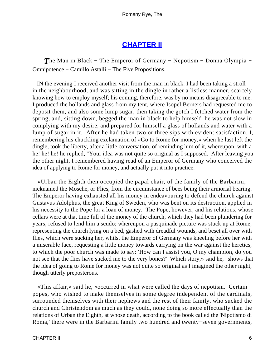## **[CHAPTER II](#page-315-0)**

**The Man in Black – The Emperor of Germany – Nepotism – Donna Olympia –** Omnipotence − Camillo Astalli − The Five Propositions.

 IN the evening I received another visit from the man in black. I had been taking a stroll in the neighbourhood, and was sitting in the dingle in rather a listless manner, scarcely knowing how to employ myself; his coming, therefore, was by no means disagreeable to me. I produced the hollands and glass from my tent, where Isopel Berners had requested me to deposit them, and also some lump sugar, then taking the gotch I fetched water from the spring, and, sitting down, begged the man in black to help himself; he was not slow in complying with my desire, and prepared for himself a glass of hollands and water with a lump of sugar in it. After he had taken two or three sips with evident satisfaction, I, remembering his chuckling exclamation of «Go to Rome for money,» when he last left the dingle, took the liberty, after a little conversation, of reminding him of it, whereupon, with a he! he! he! he replied, "Your idea was not quite so original as I supposed. After leaving you the other night, I remembered having read of an Emperor of Germany who conceived the idea of applying to Rome for money, and actually put it into practice.

 «Urban the Eighth then occupied the papal chair, of the family of the Barbarini, nicknamed the Mosche, or Flies, from the circumstance of bees being their armorial bearing. The Emperor having exhausted all his money in endeavouring to defend the church against Gustavus Adolphus, the great King of Sweden, who was bent on its destruction, applied in his necessity to the Pope for a loan of money. The Pope, however, and his relations, whose cellars were at that time full of the money of the church, which they had been plundering for years, refused to lend him a scudo; whereupon a pasquinade picture was stuck up at Rome, representing the church lying on a bed, gashed with dreadful wounds, and beset all over with flies, which were sucking her, whilst the Emperor of Germany was kneeling before her with a miserable face, requesting a little money towards carrying on the war against the heretics, to which the poor church was made to say: 'How can I assist you, O my champion, do you not see that the flies have sucked me to the very bones?' Which story,» said he, "shows that the idea of going to Rome for money was not quite so original as I imagined the other night, though utterly preposterous.

 «This affair,» said he, «occurred in what were called the days of nepotism. Certain popes, who wished to make themselves in some degree independent of the cardinals, surrounded themselves with their nephews and the rest of their family, who sucked the church and Christendom as much as they could, none doing so more effectually than the relations of Urban the Eighth, at whose death, according to the book called the 'Nipotismo di Roma,' there were in the Barbarini family two hundred and twenty−seven governments,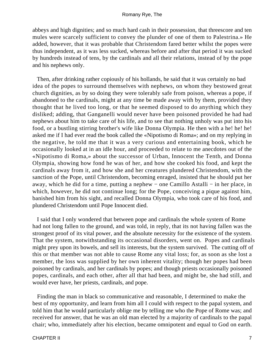abbeys and high dignities; and so much hard cash in their possession, that threescore and ten mules were scarcely sufficient to convey the plunder of one of them to Palestrina.» He added, however, that it was probable that Christendom fared better whilst the popes were thus independent, as it was less sucked, whereas before and after that period it was sucked by hundreds instead of tens, by the cardinals and all their relations, instead of by the pope and his nephews only.

 Then, after drinking rather copiously of his hollands, he said that it was certainly no bad idea of the popes to surround themselves with nephews, on whom they bestowed great church dignities, as by so doing they were tolerably safe from poison, whereas a pope, if abandoned to the cardinals, might at any time be made away with by them, provided they thought that he lived too long, or that he seemed disposed to do anything which they disliked; adding, that Ganganelli would never have been poisoned provided he had had nephews about him to take care of his life, and to see that nothing unholy was put into his food, or a bustling stirring brother's wife like Donna Olympia. He then with a he! he! he! asked me if I had ever read the book called the «Nipotismo di Roma»; and on my replying in the negative, he told me that it was a very curious and entertaining book, which he occasionally looked at in an idle hour, and proceeded to relate to me anecdotes out of the «Nipotismo di Roma,» about the successor of Urban, Innocent the Tenth, and Donna Olympia, showing how fond he was of her, and how she cooked his food, and kept the cardinals away from it, and how she and her creatures plundered Christendom, with the sanction of the Pope, until Christendom, becoming enraged, insisted that he should put her away, which he did for a time, putting a nephew − one Camillo Astalli − in her place, in which, however, he did not continue long; for the Pope, conceiving a pique against him, banished him from his sight, and recalled Donna Olympia, who took care of his food, and plundered Christendom until Pope Innocent died.

 I said that I only wondered that between pope and cardinals the whole system of Rome had not long fallen to the ground, and was told, in reply, that its not having fallen was the strongest proof of its vital power, and the absolute necessity for the existence of the system. That the system, notwithstanding its occasional disorders, went on. Popes and cardinals might prey upon its bowels, and sell its interests, but the system survived. The cutting off of this or that member was not able to cause Rome any vital loss; for, as soon as she lost a member, the loss was supplied by her own inherent vitality; though her popes had been poisoned by cardinals, and her cardinals by popes; and though priests occasionally poisoned popes, cardinals, and each other, after all that had been, and might be, she had still, and would ever have, her priests, cardinals, and pope.

 Finding the man in black so communicative and reasonable, I determined to make the best of my opportunity, and learn from him all I could with respect to the papal system, and told him that he would particularly oblige me by telling me who the Pope of Rome was; and received for answer, that he was an old man elected by a majority of cardinals to the papal chair; who, immediately after his election, became omnipotent and equal to God on earth.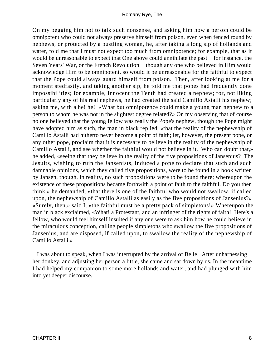On my begging him not to talk such nonsense, and asking him how a person could be omnipotent who could not always preserve himself from poison, even when fenced round by nephews, or protected by a bustling woman, he, after taking a long sip of hollands and water, told me that I must not expect too much from omnipotence; for example, that as it would be unreasonable to expect that One above could annihilate the past − for instance, the Seven Years' War, or the French Revolution – though any one who believed in Him would acknowledge Him to be omnipotent, so would it be unreasonable for the faithful to expect that the Pope could always guard himself from poison. Then, after looking at me for a moment stedfastly, and taking another sip, he told me that popes had frequently done impossibilities; for example, Innocent the Tenth had created a nephew; for, not liking particularly any of his real nephews, he had created the said Camillo Astalli his nephew; asking me, with a he! he! «What but omnipotence could make a young man nephew to a person to whom he was not in the slightest degree related?» On my observing that of course no one believed that the young fellow was really the Pope's nephew, though the Pope might have adopted him as such, the man in black replied, «that the reality of the nephewship of Camillo Astalli had hitherto never become a point of faith; let, however, the present pope, or any other pope, proclaim that it is necessary to believe in the reality of the nephewship of Camillo Astalli, and see whether the faithful would not believe in it. Who can doubt that,» he added, «seeing that they believe in the reality of the five propositions of Jansenius? The Jesuits, wishing to ruin the Jansenists, induced a pope to declare that such and such damnable opinions, which they called five propositions, were to be found in a book written by Jansen, though, in reality, no such propositions were to be found there; whereupon the existence of these propositions became forthwith a point of faith to the faithful. Do you then think,» he demanded, «that there is one of the faithful who would not swallow, if called upon, the nephewship of Camillo Astalli as easily as the five propositions of Jansenius?» «Surely, then,» said I, «the faithful must be a pretty pack of simpletons!» Whereupon the man in black exclaimed, «What! a Protestant, and an infringer of the rights of faith! Here's a fellow, who would feel himself insulted if any one were to ask him how he could believe in the miraculous conception, calling people simpletons who swallow the five propositions of Jansenius, and are disposed, if called upon, to swallow the reality of the nephewship of Camillo Astalli.»

 I was about to speak, when I was interrupted by the arrival of Belle. After unharnessing her donkey, and adjusting her person a little, she came and sat down by us. In the meantime I had helped my companion to some more hollands and water, and had plunged with him into yet deeper discourse.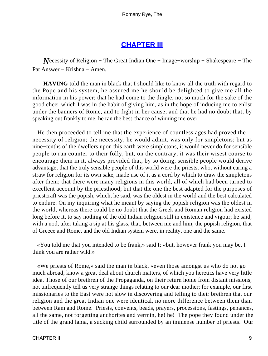### **[CHAPTER III](#page-315-0)**

*N*ecessity of Religion – The Great Indian One – Image–worship – Shakespeare – The Pat Answer − Krishna − Amen.

**HAVING** told the man in black that I should like to know all the truth with regard to the Pope and his system, he assured me he should be delighted to give me all the information in his power; that he had come to the dingle, not so much for the sake of the good cheer which I was in the habit of giving him, as in the hope of inducing me to enlist under the banners of Rome, and to fight in her cause; and that he had no doubt that, by speaking out frankly to me, he ran the best chance of winning me over.

 He then proceeded to tell me that the experience of countless ages had proved the necessity of religion; the necessity, he would admit, was only for simpletons; but as nine−tenths of the dwellers upon this earth were simpletons, it would never do for sensible people to run counter to their folly, but, on the contrary, it was their wisest course to encourage them in it, always provided that, by so doing, sensible people would derive advantage; that the truly sensible people of this world were the priests, who, without caring a straw for religion for its own sake, made use of it as a cord by which to draw the simpletons after them; that there were many religions in this world, all of which had been turned to excellent account by the priesthood; but that the one the best adapted for the purposes of priestcraft was the popish, which, he said, was the oldest in the world and the best calculated to endure. On my inquiring what he meant by saying the popish religion was the oldest in the world, whereas there could be no doubt that the Greek and Roman religion had existed long before it, to say nothing of the old Indian religion still in existence and vigour; he said, with a nod, after taking a sip at his glass, that, between me and him, the popish religion, that of Greece and Rome, and the old Indian system were, in reality, one and the same.

 «You told me that you intended to be frank,» said I; «but, however frank you may be, I think you are rather wild.»

 «We priests of Rome,» said the man in black, «even those amongst us who do not go much abroad, know a great deal about church matters, of which you heretics have very little idea. Those of our brethren of the Propaganda, on their return home from distant missions, not unfrequently tell us very strange things relating to our dear mother; for example, our first missionaries to the East were not slow in discovering and telling to their brethren that our religion and the great Indian one were identical, no more difference between them than between Ram and Rome. Priests, convents, beads, prayers, processions, fastings, penances, all the same, not forgetting anchorites and vermin, he! he! The pope they found under the title of the grand lama, a sucking child surrounded by an immense number of priests. Our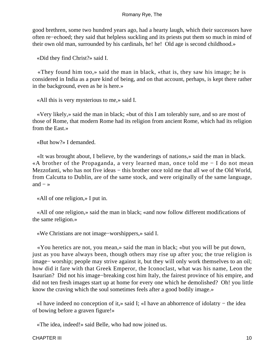good brethren, some two hundred years ago, had a hearty laugh, which their successors have often re−echoed; they said that helpless suckling and its priests put them so much in mind of their own old man, surrounded by his cardinals, he! he! Old age is second childhood.»

«Did they find Christ?» said I.

 «They found him too,» said the man in black, «that is, they saw his image; he is considered in India as a pure kind of being, and on that account, perhaps, is kept there rather in the background, even as he is here.»

«All this is very mysterious to me,» said I.

 «Very likely,» said the man in black; «but of this I am tolerably sure, and so are most of those of Rome, that modern Rome had its religion from ancient Rome, which had its religion from the East.»

«But how?» I demanded.

 «It was brought about, I believe, by the wanderings of nations,» said the man in black. «A brother of the Propaganda, a very learned man, once told me − I do not mean Mezzofanti, who has not five ideas – this brother once told me that all we of the Old World, from Calcutta to Dublin, are of the same stock, and were originally of the same language, and  $-\infty$ 

«All of one religion,» I put in.

 «All of one religion,» said the man in black; «and now follow different modifications of the same religion.»

«We Christians are not image−worshippers,» said I.

 «You heretics are not, you mean,» said the man in black; «but you will be put down, just as you have always been, though others may rise up after you; the true religion is image− worship; people may strive against it, but they will only work themselves to an oil; how did it fare with that Greek Emperor, the Iconoclast, what was his name, Leon the Isaurian? Did not his image−breaking cost him Italy, the fairest province of his empire, and did not ten fresh images start up at home for every one which he demolished? Oh! you little know the craving which the soul sometimes feels after a good bodily image.»

 «I have indeed no conception of it,» said I; «I have an abhorrence of idolatry − the idea of bowing before a graven figure!»

«The idea, indeed!» said Belle, who had now joined us.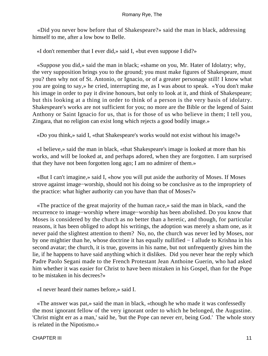«Did you never bow before that of Shakespeare?» said the man in black, addressing himself to me, after a low bow to Belle.

«I don't remember that I ever did,» said I, «but even suppose I did?»

 «Suppose you did,» said the man in black; «shame on you, Mr. Hater of Idolatry; why, the very supposition brings you to the ground; you must make figures of Shakespeare, must you? then why not of St. Antonio, or Ignacio, or of a greater personage still! I know what you are going to say,» he cried, interrupting me, as I was about to speak. «You don't make his image in order to pay it divine honours, but only to look at it, and think of Shakespeare; but this looking at a thing in order to think of a person is the very basis of idolatry. Shakespeare's works are not sufficient for you; no more are the Bible or the legend of Saint Anthony or Saint Ignacio for us, that is for those of us who believe in them; I tell you, Zingara, that no religion can exist long which rejects a good bodily image.»

«Do you think,» said I, «that Shakespeare's works would not exist without his image?»

 «I believe,» said the man in black, «that Shakespeare's image is looked at more than his works, and will be looked at, and perhaps adored, when they are forgotten. I am surprised that they have not been forgotten long ago; I am no admirer of them.»

 «But I can't imagine,» said I, «how you will put aside the authority of Moses. If Moses strove against image−worship, should not his doing so be conclusive as to the impropriety of the practice: what higher authority can you have than that of Moses?»

 «The practice of the great majority of the human race,» said the man in black, «and the recurrence to image−worship where image−worship has been abolished. Do you know that Moses is considered by the church as no better than a heretic, and though, for particular reasons, it has been obliged to adopt his writings, the adoption was merely a sham one, as it never paid the slightest attention to them? No, no, the church was never led by Moses, nor by one mightier than he, whose doctrine it has equally nullified − I allude to Krishna in his second avatar; the church, it is true, governs in his name, but not unfrequently gives him the lie, if he happens to have said anything which it dislikes. Did you never hear the reply which Padre Paolo Segani made to the French Protestant Jean Anthoine Guerin, who had asked him whether it was easier for Christ to have been mistaken in his Gospel, than for the Pope to be mistaken in his decrees?»

«I never heard their names before,» said I.

 «The answer was pat,» said the man in black, «though he who made it was confessedly the most ignorant fellow of the very ignorant order to which he belonged, the Augustine. 'Christ might err as a man,' said he, 'but the Pope can never err, being God.' The whole story is related in the Nipotismo.»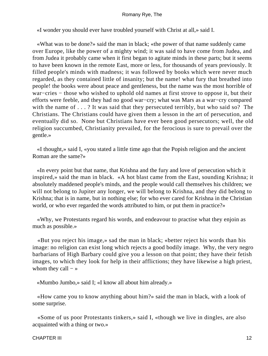«I wonder you should ever have troubled yourself with Christ at all,» said I.

 «What was to be done?» said the man in black; «the power of that name suddenly came over Europe, like the power of a mighty wind; it was said to have come from Judea, and from Judea it probably came when it first began to agitate minds in these parts; but it seems to have been known in the remote East, more or less, for thousands of years previously. It filled people's minds with madness; it was followed by books which were never much regarded, as they contained little of insanity; but the name! what fury that breathed into people! the books were about peace and gentleness, but the name was the most horrible of war−cries − those who wished to uphold old names at first strove to oppose it, but their efforts were feeble, and they had no good war−cry; what was Mars as a war−cry compared with the name of . . . ? It was said that they persecuted terribly, but who said so? The Christians. The Christians could have given them a lesson in the art of persecution, and eventually did so. None but Christians have ever been good persecutors; well, the old religion succumbed, Christianity prevailed, for the ferocious is sure to prevail over the gentle.»

 «I thought,» said I, «you stated a little time ago that the Popish religion and the ancient Roman are the same?»

 «In every point but that name, that Krishna and the fury and love of persecution which it inspired,» said the man in black. «A hot blast came from the East, sounding Krishna; it absolutely maddened people's minds, and the people would call themselves his children; we will not belong to Jupiter any longer, we will belong to Krishna, and they did belong to Krishna; that is in name, but in nothing else; for who ever cared for Krishna in the Christian world, or who ever regarded the words attributed to him, or put them in practice?»

 «Why, we Protestants regard his words, and endeavour to practise what they enjoin as much as possible.»

 «But you reject his image,» sad the man in black; «better reject his words than his image: no religion can exist long which rejects a good bodily image. Why, the very negro barbarians of High Barbary could give you a lesson on that point; they have their fetish images, to which they look for help in their afflictions; they have likewise a high priest, whom they call  $-$  »

«Mumbo Jumbo,» said I; «I know all about him already.»

 «How came you to know anything about him?» said the man in black, with a look of some surprise.

 «Some of us poor Protestants tinkers,» said I, «though we live in dingles, are also acquainted with a thing or two.»

#### CHAPTER III 12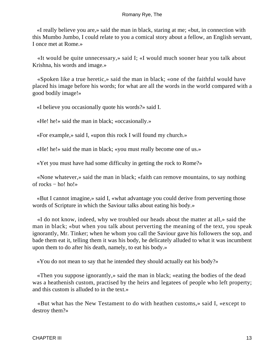«I really believe you are,» said the man in black, staring at me; «but, in connection with this Mumbo Jumbo, I could relate to you a comical story about a fellow, an English servant, I once met at Rome.»

 «It would be quite unnecessary,» said I; «I would much sooner hear you talk about Krishna, his words and image.»

 «Spoken like a true heretic,» said the man in black; «one of the faithful would have placed his image before his words; for what are all the words in the world compared with a good bodily image!»

«I believe you occasionally quote his words?» said I.

«He! he!» said the man in black; «occasionally.»

«For example,» said I, «upon this rock I will found my church.»

«He! he!» said the man in black; «you must really become one of us.»

«Yet you must have had some difficulty in getting the rock to Rome?»

 «None whatever,» said the man in black; «faith can remove mountains, to say nothing of rocks  $-$  ho! ho!»

 «But I cannot imagine,» said I, «what advantage you could derive from perverting those words of Scripture in which the Saviour talks about eating his body.»

 «I do not know, indeed, why we troubled our heads about the matter at all,» said the man in black; «but when you talk about perverting the meaning of the text, you speak ignorantly, Mr. Tinker; when he whom you call the Saviour gave his followers the sop, and bade them eat it, telling them it was his body, he delicately alluded to what it was incumbent upon them to do after his death, namely, to eat his body.»

«You do not mean to say that he intended they should actually eat his body?»

 «Then you suppose ignorantly,» said the man in black; «eating the bodies of the dead was a heathenish custom, practised by the heirs and legatees of people who left property; and this custom is alluded to in the text.»

 «But what has the New Testament to do with heathen customs,» said I, «except to destroy them?»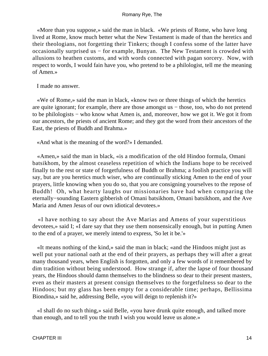«More than you suppose,» said the man in black. «We priests of Rome, who have long lived at Rome, know much better what the New Testament is made of than the heretics and their theologians, not forgetting their Tinkers; though I confess some of the latter have occasionally surprised us − for example, Bunyan. The New Testament is crowded with allusions to heathen customs, and with words connected with pagan sorcery. Now, with respect to words, I would fain have you, who pretend to be a philologist, tell me the meaning of Amen.»

I made no answer.

 «We of Rome,» said the man in black, «know two or three things of which the heretics are quite ignorant; for example, there are those amongst us − those, too, who do not pretend to be philologists − who know what Amen is, and, moreover, how we got it. We got it from our ancestors, the priests of ancient Rome; and they got the word from their ancestors of the East, the priests of Buddh and Brahma.»

«And what is the meaning of the word?» I demanded.

 «Amen,» said the man in black, «is a modification of the old Hindoo formula, Omani batsikhom, by the almost ceaseless repetition of which the Indians hope to be received finally to the rest or state of forgetfulness of Buddh or Brahma; a foolish practice you will say, but are you heretics much wiser, who are continually sticking Amen to the end of your prayers, little knowing when you do so, that you are consigning yourselves to the repose of Buddh! Oh, what hearty laughs our missionaries have had when comparing the eternally−sounding Eastern gibberish of Omani batsikhom, Omani batsikhom, and the Ave Maria and Amen Jesus of our own idiotical devotees.»

 «I have nothing to say about the Ave Marias and Amens of your superstitious devotees,» said I; «I dare say that they use them nonsensically enough, but in putting Amen to the end of a prayer, we merely intend to express, 'So let it be.'»

 «It means nothing of the kind,» said the man in black; «and the Hindoos might just as well put your national oath at the end of their prayers, as perhaps they will after a great many thousand years, when English is forgotten, and only a few words of it remembered by dim tradition without being understood. How strange if, after the lapse of four thousand years, the Hindoos should damn themselves to the blindness so dear to their present masters, even as their masters at present consign themselves to the forgetfulness so dear to the Hindoos; but my glass has been empty for a considerable time; perhaps, Bellissima Biondina,» said he, addressing Belle, «you will deign to replenish it?»

 «I shall do no such thing,» said Belle, «you have drunk quite enough, and talked more than enough, and to tell you the truth I wish you would leave us alone.»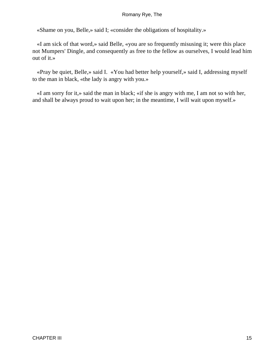«Shame on you, Belle,» said I; «consider the obligations of hospitality.»

 «I am sick of that word,» said Belle, «you are so frequently misusing it; were this place not Mumpers' Dingle, and consequently as free to the fellow as ourselves, I would lead him out of it.»

 «Pray be quiet, Belle,» said I. «You had better help yourself,» said I, addressing myself to the man in black, «the lady is angry with you.»

 «I am sorry for it,» said the man in black; «if she is angry with me, I am not so with her, and shall be always proud to wait upon her; in the meantime, I will wait upon myself.»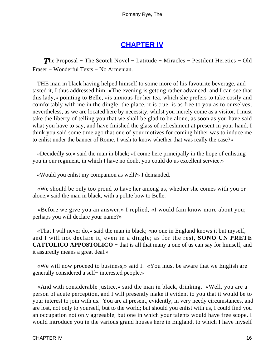# **[CHAPTER IV](#page-315-0)**

*The Proposal* – The Scotch Novel – Latitude – Miracles – Pestilent Heretics – Old Fraser − Wonderful Texts − No Armenian.

 THE man in black having helped himself to some more of his favourite beverage, and tasted it, I thus addressed him: «The evening is getting rather advanced, and I can see that this lady,» pointing to Belle, «is anxious for her tea, which she prefers to take cosily and comfortably with me in the dingle: the place, it is true, is as free to you as to ourselves, nevertheless, as we are located here by necessity, whilst you merely come as a visitor, I must take the liberty of telling you that we shall be glad to be alone, as soon as you have said what you have to say, and have finished the glass of refreshment at present in your hand. I think you said some time ago that one of your motives for coming hither was to induce me to enlist under the banner of Rome. I wish to know whether that was really the case?»

 «Decidedly so,» said the man in black; «I come here principally in the hope of enlisting you in our regiment, in which I have no doubt you could do us excellent service.»

«Would you enlist my companion as well?» I demanded.

 «We should be only too proud to have her among us, whether she comes with you or alone,» said the man in black, with a polite bow to Belle.

 «Before we give you an answer,» I replied, «I would fain know more about you; perhaps you will declare your name?»

 «That I will never do,» said the man in black; «no one in England knows it but myself, and I will not declare it, even in a dingle; as for the rest, **SONO UN PRETE CATTOLICO APPOSTOLICO −** that is all that many a one of us can say for himself, and it assuredly means a great deal.»

 «We will now proceed to business,» said I. «You must be aware that we English are generally considered a self− interested people.»

 «And with considerable justice,» said the man in black, drinking. «Well, you are a person of acute perception, and I will presently make it evident to you that it would be to your interest to join with us. You are at present, evidently, in very needy circumstances, and are lost, not only to yourself, but to the world; but should you enlist with us, I could find you an occupation not only agreeable, but one in which your talents would have free scope. I would introduce you in the various grand houses here in England, to which I have myself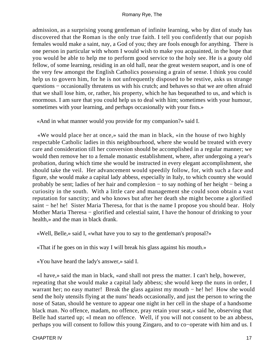admission, as a surprising young gentleman of infinite learning, who by dint of study has discovered that the Roman is the only true faith. I tell you confidently that our popish females would make a saint, nay, a God of you; they are fools enough for anything. There is one person in particular with whom I would wish to make you acquainted, in the hope that you would be able to help me to perform good service to the holy see. He is a gouty old fellow, of some learning, residing in an old hall, near the great western seaport, and is one of the very few amongst the English Catholics possessing a grain of sense. I think you could help us to govern him, for he is not unfrequently disposed to be restive, asks us strange questions – occasionally threatens us with his crutch; and behaves so that we are often afraid that we shall lose him, or, rather, his property, which he has bequeathed to us, and which is enormous. I am sure that you could help us to deal with him; sometimes with your humour, sometimes with your learning, and perhaps occasionally with your fists.»

«And in what manner would you provide for my companion?» said I.

 «We would place her at once,» said the man in black, «in the house of two highly respectable Catholic ladies in this neighbourhood, where she would be treated with every care and consideration till her conversion should be accomplished in a regular manner; we would then remove her to a female monastic establishment, where, after undergoing a year's probation, during which time she would be instructed in every elegant accomplishment, she should take the veil. Her advancement would speedily follow, for, with such a face and figure, she would make a capital lady abbess, especially in Italy, to which country she would probably be sent; ladies of her hair and complexion − to say nothing of her height − being a curiosity in the south. With a little care and management she could soon obtain a vast reputation for sanctity; and who knows but after her death she might become a glorified saint – he! he! Sister Maria Theresa, for that is the name I propose you should bear. Holy Mother Maria Theresa − glorified and celestial saint, I have the honour of drinking to your health,» and the man in black drank.

«Well, Belle,» said I, «what have you to say to the gentleman's proposal?»

«That if he goes on in this way I will break his glass against his mouth.»

«You have heard the lady's answer,» said I.

 «I have,» said the man in black, «and shall not press the matter. I can't help, however, repeating that she would make a capital lady abbess; she would keep the nuns in order, I warrant her; no easy matter! Break the glass against my mouth − he! he! How she would send the holy utensils flying at the nuns' heads occasionally, and just the person to wring the nose of Satan, should he venture to appear one night in her cell in the shape of a handsome black man. No offence, madam, no offence, pray retain your seat,» said he, observing that Belle had started up; «I mean no offence. Well, if you will not consent to be an abbess, perhaps you will consent to follow this young Zingaro, and to co−operate with him and us. I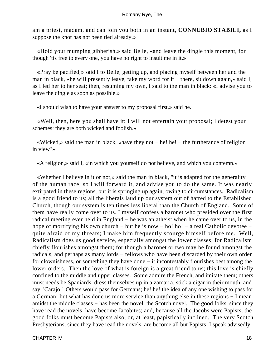am a priest, madam, and can join you both in an instant, **CONNUBIO STABILI,** as I suppose the knot has not been tied already.»

 «Hold your mumping gibberish,» said Belle, «and leave the dingle this moment, for though 'tis free to every one, you have no right to insult me in it.»

 «Pray be pacified,» said I to Belle, getting up, and placing myself between her and the man in black, «he will presently leave, take my word for it – there, sit down again,» said I, as I led her to her seat; then, resuming my own, I said to the man in black: «I advise you to leave the dingle as soon as possible.»

«I should wish to have your answer to my proposal first,» said he.

 «Well, then, here you shall have it: I will not entertain your proposal; I detest your schemes: they are both wicked and foolish.»

 «Wicked,» said the man in black, «have they not − he! he! − the furtherance of religion in view?»

«A religion,» said I, «in which you yourself do not believe, and which you contemn.»

 «Whether I believe in it or not,» said the man in black, "it is adapted for the generality of the human race; so I will forward it, and advise you to do the same. It was nearly extirpated in these regions, but it is springing up again, owing to circumstances. Radicalism is a good friend to us; all the liberals laud up our system out of hatred to the Established Church, though our system is ten times less liberal than the Church of England. Some of them have really come over to us. I myself confess a baronet who presided over the first radical meeting ever held in England − he was an atheist when he came over to us, in the hope of mortifying his own church − but he is now − ho! ho! − a real Catholic devotee − quite afraid of my threats; I make him frequently scourge himself before me. Well, Radicalism does us good service, especially amongst the lower classes, for Radicalism chiefly flourishes amongst them; for though a baronet or two may be found amongst the radicals, and perhaps as many lords − fellows who have been discarded by their own order for clownishness, or something they have done − it incontestably flourishes best among the lower orders. Then the love of what is foreign is a great friend to us; this love is chiefly confined to the middle and upper classes. Some admire the French, and imitate them; others must needs be Spaniards, dress themselves up in a zamarra, stick a cigar in their mouth, and say, 'Carajo.' Others would pass for Germans; he! he! the idea of any one wishing to pass for a German! but what has done us more service than anything else in these regions − I mean amidst the middle classes − has been the novel, the Scotch novel. The good folks, since they have read the novels, have become Jacobites; and, because all the Jacobs were Papists, the good folks must become Papists also, or, at least, papistically inclined. The very Scotch Presbyterians, since they have read the novels, are become all but Papists; I speak advisedly,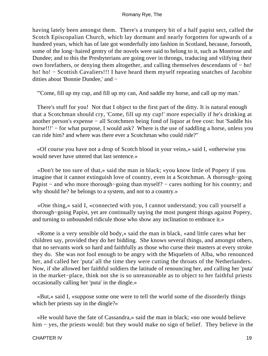having lately been amongst them. There's a trumpery bit of a half papist sect, called the Scotch Episcopalian Church, which lay dormant and nearly forgotten for upwards of a hundred years, which has of late got wonderfully into fashion in Scotland, because, forsooth, some of the long−haired gentry of the novels were said to belong to it, such as Montrose and Dundee; and to this the Presbyterians are going over in throngs, traducing and vilifying their own forefathers, or denying them altogether, and calling themselves descendants of − ho! ho! ho! − Scottish Cavaliers!!! I have heard them myself repeating snatches of Jacobite ditties about 'Bonnie Dundee,' and −

"'Come, fill up my cup, and fill up my can, And saddle my horse, and call up my man.'

 There's stuff for you! Not that I object to the first part of the ditty. It is natural enough that a Scotchman should cry, 'Come, fill up my cup!' more especially if he's drinking at another person's expense − all Scotchmen being fond of liquor at free cost: but 'Saddle his horse!!!' – for what purpose, I would ask? Where is the use of saddling a horse, unless you can ride him? and where was there ever a Scotchman who could ride?"

 «Of course you have not a drop of Scotch blood in your veins,» said I, «otherwise you would never have uttered that last sentence.»

 «Don't be too sure of that,» said the man in black; «you know little of Popery if you imagine that it cannot extinguish love of country, even in a Scotchman. A thorough−going Papist – and who more thorough–going than myself? – cares nothing for his country; and why should he? he belongs to a system, and not to a country.»

 «One thing,» said I, «connected with you, I cannot understand; you call yourself a thorough−going Papist, yet are continually saying the most pungent things against Popery, and turning to unbounded ridicule those who show any inclination to embrace it.»

 «Rome is a very sensible old body,» said the man in black, «and little cares what her children say, provided they do her bidding. She knows several things, and amongst others, that no servants work so hard and faithfully as those who curse their masters at every stroke they do. She was not fool enough to be angry with the Miquelets of Alba, who renounced her, and called her 'puta' all the time they were cutting the throats of the Netherlanders. Now, if she allowed her faithful soldiers the latitude of renouncing her, and calling her 'puta' in the market−place, think not she is so unreasonable as to object to her faithful priests occasionally calling her 'puta' in the dingle.»

 «But,» said I, «suppose some one were to tell the world some of the disorderly things which her priests say in the dingle?»

 «He would have the fate of Cassandra,» said the man in black; «no one would believe him − yes, the priests would: but they would make no sign of belief. They believe in the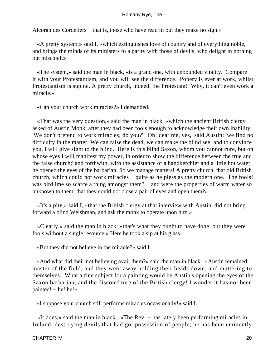Alcoran des Cordeliers − that is, those who have read it; but they make no sign.»

 «A pretty system,» said I, «which extinguishes love of country and of everything noble, and brings the minds of its ministers to a parity with those of devils, who delight in nothing but mischief.»

 «The system,» said the man in black, «is a grand one, with unbounded vitality. Compare it with your Protestantism, and you will see the difference. Popery is ever at work, whilst Protestantism is supine. A pretty church, indeed, the Protestant! Why, it can't even work a miracle.»

«Can your church work miracles?» I demanded.

 «That was the very question,» said the man in black, «which the ancient British clergy asked of Austin Monk, after they had been fools enough to acknowledge their own inability. 'We don't pretend to work miracles; do you?' 'Oh! dear me, yes,' said Austin; 'we find no difficulty in the matter. We can raise the dead, we can make the blind see; and to convince you, I will give sight to the blind. Here is this blind Saxon, whom you cannot cure, but on whose eyes I will manifest my power, in order to show the difference between the true and the false church;' and forthwith, with the assistance of a handkerchief and a little hot water, he opened the eyes of the barbarian. So we manage matters! A pretty church, that old British church, which could not work miracles − quite as helpless as the modern one. The fools! was birdlime so scarce a thing amongst them? – and were the properties of warm water so unknown to them, that they could not close a pair of eyes and open them?»

 «It's a pity,» said I, «that the British clergy at that interview with Austin, did not bring forward a blind Welshman, and ask the monk to operate upon him.»

 «Clearly,» said the man in black; «that's what they ought to have done; but they were fools without a single resource.» Here he took a sip at his glass.

«But they did not believe in the miracle?» said I.

 «And what did their not believing avail them?» said the man in black. «Austin remained master of the field, and they went away holding their heads down, and muttering to themselves. What a fine subject for a painting would be Austin's opening the eyes of the Saxon barbarian, and the discomfiture of the British clergy! I wonder it has not been painted! – he! he!»

«I suppose your church still performs miracles occasionally!» said I.

 «It does,» said the man in black. «The Rev. − has lately been performing miracles in Ireland, destroying devils that had got possession of people; he has been eminently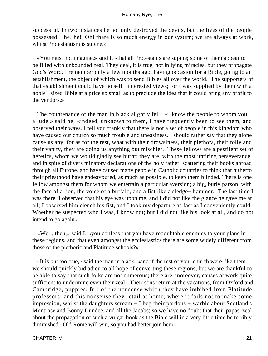successful. In two instances he not only destroyed the devils, but the lives of the people possessed − he! he! Oh! there is so much energy in our system; we are always at work, whilst Protestantism is supine.»

 «You must not imagine,» said I, «that all Protestants are supine; some of them appear to be filled with unbounded zeal. They deal, it is true, not in lying miracles, but they propagate God's Word. I remember only a few months ago, having occasion for a Bible, going to an establishment, the object of which was to send Bibles all over the world. The supporters of that establishment could have no self− interested views; for I was supplied by them with a noble− sized Bible at a price so small as to preclude the idea that it could bring any profit to the vendors.»

 The countenance of the man in black slightly fell. «I know the people to whom you allude,» said he; «indeed, unknown to them, I have frequently been to see them, and observed their ways. I tell you frankly that there is not a set of people in this kingdom who have caused our church so much trouble and uneasiness. I should rather say that they alone cause us any; for as for the rest, what with their drowsiness, their plethora, their folly and their vanity, they are doing us anything but mischief. These fellows are a pestilent set of heretics, whom we would gladly see burnt; they are, with the most untiring perseverance, and in spite of divers minatory declarations of the holy father, scattering their books abroad through all Europe, and have caused many people in Catholic countries to think that hitherto their priesthood have endeavoured, as much as possible, to keep them blinded. There is one fellow amongst them for whom we entertain a particular aversion; a big, burly parson, with the face of a lion, the voice of a buffalo, and a fist like a sledge− hammer. The last time I was there, I observed that his eye was upon me, and I did not like the glance he gave me at all; I observed him clench his fist, and I took my departure as fast as I conveniently could. Whether he suspected who I was, I know not; but I did not like his look at all, and do not intend to go again.»

 «Well, then,» said I, «you confess that you have redoubtable enemies to your plans in these regions, and that even amongst the ecclesiastics there are some widely different from those of the plethoric and Platitude schools?»

 «It is but too true,» said the man in black; «and if the rest of your church were like them we should quickly bid adieu to all hope of converting these regions, but we are thankful to be able to say that such folks are not numerous; there are, moreover, causes at work quite sufficient to undermine even their zeal. Their sons return at the vacations, from Oxford and Cambridge, puppies, full of the nonsense which they have imbibed from Platitude professors; and this nonsense they retail at home, where it fails not to make some impression, whilst the daughters scream − I beg their pardons − warble about Scotland's Montrose and Bonny Dundee, and all the Jacobs; so we have no doubt that their papas' zeal about the propagation of such a vulgar book as the Bible will in a very little time be terribly diminished. Old Rome will win, so you had better join her.»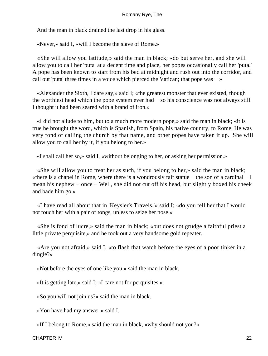And the man in black drained the last drop in his glass.

«Never,» said I, «will I become the slave of Rome.»

 «She will allow you latitude,» said the man in black; «do but serve her, and she will allow you to call her 'puta' at a decent time and place, her popes occasionally call her 'puta.' A pope has been known to start from his bed at midnight and rush out into the corridor, and call out 'puta' three times in a voice which pierced the Vatican; that pope was − »

 «Alexander the Sixth, I dare say,» said I; «the greatest monster that ever existed, though the worthiest head which the pope system ever had − so his conscience was not always still. I thought it had been seared with a brand of iron.»

 «I did not allude to him, but to a much more modern pope,» said the man in black; «it is true he brought the word, which is Spanish, from Spain, his native country, to Rome. He was very fond of calling the church by that name, and other popes have taken it up. She will allow you to call her by it, if you belong to her.»

«I shall call her so,» said I, «without belonging to her, or asking her permission.»

 «She will allow you to treat her as such, if you belong to her,» said the man in black; «there is a chapel in Rome, where there is a wondrously fair statue − the son of a cardinal − I mean his nephew – once – Well, she did not cut off his head, but slightly boxed his cheek and bade him go.»

 «I have read all about that in 'Keysler's Travels,'» said I; «do you tell her that I would not touch her with a pair of tongs, unless to seize her nose.»

 «She is fond of lucre,» said the man in black; «but does not grudge a faithful priest a little private perquisite,» and he took out a very handsome gold repeater.

 «Are you not afraid,» said I, «to flash that watch before the eyes of a poor tinker in a dingle?»

«Not before the eyes of one like you,» said the man in black.

«It is getting late,» said I; «I care not for perquisites.»

«So you will not join us?» said the man in black.

«You have had my answer,» said I.

«If I belong to Rome,» said the man in black, «why should not you?»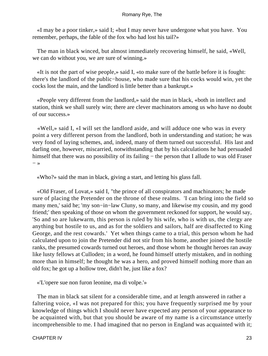«I may be a poor tinker,» said I; «but I may never have undergone what you have. You remember, perhaps, the fable of the fox who had lost his tail?»

 The man in black winced, but almost immediately recovering himself, he said, «Well, we can do without you, we are sure of winning.»

 «It is not the part of wise people,» said I, «to make sure of the battle before it is fought: there's the landlord of the public−house, who made sure that his cocks would win, yet the cocks lost the main, and the landlord is little better than a bankrupt.»

 «People very different from the landlord,» said the man in black, «both in intellect and station, think we shall surely win; there are clever machinators among us who have no doubt of our success.»

 «Well,» said I, «I will set the landlord aside, and will adduce one who was in every point a very different person from the landlord, both in understanding and station; he was very fond of laying schemes, and, indeed, many of them turned out successful. His last and darling one, however, miscarried, notwithstanding that by his calculations he had persuaded himself that there was no possibility of its failing − the person that I allude to was old Fraser  $-$  »

«Who?» said the man in black, giving a start, and letting his glass fall.

 «Old Fraser, of Lovat,» said I, "the prince of all conspirators and machinators; he made sure of placing the Pretender on the throne of these realms. 'I can bring into the field so many men,' said he; 'my son−in−law Cluny, so many, and likewise my cousin, and my good friend;' then speaking of those on whom the government reckoned for support, he would say, 'So and so are lukewarm, this person is ruled by his wife, who is with us, the clergy are anything but hostile to us, and as for the soldiers and sailors, half are disaffected to King George, and the rest cowards.' Yet when things came to a trial, this person whom he had calculated upon to join the Pretender did not stir from his home, another joined the hostile ranks, the presumed cowards turned out heroes, and those whom he thought heroes ran away like lusty fellows at Culloden; in a word, he found himself utterly mistaken, and in nothing more than in himself; he thought he was a hero, and proved himself nothing more than an old fox; he got up a hollow tree, didn't he, just like a fox?

«'L'opere sue non furon leonine, ma di volpe.'»

 The man in black sat silent for a considerable time, and at length answered in rather a faltering voice, «I was not prepared for this; you have frequently surprised me by your knowledge of things which I should never have expected any person of your appearance to be acquainted with, but that you should be aware of my name is a circumstance utterly incomprehensible to me. I had imagined that no person in England was acquainted with it;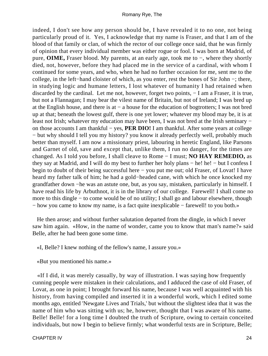indeed, I don't see how any person should be, I have revealed it to no one, not being particularly proud of it. Yes, I acknowledge that my name is Fraser, and that I am of the blood of that family or clan, of which the rector of our college once said, that he was firmly of opinion that every individual member was either rogue or fool. I was born at Madrid, of pure, **OIME,** Fraser blood. My parents, at an early age, took me to −, where they shortly died, not, however, before they had placed me in the service of a cardinal, with whom I continued for some years, and who, when he had no further occasion for me, sent me to the college, in the left−hand cloister of which, as you enter, rest the bones of Sir John −; there, in studying logic and humane letters, I lost whatever of humanity I had retained when discarded by the cardinal. Let me not, however, forget two points, − I am a Fraser, it is true, but not a Flannagan; I may bear the vilest name of Britain, but not of Ireland; I was bred up at the English house, and there is at − a house for the education of bogtrotters; I was not bred up at that; beneath the lowest gulf, there is one yet lower; whatever my blood may be, it is at least not Irish; whatever my education may have been, I was not bred at the Irish seminary − on those accounts I am thankful − yes, **PER DIO!** I am thankful. After some years at college − but why should I tell you my history? you know it already perfectly well, probably much better than myself. I am now a missionary priest, labouring in heretic England, like Parsons and Garnet of old, save and except that, unlike them, I run no danger, for the times are changed. As I told you before, I shall cleave to Rome − I must; **NO HAY REMEDIO,** as they say at Madrid, and I will do my best to further her holy plans − he! he! − but I confess I begin to doubt of their being successful here − you put me out; old Fraser, of Lovat! I have heard my father talk of him; he had a gold−headed cane, with which he once knocked my grandfather down −he was an astute one, but, as you say, mistaken, particularly in himself. I have read his life by Arbuthnot, it is in the library of our college. Farewell! I shall come no more to this dingle − to come would be of no utility; I shall go and labour elsewhere, though − how you came to know my name, is a fact quite inexplicable − farewell! to you both.»

 He then arose; and without further salutation departed from the dingle, in which I never saw him again. «How, in the name of wonder, came you to know that man's name?» said Belle, after he had been gone some time.

«I, Belle? I knew nothing of the fellow's name, I assure you.»

«But you mentioned his name.»

 «If I did, it was merely casually, by way of illustration. I was saying how frequently cunning people were mistaken in their calculations, and I adduced the case of old Fraser, of Lovat, as one in point; I brought forward his name, because I was well acquainted with his history, from having compiled and inserted it in a wonderful work, which I edited some months ago, entitled 'Newgate Lives and Trials,' but without the slightest idea that it was the name of him who was sitting with us; he, however, thought that I was aware of his name. Belle! Belle! for a long time I doubted the truth of Scripture, owing to certain conceited individuals, but now I begin to believe firmly; what wonderful texts are in Scripture, Belle;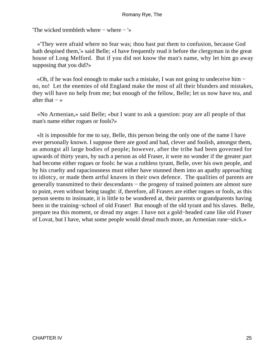'The wicked trembleth where − where − '»

 «'They were afraid where no fear was; thou hast put them to confusion, because God hath despised them,'» said Belle; «I have frequently read it before the clergyman in the great house of Long Melford. But if you did not know the man's name, why let him go away supposing that you did?»

 «Oh, if he was fool enough to make such a mistake, I was not going to undeceive him − no, no! Let the enemies of old England make the most of all their blunders and mistakes, they will have no help from me; but enough of the fellow, Belle; let us now have tea, and after that  $-$  »

 «No Armenian,» said Belle; «but I want to ask a question: pray are all people of that man's name either rogues or fools?»

 «It is impossible for me to say, Belle, this person being the only one of the name I have ever personally known. I suppose there are good and bad, clever and foolish, amongst them, as amongst all large bodies of people; however, after the tribe had been governed for upwards of thirty years, by such a person as old Fraser, it were no wonder if the greater part had become either rogues or fools: he was a ruthless tyrant, Belle, over his own people, and by his cruelty and rapaciousness must either have stunned them into an apathy approaching to idiotcy, or made them artful knaves in their own defence. The qualities of parents are generally transmitted to their descendants – the progeny of trained pointers are almost sure to point, even without being taught: if, therefore, all Frasers are either rogues or fools, as this person seems to insinuate, it is little to be wondered at, their parents or grandparents having been in the training−school of old Fraser! But enough of the old tyrant and his slaves. Belle, prepare tea this moment, or dread my anger. I have not a gold−headed cane like old Fraser of Lovat, but I have, what some people would dread much more, an Armenian rune−stick.»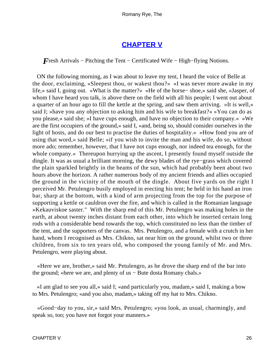### **[CHAPTER V](#page-315-0)**

*F*resh Arrivals – Pitching the Tent – Certificated Wife – High–flying Notions.

 ON the following morning, as I was about to leave my tent, I heard the voice of Belle at the door, exclaiming, «Sleepest thou, or wakest thou?» «I was never more awake in my life,» said I, going out. «What is the matter?» «He of the horse− shoe,» said she, «Jasper, of whom I have heard you talk, is above there on the field with all his people; I went out about a quarter of an hour ago to fill the kettle at the spring, and saw them arriving. »It is well,« said I; »have you any objection to asking him and his wife to breakfast?« »You can do as you please,« said she; »I have cups enough, and have no objection to their company.« »We are the first occupiers of the ground,« said I, »and, being so, should consider ourselves in the light of hosts, and do our best to practise the duties of hospitality.« »How fond you are of using that word,« said Belle; »if you wish to invite the man and his wife, do so, without more ado; remember, however, that I have not cups enough, nor indeed tea enough, for the whole company.« Thereupon hurrying up the ascent, I presently found myself outside the dingle. It was as usual a brilliant morning, the dewy blades of the rye−grass which covered the plain sparkled brightly in the beams of the sun, which had probably been about two hours above the horizon. A rather numerous body of my ancient friends and allies occupied the ground in the vicinity of the mouth of the dingle. About five yards on the right I perceived Mr. Petulengro busily employed in erecting his tent; he held in his hand an iron bar, sharp at the bottom, with a kind of arm projecting from the top for the purpose of supporting a kettle or cauldron over the fire, and which is called in the Romanian language »Kekauviskoe saster." With the sharp end of this Mr. Petulengro was making holes in the earth, at about twenty inches distant from each other, into which he inserted certain long rods with a considerable bend towards the top, which constituted no less than the timber of the tent, and the supporters of the canvas. Mrs. Petulengro, and a female with a crutch in her hand, whom I recognised as Mrs. Chikno, sat near him on the ground, whilst two or three children, from six to ten years old, who composed the young family of Mr. and Mrs. Petulengro, were playing about.

 «Here we are, brother,» said Mr. Petulengro, as he drove the sharp end of the bar into the ground; «here we are, and plenty of us − Bute dosta Romany chals.»

 «I am glad to see you all,» said I; «and particularly you, madam,» said I, making a bow to Mrs. Petulengro; «and you also, madam,» taking off my hat to Mrs. Chikno.

 «Good−day to you, sir,» said Mrs. Petulengro; «you look, as usual, charmingly, and speak so, too; you have not forgot your manners.»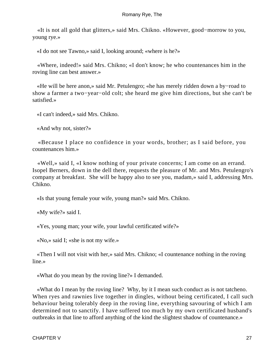«It is not all gold that glitters,» said Mrs. Chikno. «However, good−morrow to you, young rye.»

«I do not see Tawno,» said I, looking around; «where is he?»

 «Where, indeed!» said Mrs. Chikno; «I don't know; he who countenances him in the roving line can best answer.»

 «He will be here anon,» said Mr. Petulengro; «he has merely ridden down a by−road to show a farmer a two−year−old colt; she heard me give him directions, but she can't be satisfied.»

«I can't indeed,» said Mrs. Chikno.

«And why not, sister?»

 «Because I place no confidence in your words, brother; as I said before, you countenances him.»

 «Well,» said I, «I know nothing of your private concerns; I am come on an errand. Isopel Berners, down in the dell there, requests the pleasure of Mr. and Mrs. Petulengro's company at breakfast. She will be happy also to see you, madam,» said I, addressing Mrs. Chikno.

«Is that young female your wife, young man?» said Mrs. Chikno.

«My wife?» said I.

«Yes, young man; your wife, your lawful certificated wife?»

«No,» said I; «she is not my wife.»

 «Then I will not visit with her,» said Mrs. Chikno; «I countenance nothing in the roving line.»

«What do you mean by the roving line?» I demanded.

 «What do I mean by the roving line? Why, by it I mean such conduct as is not tatcheno. When ryes and rawnies live together in dingles, without being certificated, I call such behaviour being tolerably deep in the roving line, everything savouring of which I am determined not to sanctify. I have suffered too much by my own certificated husband's outbreaks in that line to afford anything of the kind the slightest shadow of countenance.»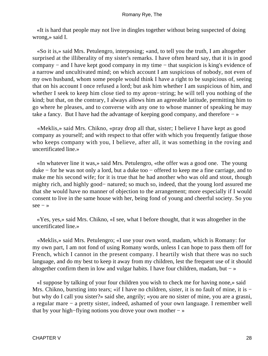«It is hard that people may not live in dingles together without being suspected of doing wrong,» said I.

 «So it is,» said Mrs. Petulengro, interposing; «and, to tell you the truth, I am altogether surprised at the illiberality of my sister's remarks. I have often heard say, that it is in good company − and I have kept good company in my time − that suspicion is king's evidence of a narrow and uncultivated mind; on which account I am suspicious of nobody, not even of my own husband, whom some people would think I have a right to be suspicious of, seeing that on his account I once refused a lord; but ask him whether I am suspicious of him, and whether I seek to keep him close tied to my apron−string; he will tell you nothing of the kind; but that, on the contrary, I always allows him an agreeable latitude, permitting him to go where he pleases, and to converse with any one to whose manner of speaking he may take a fancy. But I have had the advantage of keeping good company, and therefore − »

 «Meklis,» said Mrs. Chikno, «pray drop all that, sister; I believe I have kept as good company as yourself; and with respect to that offer with which you frequently fatigue those who keeps company with you, I believe, after all, it was something in the roving and uncertificated line.»

 «In whatever line it was,» said Mrs. Petulengro, «the offer was a good one. The young duke − for he was not only a lord, but a duke too − offered to keep me a fine carriage, and to make me his second wife; for it is true that he had another who was old and stout, though mighty rich, and highly good− natured; so much so, indeed, that the young lord assured me that she would have no manner of objection to the arrangement; more especially if I would consent to live in the same house with her, being fond of young and cheerful society. So you  $see - *»*$ 

 «Yes, yes,» said Mrs. Chikno, «I see, what I before thought, that it was altogether in the uncertificated line.»

 «Meklis,» said Mrs. Petulengro; «I use your own word, madam, which is Romany: for my own part, I am not fond of using Romany words, unless I can hope to pass them off for French, which I cannot in the present company. I heartily wish that there was no such language, and do my best to keep it away from my children, lest the frequent use of it should altogether confirm them in low and vulgar habits. I have four children, madam, but − »

 «I suppose by talking of your four children you wish to check me for having none,» said Mrs. Chikno, bursting into tears; «if I have no children, sister, it is no fault of mine, it is − but why do I call you sister?» said she, angrily; «you are no sister of mine, you are a grasni, a regular mare − a pretty sister, indeed, ashamed of your own language. I remember well that by your high−flying notions you drove your own mother − »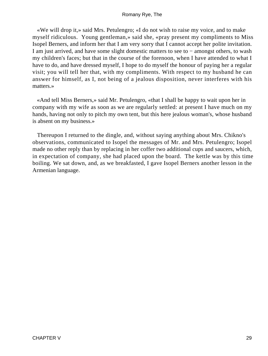«We will drop it,» said Mrs. Petulengro; «I do not wish to raise my voice, and to make myself ridiculous. Young gentleman,» said she, «pray present my compliments to Miss Isopel Berners, and inform her that I am very sorry that I cannot accept her polite invitation. I am just arrived, and have some slight domestic matters to see to − amongst others, to wash my children's faces; but that in the course of the forenoon, when I have attended to what I have to do, and have dressed myself, I hope to do myself the honour of paying her a regular visit; you will tell her that, with my compliments. With respect to my husband he can answer for himself, as I, not being of a jealous disposition, never interferes with his matters.»

 «And tell Miss Berners,» said Mr. Petulengro, «that I shall be happy to wait upon her in company with my wife as soon as we are regularly settled: at present I have much on my hands, having not only to pitch my own tent, but this here jealous woman's, whose husband is absent on my business.»

 Thereupon I returned to the dingle, and, without saying anything about Mrs. Chikno's observations, communicated to Isopel the messages of Mr. and Mrs. Petulengro; Isopel made no other reply than by replacing in her coffer two additional cups and saucers, which, in expectation of company, she had placed upon the board. The kettle was by this time boiling. We sat down, and, as we breakfasted, I gave Isopel Berners another lesson in the Armenian language.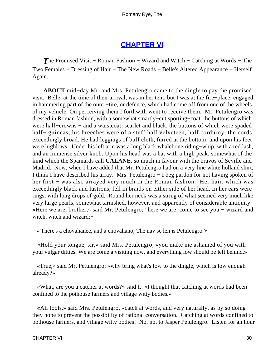## **[CHAPTER VI](#page-315-0)**

**The Promised Visit – Roman Fashion – Wizard and Witch – Catching at Words – The** Two Females − Dressing of Hair − The New Roads − Belle's Altered Appearance − Herself Again.

**ABOUT** mid−day Mr. and Mrs. Petulengro came to the dingle to pay the promised visit. Belle, at the time of their arrival, was in her tent, but I was at the fire−place, engaged in hammering part of the outer−tire, or defence, which had come off from one of the wheels of my vehicle. On perceiving them I forthwith went to receive them. Mr. Petulengro was dressed in Roman fashion, with a somewhat smartly−cut sporting−coat, the buttons of which were half–crowns – and a waistcoat, scarlet and black, the buttons of which were spaded half– guineas; his breeches were of a stuff half velveteen, half corduroy, the cords exceedingly broad. He had leggings of buff cloth, furred at the bottom; and upon his feet were highlows. Under his left arm was a long black whalebone riding−whip, with a red lash, and an immense silver knob. Upon his head was a hat with a high peak, somewhat of the kind which the Spaniards call **CALANE,** so much in favour with the bravos of Seville and Madrid. Now, when I have added that Mr. Petulengro had on a very fine white holland shirt, I think I have described his array. Mrs. Petulengro − I beg pardon for not having spoken of her first – was also arrayed very much in the Roman fashion. Her hair, which was exceedingly black and lustrous, fell in braids on either side of her head. In her ears were rings, with long drops of gold. Round her neck was a string of what seemed very much like very large pearls, somewhat tarnished, however, and apparently of considerable antiquity. «Here we are, brother,» said Mr. Petulengro; "here we are, come to see you − wizard and witch, witch and wizard:−

«'There's a chovahanee, and a chovahano, The nav se len is Petulengro.'»

 «Hold your tongue, sir,» said Mrs. Petulengro; «you make me ashamed of you with your vulgar ditties. We are come a visiting now, and everything low should be left behind.»

 «True,» said Mr. Petulengro; «why bring what's low to the dingle, which is low enough already?»

 «What, are you a catcher at words?» said I. «I thought that catching at words had been confined to the pothouse farmers and village witty bodies.»

 «All fools,» said Mrs. Petulengro, «catch at words, and very naturally, as by so doing they hope to prevent the possibility of rational conversation. Catching at words confined to pothouse farmers, and village witty bodies! No, not to Jasper Petulengro. Listen for an hour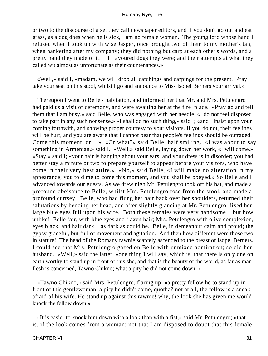or two to the discourse of a set they call newspaper editors, and if you don't go out and eat grass, as a dog does when he is sick, I am no female woman. The young lord whose hand I refused when I took up with wise Jasper, once brought two of them to my mother's tan, when hankering after my company; they did nothing but carp at each other's words, and a pretty hand they made of it. Ill−favoured dogs they were; and their attempts at what they called wit almost as unfortunate as their countenances.»

 «Well,» said I, «madam, we will drop all catchings and carpings for the present. Pray take your seat on this stool, whilst I go and announce to Miss Isopel Berners your arrival.»

 Thereupon I went to Belle's habitation, and informed her that Mr. and Mrs. Petulengro had paid us a visit of ceremony, and were awaiting her at the fire−place. «Pray go and tell them that I am busy,» said Belle, who was engaged with her needle. «I do not feel disposed to take part in any such nonsense.» «I shall do no such thing,» said I; «and I insist upon your coming forthwith, and showing proper courtesy to your visitors. If you do not, their feelings will be hurt, and you are aware that I cannot bear that people's feelings should be outraged. Come this moment, or  $- \times \infty$  what?» said Belle, half smiling. «I was about to say something in Armenian,» said I. «Well,» said Belle, laying down her work, «I will come.» «Stay,» said I; «your hair is hanging about your ears, and your dress is in disorder; you had better stay a minute or two to prepare yourself to appear before your visitors, who have come in their very best attire.» «No,» said Belle, «I will make no alteration in my appearance; you told me to come this moment, and you shall be obeyed.» So Belle and I advanced towards our guests. As we drew nigh Mr. Petulengro took off his hat, and made a profound obeisance to Belle, whilst Mrs. Petulengro rose from the stool, and made a profound curtsey. Belle, who had flung her hair back over her shoulders, returned their salutations by bending her head, and after slightly glancing at Mr. Petulengro, fixed her large blue eyes full upon his wife. Both these females were very handsome − but how unlike! Belle fair, with blue eyes and flaxen hair; Mrs. Petulengro with olive complexion, eyes black, and hair dark − as dark as could be. Belle, in demeanour calm and proud; the gypsy graceful, but full of movement and agitation. And then how different were those two in stature! The head of the Romany rawnie scarcely ascended to the breast of Isopel Berners. I could see that Mrs. Petulengro gazed on Belle with unmixed admiration; so did her husband. «Well,» said the latter, «one thing I will say, which is, that there is only one on earth worthy to stand up in front of this she, and that is the beauty of the world, as far as man flesh is concerned, Tawno Chikno; what a pity he did not come down!»

 «Tawno Chikno,» said Mrs. Petulengro, flaring up; «a pretty fellow he to stand up in front of this gentlewoman, a pity he didn't come, quotha? not at all, the fellow is a sneak, afraid of his wife. He stand up against this rawnie! why, the look she has given me would knock the fellow down.»

 «It is easier to knock him down with a look than with a fist,» said Mr. Petulengro; «that is, if the look comes from a woman: not that I am disposed to doubt that this female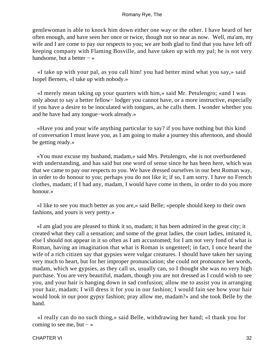gentlewoman is able to knock him down either one way or the other. I have heard of her often enough, and have seen her once or twice, though not so near as now. Well, ma'am, my wife and I are come to pay our respects to you; we are both glad to find that you have left off keeping company with Flaming Bosville, and have taken up with my pal; he is not very handsome, but a better  $-\infty$ 

 «I take up with your pal, as you call him! you had better mind what you say,» said Isopel Berners, «I take up with nobody.»

 «I merely mean taking up your quarters with him,» said Mr. Petulengro; «and I was only about to say a better fellow− lodger you cannot have, or a more instructive, especially if you have a desire to be inoculated with tongues, as he calls them. I wonder whether you and he have had any tongue−work already.»

 «Have you and your wife anything particular to say? if you have nothing but this kind of conversation I must leave you, as I am going to make a journey this afternoon, and should be getting ready.»

 «You must excuse my husband, madam,» said Mrs. Petulengro, «he is not overburdened with understanding, and has said but one word of sense since he has been here, which was that we came to pay our respects to you. We have dressed ourselves in our best Roman way, in order to do honour to you; perhaps you do not like it; if so, I am sorry. I have no French clothes, madam; if I had any, madam, I would have come in them, in order to do you more honour.»

 «I like to see you much better as you are,» said Belle; «people should keep to their own fashions, and yours is very pretty.»

 «I am glad you are pleased to think it so, madam; it has been admired in the great city; it created what they call a sensation; and some of the great ladies, the court ladies, imitated it, else I should not appear in it so often as I am accustomed; for I am not very fond of what is Roman, having an imagination that what is Roman is ungenteel; in fact, I once heard the wife of a rich citizen say that gypsies were vulgar creatures. I should have taken her saying very much to heart, but for her improper pronunciation; she could not pronounce her words, madam, which we gypsies, as they call us, usually can, so I thought she was no very high purchase. You are very beautiful, madam, though you are not dressed as I could wish to see you, and your hair is hanging down in sad confusion; allow me to assist you in arranging your hair, madam; I will dress it for you in our fashion; I would fain see how your hair would look in our poor gypsy fashion; pray allow me, madam?» and she took Belle by the hand.

 «I really can do no such thing,» said Belle, withdrawing her hand; «I thank you for coming to see me, but  $-$  »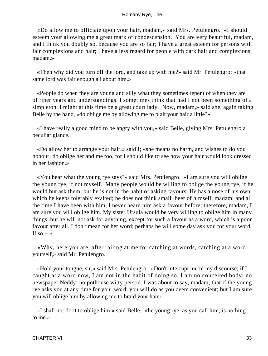«Do allow me to officiate upon your hair, madam,» said Mrs. Petulengro. «I should esteem your allowing me a great mark of condescension. You are very beautiful, madam, and I think you doubly so, because you are so fair; I have a great esteem for persons with fair complexions and hair; I have a less regard for people with dark hair and complexions, madam.»

 «Then why did you turn off the lord, and take up with me?» said Mr. Petulengro; «that same lord was fair enough all about him.»

 «People do when they are young and silly what they sometimes repent of when they are of riper years and understandings. I sometimes think that had I not been something of a simpleton, I might at this time be a great court lady. Now, madam,» said she, again taking Belle by the hand, «do oblige me by allowing me to plait your hair a little?»

 «I have really a good mind to be angry with you,» said Belle, giving Mrs. Petulengro a peculiar glance.

 «Do allow her to arrange your hair,» said I; «she means no harm, and wishes to do you honour; do oblige her and me too, for I should like to see how your hair would look dressed in her fashion.»

 «You hear what the young rye says?» said Mrs. Petulengro. «I am sure you will oblige the young rye, if not myself. Many people would be willing to oblige the young rye, if he would but ask them; but he is not in the habit of asking favours. He has a nose of his own, which he keeps tolerably exalted; he does not think small−beer of himself, madam; and all the time I have been with him, I never heard him ask a favour before; therefore, madam, I am sure you will oblige him. My sister Ursula would be very willing to oblige him in many things, but he will not ask for anything, except for such a favour as a word, which is a poor favour after all. I don't mean for her word; perhaps he will some day ask you for your word. If so  $-$  »

 «Why, here you are, after railing at me for catching at words, catching at a word yourself,» said Mr. Petulengro.

 «Hold your tongue, sir,» said Mrs. Petulengro. «Don't interrupt me in my discourse; if I caught at a word now, I am not in the habit of doing so. I am no conceited body; no newspaper Neddy; no pothouse witty person. I was about to say, madam, that if the young rye asks you at any time for your word, you will do as you deem convenient; but I am sure you will oblige him by allowing me to braid your hair.»

 «I shall not do it to oblige him,» said Belle; «the young rye, as you call him, is nothing to me.»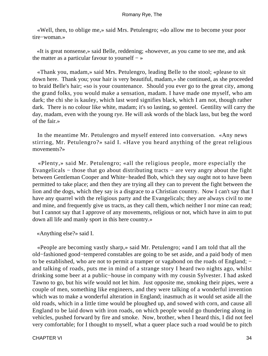«Well, then, to oblige me,» said Mrs. Petulengro; «do allow me to become your poor tire−woman.»

 «It is great nonsense,» said Belle, reddening; «however, as you came to see me, and ask the matter as a particular favour to yourself − »

 «Thank you, madam,» said Mrs. Petulengro, leading Belle to the stool; «please to sit down here. Thank you; your hair is very beautiful, madam,» she continued, as she proceeded to braid Belle's hair; «so is your countenance. Should you ever go to the great city, among the grand folks, you would make a sensation, madam. I have made one myself, who am dark; the chi she is kauley, which last word signifies black, which I am not, though rather dark. There is no colour like white, madam; it's so lasting, so genteel. Gentility will carry the day, madam, even with the young rye. He will ask words of the black lass, but beg the word of the fair.»

 In the meantime Mr. Petulengro and myself entered into conversation. «Any news stirring, Mr. Petulengro?» said I. «Have you heard anything of the great religious movements?»

 «Plenty,» said Mr. Petulengro; «all the religious people, more especially the Evangelicals − those that go about distributing tracts − are very angry about the fight between Gentleman Cooper and White−headed Bob, which they say ought not to have been permitted to take place; and then they are trying all they can to prevent the fight between the lion and the dogs, which they say is a disgrace to a Christian country. Now I can't say that I have any quarrel with the religious party and the Evangelicals; they are always civil to me and mine, and frequently give us tracts, as they call them, which neither I nor mine can read; but I cannot say that I approve of any movements, religious or not, which have in aim to put down all life and manly sport in this here country.»

«Anything else?» said I.

 «People are becoming vastly sharp,» said Mr. Petulengro; «and I am told that all the old−fashioned good−tempered constables are going to be set aside, and a paid body of men to be established, who are not to permit a tramper or vagabond on the roads of England; – and talking of roads, puts me in mind of a strange story I heard two nights ago, whilst drinking some beer at a public−house in company with my cousin Sylvester. I had asked Tawno to go, but his wife would not let him. Just opposite me, smoking their pipes, were a couple of men, something like engineers, and they were talking of a wonderful invention which was to make a wonderful alteration in England; inasmuch as it would set aside all the old roads, which in a little time would be ploughed up, and sowed with corn, and cause all England to be laid down with iron roads, on which people would go thundering along in vehicles, pushed forward by fire and smoke. Now, brother, when I heard this, I did not feel very comfortable; for I thought to myself, what a queer place such a road would be to pitch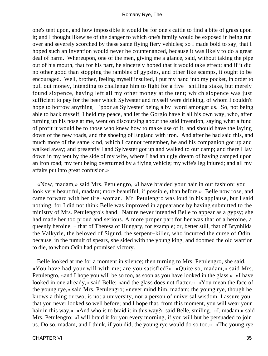one's tent upon, and how impossible it would be for one's cattle to find a bite of grass upon it; and I thought likewise of the danger to which one's family would be exposed in being run over and severely scorched by these same flying fiery vehicles; so I made bold to say, that I hoped such an invention would never be countenanced, because it was likely to do a great deal of harm. Whereupon, one of the men, giving me a glance, said, without taking the pipe out of his mouth, that for his part, he sincerely hoped that it would take effect; and if it did no other good than stopping the rambles of gypsies, and other like scamps, it ought to be encouraged. Well, brother, feeling myself insulted, I put my hand into my pocket, in order to pull out money, intending to challenge him to fight for a five− shilling stake, but merely found sixpence, having left all my other money at the tent; which sixpence was just sufficient to pay for the beer which Sylvester and myself were drinking, of whom I couldn't hope to borrow anything − 'poor as Sylvester' being a by−word amongst us. So, not being able to back myself, I held my peace, and let the Gorgio have it all his own way, who, after turning up his nose at me, went on discoursing about the said invention, saying what a fund of profit it would be to those who knew how to make use of it, and should have the laying down of the new roads, and the shoeing of England with iron. And after he had said this, and much more of the same kind, which I cannot remember, he and his companion got up and walked away; and presently I and Sylvester got up and walked to our camp; and there I lay down in my tent by the side of my wife, where I had an ugly dream of having camped upon an iron road; my tent being overturned by a flying vehicle; my wife's leg injured; and all my affairs put into great confusion.»

 «Now, madam,» said Mrs. Petulengro, «I have braided your hair in our fashion: you look very beautiful, madam; more beautiful, if possible, than before.» Belle now rose, and came forward with her tire−woman. Mr. Petulengro was loud in his applause, but I said nothing, for I did not think Belle was improved in appearance by having submitted to the ministry of Mrs. Petulengro's hand. Nature never intended Belle to appear as a gypsy; she had made her too proud and serious. A more proper part for her was that of a heroine, a queenly heroine, – that of Theresa of Hungary, for example; or, better still, that of Brynhilda the Valkyrie, the beloved of Sigurd, the serpent−killer, who incurred the curse of Odin, because, in the tumult of spears, she sided with the young king, and doomed the old warrior to die, to whom Odin had promised victory.

 Belle looked at me for a moment in silence; then turning to Mrs. Petulengro, she said, «You have had your will with me; are you satisfied?» «Quite so, madam,» said Mrs. Petulengro, «and I hope you will be so too, as soon as you have looked in the glass.» «I have looked in one already,» said Belle; «and the glass does not flatter.» «You mean the face of the young rye,» said Mrs. Petulengro; «never mind him, madam; the young rye, though he knows a thing or two, is not a university, nor a person of universal wisdom. I assure you, that you never looked so well before; and I hope that, from this moment, you will wear your hair in this way.» «And who is to braid it in this way?» said Belle, smiling. «I, madam,» said Mrs. Petulengro; «I will braid it for you every morning, if you will but be persuaded to join us. Do so, madam, and I think, if you did, the young rye would do so too.» «The young rye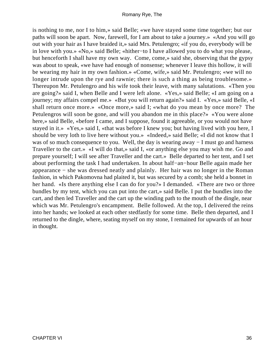is nothing to me, nor I to him,» said Belle; «we have stayed some time together; but our paths will soon be apart. Now, farewell, for I am about to take a journey.» «And you will go out with your hair as I have braided it,» said Mrs. Petulengro; «if you do, everybody will be in love with you.» «No,» said Belle; «hither−to I have allowed you to do what you please, but henceforth I shall have my own way. Come, come,» said she, observing that the gypsy was about to speak, «we have had enough of nonsense; whenever I leave this hollow, it will be wearing my hair in my own fashion.» «Come, wife,» said Mr. Petulengro; «we will no longer intrude upon the rye and rawnie; there is such a thing as being troublesome.» Thereupon Mr. Petulengro and his wife took their leave, with many salutations. «Then you are going?» said I, when Belle and I were left alone. «Yes,» said Belle; «I am going on a journey; my affairs compel me.» «But you will return again?» said I. «Yes,» said Belle, «I shall return once more.» «Once more,» said I; «what do you mean by once more? The Petulengros will soon be gone, and will you abandon me in this place?» «You were alone here,» said Belle, «before I came, and I suppose, found it agreeable, or you would not have stayed in it.» «Yes,» said I, «that was before I knew you; but having lived with you here, I should be very loth to live here without you.» «Indeed,» said Belle; «I did not know that I was of so much consequence to you. Well, the day is wearing away − I must go and harness Traveller to the cart.» «I will do that,» said I, «or anything else you may wish me. Go and prepare yourself; I will see after Traveller and the cart.» Belle departed to her tent, and I set about performing the task I had undertaken. In about half−an−hour Belle again made her appearance − she was dressed neatly and plainly. Her hair was no longer in the Roman fashion, in which Pakomovna had plaited it, but was secured by a comb; she held a bonnet in her hand. «Is there anything else I can do for you?» I demanded. «There are two or three bundles by my tent, which you can put into the cart,» said Belle. I put the bundles into the cart, and then led Traveller and the cart up the winding path to the mouth of the dingle, near which was Mr. Petulengro's encampment. Belle followed. At the top, I delivered the reins into her hands; we looked at each other stedfastly for some time. Belle then departed, and I returned to the dingle, where, seating myself on my stone, I remained for upwards of an hour in thought.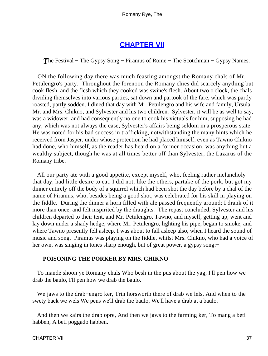## **[CHAPTER VII](#page-315-0)**

*T*he Festival – The Gypsy Song – Piramus of Rome – The Scotchman – Gypsy Names.

 ON the following day there was much feasting amongst the Romany chals of Mr. Petulengro's party. Throughout the forenoon the Romany chies did scarcely anything but cook flesh, and the flesh which they cooked was swine's flesh. About two o'clock, the chals dividing themselves into various parties, sat down and partook of the fare, which was partly roasted, partly sodden. I dined that day with Mr. Petulengro and his wife and family, Ursula, Mr. and Mrs. Chikno, and Sylvester and his two children. Sylvester, it will be as well to say, was a widower, and had consequently no one to cook his victuals for him, supposing he had any, which was not always the case, Sylvester's affairs being seldom in a prosperous state. He was noted for his bad success in trafficking, notwithstanding the many hints which he received from Jasper, under whose protection he had placed himself, even as Tawno Chikno had done, who himself, as the reader has heard on a former occasion, was anything but a wealthy subject, though he was at all times better off than Sylvester, the Lazarus of the Romany tribe.

 All our party ate with a good appetite, except myself, who, feeling rather melancholy that day, had little desire to eat. I did not, like the others, partake of the pork, but got my dinner entirely off the body of a squirrel which had been shot the day before by a chal of the name of Piramus, who, besides being a good shot, was celebrated for his skill in playing on the fiddle. During the dinner a horn filled with ale passed frequently around; I drank of it more than once, and felt inspirited by the draughts. The repast concluded, Sylvester and his children departed to their tent, and Mr. Petulengro, Tawno, and myself, getting up, went and lay down under a shady hedge, where Mr. Petulengro, lighting his pipe, began to smoke, and where Tawno presently fell asleep. I was about to fall asleep also, when I heard the sound of music and song. Piramus was playing on the fiddle, whilst Mrs. Chikno, who had a voice of her own, was singing in tones sharp enough, but of great power, a gypsy song:−

### **POISONING THE PORKER BY MRS. CHIKNO**

 To mande shoon ye Romany chals Who besh in the pus about the yag, I'll pen how we drab the baulo, I'll pen how we drab the baulo.

 We jaws to the drab−engro ker, Trin horsworth there of drab we lels, And when to the swety back we wels We pens we'll drab the baulo, We'll have a drab at a baulo.

 And then we kairs the drab opre, And then we jaws to the farming ker, To mang a beti habben, A beti poggado habben.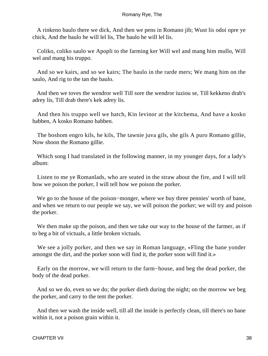A rinkeno baulo there we dick, And then we pens in Romano jib; Wust lis odoi opre ye chick, And the baulo he will lel lis, The baulo he will lel lis.

 Coliko, coliko saulo we Apopli to the farming ker Will wel and mang him mullo, Will wel and mang his truppo.

 And so we kairs, and so we kairs; The baulo in the rarde mers; We mang him on the saulo, And rig to the tan the baulo.

 And then we toves the wendror well Till sore the wendror iuziou se, Till kekkeno drab's adrey lis, Till drab there's kek adrey lis.

 And then his truppo well we hatch, Kin levinor at the kitchema, And have a kosko habben, A kosko Romano habben.

 The boshom engro kils, he kils, The tawnie juva gils, she gils A puro Romano gillie, Now shoon the Romano gillie.

 Which song I had translated in the following manner, in my younger days, for a lady's album:

 Listen to me ye Romanlads, who are seated in the straw about the fire, and I will tell how we poison the porker, I will tell how we poison the porker.

 We go to the house of the poison−monger, where we buy three pennies' worth of bane, and when we return to our people we say, we will poison the porker; we will try and poison the porker.

 We then make up the poison, and then we take our way to the house of the farmer, as if to beg a bit of victuals, a little broken victuals.

We see a jolly porker, and then we say in Roman language, «Fling the bane yonder amongst the dirt, and the porker soon will find it, the porker soon will find it.»

 Early on the morrow, we will return to the farm−house, and beg the dead porker, the body of the dead porker.

 And so we do, even so we do; the porker dieth during the night; on the morrow we beg the porker, and carry to the tent the porker.

 And then we wash the inside well, till all the inside is perfectly clean, till there's no bane within it, not a poison grain within it.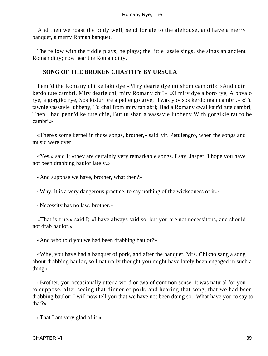And then we roast the body well, send for ale to the alehouse, and have a merry banquet, a merry Roman banquet.

 The fellow with the fiddle plays, he plays; the little lassie sings, she sings an ancient Roman ditty; now hear the Roman ditty.

### **SONG OF THE BROKEN CHASTITY BY URSULA**

 Penn'd the Romany chi ke laki dye «Miry dearie dye mi shom cambri!» «And coin kerdo tute cambri, Miry dearie chi, miry Romany chi?» «O miry dye a boro rye, A bovalo rye, a gorgiko rye, Sos kistur pre a pellengo grye, 'Twas yov sos kerdo man cambri.» «Tu tawnie vassavie lubbeny, Tu chal from miry tan abri; Had a Romany cwal kair'd tute cambri, Then I had penn'd ke tute chie, But tu shan a vassavie lubbeny With gorgikie rat to be cambri.»

 «There's some kernel in those songs, brother,» said Mr. Petulengro, when the songs and music were over.

 «Yes,» said I; «they are certainly very remarkable songs. I say, Jasper, I hope you have not been drabbing baulor lately.»

«And suppose we have, brother, what then?»

«Why, it is a very dangerous practice, to say nothing of the wickedness of it.»

«Necessity has no law, brother.»

 «That is true,» said I; «I have always said so, but you are not necessitous, and should not drab baulor.»

«And who told you we had been drabbing baulor?»

 «Why, you have had a banquet of pork, and after the banquet, Mrs. Chikno sang a song about drabbing baulor, so I naturally thought you might have lately been engaged in such a thing.»

 «Brother, you occasionally utter a word or two of common sense. It was natural for you to suppose, after seeing that dinner of pork, and hearing that song, that we had been drabbing baulor; I will now tell you that we have not been doing so. What have you to say to that?»

«That I am very glad of it.»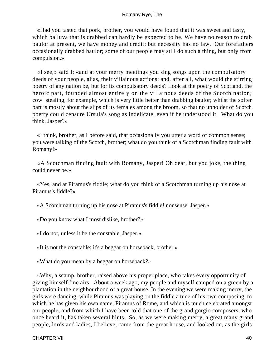«Had you tasted that pork, brother, you would have found that it was sweet and tasty, which balluva that is drabbed can hardly be expected to be. We have no reason to drab baulor at present, we have money and credit; but necessity has no law. Our forefathers occasionally drabbed baulor; some of our people may still do such a thing, but only from compulsion.»

 «I see,» said I; «and at your merry meetings you sing songs upon the compulsatory deeds of your people, alias, their villainous actions; and, after all, what would the stirring poetry of any nation be, but for its compulsatory deeds? Look at the poetry of Scotland, the heroic part, founded almost entirely on the villainous deeds of the Scotch nation; cow−stealing, for example, which is very little better than drabbing baulor; whilst the softer part is mostly about the slips of its females among the broom, so that no upholder of Scotch poetry could censure Ursula's song as indelicate, even if he understood it. What do you think, Jasper?»

 «I think, brother, as I before said, that occasionally you utter a word of common sense; you were talking of the Scotch, brother; what do you think of a Scotchman finding fault with Romany!»

 «A Scotchman finding fault with Romany, Jasper! Oh dear, but you joke, the thing could never be.»

 «Yes, and at Piramus's fiddle; what do you think of a Scotchman turning up his nose at Piramus's fiddle?»

«A Scotchman turning up his nose at Piramus's fiddle! nonsense, Jasper.»

«Do you know what I most dislike, brother?»

«I do not, unless it be the constable, Jasper.»

«It is not the constable; it's a beggar on horseback, brother.»

«What do you mean by a beggar on horseback?»

 «Why, a scamp, brother, raised above his proper place, who takes every opportunity of giving himself fine airs. About a week ago, my people and myself camped on a green by a plantation in the neighbourhood of a great house. In the evening we were making merry, the girls were dancing, while Piramus was playing on the fiddle a tune of his own composing, to which he has given his own name, Piramus of Rome, and which is much celebrated amongst our people, and from which I have been told that one of the grand gorgio composers, who once heard it, has taken several hints. So, as we were making merry, a great many grand people, lords and ladies, I believe, came from the great house, and looked on, as the girls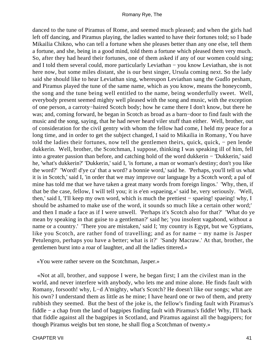danced to the tune of Piramus of Rome, and seemed much pleased; and when the girls had left off dancing, and Piramus playing, the ladies wanted to have their fortunes told; so I bade Mikailia Chikno, who can tell a fortune when she pleases better than any one else, tell them a fortune, and she, being in a good mind, told them a fortune which pleased them very much. So, after they had heard their fortunes, one of them asked if any of our women could sing; and I told them several could, more particularly Leviathan − you know Leviathan, she is not here now, but some miles distant, she is our best singer, Ursula coming next. So the lady said she should like to hear Leviathan sing, whereupon Leviathan sang the Gudlo pesham, and Piramus played the tune of the same name, which as you know, means the honeycomb, the song and the tune being well entitled to the name, being wonderfully sweet. Well, everybody present seemed mighty well pleased with the song and music, with the exception of one person, a carroty−haired Scotch body; how he came there I don't know, but there he was; and, coming forward, he began in Scotch as broad as a barn−door to find fault with the music and the song, saying, that he had never heard viler stuff than either. Well, brother, out of consideration for the civil gentry with whom the fellow had come, I held my peace for a long time, and in order to get the subject changed, I said to Mikailia in Romany, You have told the ladies their fortunes, now tell the gentlemen theirs, quick, quick, − pen lende dukkerin. Well, brother, the Scotchman, I suppose, thinking I was speaking ill of him, fell into a greater passion than before, and catching hold of the word dukkerin − 'Dukkerin,' said he, 'what's dukkerin?' 'Dukkerin,' said I, 'is fortune, a man or woman's destiny; don't you like the word?' 'Word! d'ye ca' that a word? a bonnie word,' said he. 'Perhaps, you'll tell us what it is in Scotch,' said I, 'in order that we may improve our language by a Scotch word; a pal of mine has told me that we have taken a great many words from foreign lingos.' 'Why, then, if that be the case, fellow, I will tell you; it is e'en »spaeing,«' said he, very seriously. 'Well, then,' said I, 'I'll keep my own word, which is much the prettiest − spaeing! spaeing! why, I should be ashamed to make use of the word, it sounds so much like a certain other word;' and then I made a face as if I were unwell. 'Perhaps it's Scotch also for that?' 'What do ye mean by speaking in that guise to a gentleman?' said he; 'you insolent vagabond, without a name or a country.' 'There you are mistaken,' said I; 'my country is Egypt, but we 'Gyptians, like you Scotch, are rather fond of travelling; and as for name − my name is Jasper Petulengro, perhaps you have a better; what is it?' 'Sandy Macraw.' At that, brother, the gentlemen burst into a roar of laughter, and all the ladies tittered.»

«You were rather severe on the Scotchman, Jasper.»

 «Not at all, brother, and suppose I were, he began first; I am the civilest man in the world, and never interfere with anybody, who lets me and mine alone. He finds fault with Romany, forsooth! why, L−d A'mighty, what's Scotch? He doesn't like our songs; what are his own? I understand them as little as he mine; I have heard one or two of them, and pretty rubbish they seemed. But the best of the joke is, the fellow's finding fault with Piramus's fiddle − a chap from the land of bagpipes finding fault with Piramus's fiddle! Why, I'll back that fiddle against all the bagpipes in Scotland, and Piramus against all the bagpipers; for though Piramus weighs but ten stone, he shall flog a Scotchman of twenty.»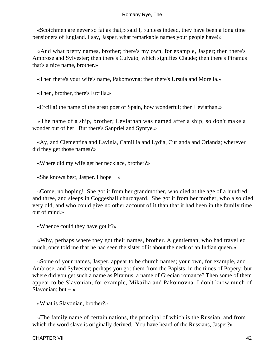«Scotchmen are never so fat as that,» said I, «unless indeed, they have been a long time pensioners of England. I say, Jasper, what remarkable names your people have!»

 «And what pretty names, brother; there's my own, for example, Jasper; then there's Ambrose and Sylvester; then there's Culvato, which signifies Claude; then there's Piramus − that's a nice name, brother.»

«Then there's your wife's name, Pakomovna; then there's Ursula and Morella.»

«Then, brother, there's Ercilla.»

«Ercilla! the name of the great poet of Spain, how wonderful; then Leviathan.»

 «The name of a ship, brother; Leviathan was named after a ship, so don't make a wonder out of her. But there's Sanpriel and Synfye.»

 «Ay, and Clementina and Lavinia, Camillia and Lydia, Curlanda and Orlanda; wherever did they get those names?»

«Where did my wife get her necklace, brother?»

«She knows best, Jasper. I hope − »

 «Come, no hoping! She got it from her grandmother, who died at the age of a hundred and three, and sleeps in Coggeshall churchyard. She got it from her mother, who also died very old, and who could give no other account of it than that it had been in the family time out of mind.»

«Whence could they have got it?»

 «Why, perhaps where they got their names, brother. A gentleman, who had travelled much, once told me that he had seen the sister of it about the neck of an Indian queen.»

 «Some of your names, Jasper, appear to be church names; your own, for example, and Ambrose, and Sylvester; perhaps you got them from the Papists, in the times of Popery; but where did you get such a name as Piramus, a name of Grecian romance? Then some of them appear to be Slavonian; for example, Mikailia and Pakomovna. I don't know much of Slavonian; but  $-\infty$ 

«What is Slavonian, brother?»

 «The family name of certain nations, the principal of which is the Russian, and from which the word slave is originally derived. You have heard of the Russians, Jasper?»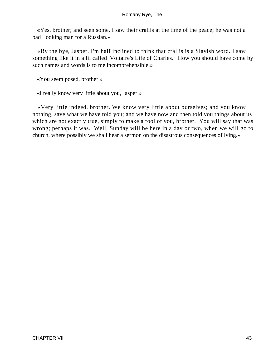«Yes, brother; and seen some. I saw their crallis at the time of the peace; he was not a bad−looking man for a Russian.»

 «By the bye, Jasper, I'm half inclined to think that crallis is a Slavish word. I saw something like it in a lil called 'Voltaire's Life of Charles.' How you should have come by such names and words is to me incomprehensible.»

«You seem posed, brother.»

«I really know very little about you, Jasper.»

 «Very little indeed, brother. We know very little about ourselves; and you know nothing, save what we have told you; and we have now and then told you things about us which are not exactly true, simply to make a fool of you, brother. You will say that was wrong; perhaps it was. Well, Sunday will be here in a day or two, when we will go to church, where possibly we shall hear a sermon on the disastrous consequences of lying.»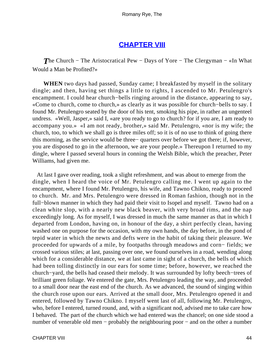### **[CHAPTER VIII](#page-315-0)**

*The Church – The Aristocratical Pew – Days of Yore – The Clergyman – «In What* Would a Man be Profited?»

**WHEN** two days had passed, Sunday came; I breakfasted by myself in the solitary dingle; and then, having set things a little to rights, I ascended to Mr. Petulengro's encampment. I could hear church−bells ringing around in the distance, appearing to say, «Come to church, come to church,» as clearly as it was possible for church−bells to say. I found Mr. Petulengro seated by the door of his tent, smoking his pipe, in rather an ungenteel undress. «Well, Jasper,» said I, «are you ready to go to church? for if you are, I am ready to accompany you.» «I am not ready, brother,» said Mr. Petulengro, «nor is my wife; the church, too, to which we shall go is three miles off; so it is of no use to think of going there this morning, as the service would be three− quarters over before we got there; if, however, you are disposed to go in the afternoon, we are your people.» Thereupon I returned to my dingle, where I passed several hours in conning the Welsh Bible, which the preacher, Peter Williams, had given me.

 At last I gave over reading, took a slight refreshment, and was about to emerge from the dingle, when I heard the voice of Mr. Petulengro calling me. I went up again to the encampment, where I found Mr. Petulengro, his wife, and Tawno Chikno, ready to proceed to church. Mr. and Mrs. Petulengro were dressed in Roman fashion, though not in the full−blown manner in which they had paid their visit to Isopel and myself. Tawno had on a clean white slop, with a nearly new black beaver, with very broad rims, and the nap exceedingly long. As for myself, I was dressed in much the same manner as that in which I departed from London, having on, in honour of the day, a shirt perfectly clean, having washed one on purpose for the occasion, with my own hands, the day before, in the pond of tepid water in which the newts and defts were in the habit of taking their pleasure. We proceeded for upwards of a mile, by footpaths through meadows and corn− fields; we crossed various stiles; at last, passing over one, we found ourselves in a road, wending along which for a considerable distance, we at last came in sight of a church, the bells of which had been tolling distinctly in our ears for some time; before, however, we reached the church−yard, the bells had ceased their melody. It was surrounded by lofty beech−trees of brilliant green foliage. We entered the gate, Mrs. Petulengro leading the way, and proceeded to a small door near the east end of the church. As we advanced, the sound of singing within the church rose upon our ears. Arrived at the small door, Mrs. Petulengro opened it and entered, followed by Tawno Chikno. I myself went last of all, following Mr. Petulengro, who, before I entered, turned round, and, with a significant nod, advised me to take care how I behaved. The part of the church which we had entered was the chancel; on one side stood a number of venerable old men – probably the neighbouring poor – and on the other a number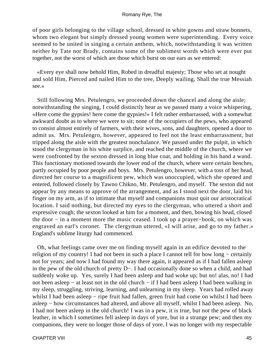of poor girls belonging to the village school, dressed in white gowns and straw bonnets, whom two elegant but simply dressed young women were superintending. Every voice seemed to be united in singing a certain anthem, which, notwithstanding it was written neither by Tate nor Brady, contains some of the sublimest words which were ever put together, not the worst of which are those which burst on our ears as we entered:

 «Every eye shall now behold Him, Robed in dreadful majesty; Those who set at nought and sold Him, Pierced and nailed Him to the tree, Deeply wailing, Shall the true Messiah see.»

 Still following Mrs. Petulengro, we proceeded down the chancel and along the aisle; notwithstanding the singing, I could distinctly hear as we passed many a voice whispering, «Here come the gypsies! here come the gypsies!» I felt rather embarrassed, with a somewhat awkward doubt as to where we were to sit; none of the occupiers of the pews, who appeared to consist almost entirely of farmers, with their wives, sons, and daughters, opened a door to admit us. Mrs. Petulengro, however, appeared to feel not the least embarrassment, but tripped along the aisle with the greatest nonchalance. We passed under the pulpit, in which stood the clergyman in his white surplice, and reached the middle of the church, where we were confronted by the sexton dressed in long blue coat, and holding in his hand a wand. This functionary motioned towards the lower end of the church, where were certain benches, partly occupied by poor people and boys. Mrs. Petulengro, however, with a toss of her head, directed her course to a magnificent pew, which was unoccupied, which she opened and entered, followed closely by Tawno Chikno, Mr. Petulengro, and myself. The sexton did not appear by any means to approve of the arrangement, and as I stood next the door, laid his finger on my arm, as if to intimate that myself and companions must quit our aristocratical location. I said nothing, but directed my eyes to the clergyman, who uttered a short and expressive cough; the sexton looked at him for a moment, and then, bowing his head, closed the door − in a moment more the music ceased. I took up a prayer−book, on which was engraved an earl's coronet. The clergyman uttered, «I will arise, and go to my father.» England's sublime liturgy had commenced.

 Oh, what feelings came over me on finding myself again in an edifice devoted to the religion of my country! I had not been in such a place I cannot tell for how long − certainly not for years; and now I had found my way there again, it appeared as if I had fallen asleep in the pew of the old church of pretty D−. I had occasionally done so when a child, and had suddenly woke up. Yes, surely I had been asleep and had woke up; but no! alas, no! I had not been asleep – at least not in the old church – if I had been asleep I had been walking in my sleep, struggling, striving, learning, and unlearning in my sleep. Years had rolled away whilst I had been asleep – ripe fruit had fallen, green fruit had come on whilst I had been asleep − how circumstances had altered, and above all myself, whilst I had been asleep. No, I had not been asleep in the old church! I was in a pew, it is true, but not the pew of black leather, in which I sometimes fell asleep in days of yore, but in a strange pew; and then my companions, they were no longer those of days of yore. I was no longer with my respectable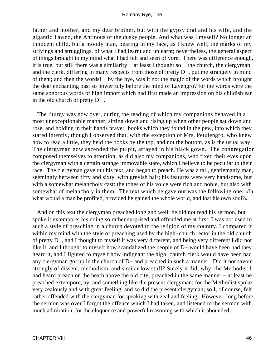father and mother, and my dear brother, but with the gypsy cral and his wife, and the gigantic Tawno, the Antinous of the dusky people. And what was I myself? No longer an innocent child, but a moody man, bearing in my face, as I knew well, the marks of my strivings and strugglings, of what I had learnt and unlearnt; nevertheless, the general aspect of things brought to my mind what I had felt and seen of yore. There was difference enough, it is true, but still there was a similarity − at least I thought so − the church, the clergyman, and the clerk, differing in many respects from those of pretty D−, put me strangely in mind of them; and then the words! − by the bye, was it not the magic of the words which brought the dear enchanting past so powerfully before the mind of Lavengro? for the words were the same sonorous words of high import which had first made an impression on his childish ear in the old church of pretty D− .

 The liturgy was now over, during the reading of which my companions behaved in a most unexceptionable manner, sitting down and rising up when other people sat down and rose, and holding in their hands prayer−books which they found in the pew, into which they stared intently, though I observed that, with the exception of Mrs. Petulengro, who knew how to read a little, they held the books by the top, and not the bottom, as is the usual way. The clergyman now ascended the pulpit, arrayed in his black gown. The congregation composed themselves to attention, as did also my companions, who fixed their eyes upon the clergyman with a certain strange immovable stare, which I believe to be peculiar to their race. The clergyman gave out his text, and began to preach. He was a tall, gentlemanly man, seemingly between fifty and sixty, with greyish hair; his features were very handsome, but with a somewhat melancholy cast: the tones of his voice were rich and noble, but also with somewhat of melancholy in them. The text which he gave out was the following one, «In what would a man be profited, provided he gained the whole world, and lost his own soul?»

 And on this text the clergyman preached long and well: he did not read his sermon, but spoke it extempore; his doing so rather surprised and offended me at first; I was not used to such a style of preaching in a church devoted to the religion of my country. I compared it within my mind with the style of preaching used by the high−church rector in the old church of pretty D−, and I thought to myself it was very different, and being very different I did not like it, and I thought to myself how scandalized the people of D− would have been had they heard it, and I figured to myself how indignant the high−church clerk would have been had any clergyman got up in the church of D− and preached in such a manner. Did it not savour strongly of dissent, methodism, and similar low stuff? Surely it did; why, the Methodist I had heard preach on the heath above the old city, preached in the same manner − at least he preached extempore; ay, and something like the present clergyman; for the Methodist spoke very zealously and with great feeling, and so did the present clergyman; so I, of course, felt rather offended with the clergyman for speaking with zeal and feeling. However, long before the sermon was over I forgot the offence which I had taken, and listened to the sermon with much admiration, for the eloquence and powerful reasoning with which it abounded.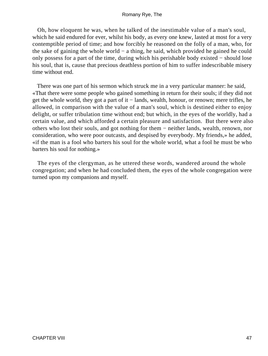Oh, how eloquent he was, when he talked of the inestimable value of a man's soul, which he said endured for ever, whilst his body, as every one knew, lasted at most for a very contemptible period of time; and how forcibly he reasoned on the folly of a man, who, for the sake of gaining the whole world − a thing, he said, which provided he gained he could only possess for a part of the time, during which his perishable body existed − should lose his soul, that is, cause that precious deathless portion of him to suffer indescribable misery time without end.

 There was one part of his sermon which struck me in a very particular manner: he said, «That there were some people who gained something in return for their souls; if they did not get the whole world, they got a part of it − lands, wealth, honour, or renown; mere trifles, he allowed, in comparison with the value of a man's soul, which is destined either to enjoy delight, or suffer tribulation time without end; but which, in the eyes of the worldly, had a certain value, and which afforded a certain pleasure and satisfaction. But there were also others who lost their souls, and got nothing for them − neither lands, wealth, renown, nor consideration, who were poor outcasts, and despised by everybody. My friends,» he added, «if the man is a fool who barters his soul for the whole world, what a fool he must be who barters his soul for nothing.»

 The eyes of the clergyman, as he uttered these words, wandered around the whole congregation; and when he had concluded them, the eyes of the whole congregation were turned upon my companions and myself.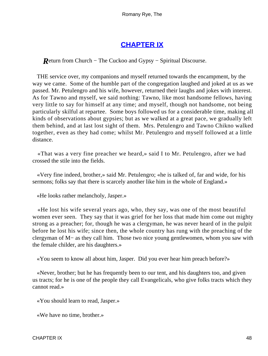## **[CHAPTER IX](#page-315-0)**

*R*eturn from Church – The Cuckoo and Gypsy – Spiritual Discourse.

 THE service over, my companions and myself returned towards the encampment, by the way we came. Some of the humble part of the congregation laughed and joked at us as we passed. Mr. Petulengro and his wife, however, returned their laughs and jokes with interest. As for Tawno and myself, we said nothing: Tawno, like most handsome fellows, having very little to say for himself at any time; and myself, though not handsome, not being particularly skilful at repartee. Some boys followed us for a considerable time, making all kinds of observations about gypsies; but as we walked at a great pace, we gradually left them behind, and at last lost sight of them. Mrs. Petulengro and Tawno Chikno walked together, even as they had come; whilst Mr. Petulengro and myself followed at a little distance.

 «That was a very fine preacher we heard,» said I to Mr. Petulengro, after we had crossed the stile into the fields.

 «Very fine indeed, brother,» said Mr. Petulengro; «he is talked of, far and wide, for his sermons; folks say that there is scarcely another like him in the whole of England.»

«He looks rather melancholy, Jasper.»

 «He lost his wife several years ago, who, they say, was one of the most beautiful women ever seen. They say that it was grief for her loss that made him come out mighty strong as a preacher; for, though he was a clergyman, he was never heard of in the pulpit before he lost his wife; since then, the whole country has rung with the preaching of the clergyman of M− as they call him. Those two nice young gentlewomen, whom you saw with the female childer, are his daughters.»

«You seem to know all about him, Jasper. Did you ever hear him preach before?»

 «Never, brother; but he has frequently been to our tent, and his daughters too, and given us tracts; for he is one of the people they call Evangelicals, who give folks tracts which they cannot read.»

«You should learn to read, Jasper.»

«We have no time, brother.»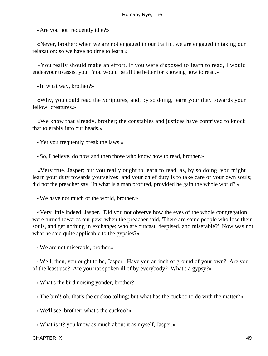«Are you not frequently idle?»

 «Never, brother; when we are not engaged in our traffic, we are engaged in taking our relaxation: so we have no time to learn.»

 «You really should make an effort. If you were disposed to learn to read, I would endeavour to assist you. You would be all the better for knowing how to read.»

«In what way, brother?»

 «Why, you could read the Scriptures, and, by so doing, learn your duty towards your fellow−creatures.»

 «We know that already, brother; the constables and justices have contrived to knock that tolerably into our heads.»

«Yet you frequently break the laws.»

«So, I believe, do now and then those who know how to read, brother.»

 «Very true, Jasper; but you really ought to learn to read, as, by so doing, you might learn your duty towards yourselves: and your chief duty is to take care of your own souls; did not the preacher say, 'In what is a man profited, provided he gain the whole world?'»

«We have not much of the world, brother.»

 «Very little indeed, Jasper. Did you not observe how the eyes of the whole congregation were turned towards our pew, when the preacher said, 'There are some people who lose their souls, and get nothing in exchange; who are outcast, despised, and miserable?' Now was not what he said quite applicable to the gypsies?»

«We are not miserable, brother.»

 «Well, then, you ought to be, Jasper. Have you an inch of ground of your own? Are you of the least use? Are you not spoken ill of by everybody? What's a gypsy?»

«What's the bird noising yonder, brother?»

«The bird! oh, that's the cuckoo tolling; but what has the cuckoo to do with the matter?»

«We'll see, brother; what's the cuckoo?»

«What is it? you know as much about it as myself, Jasper.»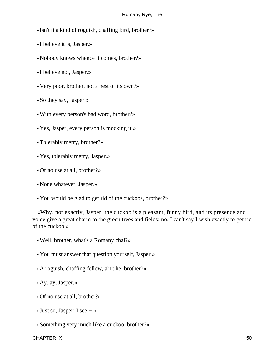«Isn't it a kind of roguish, chaffing bird, brother?»

«I believe it is, Jasper.»

«Nobody knows whence it comes, brother?»

«I believe not, Jasper.»

«Very poor, brother, not a nest of its own?»

«So they say, Jasper.»

«With every person's bad word, brother?»

«Yes, Jasper, every person is mocking it.»

«Tolerably merry, brother?»

«Yes, tolerably merry, Jasper.»

«Of no use at all, brother?»

«None whatever, Jasper.»

«You would be glad to get rid of the cuckoos, brother?»

 «Why, not exactly, Jasper; the cuckoo is a pleasant, funny bird, and its presence and voice give a great charm to the green trees and fields; no, I can't say I wish exactly to get rid of the cuckoo.»

«Well, brother, what's a Romany chal?»

«You must answer that question yourself, Jasper.»

«A roguish, chaffing fellow, a'n't he, brother?»

«Ay, ay, Jasper.»

«Of no use at all, brother?»

«Just so, Jasper; I see − »

«Something very much like a cuckoo, brother?»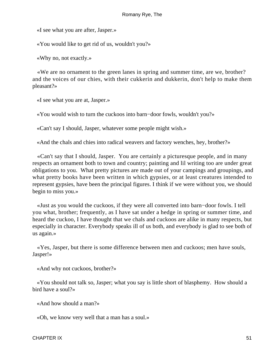«I see what you are after, Jasper.»

«You would like to get rid of us, wouldn't you?»

«Why no, not exactly.»

 «We are no ornament to the green lanes in spring and summer time, are we, brother? and the voices of our chies, with their cukkerin and dukkerin, don't help to make them pleasant?»

«I see what you are at, Jasper.»

«You would wish to turn the cuckoos into barn−door fowls, wouldn't you?»

«Can't say I should, Jasper, whatever some people might wish.»

«And the chals and chies into radical weavers and factory wenches, hey, brother?»

 «Can't say that I should, Jasper. You are certainly a picturesque people, and in many respects an ornament both to town and country; painting and lil writing too are under great obligations to you. What pretty pictures are made out of your campings and groupings, and what pretty books have been written in which gypsies, or at least creatures intended to represent gypsies, have been the principal figures. I think if we were without you, we should begin to miss you.»

 «Just as you would the cuckoos, if they were all converted into barn−door fowls. I tell you what, brother; frequently, as I have sat under a hedge in spring or summer time, and heard the cuckoo, I have thought that we chals and cuckoos are alike in many respects, but especially in character. Everybody speaks ill of us both, and everybody is glad to see both of us again.»

 «Yes, Jasper, but there is some difference between men and cuckoos; men have souls, Jasper!»

«And why not cuckoos, brother?»

 «You should not talk so, Jasper; what you say is little short of blasphemy. How should a bird have a soul?»

«And how should a man?»

«Oh, we know very well that a man has a soul.»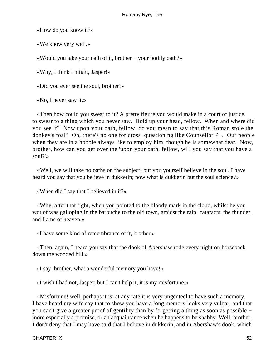«How do you know it?»

«We know very well.»

«Would you take your oath of it, brother − your bodily oath?»

«Why, I think I might, Jasper!»

«Did you ever see the soul, brother?»

«No, I never saw it.»

 «Then how could you swear to it? A pretty figure you would make in a court of justice, to swear to a thing which you never saw. Hold up your head, fellow. When and where did you see it? Now upon your oath, fellow, do you mean to say that this Roman stole the donkey's foal? Oh, there's no one for cross−questioning like Counsellor P−. Our people when they are in a hobble always like to employ him, though he is somewhat dear. Now, brother, how can you get over the 'upon your oath, fellow, will you say that you have a soul?'»

 «Well, we will take no oaths on the subject; but you yourself believe in the soul. I have heard you say that you believe in dukkerin; now what is dukkerin but the soul science?»

«When did I say that I believed in it?»

 «Why, after that fight, when you pointed to the bloody mark in the cloud, whilst he you wot of was galloping in the barouche to the old town, amidst the rain−cataracts, the thunder, and flame of heaven.»

«I have some kind of remembrance of it, brother.»

 «Then, again, I heard you say that the dook of Abershaw rode every night on horseback down the wooded hill.»

«I say, brother, what a wonderful memory you have!»

«I wish I had not, Jasper; but I can't help it, it is my misfortune.»

 «Misfortune! well, perhaps it is; at any rate it is very ungenteel to have such a memory. I have heard my wife say that to show you have a long memory looks very vulgar; and that you can't give a greater proof of gentility than by forgetting a thing as soon as possible − more especially a promise, or an acquaintance when he happens to be shabby. Well, brother, I don't deny that I may have said that I believe in dukkerin, and in Abershaw's dook, which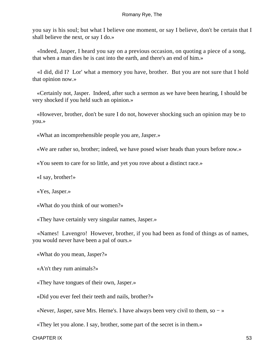you say is his soul; but what I believe one moment, or say I believe, don't be certain that I shall believe the next, or say I do.»

 «Indeed, Jasper, I heard you say on a previous occasion, on quoting a piece of a song, that when a man dies he is cast into the earth, and there's an end of him.»

 «I did, did I? Lor' what a memory you have, brother. But you are not sure that I hold that opinion now.»

 «Certainly not, Jasper. Indeed, after such a sermon as we have been hearing, I should be very shocked if you held such an opinion.»

 «However, brother, don't be sure I do not, however shocking such an opinion may be to you.»

«What an incomprehensible people you are, Jasper.»

«We are rather so, brother; indeed, we have posed wiser heads than yours before now.»

«You seem to care for so little, and yet you rove about a distinct race.»

«I say, brother!»

«Yes, Jasper.»

«What do you think of our women?»

«They have certainly very singular names, Jasper.»

 «Names! Lavengro! However, brother, if you had been as fond of things as of names, you would never have been a pal of ours.»

«What do you mean, Jasper?»

«A'n't they rum animals?»

«They have tongues of their own, Jasper.»

«Did you ever feel their teeth and nails, brother?»

«Never, Jasper, save Mrs. Herne's. I have always been very civil to them, so − »

«They let you alone. I say, brother, some part of the secret is in them.»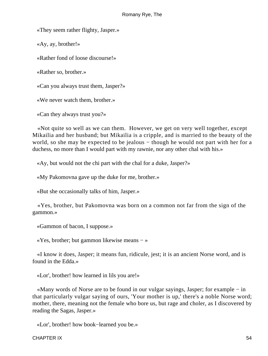«They seem rather flighty, Jasper.»

«Ay, ay, brother!»

«Rather fond of loose discourse!»

«Rather so, brother.»

«Can you always trust them, Jasper?»

«We never watch them, brother.»

«Can they always trust you?»

 «Not quite so well as we can them. However, we get on very well together, except Mikailia and her husband; but Mikailia is a cripple, and is married to the beauty of the world, so she may be expected to be jealous – though he would not part with her for a duchess, no more than I would part with my rawnie, nor any other chal with his.»

«Ay, but would not the chi part with the chal for a duke, Jasper?»

«My Pakomovna gave up the duke for me, brother.»

«But she occasionally talks of him, Jasper.»

 «Yes, brother, but Pakomovna was born on a common not far from the sign of the gammon.»

«Gammon of bacon, I suppose.»

«Yes, brother; but gammon likewise means − »

 «I know it does, Jasper; it means fun, ridicule, jest; it is an ancient Norse word, and is found in the Edda.»

«Lor', brother! how learned in lils you are!»

 «Many words of Norse are to be found in our vulgar sayings, Jasper; for example − in that particularly vulgar saying of ours, 'Your mother is up,' there's a noble Norse word; mother, there, meaning not the female who bore us, but rage and choler, as I discovered by reading the Sagas, Jasper.»

«Lor', brother! how book−learned you be.»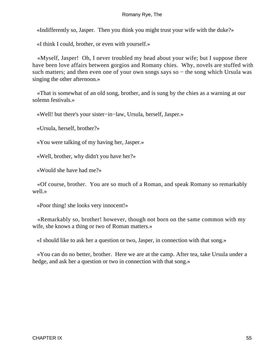«Indifferently so, Jasper. Then you think you might trust your wife with the duke?»

«I think I could, brother, or even with yourself.»

 «Myself, Jasper! Oh, I never troubled my head about your wife; but I suppose there have been love affairs between gorgios and Romany chies. Why, novels are stuffed with such matters; and then even one of your own songs says so – the song which Ursula was singing the other afternoon.»

 «That is somewhat of an old song, brother, and is sung by the chies as a warning at our solemn festivals.»

«Well! but there's your sister−in−law, Ursula, herself, Jasper.»

«Ursula, herself, brother?»

«You were talking of my having her, Jasper.»

«Well, brother, why didn't you have her?»

«Would she have had me?»

 «Of course, brother. You are so much of a Roman, and speak Romany so remarkably well »

«Poor thing! she looks very innocent!»

 «Remarkably so, brother! however, though not born on the same common with my wife, she knows a thing or two of Roman matters.»

«I should like to ask her a question or two, Jasper, in connection with that song.»

 «You can do no better, brother. Here we are at the camp. After tea, take Ursula under a hedge, and ask her a question or two in connection with that song.»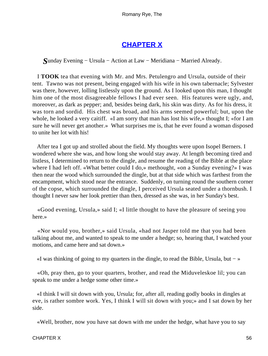# **[CHAPTER X](#page-315-0)**

*S*unday Evening − Ursula − Action at Law − Meridiana − Married Already.

 I **TOOK** tea that evening with Mr. and Mrs. Petulengro and Ursula, outside of their tent. Tawno was not present, being engaged with his wife in his own tabernacle; Sylvester was there, however, lolling listlessly upon the ground. As I looked upon this man, I thought him one of the most disagreeable fellows I had ever seen. His features were ugly, and, moreover, as dark as pepper; and, besides being dark, his skin was dirty. As for his dress, it was torn and sordid. His chest was broad, and his arms seemed powerful; but, upon the whole, he looked a very caitiff. «I am sorry that man has lost his wife,» thought I; «for I am sure he will never get another.» What surprises me is, that he ever found a woman disposed to unite her lot with his!

 After tea I got up and strolled about the field. My thoughts were upon Isopel Berners. I wondered where she was, and how long she would stay away. At length becoming tired and listless, I determined to return to the dingle, and resume the reading of the Bible at the place where I had left off. «What better could I do,» methought, «on a Sunday evening?» I was then near the wood which surrounded the dingle, but at that side which was farthest from the encampment, which stood near the entrance. Suddenly, on turning round the southern corner of the copse, which surrounded the dingle, I perceived Ursula seated under a thornbush. I thought I never saw her look prettier than then, dressed as she was, in her Sunday's best.

 «Good evening, Ursula,» said I; «I little thought to have the pleasure of seeing you here.»

 «Nor would you, brother,» said Ursula, «had not Jasper told me that you had been talking about me, and wanted to speak to me under a hedge; so, hearing that, I watched your motions, and came here and sat down.»

«I was thinking of going to my quarters in the dingle, to read the Bible, Ursula, but − »

 «Oh, pray then, go to your quarters, brother, and read the Miduveleskoe lil; you can speak to me under a hedge some other time.»

 «I think I will sit down with you, Ursula; for, after all, reading godly books in dingles at eve, is rather sombre work. Yes, I think I will sit down with you;» and I sat down by her side.

«Well, brother, now you have sat down with me under the hedge, what have you to say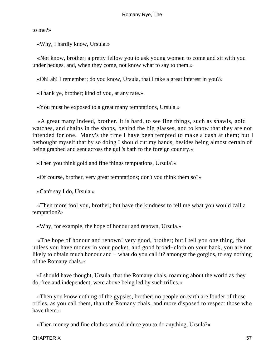to me?»

«Why, I hardly know, Ursula.»

 «Not know, brother; a pretty fellow you to ask young women to come and sit with you under hedges, and, when they come, not know what to say to them.»

«Oh! ah! I remember; do you know, Ursula, that I take a great interest in you?»

«Thank ye, brother; kind of you, at any rate.»

«You must be exposed to a great many temptations, Ursula.»

 «A great many indeed, brother. It is hard, to see fine things, such as shawls, gold watches, and chains in the shops, behind the big glasses, and to know that they are not intended for one. Many's the time I have been tempted to make a dash at them; but I bethought myself that by so doing I should cut my hands, besides being almost certain of being grabbed and sent across the gull's bath to the foreign country.»

«Then you think gold and fine things temptations, Ursula?»

«Of course, brother, very great temptations; don't you think them so?»

«Can't say I do, Ursula.»

 «Then more fool you, brother; but have the kindness to tell me what you would call a temptation?»

«Why, for example, the hope of honour and renown, Ursula.»

 «The hope of honour and renown! very good, brother; but I tell you one thing, that unless you have money in your pocket, and good broad−cloth on your back, you are not likely to obtain much honour and − what do you call it? amongst the gorgios, to say nothing of the Romany chals.»

 «I should have thought, Ursula, that the Romany chals, roaming about the world as they do, free and independent, were above being led by such trifles.»

 «Then you know nothing of the gypsies, brother; no people on earth are fonder of those trifles, as you call them, than the Romany chals, and more disposed to respect those who have them.»

«Then money and fine clothes would induce you to do anything, Ursula?»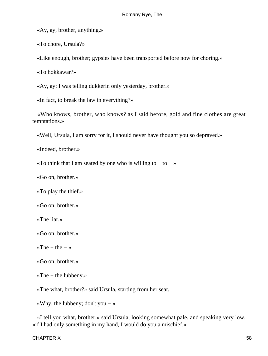«Ay, ay, brother, anything.»

«To chore, Ursula?»

«Like enough, brother; gypsies have been transported before now for choring.»

«To hokkawar?»

«Ay, ay; I was telling dukkerin only yesterday, brother.»

«In fact, to break the law in everything?»

 «Who knows, brother, who knows? as I said before, gold and fine clothes are great temptations.»

«Well, Ursula, I am sorry for it, I should never have thought you so depraved.»

«Indeed, brother.»

«To think that I am seated by one who is willing to  $-$  to  $-$  »

«Go on, brother.»

«To play the thief.»

«Go on, brother.»

«The liar.»

«Go on, brother.»

«The  $-$  the  $-$  »

«Go on, brother.»

«The − the lubbeny.»

«The what, brother?» said Ursula, starting from her seat.

«Why, the lubbeny; don't you − »

 «I tell you what, brother,» said Ursula, looking somewhat pale, and speaking very low, «if I had only something in my hand, I would do you a mischief.»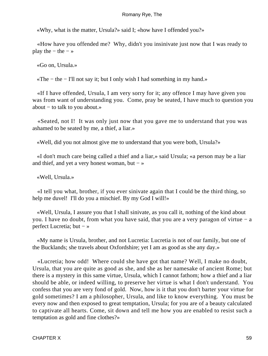«Why, what is the matter, Ursula?» said I; «how have I offended you?»

 «How have you offended me? Why, didn't you insinivate just now that I was ready to play the  $-$  the  $-$  »

«Go on, Ursula.»

«The − the − I'll not say it; but I only wish I had something in my hand.»

 «If I have offended, Ursula, I am very sorry for it; any offence I may have given you was from want of understanding you. Come, pray be seated, I have much to question you about − to talk to you about.»

 «Seated, not I! It was only just now that you gave me to understand that you was ashamed to be seated by me, a thief, a liar.»

«Well, did you not almost give me to understand that you were both, Ursula?»

 «I don't much care being called a thief and a liar,» said Ursula; «a person may be a liar and thief, and yet a very honest woman, but  $-\infty$ 

«Well, Ursula.»

 «I tell you what, brother, if you ever sinivate again that I could be the third thing, so help me duvel! I'll do you a mischief. By my God I will!»

 «Well, Ursula, I assure you that I shall sinivate, as you call it, nothing of the kind about you. I have no doubt, from what you have said, that you are a very paragon of virtue − a perfect Lucretia; but − »

 «My name is Ursula, brother, and not Lucretia: Lucretia is not of our family, but one of the Bucklands; she travels about Oxfordshire; yet I am as good as she any day.»

 «Lucretia; how odd! Where could she have got that name? Well, I make no doubt, Ursula, that you are quite as good as she, and she as her namesake of ancient Rome; but there is a mystery in this same virtue, Ursula, which I cannot fathom; how a thief and a liar should be able, or indeed willing, to preserve her virtue is what I don't understand. You confess that you are very fond of gold. Now, how is it that you don't barter your virtue for gold sometimes? I am a philosopher, Ursula, and like to know everything. You must be every now and then exposed to great temptation, Ursula; for you are of a beauty calculated to captivate all hearts. Come, sit down and tell me how you are enabled to resist such a temptation as gold and fine clothes?»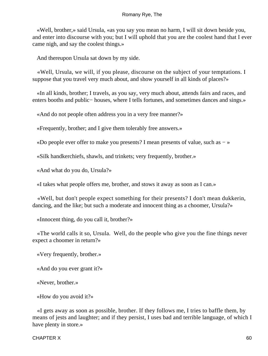«Well, brother,» said Ursula, «as you say you mean no harm, I will sit down beside you, and enter into discourse with you; but I will uphold that you are the coolest hand that I ever came nigh, and say the coolest things.»

And thereupon Ursula sat down by my side.

 «Well, Ursula, we will, if you please, discourse on the subject of your temptations. I suppose that you travel very much about, and show yourself in all kinds of places?»

 «In all kinds, brother; I travels, as you say, very much about, attends fairs and races, and enters booths and public− houses, where I tells fortunes, and sometimes dances and sings.»

«And do not people often address you in a very free manner?»

«Frequently, brother; and I give them tolerably free answers.»

«Do people ever offer to make you presents? I mean presents of value, such as − »

«Silk handkerchiefs, shawls, and trinkets; very frequently, brother.»

«And what do you do, Ursula?»

«I takes what people offers me, brother, and stows it away as soon as I can.»

 «Well, but don't people expect something for their presents? I don't mean dukkerin, dancing, and the like; but such a moderate and innocent thing as a choomer, Ursula?»

«Innocent thing, do you call it, brother?»

 «The world calls it so, Ursula. Well, do the people who give you the fine things never expect a choomer in return?»

«Very frequently, brother.»

«And do you ever grant it?»

«Never, brother.»

«How do you avoid it?»

 «I gets away as soon as possible, brother. If they follows me, I tries to baffle them, by means of jests and laughter; and if they persist, I uses bad and terrible language, of which I have plenty in store.»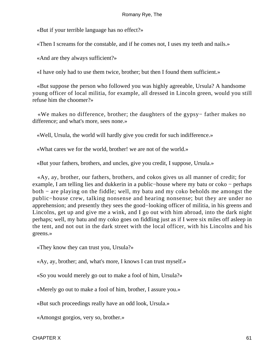«But if your terrible language has no effect?»

«Then I screams for the constable, and if he comes not, I uses my teeth and nails.»

«And are they always sufficient?»

«I have only had to use them twice, brother; but then I found them sufficient.»

 «But suppose the person who followed you was highly agreeable, Ursula? A handsome young officer of local militia, for example, all dressed in Lincoln green, would you still refuse him the choomer?»

 «We makes no difference, brother; the daughters of the gypsy− father makes no difference; and what's more, sees none.»

«Well, Ursula, the world will hardly give you credit for such indifference.»

«What cares we for the world, brother! we are not of the world.»

«But your fathers, brothers, and uncles, give you credit, I suppose, Ursula.»

 «Ay, ay, brother, our fathers, brothers, and cokos gives us all manner of credit; for example, I am telling lies and dukkerin in a public−house where my batu or coko − perhaps both − are playing on the fiddle; well, my batu and my coko beholds me amongst the public−house crew, talking nonsense and hearing nonsense; but they are under no apprehension; and presently they sees the good−looking officer of militia, in his greens and Lincolns, get up and give me a wink, and I go out with him abroad, into the dark night perhaps; well, my batu and my coko goes on fiddling just as if I were six miles off asleep in the tent, and not out in the dark street with the local officer, with his Lincolns and his greens.»

«They know they can trust you, Ursula?»

«Ay, ay, brother; and, what's more, I knows I can trust myself.»

«So you would merely go out to make a fool of him, Ursula?»

«Merely go out to make a fool of him, brother, I assure you.»

«But such proceedings really have an odd look, Ursula.»

«Amongst gorgios, very so, brother.»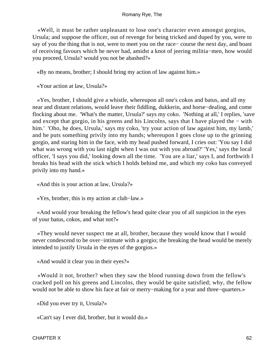«Well, it must be rather unpleasant to lose one's character even amongst gorgios, Ursula; and suppose the officer, out of revenge for being tricked and duped by you, were to say of you the thing that is not, were to meet you on the race− course the next day, and boast of receiving favours which he never had, amidst a knot of jeering militia−men, how would you proceed, Ursula? would you not be abashed?»

«By no means, brother; I should bring my action of law against him.»

«Your action at law, Ursula?»

 «Yes, brother, I should give a whistle, whereupon all one's cokos and batus, and all my near and distant relations, would leave their fiddling, dukkerin, and horse−dealing, and come flocking about me. 'What's the matter, Ursula?' says my coko. 'Nothing at all,' I replies, 'save and except that gorgio, in his greens and his Lincolns, says that I have played the − with him.' 'Oho, he does, Ursula,' says my coko, 'try your action of law against him, my lamb,' and he puts something privily into my hands; whereupon I goes close up to the grinning gorgio, and staring him in the face, with my head pushed forward, I cries out: 'You say I did what was wrong with you last night when I was out with you abroad?' 'Yes,' says the local officer, 'I says you did,' looking down all the time. 'You are a liar,' says I, and forthwith I breaks his head with the stick which I holds behind me, and which my coko has conveyed privily into my hand.»

«And this is your action at law, Ursula?»

«Yes, brother, this is my action at club−law.»

 «And would your breaking the fellow's head quite clear you of all suspicion in the eyes of your batus, cokos, and what not?»

 «They would never suspect me at all, brother, because they would know that I would never condescend to be over−intimate with a gorgio; the breaking the head would be merely intended to justify Ursula in the eyes of the gorgios.»

«And would it clear you in their eyes?»

 «Would it not, brother? when they saw the blood running down from the fellow's cracked poll on his greens and Lincolns, they would be quite satisfied; why, the fellow would not be able to show his face at fair or merry−making for a year and three−quarters.»

«Did you ever try it, Ursula?»

«Can't say I ever did, brother, but it would do.»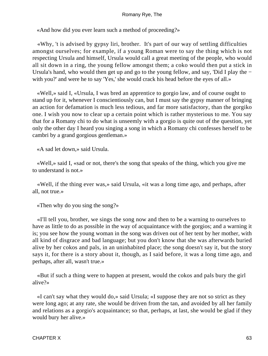«And how did you ever learn such a method of proceeding?»

 «Why, 't is advised by gypsy liri, brother. It's part of our way of settling difficulties amongst ourselves; for example, if a young Roman were to say the thing which is not respecting Ursula and himself, Ursula would call a great meeting of the people, who would all sit down in a ring, the young fellow amongst them; a coko would then put a stick in Ursula's hand, who would then get up and go to the young fellow, and say, 'Did I play the − with you?' and were he to say 'Yes,' she would crack his head before the eyes of all.»

 «Well,» said I, «Ursula, I was bred an apprentice to gorgio law, and of course ought to stand up for it, whenever I conscientiously can, but I must say the gypsy manner of bringing an action for defamation is much less tedious, and far more satisfactory, than the gorgiko one. I wish you now to clear up a certain point which is rather mysterious to me. You say that for a Romany chi to do what is unseemly with a gorgio is quite out of the question, yet only the other day I heard you singing a song in which a Romany chi confesses herself to be cambri by a grand gorgious gentleman.»

«A sad let down,» said Ursula.

 «Well,» said I, «sad or not, there's the song that speaks of the thing, which you give me to understand is not.»

 «Well, if the thing ever was,» said Ursula, «it was a long time ago, and perhaps, after all, not true.»

«Then why do you sing the song?»

 «I'll tell you, brother, we sings the song now and then to be a warning to ourselves to have as little to do as possible in the way of acquaintance with the gorgios; and a warning it is; you see how the young woman in the song was driven out of her tent by her mother, with all kind of disgrace and bad language; but you don't know that she was afterwards buried alive by her cokos and pals, in an uninhabited place; the song doesn't say it, but the story says it, for there is a story about it, though, as I said before, it was a long time ago, and perhaps, after all, wasn't true.»

 «But if such a thing were to happen at present, would the cokos and pals bury the girl alive?»

 «I can't say what they would do,» said Ursula; «I suppose they are not so strict as they were long ago; at any rate, she would be driven from the tan, and avoided by all her family and relations as a gorgio's acquaintance; so that, perhaps, at last, she would be glad if they would bury her alive.»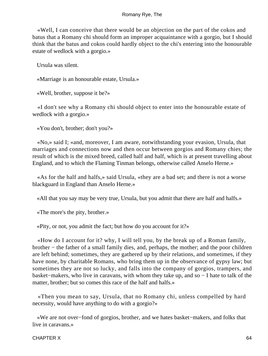«Well, I can conceive that there would be an objection on the part of the cokos and batus that a Romany chi should form an improper acquaintance with a gorgio, but I should think that the batus and cokos could hardly object to the chi's entering into the honourable estate of wedlock with a gorgio.»

Ursula was silent.

«Marriage is an honourable estate, Ursula.»

«Well, brother, suppose it be?»

 «I don't see why a Romany chi should object to enter into the honourable estate of wedlock with a gorgio.»

«You don't, brother; don't you?»

 «No,» said I; «and, moreover, I am aware, notwithstanding your evasion, Ursula, that marriages and connections now and then occur between gorgios and Romany chies; the result of which is the mixed breed, called half and half, which is at present travelling about England, and to which the Flaming Tinman belongs, otherwise called Anselo Herne.»

 «As for the half and halfs,» said Ursula, «they are a bad set; and there is not a worse blackguard in England than Anselo Herne.»

«All that you say may be very true, Ursula, but you admit that there are half and halfs.»

«The more's the pity, brother.»

«Pity, or not, you admit the fact; but how do you account for it?»

 «How do I account for it? why, I will tell you, by the break up of a Roman family, brother − the father of a small family dies, and, perhaps, the mother; and the poor children are left behind; sometimes, they are gathered up by their relations, and sometimes, if they have none, by charitable Romans, who bring them up in the observance of gypsy law; but sometimes they are not so lucky, and falls into the company of gorgios, trampers, and basket−makers, who live in caravans, with whom they take up, and so − I hate to talk of the matter, brother; but so comes this race of the half and halfs.»

 «Then you mean to say, Ursula, that no Romany chi, unless compelled by hard necessity, would have anything to do with a gorgio?»

 «We are not over−fond of gorgios, brother, and we hates basket−makers, and folks that live in caravans.»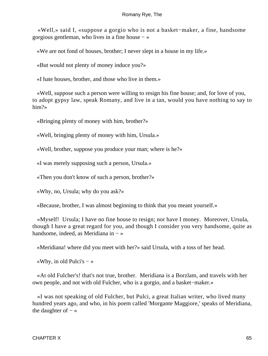«Well,» said I, «suppose a gorgio who is not a basket−maker, a fine, handsome gorgious gentleman, who lives in a fine house − »

«We are not fond of houses, brother; I never slept in a house in my life.»

«But would not plenty of money induce you?»

«I hate houses, brother, and those who live in them.»

 «Well, suppose such a person were willing to resign his fine house; and, for love of you, to adopt gypsy law, speak Romany, and live in a tan, would you have nothing to say to him?»

«Bringing plenty of money with him, brother?»

«Well, bringing plenty of money with him, Ursula.»

«Well, brother, suppose you produce your man; where is he?»

«I was merely supposing such a person, Ursula.»

«Then you don't know of such a person, brother?»

«Why, no, Ursula; why do you ask?»

«Because, brother, I was almost beginning to think that you meant yourself.»

 «Myself! Ursula; I have no fine house to resign; nor have I money. Moreover, Ursula, though I have a great regard for you, and though I consider you very handsome, quite as handsome, indeed, as Meridiana in − »

«Meridiana! where did you meet with her?» said Ursula, with a toss of her head.

«Why, in old Pulci's  $-\infty$ 

 «At old Fulcher's! that's not true, brother. Meridiana is a Borzlam, and travels with her own people, and not with old Fulcher, who is a gorgio, and a basket−maker.»

 «I was not speaking of old Fulcher, but Pulci, a great Italian writer, who lived many hundred years ago, and who, in his poem called 'Morgante Maggiore,' speaks of Meridiana, the daughter of  $-\infty$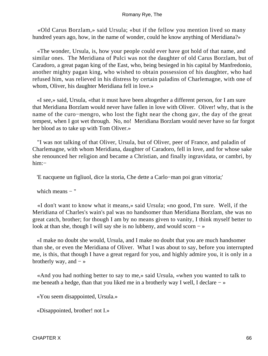«Old Carus Borzlam,» said Ursula; «but if the fellow you mention lived so many hundred years ago, how, in the name of wonder, could he know anything of Meridiana?»

 «The wonder, Ursula, is, how your people could ever have got hold of that name, and similar ones. The Meridiana of Pulci was not the daughter of old Carus Borzlam, but of Caradoro, a great pagan king of the East, who, being besieged in his capital by Manfredonio, another mighty pagan king, who wished to obtain possession of his daughter, who had refused him, was relieved in his distress by certain paladins of Charlemagne, with one of whom, Oliver, his daughter Meridiana fell in love.»

 «I see,» said, Ursula, «that it must have been altogether a different person, for I am sure that Meridiana Borzlam would never have fallen in love with Oliver. Oliver! why, that is the name of the curo−mengro, who lost the fight near the chong gav, the day of the great tempest, when I got wet through. No, no! Meridiana Borzlam would never have so far forgot her blood as to take up with Tom Oliver.»

 "I was not talking of that Oliver, Ursula, but of Oliver, peer of France, and paladin of Charlemagne, with whom Meridiana, daughter of Caradoro, fell in love, and for whose sake she renounced her religion and became a Christian, and finally ingravidata, or cambri, by him:−

'E nacquene un figliuol, dice la storia, Che dette a Carlo−man poi gran vittoria;'

which means  $-$  "

 «I don't want to know what it means,» said Ursula; «no good, I'm sure. Well, if the Meridiana of Charles's wain's pal was no handsomer than Meridiana Borzlam, she was no great catch, brother; for though I am by no means given to vanity, I think myself better to look at than she, though I will say she is no lubbeny, and would scorn  $-\infty$ 

 «I make no doubt she would, Ursula, and I make no doubt that you are much handsomer than she, or even the Meridiana of Oliver. What I was about to say, before you interrupted me, is this, that though I have a great regard for you, and highly admire you, it is only in a brotherly way, and  $-\infty$ 

 «And you had nothing better to say to me,» said Ursula, «when you wanted to talk to me beneath a hedge, than that you liked me in a brotherly way I well, I declare − »

«You seem disappointed, Ursula.»

«Disappointed, brother! not I.»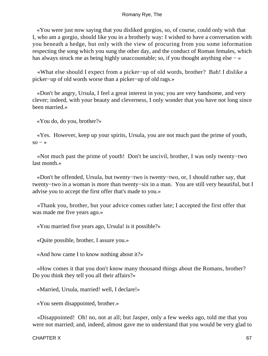«You were just now saying that you disliked gorgios, so, of course, could only wish that I, who am a gorgio, should like you in a brotherly way: I wished to have a conversation with you beneath a hedge, but only with the view of procuring from you some information respecting the song which you sung the other day, and the conduct of Roman females, which has always struck me as being highly unaccountable; so, if you thought anything else − »

 «What else should I expect from a picker−up of old words, brother? Bah! I dislike a picker−up of old words worse than a picker−up of old rags.»

 «Don't be angry, Ursula, I feel a great interest in you; you are very handsome, and very clever; indeed, with your beauty and cleverness, I only wonder that you have not long since been married.»

«You do, do you, brother?»

 «Yes. However, keep up your spirits, Ursula, you are not much past the prime of youth,  $\text{so} - \infty$ 

 «Not much past the prime of youth! Don't be uncivil, brother, I was only twenty−two last month.»

 «Don't be offended, Ursula, but twenty−two is twenty−two, or, I should rather say, that twenty−two in a woman is more than twenty−six in a man. You are still very beautiful, but I advise you to accept the first offer that's made to you.»

 «Thank you, brother, but your advice comes rather late; I accepted the first offer that was made me five years ago.»

«You married five years ago, Ursula! is it possible?»

«Quite possible, brother, I assure you.»

«And how came I to know nothing about it?»

 «How comes it that you don't know many thousand things about the Romans, brother? Do you think they tell you all their affairs?»

«Married, Ursula, married! well, I declare!»

«You seem disappointed, brother.»

 «Disappointed! Oh! no, not at all; but Jasper, only a few weeks ago, told me that you were not married; and, indeed, almost gave me to understand that you would be very glad to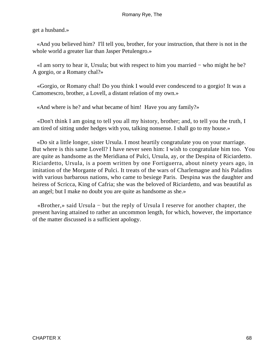get a husband.»

 «And you believed him? I'll tell you, brother, for your instruction, that there is not in the whole world a greater liar than Jasper Petulengro.»

 «I am sorry to hear it, Ursula; but with respect to him you married − who might he be? A gorgio, or a Romany chal?»

 «Gorgio, or Romany chal! Do you think I would ever condescend to a gorgio! It was a Camomescro, brother, a Lovell, a distant relation of my own.»

«And where is he? and what became of him! Have you any family?»

 «Don't think I am going to tell you all my history, brother; and, to tell you the truth, I am tired of sitting under hedges with you, talking nonsense. I shall go to my house.»

 «Do sit a little longer, sister Ursula. I most heartily congratulate you on your marriage. But where is this same Lovell? I have never seen him: I wish to congratulate him too. You are quite as handsome as the Meridiana of Pulci, Ursula, ay, or the Despina of Riciardetto. Riciardetto, Ursula, is a poem written by one Fortiguerra, about ninety years ago, in imitation of the Morgante of Pulci. It treats of the wars of Charlemagne and his Paladins with various barbarous nations, who came to besiege Paris. Despina was the daughter and heiress of Scricca, King of Cafria; she was the beloved of Riciardetto, and was beautiful as an angel; but I make no doubt you are quite as handsome as she.»

 «Brother,» said Ursula − but the reply of Ursula I reserve for another chapter, the present having attained to rather an uncommon length, for which, however, the importance of the matter discussed is a sufficient apology.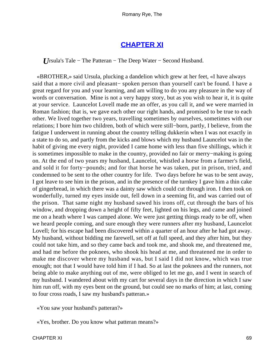## **[CHAPTER XI](#page-315-0)**

*U*rsula's Tale – The Patteran – The Deep Water – Second Husband.

 «BROTHER,» said Ursula, plucking a dandelion which grew at her feet, «I have always said that a more civil and pleasant– spoken person than yourself can't be found. I have a great regard for you and your learning, and am willing to do you any pleasure in the way of words or conversation. Mine is not a very happy story, but as you wish to hear it, it is quite at your service. Launcelot Lovell made me an offer, as you call it, and we were married in Roman fashion; that is, we gave each other our right hands, and promised to be true to each other. We lived together two years, travelling sometimes by ourselves, sometimes with our relations; I bore him two children, both of which were still−born, partly, I believe, from the fatigue I underwent in running about the country telling dukkerin when I was not exactly in a state to do so, and partly from the kicks and blows which my husband Launcelot was in the habit of giving me every night, provided I came home with less than five shillings, which it is sometimes impossible to make in the country, provided no fair or merry−making is going on. At the end of two years my husband, Launcelot, whistled a horse from a farmer's field, and sold it for forty−pounds; and for that horse he was taken, put in prison, tried, and condemned to be sent to the other country for life. Two days before he was to be sent away, I got leave to see him in the prison, and in the presence of the turnkey I gave him a thin cake of gingerbread, in which there was a dainty saw which could cut through iron. I then took on wonderfully, turned my eyes inside out, fell down in a seeming fit, and was carried out of the prison. That same night my husband sawed his irons off, cut through the bars of his window, and dropping down a height of fifty feet, lighted on his legs, and came and joined me on a heath where I was camped alone. We were just getting things ready to be off, when we heard people coming, and sure enough they were runners after my husband, Launcelot Lovell; for his escape had been discovered within a quarter of an hour after he had got away. My husband, without bidding me farewell, set off at full speed, and they after him, but they could not take him, and so they came back and took me, and shook me, and threatened me, and had me before the poknees, who shook his head at me, and threatened me in order to make me discover where my husband was, but I said I did not know, which was true enough; not that I would have told him if I had. So at last the poknees and the runners, not being able to make anything out of me, were obliged to let me go, and I went in search of my husband. I wandered about with my cart for several days in the direction in which I saw him run off, with my eyes bent on the ground, but could see no marks of him; at last, coming to four cross roads, I saw my husband's patteran.»

«You saw your husband's patteran?»

«Yes, brother. Do you know what patteran means?»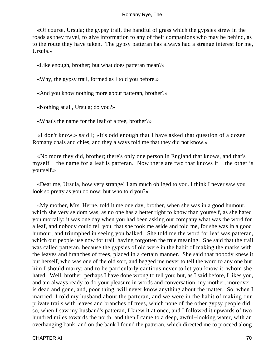«Of course, Ursula; the gypsy trail, the handful of grass which the gypsies strew in the roads as they travel, to give information to any of their companions who may be behind, as to the route they have taken. The gypsy patteran has always had a strange interest for me, Ursula.»

«Like enough, brother; but what does patteran mean?»

«Why, the gypsy trail, formed as I told you before.»

«And you know nothing more about patteran, brother?»

«Nothing at all, Ursula; do you?»

«What's the name for the leaf of a tree, brother?»

 «I don't know,» said I; «it's odd enough that I have asked that question of a dozen Romany chals and chies, and they always told me that they did not know.»

 «No more they did, brother; there's only one person in England that knows, and that's myself − the name for a leaf is patteran. Now there are two that knows it − the other is yourself.»

 «Dear me, Ursula, how very strange! I am much obliged to you. I think I never saw you look so pretty as you do now; but who told you?»

 «My mother, Mrs. Herne, told it me one day, brother, when she was in a good humour, which she very seldom was, as no one has a better right to know than yourself, as she hated you mortally: it was one day when you had been asking our company what was the word for a leaf, and nobody could tell you, that she took me aside and told me, for she was in a good humour, and triumphed in seeing you balked. She told me the word for leaf was patteran, which our people use now for trail, having forgotten the true meaning. She said that the trail was called patteran, because the gypsies of old were in the habit of making the marks with the leaves and branches of trees, placed in a certain manner. She said that nobody knew it but herself, who was one of the old sort, and begged me never to tell the word to any one but him I should marry; and to be particularly cautious never to let you know it, whom she hated. Well, brother, perhaps I have done wrong to tell you; but, as I said before, I likes you, and am always ready to do your pleasure in words and conversation; my mother, moreover, is dead and gone, and, poor thing, will never know anything about the matter. So, when I married, I told my husband about the patteran, and we were in the habit of making our private trails with leaves and branches of trees, which none of the other gypsy people did; so, when I saw my husband's patteran, I knew it at once, and I followed it upwards of two hundred miles towards the north; and then I came to a deep, awful−looking water, with an overhanging bank, and on the bank I found the patteran, which directed me to proceed along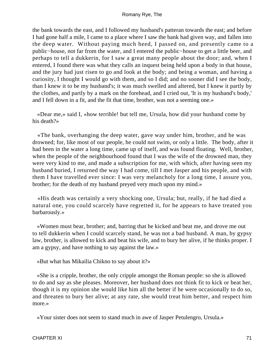the bank towards the east, and I followed my husband's patteran towards the east; and before I had gone half a mile, I came to a place where I saw the bank had given way, and fallen into the deep water. Without paying much heed, I passed on, and presently came to a public−house, not far from the water, and I entered the public−house to get a little beer, and perhaps to tell a dukkerin, for I saw a great many people about the door; and, when I entered, I found there was what they calls an inquest being held upon a body in that house, and the jury had just risen to go and look at the body; and being a woman, and having a curiosity, I thought I would go with them, and so I did; and no sooner did I see the body, than I knew it to be my husband's; it was much swelled and altered, but I knew it partly by the clothes, and partly by a mark on the forehead, and I cried out, 'It is my husband's body,' and I fell down in a fit, and the fit that time, brother, was not a seeming one.»

 «Dear me,» said I, «how terrible! but tell me, Ursula, how did your husband come by his death?»

 «The bank, overhanging the deep water, gave way under him, brother, and he was drowned; for, like most of our people, he could not swim, or only a little. The body, after it had been in the water a long time, came up of itself, and was found floating. Well, brother, when the people of the neighbourhood found that I was the wife of the drowned man, they were very kind to me, and made a subscription for me, with which, after having seen my husband buried, I returned the way I had come, till I met Jasper and his people, and with them I have travelled ever since: I was very melancholy for a long time, I assure you, brother; for the death of my husband preyed very much upon my mind.»

 «His death was certainly a very shocking one, Ursula; but, really, if he had died a natural one, you could scarcely have regretted it, for he appears to have treated you barbarously.»

 «Women must bear, brother; and, barring that he kicked and beat me, and drove me out to tell dukkerin when I could scarcely stand, he was not a bad husband. A man, by gypsy law, brother, is allowed to kick and beat his wife, and to bury her alive, if he thinks proper. I am a gypsy, and have nothing to say against the law.»

«But what has Mikailia Chikno to say about it?»

 «She is a cripple, brother, the only cripple amongst the Roman people: so she is allowed to do and say as she pleases. Moreover, her husband does not think fit to kick or beat her, though it is my opinion she would like him all the better if he were occasionally to do so, and threaten to bury her alive; at any rate, she would treat him better, and respect him more.»

«Your sister does not seem to stand much in awe of Jasper Petulengro, Ursula.»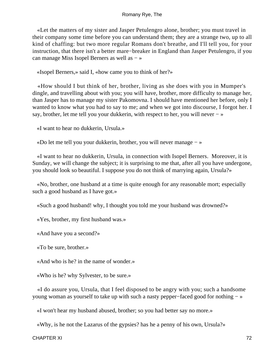«Let the matters of my sister and Jasper Petulengro alone, brother; you must travel in their company some time before you can understand them; they are a strange two, up to all kind of chaffing: but two more regular Romans don't breathe, and I'll tell you, for your instruction, that there isn't a better mare−breaker in England than Jasper Petulengro, if you can manage Miss Isopel Berners as well as − »

«Isopel Berners,» said I, «how came you to think of her?»

 «How should I but think of her, brother, living as she does with you in Mumper's dingle, and travelling about with you; you will have, brother, more difficulty to manage her, than Jasper has to manage my sister Pakomovna. I should have mentioned her before, only I wanted to know what you had to say to me; and when we got into discourse, I forgot her. I say, brother, let me tell you your dukkerin, with respect to her, you will never − »

«I want to hear no dukkerin, Ursula.»

«Do let me tell you your dukkerin, brother, you will never manage − »

 «I want to hear no dukkerin, Ursula, in connection with Isopel Berners. Moreover, it is Sunday, we will change the subject; it is surprising to me that, after all you have undergone, you should look so beautiful. I suppose you do not think of marrying again, Ursula?»

 «No, brother, one husband at a time is quite enough for any reasonable mort; especially such a good husband as I have got.»

«Such a good husband! why, I thought you told me your husband was drowned?»

«Yes, brother, my first husband was.»

«And have you a second?»

«To be sure, brother.»

«And who is he? in the name of wonder.»

«Who is he? why Sylvester, to be sure.»

 «I do assure you, Ursula, that I feel disposed to be angry with you; such a handsome young woman as yourself to take up with such a nasty pepper−faced good for nothing − »

«I won't hear my husband abused, brother; so you had better say no more.»

«Why, is he not the Lazarus of the gypsies? has he a penny of his own, Ursula?»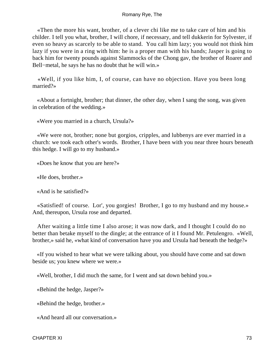«Then the more his want, brother, of a clever chi like me to take care of him and his childer. I tell you what, brother, I will chore, if necessary, and tell dukkerin for Sylvester, if even so heavy as scarcely to be able to stand. You call him lazy; you would not think him lazy if you were in a ring with him: he is a proper man with his hands; Jasper is going to back him for twenty pounds against Slammocks of the Chong gav, the brother of Roarer and Bell−metal, he says he has no doubt that he will win.»

 «Well, if you like him, I, of course, can have no objection. Have you been long married?»

 «About a fortnight, brother; that dinner, the other day, when I sang the song, was given in celebration of the wedding.»

«Were you married in a church, Ursula?»

 «We were not, brother; none but gorgios, cripples, and lubbenys are ever married in a church: we took each other's words. Brother, I have been with you near three hours beneath this hedge. I will go to my husband.»

«Does he know that you are here?»

«He does, brother.»

«And is he satisfied?»

 «Satisfied! of course. Lor', you gorgies! Brother, I go to my husband and my house.» And, thereupon, Ursula rose and departed.

 After waiting a little time I also arose; it was now dark, and I thought I could do no better than betake myself to the dingle; at the entrance of it I found Mr. Petulengro. «Well, brother,» said he, «what kind of conversation have you and Ursula had beneath the hedge?»

 «If you wished to hear what we were talking about, you should have come and sat down beside us; you knew where we were.»

«Well, brother, I did much the same, for I went and sat down behind you.»

«Behind the hedge, Jasper?»

«Behind the hedge, brother.»

«And heard all our conversation.»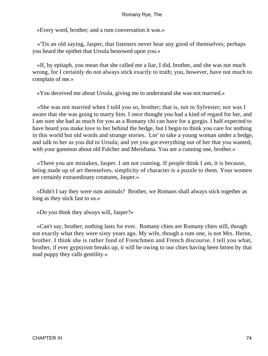«Every word, brother; and a rum conversation it was.»

 «'Tis an old saying, Jasper, that listeners never hear any good of themselves; perhaps you heard the epithet that Ursula bestowed upon you.»

 «If, by epitaph, you mean that she called me a liar, I did, brother, and she was not much wrong, for I certainly do not always stick exactly to truth; you, however, have not much to complain of me.»

«You deceived me about Ursula, giving me to understand she was not married.»

 «She was not married when I told you so, brother; that is, not to Sylvester; nor was I aware that she was going to marry him. I once thought you had a kind of regard for her, and I am sure she had as much for you as a Romany chi can have for a gorgio. I half expected to have heard you make love to her behind the hedge, but I begin to think you care for nothing in this world but old words and strange stories. Lor' to take a young woman under a hedge, and talk to her as you did to Ursula; and yet you got everything out of her that you wanted, with your gammon about old Fulcher and Meridiana. You are a cunning one, brother.»

 «There you are mistaken, Jasper. I am not cunning. If people think I am, it is because, being made up of art themselves, simplicity of character is a puzzle to them. Your women are certainly extraordinary creatures, Jasper.»

 «Didn't I say they were rum animals? Brother, we Romans shall always stick together as long as they stick fast to us.»

«Do you think they always will, Jasper?»

 «Can't say, brother; nothing lasts for ever. Romany chies are Romany chies still, though not exactly what they were sixty years ago. My wife, though a rum one, is not Mrs. Herne, brother. I think she is rather fond of Frenchmen and French discourse. I tell you what, brother, if ever gypsyism breaks up, it will be owing to our chies having been bitten by that mad puppy they calls gentility.»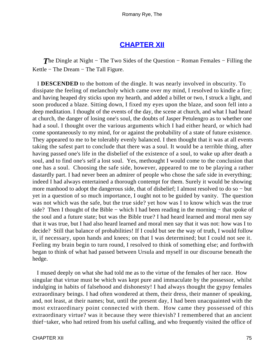# **[CHAPTER XII](#page-315-0)**

**The Dingle at Night – The Two Sides of the Question – Roman Females – Filling the** Kettle − The Dream − The Tall Figure.

 I **DESCENDED** to the bottom of the dingle. It was nearly involved in obscurity. To dissipate the feeling of melancholy which came over my mind, I resolved to kindle a fire; and having heaped dry sticks upon my hearth, and added a billet or two, I struck a light, and soon produced a blaze. Sitting down, I fixed my eyes upon the blaze, and soon fell into a deep meditation. I thought of the events of the day, the scene at church, and what I had heard at church, the danger of losing one's soul, the doubts of Jasper Petulengro as to whether one had a soul. I thought over the various arguments which I had either heard, or which had come spontaneously to my mind, for or against the probability of a state of future existence. They appeared to me to be tolerably evenly balanced. I then thought that it was at all events taking the safest part to conclude that there was a soul. It would be a terrible thing, after having passed one's life in the disbelief of the existence of a soul, to wake up after death a soul, and to find one's self a lost soul. Yes, methought I would come to the conclusion that one has a soul. Choosing the safe side, however, appeared to me to be playing a rather dastardly part. I had never been an admirer of people who chose the safe side in everything; indeed I had always entertained a thorough contempt for them. Surely it would be showing more manhood to adopt the dangerous side, that of disbelief; I almost resolved to do so − but yet in a question of so much importance, I ought not to be guided by vanity. The question was not which was the safe, but the true side? yet how was I to know which was the true side? Then I thought of the Bible – which I had been reading in the morning – that spoke of the soul and a future state; but was the Bible true? I had heard learned and moral men say that it was true, but I had also heard learned and moral men say that it was not: how was I to decide? Still that balance of probabilities! If I could but see the way of truth, I would follow it, if necessary, upon hands and knees; on that I was determined; but I could not see it. Feeling my brain begin to turn round, I resolved to think of something else; and forthwith began to think of what had passed between Ursula and myself in our discourse beneath the hedge.

 I mused deeply on what she had told me as to the virtue of the females of her race. How singular that virtue must be which was kept pure and immaculate by the possessor, whilst indulging in habits of falsehood and dishonesty! I had always thought the gypsy females extraordinary beings. I had often wondered at them, their dress, their manner of speaking, and, not least, at their names; but, until the present day, I had been unacquainted with the most extraordinary point connected with them. How came they possessed of this extraordinary virtue? was it because they were thievish? I remembered that an ancient thief−taker, who had retired from his useful calling, and who frequently visited the office of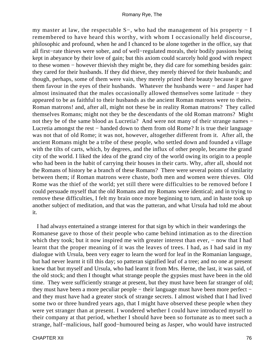my master at law, the respectable S−, who had the management of his property − I remembered to have heard this worthy, with whom I occasionally held discourse, philosophic and profound, when he and I chanced to be alone together in the office, say that all first−rate thieves were sober, and of well−regulated morals, their bodily passions being kept in abeyance by their love of gain; but this axiom could scarcely hold good with respect to these women – however thievish they might be, they did care for something besides gain: they cared for their husbands. If they did thieve, they merely thieved for their husbands; and though, perhaps, some of them were vain, they merely prized their beauty because it gave them favour in the eyes of their husbands. Whatever the husbands were − and Jasper had almost insinuated that the males occasionally allowed themselves some latitude − they appeared to be as faithful to their husbands as the ancient Roman matrons were to theirs. Roman matrons! and, after all, might not these be in reality Roman matrons? They called themselves Romans; might not they be the descendants of the old Roman matrons? Might not they be of the same blood as Lucretia? And were not many of their strange names − Lucretia amongst the rest − handed down to them from old Rome? It is true their language was not that of old Rome; it was not, however, altogether different from it. After all, the ancient Romans might be a tribe of these people, who settled down and founded a village with the tilts of carts, which, by degrees, and the influx of other people, became the grand city of the world. I liked the idea of the grand city of the world owing its origin to a people who had been in the habit of carrying their houses in their carts. Why, after all, should not the Romans of history be a branch of these Romans? There were several points of similarity between them; if Roman matrons were chaste, both men and women were thieves. Old Rome was the thief of the world; yet still there were difficulties to be removed before I could persuade myself that the old Romans and my Romans were identical; and in trying to remove these difficulties, I felt my brain once more beginning to turn, and in haste took up another subject of meditation, and that was the patteran, and what Ursula had told me about it.

 I had always entertained a strange interest for that sign by which in their wanderings the Romanese gave to those of their people who came behind intimation as to the direction which they took; but it now inspired me with greater interest than ever, – now that I had learnt that the proper meaning of it was the leaves of trees. I had, as I had said in my dialogue with Ursula, been very eager to learn the word for leaf in the Romanian language, but had never learnt it till this day; so patteran signified leaf of a tree; and no one at present knew that but myself and Ursula, who had learnt it from Mrs. Herne, the last, it was said, of the old stock; and then I thought what strange people the gypsies must have been in the old time. They were sufficiently strange at present, but they must have been far stranger of old; they must have been a more peculiar people − their language must have been more perfect − and they must have had a greater stock of strange secrets. I almost wished that I had lived some two or three hundred years ago, that I might have observed these people when they were yet stranger than at present. I wondered whether I could have introduced myself to their company at that period, whether I should have been so fortunate as to meet such a strange, half−malicious, half good−humoured being as Jasper, who would have instructed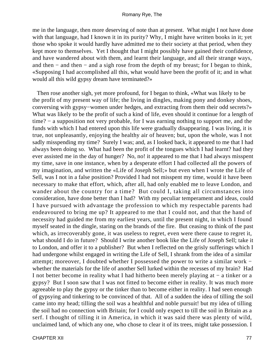me in the language, then more deserving of note than at present. What might I not have done with that language, had I known it in its purity? Why, I might have written books in it; yet those who spoke it would hardly have admitted me to their society at that period, when they kept more to themselves. Yet I thought that I might possibly have gained their confidence, and have wandered about with them, and learnt their language, and all their strange ways, and then − and then − and a sigh rose from the depth of my breast; for I began to think, «Supposing I had accomplished all this, what would have been the profit of it; and in what would all this wild gypsy dream have terminated?»

 Then rose another sigh, yet more profound, for I began to think, «What was likely to be the profit of my present way of life; the living in dingles, making pony and donkey shoes, conversing with gypsy−women under hedges, and extracting from them their odd secrets?» What was likely to be the profit of such a kind of life, even should it continue for a length of time? − a supposition not very probable, for I was earning nothing to support me, and the funds with which I had entered upon this life were gradually disappearing. I was living, it is true, not unpleasantly, enjoying the healthy air of heaven; but, upon the whole, was I not sadly misspending my time? Surely I was; and, as I looked back, it appeared to me that I had always been doing so. What had been the profit of the tongues which I had learnt? had they ever assisted me in the day of hunger? No, no! it appeared to me that I had always misspent my time, save in one instance, when by a desperate effort I had collected all the powers of my imagination, and written the «Life of Joseph Sell;» but even when I wrote the Life of Sell, was I not in a false position? Provided I had not misspent my time, would it have been necessary to make that effort, which, after all, had only enabled me to leave London, and wander about the country for a time? But could I, taking all circumstances into consideration, have done better than I had? With my peculiar temperament and ideas, could I have pursued with advantage the profession to which my respectable parents had endeavoured to bring me up? It appeared to me that I could not, and that the hand of necessity had guided me from my earliest years, until the present night, in which I found myself seated in the dingle, staring on the brands of the fire. But ceasing to think of the past which, as irrecoverably gone, it was useless to regret, even were there cause to regret it, what should I do in future? Should I write another book like the Life of Joseph Sell; take it to London, and offer it to a publisher? But when I reflected on the grisly sufferings which I had undergone whilst engaged in writing the Life of Sell, I shrank from the idea of a similar attempt; moreover, I doubted whether I possessed the power to write a similar work − whether the materials for the life of another Sell lurked within the recesses of my brain? Had I not better become in reality what I had hitherto been merely playing at − a tinker or a gypsy? But I soon saw that I was not fitted to become either in reality. It was much more agreeable to play the gypsy or the tinker than to become either in reality. I had seen enough of gypsying and tinkering to be convinced of that. All of a sudden the idea of tilling the soil came into my head; tilling the soil was a healthful and noble pursuit! but my idea of tilling the soil had no connection with Britain; for I could only expect to till the soil in Britain as a serf. I thought of tilling it in America, in which it was said there was plenty of wild, unclaimed land, of which any one, who chose to clear it of its trees, might take possession. I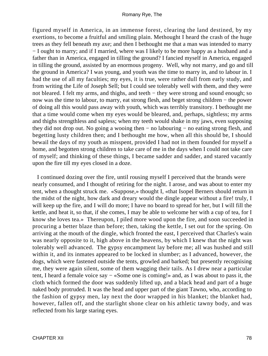figured myself in America, in an immense forest, clearing the land destined, by my exertions, to become a fruitful and smiling plain. Methought I heard the crash of the huge trees as they fell beneath my axe; and then I bethought me that a man was intended to marry − I ought to marry; and if I married, where was I likely to be more happy as a husband and a father than in America, engaged in tilling the ground? I fancied myself in America, engaged in tilling the ground, assisted by an enormous progeny. Well, why not marry, and go and till the ground in America? I was young, and youth was the time to marry in, and to labour in. I had the use of all my faculties; my eyes, it is true, were rather dull from early study, and from writing the Life of Joseph Sell; but I could see tolerably well with them, and they were not bleared. I felt my arms, and thighs, and teeth – they were strong and sound enough; so now was the time to labour, to marry, eat strong flesh, and beget strong children – the power of doing all this would pass away with youth, which was terribly transitory. I bethought me that a time would come when my eyes would be bleared, and, perhaps, sightless; my arms and thighs strengthless and sapless; when my teeth would shake in my jaws, even supposing they did not drop out. No going a wooing then − no labouring − no eating strong flesh, and begetting lusty children then; and I bethought me how, when all this should be, I should bewail the days of my youth as misspent, provided I had not in them founded for myself a home, and begotten strong children to take care of me in the days when I could not take care of myself; and thinking of these things, I became sadder and sadder, and stared vacantly upon the fire till my eyes closed in a doze.

 I continued dozing over the fire, until rousing myself I perceived that the brands were nearly consumed, and I thought of retiring for the night. I arose, and was about to enter my tent, when a thought struck me. «Suppose,» thought I, «that Isopel Berners should return in the midst of the night, how dark and dreary would the dingle appear without a fire! truly, I will keep up the fire, and I will do more; I have no board to spread for her, but I will fill the kettle, and heat it, so that, if she comes, I may be able to welcome her with a cup of tea, for I know she loves tea.» Thereupon, I piled more wood upon the fire, and soon succeeded in procuring a better blaze than before; then, taking the kettle, I set out for the spring. On arriving at the mouth of the dingle, which fronted the east, I perceived that Charles's wain was nearly opposite to it, high above in the heavens, by which I knew that the night was tolerably well advanced. The gypsy encampment lay before me; all was hushed and still within it, and its inmates appeared to be locked in slumber; as I advanced, however, the dogs, which were fastened outside the tents, growled and barked; but presently recognising me, they were again silent, some of them wagging their tails. As I drew near a particular tent, I heard a female voice say − «Some one is coming!» and, as I was about to pass it, the cloth which formed the door was suddenly lifted up, and a black head and part of a huge naked body protruded. It was the head and upper part of the giant Tawno, who, according to the fashion of gypsy men, lay next the door wrapped in his blanket; the blanket had, however, fallen off, and the starlight shone clear on his athletic tawny body, and was reflected from his large staring eyes.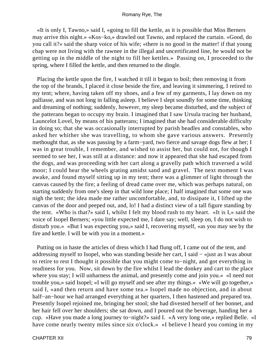«It is only I, Tawno,» said I, «going to fill the kettle, as it is possible that Miss Berners may arrive this night.» «Kos−ko,» drawled out Tawno, and replaced the curtain. «Good, do you call it?» said the sharp voice of his wife; «there is no good in the matter! if that young chap were not living with the rawnee in the illegal and uncertificated line, he would not be getting up in the middle of the night to fill her kettles.» Passing on, I proceeded to the spring, where I filled the kettle, and then returned to the dingle.

 Placing the kettle upon the fire, I watched it till it began to boil; then removing it from the top of the brands, I placed it close beside the fire, and leaving it simmering, I retired to my tent; where, having taken off my shoes, and a few of my garments, I lay down on my palliasse, and was not long in falling asleep. I believe I slept soundly for some time, thinking and dreaming of nothing; suddenly, however, my sleep became disturbed, and the subject of the patterans began to occupy my brain. I imagined that I saw Ursula tracing her husband, Launcelot Lovel, by means of his patterans; I imagined that she had considerable difficulty in doing so; that she was occasionally interrupted by parish beadles and constables, who asked her whither she was travelling, to whom she gave various answers. Presently methought that, as she was passing by a farm−yard, two fierce and savage dogs flew at her; I was in great trouble, I remember, and wished to assist her, but could not, for though I seemed to see her, I was still at a distance: and now it appeared that she had escaped from the dogs, and was proceeding with her cart along a gravelly path which traversed a wild moor; I could hear the wheels grating amidst sand and gravel. The next moment I was awake, and found myself sitting up in my tent; there was a glimmer of light through the canvas caused by the fire; a feeling of dread came over me, which was perhaps natural, on starting suddenly from one's sleep in that wild lone place; I half imagined that some one was nigh the tent; the idea made me rather uncomfortable, and, to dissipate it, I lifted up the canvas of the door and peeped out, and, lo! I had a distinct view of a tall figure standing by the tent. «Who is that?» said I, whilst I felt my blood rush to my heart. «It is I,» said the voice of Isopel Berners; «you little expected me, I dare say; well, sleep on, I do not wish to disturb you.» «But I was expecting you,» said I, recovering myself, «as you may see by the fire and kettle. I will be with you in a moment.»

 Putting on in haste the articles of dress which I had flung off, I came out of the tent, and addressing myself to Isopel, who was standing beside her cart, I said − «just as I was about to retire to rest I thought it possible that you might come to−night, and got everything in readiness for you. Now, sit down by the fire whilst I lead the donkey and cart to the place where you stay; I will unharness the animal, and presently come and join you.» «I need not trouble you,» said Isopel; «I will go myself and see after my things.» «We will go together,» said I, «and then return and have some tea.» Isopel made no objection, and in about half−an−hour we had arranged everything at her quarters, I then hastened and prepared tea. Presently Isopel rejoined me, bringing her stool; she had divested herself of her bonnet, and her hair fell over her shoulders; she sat down, and I poured out the beverage, handing her a cup. «Have you made a long journey to−night?» said I. «A very long one,» replied Belle. «I have come nearly twenty miles since six o'clock.» «I believe I heard you coming in my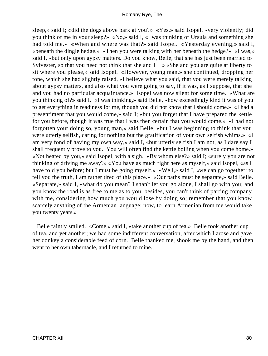sleep,» said I; «did the dogs above bark at you?» «Yes,» said Isopel, «very violently; did you think of me in your sleep?» «No,» said I, «I was thinking of Ursula and something she had told me.» «When and where was that?» said Isopel. «Yesterday evening,» said I, «beneath the dingle hedge.» «Then you were talking with her beneath the hedge?» «I was,» said I, «but only upon gypsy matters. Do you know, Belle, that she has just been married to Sylvester, so that you need not think that she and  $I - \nu$  «She and you are quite at liberty to sit where you please,» said Isopel. «However, young man,» she continued, dropping her tone, which she had slightly raised, «I believe what you said, that you were merely talking about gypsy matters, and also what you were going to say, if it was, as I suppose, that she and you had no particular acquaintance.» Isopel was now silent for some time. «What are you thinking of?» said I. «I was thinking,» said Belle, «how exceedingly kind it was of you to get everything in readiness for me, though you did not know that I should come.» «I had a presentiment that you would come,» said I; «but you forget that I have prepared the kettle for you before, though it was true that I was then certain that you would come.» «I had not forgotten your doing so, young man,» said Belle; «but I was beginning to think that you were utterly selfish, caring for nothing but the gratification of your own selfish whims.» «I am very fond of having my own way,» said I, «but utterly selfish I am not, as I dare say I shall frequently prove to you. You will often find the kettle boiling when you come home.» «Not heated by you,» said Isopel, with a sigh. «By whom else?» said I; «surely you are not thinking of driving me away?» «You have as much right here as myself,» said Isopel, «as I have told you before; but I must be going myself.» «Well,» said I, «we can go together; to tell you the truth, I am rather tired of this place.» «Our paths must be separate,» said Belle. «Separate,» said I, «what do you mean? I shan't let you go alone, I shall go with you; and you know the road is as free to me as to you; besides, you can't think of parting company with me, considering how much you would lose by doing so; remember that you know scarcely anything of the Armenian language; now, to learn Armenian from me would take you twenty years.»

 Belle faintly smiled. «Come,» said I, «take another cup of tea.» Belle took another cup of tea, and yet another; we had some indifferent conversation, after which I arose and gave her donkey a considerable feed of corn. Belle thanked me, shook me by the hand, and then went to her own tabernacle, and I returned to mine.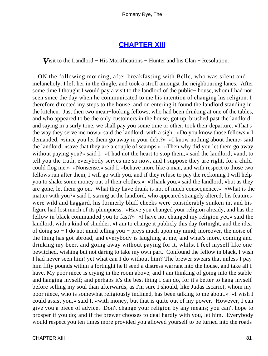## **[CHAPTER XIII](#page-315-0)**

*V*isit to the Landlord − His Mortifications − Hunter and his Clan − Resolution.

 ON the following morning, after breakfasting with Belle, who was silent and melancholy, I left her in the dingle, and took a stroll amongst the neighbouring lanes. After some time I thought I would pay a visit to the landlord of the public− house, whom I had not seen since the day when he communicated to me his intention of changing his religion. I therefore directed my steps to the house, and on entering it found the landlord standing in the kitchen. Just then two mean−looking fellows, who had been drinking at one of the tables, and who appeared to be the only customers in the house, got up, brushed past the landlord, and saying in a surly tone, we shall pay you some time or other, took their departure. «That's the way they serve me now,» said the landlord, with a sigh. «Do you know those fellows,» I demanded, «since you let them go away in your debt?» «I know nothing about them,» said the landlord, «save that they are a couple of scamps.» «Then why did you let them go away without paying you?» said I. «I had not the heart to stop them,» said the landlord; «and, to tell you the truth, everybody serves me so now, and I suppose they are right, for a child could flog me.» «Nonsense,» said I, «behave more like a man, and with respect to those two fellows run after them, I will go with you, and if they refuse to pay the reckoning I will help you to shake some money out of their clothes.» «Thank you,» said the landlord; «but as they are gone, let them go on. What they have drank is not of much consequence.» «What is the matter with you?» said I, staring at the landlord, who appeared strangely altered; his features were wild and haggard, his formerly bluff cheeks were considerably sunken in, and his figure had lost much of its plumpness. «Have you changed your religion already, and has the fellow in black commanded you to fast?» «I have not changed my religion yet,» said the landlord, with a kind of shudder; «I am to change it publicly this day fortnight, and the idea of doing so − I do not mind telling you − preys much upon my mind; moreover, the noise of the thing has got abroad, and everybody is laughing at me, and what's more, coming and drinking my beer, and going away without paying for it, whilst I feel myself like one bewitched, wishing but not daring to take my own part. Confound the fellow in black, I wish I had never seen him! yet what can I do without him? The brewer swears that unless I pay him fifty pounds within a fortnight he'll send a distress warrant into the house, and take all I have. My poor niece is crying in the room above; and I am thinking of going into the stable and hanging myself; and perhaps it's the best thing I can do, for it's better to hang myself before selling my soul than afterwards, as I'm sure I should, like Judas Iscariot, whom my poor niece, who is somewhat religiously inclined, has been talking to me about.» «I wish I could assist you,» said I, «with money, but that is quite out of my power. However, I can give you a piece of advice. Don't change your religion by any means; you can't hope to prosper if you do; and if the brewer chooses to deal hardly with you, let him. Everybody would respect you ten times more provided you allowed yourself to be turned into the roads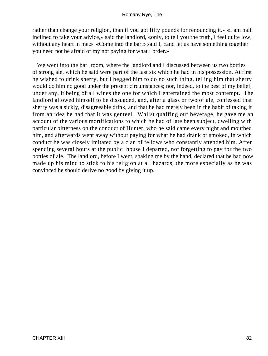rather than change your religion, than if you got fifty pounds for renouncing it.» «I am half inclined to take your advice,» said the landlord, «only, to tell you the truth, I feel quite low, without any heart in me.» «Come into the bar,» said I, «and let us have something together – you need not be afraid of my not paying for what I order.»

 We went into the bar−room, where the landlord and I discussed between us two bottles of strong ale, which he said were part of the last six which he had in his possession. At first he wished to drink sherry, but I begged him to do no such thing, telling him that sherry would do him no good under the present circumstances; nor, indeed, to the best of my belief, under any, it being of all wines the one for which I entertained the most contempt. The landlord allowed himself to be dissuaded, and, after a glass or two of ale, confessed that sherry was a sickly, disagreeable drink, and that he had merely been in the habit of taking it from an idea he had that it was genteel. Whilst quaffing our beverage, he gave me an account of the various mortifications to which he had of late been subject, dwelling with particular bitterness on the conduct of Hunter, who he said came every night and mouthed him, and afterwards went away without paying for what he had drank or smoked, in which conduct he was closely imitated by a clan of fellows who constantly attended him. After spending several hours at the public−house I departed, not forgetting to pay for the two bottles of ale. The landlord, before I went, shaking me by the hand, declared that he had now made up his mind to stick to his religion at all hazards, the more especially as he was convinced he should derive no good by giving it up.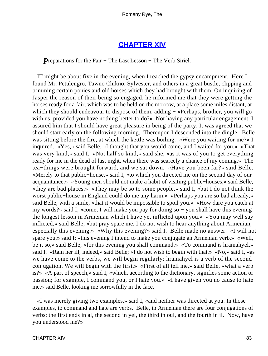### **[CHAPTER XIV](#page-315-0)**

*P*reparations for the Fair – The Last Lesson – The Verb Siriel.

 IT might be about five in the evening, when I reached the gypsy encampment. Here I found Mr. Petulengro, Tawno Chikno, Sylvester, and others in a great bustle, clipping and trimming certain ponies and old horses which they had brought with them. On inquiring of Jasper the reason of their being so engaged, he informed me that they were getting the horses ready for a fair, which was to he held on the morrow, at a place some miles distant, at which they should endeavour to dispose of them, adding – «Perhaps, brother, you will go with us, provided you have nothing better to do?» Not having any particular engagement, I assured him that I should have great pleasure in being of the party. It was agreed that we should start early on the following morning. Thereupon I descended into the dingle. Belle was sitting before the fire, at which the kettle was boiling. «Were you waiting for me?» I inquired. «Yes,» said Belle, «I thought that you would come, and I waited for you.» «That was very kind,» said I. «Not half so kind,» said she, «as it was of you to get everything ready for me in the dead of last night, when there was scarcely a chance of my coming.» The tea−things were brought forward, and we sat down. «Have you been far?» said Belle. «Merely to that public−house,» said I, «to which you directed me on the second day of our acquaintance.» «Young men should not make a habit of visiting public−houses,» said Belle, «they are bad places.» «They may be so to some people,» said I, «but I do not think the worst public−house in England could do me any harm.» «Perhaps you are so bad already,» said Belle, with a smile, «that it would be impossible to spoil you.» «How dare you catch at my words?» said I; «come, I will make you pay for doing so − you shall have this evening the longest lesson in Armenian which I have yet inflicted upon you.» «You may well say inflicted,» said Belle, «but pray spare me. I do not wish to hear anything about Armenian, especially this evening.» «Why this evening?» said I. Belle made no answer. «I will not spare you,» said I; «this evening I intend to make you conjugate an Armenian verb.» «Well, be it so,» said Belle; «for this evening you shall command.» «To command is hramahyel,» said I. «Ram her ill, indeed,» said Belle; «I do not wish to begin with that.» «No,» said I, «as we have come to the verbs, we will begin regularly; hramahyel is a verb of the second conjugation. We will begin with the first.» «First of all tell me,» said Belle, «what a verb is?» «A part of speech,» said I, «which, according to the dictionary, signifies some action or passion; for example, I command you, or I hate you.» «I have given you no cause to hate me,» said Belle, looking me sorrowfully in the face.

 «I was merely giving two examples,» said I, «and neither was directed at you. In those examples, to command and hate are verbs. Belle, in Armenian there are four conjugations of verbs; the first ends in al, the second in yel, the third in oul, and the fourth in il. Now, have you understood me?»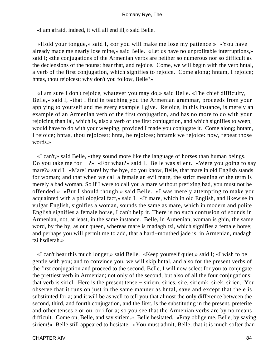«I am afraid, indeed, it will all end ill,» said Belle.

 «Hold your tongue,» said I, «or you will make me lose my patience.» «You have already made me nearly lose mine,» said Belle. «Let us have no unprofitable interruptions,» said I; «the conjugations of the Armenian verbs are neither so numerous nor so difficult as the declensions of the nouns; hear that, and rejoice. Come, we will begin with the verb hntal, a verb of the first conjugation, which signifies to rejoice. Come along; hntam, I rejoice; hntas, thou rejoicest; why don't you follow, Belle?»

 «I am sure I don't rejoice, whatever you may do,» said Belle. «The chief difficulty, Belle,» said I, «that I find in teaching you the Armenian grammar, proceeds from your applying to yourself and me every example I give. Rejoice, in this instance, is merely an example of an Armenian verb of the first conjugation, and has no more to do with your rejoicing than lal, which is, also a verb of the first conjugation, and which signifies to weep, would have to do with your weeping, provided I made you conjugate it. Come along; hntam, I rejoice; hntas, thou rejoicest; hnta, he rejoices; hntamk we rejoice: now, repeat those words.»

 «I can't,» said Belle, «they sound more like the language of horses than human beings. Do you take me for − ?» «For what?» said I. Belle was silent. «Were you going to say mare?» said I. «Mare! mare! by the bye, do you know, Belle, that mare in old English stands for woman; and that when we call a female an evil mare, the strict meaning of the term is merely a bad woman. So if I were to call you a mare without prefixing bad, you must not be offended.» «But I should though,» said Belle. «I was merely attempting to make you acquainted with a philological fact,» said I. «If mare, which in old English, and likewise in vulgar English, signifies a woman, sounds the same as mare, which in modern and polite English signifies a female horse, I can't help it. There is no such confusion of sounds in Armenian, not, at least, in the same instance. Belle, in Armenian, woman is ghin, the same word, by the by, as our queen, whereas mare is madagh tzi, which signifies a female horse; and perhaps you will permit me to add, that a hard−mouthed jade is, in Armenian, madagh tzi hsdierah.»

 «I can't bear this much longer,» said Belle. «Keep yourself quiet,» said I; «I wish to be gentle with you; and to convince you, we will skip hntal, and also for the present verbs of the first conjugation and proceed to the second. Belle, I will now select for you to conjugate the prettiest verb in Armenian; not only of the second, but also of all the four conjugations; that verb is siriel. Here is the present tense:− siriem, siries, sire, siriemk, sirek, sirien. You observe that it runs on just in the same manner as hntal, save and except that the e is substituted for a; and it will be as well to tell you that almost the only difference between the second, third, and fourth conjugation, and the first, is the substituting in the present, preterite and other tenses e or ou, or i for a; so you see that the Armenian verbs are by no means difficult. Come on, Belle, and say siriem.» Belle hesitated. «Pray oblige me, Belle, by saying siriem!» Belle still appeared to hesitate. «You must admit, Belle, that it is much softer than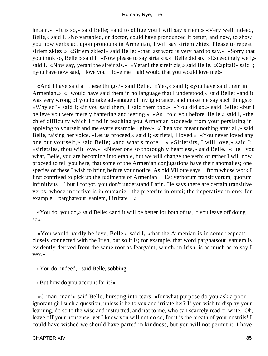hntam.» «It is so,» said Belle; «and to oblige you I will say siriem.» «Very well indeed, Belle,» said I. «No vartabied, or doctor, could have pronounced it better; and now, to show you how verbs act upon pronouns in Armenian, I will say siriem zkiez. Please to repeat siriem zkiez!» «Siriem zkiez!» said Belle; «that last word is very hard to say.» «Sorry that you think so, Belle,» said I. «Now please to say siria zis.» Belle did so. «Exceedingly well,» said I. «Now say, yerani the sireir zis.» «Yerani the sireir zis,» said Belle. «Capital!» said I; «you have now said, I love you − love me − ah! would that you would love me!»

 «And I have said all these things?» said Belle. «Yes,» said I; «you have said them in Armenian.» «I would have said them in no language that I understood,» said Belle; «and it was very wrong of you to take advantage of my ignorance, and make me say such things.» «Why so?» said I; «if you said them, I said them too.» «You did so,» said Belle; «but I believe you were merely bantering and jeering.» «As I told you before, Belle,» said I, «the chief difficulty which I find in teaching you Armenian proceeds from your persisting in applying to yourself and me every example I give.» «Then you meant nothing after all,» said Belle, raising her voice. «Let us proceed,» said I; «sirietsi, I loved.» «You never loved any one but yourself,» said Belle; «and what's more − » «Sirietsits, I will love,» said I; «sirietsies, thou wilt love.» «Never one so thoroughly heartless,» said Belle. «I tell you what, Belle, you are becoming intolerable, but we will change the verb; or rather I will now proceed to tell you here, that some of the Armenian conjugations have their anomalies; one species of these I wish to bring before your notice. As old Villotte says – from whose work I first contrived to pick up the rudiments of Armenian − 'Est verborum transitivorum, quorum infinitivus − ' but I forgot, you don't understand Latin. He says there are certain transitive verbs, whose infinitive is in outsaniel; the preterite in outsi; the imperative in one; for example − parghatsout−saniem, I irritate − »

 «You do, you do,» said Belle; «and it will be better for both of us, if you leave off doing so.»

 «You would hardly believe, Belle,» said I, «that the Armenian is in some respects closely connected with the Irish, but so it is; for example, that word parghatsout−saniem is evidently derived from the same root as feargaim, which, in Irish, is as much as to say I vex.»

«You do, indeed,» said Belle, sobbing.

«But how do you account for it?»

 «O man, man!» said Belle, bursting into tears, «for what purpose do you ask a poor ignorant girl such a question, unless it be to vex and irritate her? If you wish to display your learning, do so to the wise and instructed, and not to me, who can scarcely read or write. Oh, leave off your nonsense; yet I know you will not do so, for it is the breath of your nostrils! I could have wished we should have parted in kindness, but you will not permit it. I have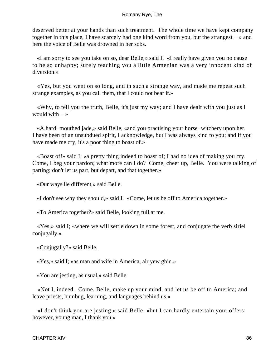deserved better at your hands than such treatment. The whole time we have kept company together in this place, I have scarcely had one kind word from you, but the strangest − » and here the voice of Belle was drowned in her sobs.

 «I am sorry to see you take on so, dear Belle,» said I. «I really have given you no cause to be so unhappy; surely teaching you a little Armenian was a very innocent kind of diversion.»

 «Yes, but you went on so long, and in such a strange way, and made me repeat such strange examples, as you call them, that I could not bear it.»

 «Why, to tell you the truth, Belle, it's just my way; and I have dealt with you just as I would with  $-\infty$ 

 «A hard−mouthed jade,» said Belle, «and you practising your horse−witchery upon her. I have been of an unsubdued spirit, I acknowledge, but I was always kind to you; and if you have made me cry, it's a poor thing to boast of.»

 «Boast of!» said I; «a pretty thing indeed to boast of; I had no idea of making you cry. Come, I beg your pardon; what more can I do? Come, cheer up, Belle. You were talking of parting; don't let us part, but depart, and that together.»

«Our ways lie different,» said Belle.

«I don't see why they should,» said I. «Come, let us he off to America together.»

«To America together?» said Belle, looking full at me.

 «Yes,» said I; «where we will settle down in some forest, and conjugate the verb siriel conjugally.»

«Conjugally?» said Belle.

«Yes,» said I; «as man and wife in America, air yew ghin.»

«You are jesting, as usual,» said Belle.

 «Not I, indeed. Come, Belle, make up your mind, and let us be off to America; and leave priests, humbug, learning, and languages behind us.»

 «I don't think you are jesting,» said Belle; «but I can hardly entertain your offers; however, young man, I thank you.»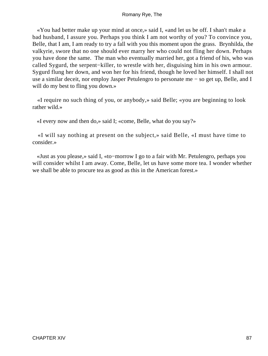«You had better make up your mind at once,» said I, «and let us be off. I shan't make a bad husband, I assure you. Perhaps you think I am not worthy of you? To convince you, Belle, that I am, I am ready to try a fall with you this moment upon the grass. Brynhilda, the valkyrie, swore that no one should ever marry her who could not fling her down. Perhaps you have done the same. The man who eventually married her, got a friend of his, who was called Sygurd, the serpent−killer, to wrestle with her, disguising him in his own armour. Sygurd flung her down, and won her for his friend, though he loved her himself. I shall not use a similar deceit, nor employ Jasper Petulengro to personate me − so get up, Belle, and I will do my best to fling you down.»

 «I require no such thing of you, or anybody,» said Belle; «you are beginning to look rather wild.»

«I every now and then do,» said I; «come, Belle, what do you say?»

 «I will say nothing at present on the subject,» said Belle, «I must have time to consider.»

 «Just as you please,» said I, «to−morrow I go to a fair with Mr. Petulengro, perhaps you will consider whilst I am away. Come, Belle, let us have some more tea. I wonder whether we shall be able to procure tea as good as this in the American forest.»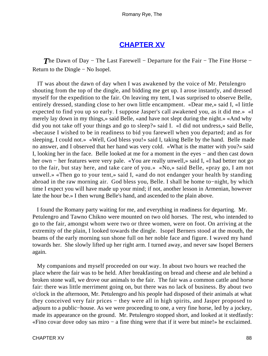# **[CHAPTER XV](#page-315-0)**

**The Dawn of Day − The Last Farewell − Departure for the Fair – The Fine Horse –** Return to the Dingle − No Isopel.

 IT was about the dawn of day when I was awakened by the voice of Mr. Petulengro shouting from the top of the dingle, and bidding me get up. I arose instantly, and dressed myself for the expedition to the fair. On leaving my tent, I was surprised to observe Belle, entirely dressed, standing close to her own little encampment. «Dear me,» said I, «I little expected to find you up so early. I suppose Jasper's call awakened you, as it did me.» «I merely lay down in my things,» said Belle, «and have not slept during the night.» «And why did you not take off your things and go to sleep?» said I. «I did not undress,» said Belle, «because I wished to be in readiness to bid you farewell when you departed; and as for sleeping, I could not.» «Well, God bless you!» said I, taking Belle by the hand. Belle made no answer, and I observed that her hand was very cold. «What is the matter with you?» said I, looking her in the face. Belle looked at me for a moment in the eyes − and then cast down her own − her features were very pale. «You are really unwell,» said I, «I had better not go to the fair, but stay here, and take care of you.» «No,» said Belle, «pray go, I am not unwell.» «Then go to your tent,» said I, «and do not endanger your health by standing abroad in the raw morning air. God bless you, Belle. I shall be home to−night, by which time I expect you will have made up your mind; if not, another lesson in Armenian, however late the hour be.» I then wrung Belle's hand, and ascended to the plain above.

 I found the Romany party waiting for me, and everything in readiness for departing. Mr. Petulengro and Tawno Chikno were mounted on two old horses. The rest, who intended to go to the fair, amongst whom were two or three women, were on foot. On arriving at the extremity of the plain, I looked towards the dingle. Isopel Berners stood at the mouth, the beams of the early morning sun shone full on her noble face and figure. I waved my hand towards her. She slowly lifted up her right arm. I turned away, and never saw Isopel Berners again.

 My companions and myself proceeded on our way. In about two hours we reached the place where the fair was to be held. After breakfasting on bread and cheese and ale behind a broken stone wall, we drove our animals to the fair. The fair was a common cattle and horse fair: there was little merriment going on, but there was no lack of business. By about two o'clock in the afternoon, Mr. Petulengro and his people had disposed of their animals at what they conceived very fair prices − they were all in high spirits, and Jasper proposed to adjourn to a public−house. As we were proceeding to one, a very fine horse, led by a jockey, made its appearance on the ground. Mr. Petulengro stopped short, and looked at it stedfastly: «Fino covar dove odoy sas miro − a fine thing were that if it were but mine!» he exclaimed.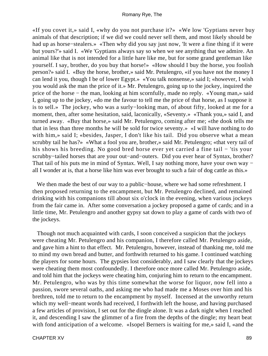«If you covet it,» said I, «why do you not purchase it?» «We low 'Gyptians never buy animals of that description; if we did we could never sell them, and most likely should be had up as horse−stealers.» «Then why did you say just now, 'It were a fine thing if it were but yours?'» said I. «We 'Gyptians always say so when we see anything that we admire. An animal like that is not intended for a little hare like me, but for some grand gentleman like yourself. I say, brother, do you buy that horse!» «How should I buy the horse, you foolish person?» said I. «Buy the horse, brother,» said Mr. Petulengro, «if you have not the money I can lend it you, though I be of lower Egypt.» «You talk nonsense,» said I; «however, I wish you would ask the man the price of it.» Mr. Petulengro, going up to the jockey, inquired the price of the horse − the man, looking at him scornfully, made no reply. «Young man,» said I, going up to the jockey, «do me the favour to tell me the price of that horse, as I suppose it is to sell.» The jockey, who was a surly−looking man, of about fifty, looked at me for a moment, then, after some hesitation, said, laconically, «Seventy.» «Thank you,» said I, and turned away. «Buy that horse,» said Mr. Petulengro, coming after me; «the dook tells me that in less than three months he will be sold for twice seventy.» «I will have nothing to do with him,» said I; «besides, Jasper, I don't like his tail. Did you observe what a mean scrubby tail he has?» «What a fool you are, brother,» said Mr. Petulengro; «that very tail of his shows his breeding. No good bred horse ever yet carried a fine tail − 'tis your scrubby−tailed horses that are your out−and−outers. Did you ever hear of Syntax, brother? That tail of his puts me in mind of Syntax. Well, I say nothing more, have your own way − all I wonder at is, that a horse like him was ever brought to such a fair of dog cattle as this.»

 We then made the best of our way to a public−house, where we had some refreshment. I then proposed returning to the encampment, but Mr. Petulengro declined, and remained drinking with his companions till about six o'clock in the evening, when various jockeys from the fair came in. After some conversation a jockey proposed a game of cards; and in a little time, Mr. Petulengro and another gypsy sat down to play a game of cards with two of the jockeys.

 Though not much acquainted with cards, I soon conceived a suspicion that the jockeys were cheating Mr. Petulengro and his companion, I therefore called Mr. Petulengro aside, and gave him a hint to that effect. Mr. Petulengro, however, instead of thanking me, told me to mind my own bread and butter, and forthwith returned to his game. I continued watching the players for some hours. The gypsies lost considerably, and I saw clearly that the jockeys were cheating them most confoundedly. I therefore once more called Mr. Petulengro aside, and told him that the jockeys were cheating him, conjuring him to return to the encampment. Mr. Petulengro, who was by this time somewhat the worse for liquor, now fell into a passion, swore several oaths, and asking me who had made me a Moses over him and his brethren, told me to return to the encampment by myself. Incensed at the unworthy return which my well−meant words had received, I forthwith left the house, and having purchased a few articles of provision, I set out for the dingle alone. It was a dark night when I reached it, and descending I saw the glimmer of a fire from the depths of the dingle; my heart beat with fond anticipation of a welcome. «Isopel Berners is waiting for me,» said I, «and the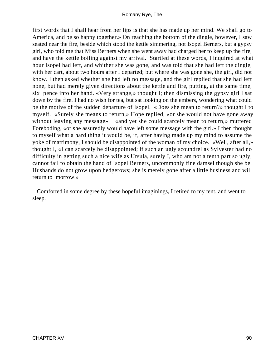first words that I shall hear from her lips is that she has made up her mind. We shall go to America, and be so happy together.» On reaching the bottom of the dingle, however, I saw seated near the fire, beside which stood the kettle simmering, not Isopel Berners, but a gypsy girl, who told me that Miss Berners when she went away had charged her to keep up the fire, and have the kettle boiling against my arrival. Startled at these words, I inquired at what hour Isopel had left, and whither she was gone, and was told that she had left the dingle, with her cart, about two hours after I departed; but where she was gone she, the girl, did not know. I then asked whether she had left no message, and the girl replied that she had left none, but had merely given directions about the kettle and fire, putting, at the same time, six−pence into her hand. «Very strange,» thought I; then dismissing the gypsy girl I sat down by the fire. I had no wish for tea, but sat looking on the embers, wondering what could be the motive of the sudden departure of Isopel. «Does she mean to return?» thought I to myself. «Surely she means to return,» Hope replied, «or she would not have gone away without leaving any message» − «and yet she could scarcely mean to return,» muttered Foreboding, «or she assuredly would have left some message with the girl.» I then thought to myself what a hard thing it would be, if, after having made up my mind to assume the yoke of matrimony, I should be disappointed of the woman of my choice. «Well, after all,» thought I, «I can scarcely be disappointed; if such an ugly scoundrel as Sylvester had no difficulty in getting such a nice wife as Ursula, surely I, who am not a tenth part so ugly, cannot fail to obtain the hand of Isopel Berners, uncommonly fine damsel though she be. Husbands do not grow upon hedgerows; she is merely gone after a little business and will return to−morrow.»

 Comforted in some degree by these hopeful imaginings, I retired to my tent, and went to sleep.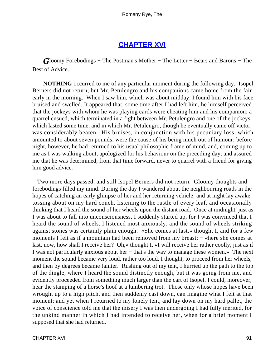# **[CHAPTER XVI](#page-315-0)**

*G*loomy Forebodings – The Postman's Mother – The Letter – Bears and Barons – The Best of Advice.

**NOTHING** occurred to me of any particular moment during the following day. Isopel Berners did not return; but Mr. Petulengro and his companions came home from the fair early in the morning. When I saw him, which was about midday, I found him with his face bruised and swelled. It appeared that, some time after I had left him, he himself perceived that the jockeys with whom he was playing cards were cheating him and his companion; a quarrel ensued, which terminated in a fight between Mr. Petulengro and one of the jockeys, which lasted some time, and in which Mr. Petulengro, though he eventually came off victor, was considerably beaten. His bruises, in conjunction with his pecuniary loss, which amounted to about seven pounds, were the cause of his being much out of humour; before night, however, he had returned to his usual philosophic frame of mind, and, coming up to me as I was walking about, apologized for his behaviour on the preceding day, and assured me that he was determined, from that time forward, never to quarrel with a friend for giving him good advice.

 Two more days passed, and still Isopel Berners did not return. Gloomy thoughts and forebodings filled my mind. During the day I wandered about the neighbouring roads in the hopes of catching an early glimpse of her and her returning vehicle; and at night lay awake, tossing about on my hard couch, listening to the rustle of every leaf, and occasionally thinking that I heard the sound of her wheels upon the distant road. Once at midnight, just as I was about to fall into unconsciousness, I suddenly started up, for I was convinced that I heard the sound of wheels. I listened most anxiously, and the sound of wheels striking against stones was certainly plain enough. «She comes at last,» thought I, and for a few moments I felt as if a mountain had been removed from my breast; – «here she comes at last, now, how shall I receive her? Oh,» thought I, «I will receive her rather coolly, just as if I was not particularly anxious about her − that's the way to manage these women.» The next moment the sound became very loud, rather too loud, I thought, to proceed from her wheels, and then by degrees became fainter. Rushing out of my tent, I hurried up the path to the top of the dingle, where I heard the sound distinctly enough, but it was going from me, and evidently proceeded from something much larger than the cart of Isopel. I could, moreover, hear the stamping of a horse's hoof at a lumbering trot. Those only whose hopes have been wrought up to a high pitch, and then suddenly cast down, can imagine what I felt at that moment; and yet when I returned to my lonely tent, and lay down on my hard pallet, the voice of conscience told me that the misery I was then undergoing I had fully merited, for the unkind manner in which I had intended to receive her, when for a brief moment I supposed that she had returned.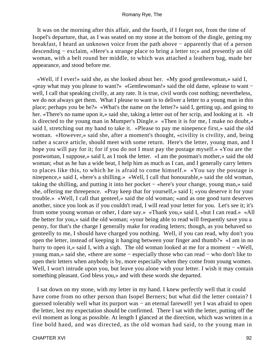It was on the morning after this affair, and the fourth, if I forget not, from the time of Isopel's departure, that, as I was seated on my stone at the bottom of the dingle, getting my breakfast, I heard an unknown voice from the path above − apparently that of a person descending − exclaim, «Here's a strange place to bring a letter to;» and presently an old woman, with a belt round her middle, to which was attached a leathern bag, made her appearance, and stood before me.

 «Well, if I ever!» said she, as she looked about her. «My good gentlewoman,» said I, «pray what may you please to want?» «Gentlewoman!» said the old dame, «please to want − well, I call that speaking civilly, at any rate. It is true, civil words cost nothing; nevertheless, we do not always get them. What I please to want is to deliver a letter to a young man in this place; perhaps you be he?» «What's the name on the letter?» said I, getting up, and going to her. «There's no name upon it,» said she, taking a letter out of her scrip, and looking at it. «It is directed to the young man in Mumper's Dingle.» «Then it is for me, I make no doubt,» said I, stretching out my hand to take it. «Please to pay me ninepence first,» said the old woman. «However,» said she, after a moment's thought, «civility is civility, and, being rather a scarce article, should meet with some return. Here's the letter, young man, and I hope you will pay for it; for if you do not I must pay the postage myself.» «You are the postwoman, I suppose,» said I, as I took the letter. «I am the postman's mother,» said the old woman; «but as he has a wide beat, I help him as much as I can, and I generally carry letters to places like this, to which he is afraid to come himself.» «You say the postage is ninepence,» said I, «here's a shilling.» «Well, I call that honourable,» said the old woman, taking the shilling, and putting it into her pocket − «here's your change, young man,» said she, offering me threepence. «Pray keep that for yourself,» said I; «you deserve it for your trouble.» «Well, I call that genteel,» said the old woman; «and as one good turn deserves another, since you look as if you couldn't read, I will read your letter for you. Let's see it; it's from some young woman or other, I dare say.» «Thank you,» said I, «but I can read.» «All the better for you,» said the old woman; «your being able to read will frequently save you a penny, for that's the charge I generally make for reading letters; though, as you behaved so genteelly to me, I should have charged you nothing. Well, if you can read, why don't you open the letter, instead of keeping it hanging between your finger and thumb?» «I am in no hurry to open it,» said I, with a sigh. The old woman looked at me for a moment − «Well, young man,» said she, «there are some − especially those who can read − who don't like to open their letters when anybody is by, more especially when they come from young women. Well, I won't intrude upon you, but leave you alone with your letter. I wish it may contain something pleasant. God bless you,» and with these words she departed.

 I sat down on my stone, with my letter in my hand. I knew perfectly well that it could have come from no other person than Isopel Berners; but what did the letter contain? I guessed tolerably well what its purport was − an eternal farewell! yet I was afraid to open the letter, lest my expectation should be confirmed. There I sat with the letter, putting off the evil moment as long as possible. At length I glanced at the direction, which was written in a fine bold hand, and was directed, as the old woman had said, to the young man in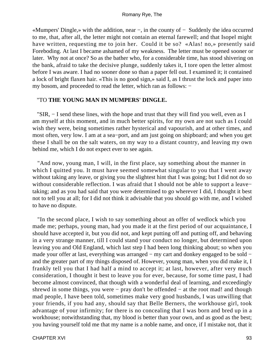«Mumpers' Dingle,» with the addition, near −, in the county of − Suddenly the idea occurred to me, that, after all, the letter might not contain an eternal farewell; and that Isopel might have written, requesting me to join her. Could it be so? «Alas! no,» presently said Foreboding. At last I became ashamed of my weakness. The letter must be opened sooner or later. Why not at once? So as the bather who, for a considerable time, has stood shivering on the bank, afraid to take the decisive plunge, suddenly takes it, I tore open the letter almost before I was aware. I had no sooner done so than a paper fell out. I examined it; it contained a lock of bright flaxen hair. «This is no good sign,» said I, as I thrust the lock and paper into my bosom, and proceeded to read the letter, which ran as follows: −

#### "TO **THE YOUNG MAN IN MUMPERS' DINGLE.**

 "SIR, − I send these lines, with the hope and trust that they will find you well, even as I am myself at this moment, and in much better spirits, for my own are not such as I could wish they were, being sometimes rather hysterical and vapourish, and at other times, and most often, very low. I am at a sea−port, and am just going on shipboard; and when you get these I shall be on the salt waters, on my way to a distant country, and leaving my own behind me, which I do not expect ever to see again.

 "And now, young man, I will, in the first place, say something about the manner in which I quitted you. It must have seemed somewhat singular to you that I went away without taking any leave, or giving you the slightest hint that I was going; but I did not do so without considerable reflection. I was afraid that I should not be able to support a leave− taking; and as you had said that you were determined to go wherever I did, I thought it best not to tell you at all; for I did not think it advisable that you should go with me, and I wished to have no dispute.

 "In the second place, I wish to say something about an offer of wedlock which you made me; perhaps, young man, had you made it at the first period of our acquaintance, I should have accepted it, but you did not, and kept putting off and putting off, and behaving in a very strange manner, till I could stand your conduct no longer, but determined upon leaving you and Old England, which last step I had been long thinking about; so when you made your offer at last, everything was arranged − my cart and donkey engaged to be sold − and the greater part of my things disposed of. However, young man, when you did make it, I frankly tell you that I had half a mind to accept it; at last, however, after very much consideration, I thought it best to leave you for ever, because, for some time past, I had become almost convinced, that though with a wonderful deal of learning, and exceedingly shrewd in some things, you were − pray don't be offended − at the root mad! and though mad people, I have been told, sometimes make very good husbands, I was unwilling that your friends, if you had any, should say that Belle Berners, the workhouse girl, took advantage of your infirmity; for there is no concealing that I was born and bred up in a workhouse; notwithstanding that, my blood is better than your own, and as good as the best; you having yourself told me that my name is a noble name, and once, if I mistake not, that it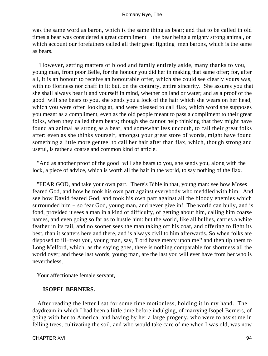was the same word as baron, which is the same thing as bear; and that to be called in old times a bear was considered a great compliment – the bear being a mighty strong animal, on which account our forefathers called all their great fighting−men barons, which is the same as bears.

 "However, setting matters of blood and family entirely aside, many thanks to you, young man, from poor Belle, for the honour you did her in making that same offer; for, after all, it is an honour to receive an honourable offer, which she could see clearly yours was, with no floriness nor chaff in it; but, on the contrary, entire sincerity. She assures you that she shall always bear it and yourself in mind, whether on land or water; and as a proof of the good−will she bears to you, she sends you a lock of the hair which she wears on her head, which you were often looking at, and were pleased to call flax, which word she supposes you meant as a compliment, even as the old people meant to pass a compliment to their great folks, when they called them bears; though she cannot help thinking that they might have found an animal as strong as a bear, and somewhat less uncouth, to call their great folks after: even as she thinks yourself, amongst your great store of words, might have found something a little more genteel to call her hair after than flax, which, though strong and useful, is rather a coarse and common kind of article.

 "And as another proof of the good−will she bears to you, she sends you, along with the lock, a piece of advice, which is worth all the hair in the world, to say nothing of the flax.

 "FEAR GOD, and take your own part. There's Bible in that, young man: see how Moses feared God, and how he took his own part against everybody who meddled with him. And see how David feared God, and took his own part against all the bloody enemies which surrounded him − so fear God, young man, and never give in! The world can bully, and is fond, provided it sees a man in a kind of difficulty, of getting about him, calling him coarse names, and even going so far as to hustle him: but the world, like all bullies, carries a white feather in its tail, and no sooner sees the man taking off his coat, and offering to fight its best, than it scatters here and there, and is always civil to him afterwards. So when folks are disposed to ill−treat you, young man, say, 'Lord have mercy upon me!' and then tip them to Long Melford, which, as the saying goes, there is nothing comparable for shortness all the world over; and these last words, young man, are the last you will ever have from her who is nevertheless,

Your affectionate female servant,

### **ISOPEL BERNERS.**

 After reading the letter I sat for some time motionless, holding it in my hand. The daydream in which I had been a little time before indulging, of marrying Isopel Berners, of going with her to America, and having by her a large progeny, who were to assist me in felling trees, cultivating the soil, and who would take care of me when I was old, was now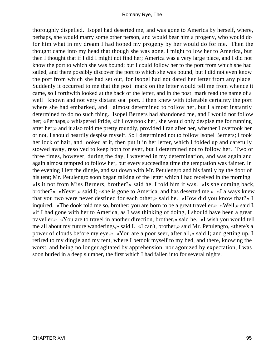thoroughly dispelled. Isopel had deserted me, and was gone to America by herself, where, perhaps, she would marry some other person, and would bear him a progeny, who would do for him what in my dream I had hoped my progeny by her would do for me. Then the thought came into my head that though she was gone, I might follow her to America, but then I thought that if I did I might not find her; America was a very large place, and I did not know the port to which she was bound; but I could follow her to the port from which she had sailed, and there possibly discover the port to which she was bound; but I did not even know the port from which she had set out, for Isopel had not dated her letter from any place. Suddenly it occurred to me that the post−mark on the letter would tell me from whence it came, so I forthwith looked at the back of the letter, and in the post−mark read the name of a well− known and not very distant sea−port. I then knew with tolerable certainty the port where she had embarked, and I almost determined to follow her, but I almost instantly determined to do no such thing. Isopel Berners had abandoned me, and I would not follow her; «Perhaps,» whispered Pride, «if I overtook her, she would only despise me for running after her;» and it also told me pretty roundly, provided I ran after her, whether I overtook her or not, I should heartily despise myself. So I determined not to follow Isopel Berners; I took her lock of hair, and looked at it, then put it in her letter, which I folded up and carefully stowed away, resolved to keep both for ever, but I determined not to follow her. Two or three times, however, during the day, I wavered in my determination, and was again and again almost tempted to follow her, but every succeeding time the temptation was fainter. In the evening I left the dingle, and sat down with Mr. Petulengro and his family by the door of his tent; Mr. Petulengro soon began talking of the letter which I had received in the morning. «Is it not from Miss Berners, brother?» said he. I told him it was. «Is she coming back, brother?» «Never,» said I; «she is gone to America, and has deserted me.» «I always knew that you two were never destined for each other,» said he. «How did you know that?» I inquired. «The dook told me so, brother; you are born to be a great traveller.» «Well,» said I, «if I had gone with her to America, as I was thinking of doing, I should have been a great traveller.» «You are to travel in another direction, brother,» said he. «I wish you would tell me all about my future wanderings,» said I. «I can't, brother,» said Mr. Petulengro, «there's a power of clouds before my eye.» «You are a poor seer, after all,» said I; and getting up, I retired to my dingle and my tent, where I betook myself to my bed, and there, knowing the worst, and being no longer agitated by apprehension, nor agonized by expectation, I was soon buried in a deep slumber, the first which I had fallen into for several nights.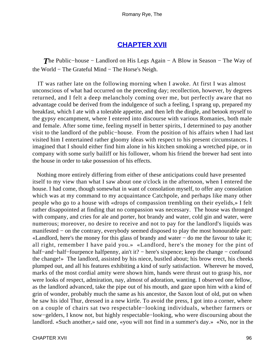## **[CHAPTER XVII](#page-315-0)**

*T*he Public−house − Landlord on His Legs Again − A Blow in Season − The Way of the World − The Grateful Mind − The Horse's Neigh.

 IT was rather late on the following morning when I awoke. At first I was almost unconscious of what had occurred on the preceding day; recollection, however, by degrees returned, and I felt a deep melancholy coming over me, but perfectly aware that no advantage could be derived from the indulgence of such a feeling, I sprang up, prepared my breakfast, which I ate with a tolerable appetite, and then left the dingle, and betook myself to the gypsy encampment, where I entered into discourse with various Romanies, both male and female. After some time, feeling myself in better spirits, I determined to pay another visit to the landlord of the public−house. From the position of his affairs when I had last visited him I entertained rather gloomy ideas with respect to his present circumstances. I imagined that I should either find him alone in his kitchen smoking a wretched pipe, or in company with some surly bailiff or his follower, whom his friend the brewer had sent into the house in order to take possession of his effects.

 Nothing more entirely differing from either of these anticipations could have presented itself to my view than what I saw about one o'clock in the afternoon, when I entered the house. I had come, though somewhat in want of consolation myself, to offer any consolation which was at my command to my acquaintance Catchpole, and perhaps like many other people who go to a house with «drops of compassion trembling on their eyelids,» I felt rather disappointed at finding that no compassion was necessary. The house was thronged with company, and cries for ale and porter, hot brandy and water, cold gin and water, were numerous; moreover, no desire to receive and not to pay for the landlord's liquids was manifested – on the contrary, everybody seemed disposed to play the most honourable part: «Landlord, here's the money for this glass of brandy and water − do me the favour to take it; all right, remember I have paid you.» «Landlord, here's the money for the pint of half–and–half–fourpence halfpenny, ain't it? – here's sixpence; keep the change – confound the change!» The landlord, assisted by his niece, bustled about; his brow erect, his cheeks plumped out, and all his features exhibiting a kind of surly satisfaction. Wherever he moved, marks of the most cordial amity were shown him, hands were thrust out to grasp his, nor were looks of respect, admiration, nay, almost of adoration, wanting. I observed one fellow, as the landlord advanced, take the pipe out of his mouth, and gaze upon him with a kind of grin of wonder, probably much the same as his ancestor, the Saxon lout of old, put on when he saw his idol Thur, dressed in a new kirtle. To avoid the press, I got into a corner, where on a couple of chairs sat two respectable−looking individuals, whether farmers or sow−gelders, I know not, but highly respectable−looking, who were discoursing about the landlord. «Such another,» said one, «you will not find in a summer's day.» «No, nor in the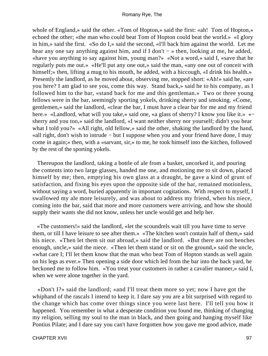whole of England,» said the other. «Tom of Hopton,» said the first: «ah! Tom of Hopton,» echoed the other; «the man who could beat Tom of Hopton could beat the world.» «I glory in him,» said the first. «So do I,» said the second, «I'll back him against the world. Let me hear any one say anything against him, and if I don't − » then, looking at me, he added, «have you anything to say against him, young man?» «Not a word,» said I, «save that he regularly puts me out.» «He'll put any one out,» said the man, «any one out of conceit with himself;» then, lifting a mug to his mouth, he added, with a hiccough, «I drink his health.» Presently the landlord, as he moved about, observing me, stopped short: «Ah!» said he, «are you here? I am glad to see you, come this way. Stand back,» said he to his company, as I followed him to the bar, «stand back for me and this gentleman.» Two or three young fellows were in the bar, seemingly sporting yokels, drinking sherry and smoking. «Come, gentlemen,» said the landlord, «clear the bar, I must have a clear bar for me and my friend here.» «Landlord, what will you take,» said one, «a glass of sherry? I know you like it.» «− sherry and you too,» said the landlord, «I want neither sherry nor yourself; didn't you hear what I told you?» «All right, old fellow,» said the other, shaking the landlord by the hand, «all right, don't wish to intrude − but I suppose when you and your friend have done, I may come in again;» then, with a «sarvant, sir,» to me, he took himself into the kitchen, followed by the rest of the sporting yokels.

 Thereupon the landlord, taking a bottle of ale from a basket, uncorked it, and pouring the contents into two large glasses, handed me one, and motioning me to sit down, placed himself by me; then, emptying his own glass at a draught, he gave a kind of grunt of satisfaction, and fixing his eyes upon the opposite side of the bar, remained motionless, without saying a word, buried apparently in important cogitations. With respect to myself, I swallowed my ale more leisurely, and was about to address my friend, when his niece, coming into the bar, said that more and more customers were arriving, and how she should supply their wants she did not know, unless her uncle would get and help her.

 «The customers!» said the landlord, «let the scoundrels wait till you have time to serve them, or till I have leisure to see after them.» «The kitchen won't contain half of them,» said his niece. «Then let them sit out abroad,» said the landlord. «But there are not benches enough, uncle,» said the niece. «Then let them stand or sit on the ground,» said the uncle, «what care I; I'll let them know that the man who beat Tom of Hopton stands as well again on his legs as ever.» Then opening a side door which led from the bar into the back yard, he beckoned me to follow him. «You treat your customers in rather a cavalier manner,» said I, when we were alone together in the yard.

 «Don't I?» said the landlord; «and I'll treat them more so yet; now I have got the whiphand of the rascals I intend to keep it. I dare say you are a bit surprised with regard to the change which has come over things since you were last here. I'll tell you how it happened. You remember in what a desperate condition you found me, thinking of changing my religion, selling my soul to the man in black, and then going and hanging myself like Pontius Pilate; and I dare say you can't have forgotten how you gave me good advice, made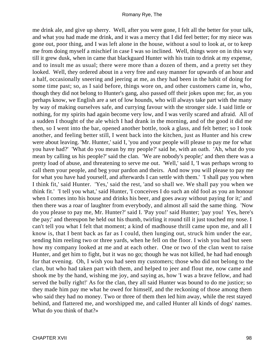me drink ale, and give up sherry. Well, after you were gone, I felt all the better for your talk, and what you had made me drink, and it was a mercy that I did feel better; for my niece was gone out, poor thing, and I was left alone in the house, without a soul to look at, or to keep me from doing myself a mischief in case I was so inclined. Well, things wore on in this way till it grew dusk, when in came that blackguard Hunter with his train to drink at my expense, and to insult me as usual; there were more than a dozen of them, and a pretty set they looked. Well, they ordered about in a very free and easy manner for upwards of an hour and a half, occasionally sneering and jeering at me, as they had been in the habit of doing for some time past; so, as I said before, things wore on, and other customers came in, who, though they did not belong to Hunter's gang, also passed off their jokes upon me; for, as you perhaps know, we English are a set of low hounds, who will always take part with the many by way of making ourselves safe, and currying favour with the stronger side. I said little or nothing, for my spirits had again become very low, and I was verily scared and afraid. All of a sudden I thought of the ale which I had drank in the morning, and of the good it did me then, so I went into the bar, opened another bottle, took a glass, and felt better; so I took another, and feeling better still, I went back into the kitchen, just as Hunter and his crew were about leaving. 'Mr. Hunter,' said I, 'you and your people will please to pay me for what you have had?' 'What do you mean by my people?' said he, with an oath. 'Ah, what do you mean by calling us his people?' said the clan. 'We are nobody's people;' and then there was a pretty load of abuse, and threatening to serve me out. 'Well,' said I, 'I was perhaps wrong to call them your people, and beg your pardon and theirs. And now you will please to pay me for what you have had yourself, and afterwards I can settle with them.' 'I shall pay you when I think fit,' said Hunter. 'Yes,' said the rest, 'and so shall we. We shall pay you when we think fit.' 'I tell you what,' said Hunter, 'I conceives I do such an old fool as you an honour when I comes into his house and drinks his beer, and goes away without paying for it;' and then there was a roar of laughter from everybody, and almost all said the same thing. 'Now do you please to pay me, Mr. Hunter?' said I. 'Pay you!' said Hunter; 'pay you! Yes, here's the pay;' and thereupon he held out his thumb, twirling it round till it just touched my nose. I can't tell you what I felt that moment; a kind of madhouse thrill came upon me, and all I know is, that I bent back as far as I could, then lunging out, struck him under the ear, sending him reeling two or three yards, when he fell on the floor. I wish you had but seen how my company looked at me and at each other. One or two of the clan went to raise Hunter, and get him to fight, but it was no go; though he was not killed, he had had enough for that evening. Oh, I wish you had seen my customers; those who did not belong to the clan, but who had taken part with them, and helped to jeer and flout me, now came and shook me by the hand, wishing me joy, and saying as, how 'I was a brave fellow, and had served the bully right!' As for the clan, they all said Hunter was bound to do me justice; so they made him pay me what he owed for himself, and the reckoning of those among them who said they had no money. Two or three of them then led him away, while the rest stayed behind, and flattered me, and worshipped me, and called Hunter all kinds of dogs' names. What do you think of that?»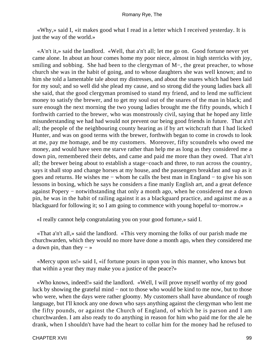«Why,» said I, «it makes good what I read in a letter which I received yesterday. It is just the way of the world.»

 «A'n't it,» said the landlord. «Well, that a'n't all; let me go on. Good fortune never yet came alone. In about an hour comes home my poor niece, almost in high sterricks with joy, smiling and sobbing. She had been to the clergyman of M−, the great preacher, to whose church she was in the habit of going, and to whose daughters she was well known; and to him she told a lamentable tale about my distresses, and about the snares which had been laid for my soul; and so well did she plead my cause, and so strong did the young ladies back all she said, that the good clergyman promised to stand my friend, and to lend me sufficient money to satisfy the brewer, and to get my soul out of the snares of the man in black; and sure enough the next morning the two young ladies brought me the fifty pounds, which I forthwith carried to the brewer, who was monstrously civil, saying that he hoped any little misunderstanding we had had would not prevent our being good friends in future. That a'n't all; the people of the neighbouring county hearing as if by art witchcraft that I had licked Hunter, and was on good terms with the brewer, forthwith began to come in crowds to look at me, pay me homage, and be my customers. Moreover, fifty scoundrels who owed me money, and would have seen me starve rather than help me as long as they considered me a down pin, remembered their debts, and came and paid me more than they owed. That a'n't all; the brewer being about to establish a stage−coach and three, to run across the country, says it shall stop and change horses at my house, and the passengers breakfast and sup as it goes and returns. He wishes me − whom he calls the best man in England − to give his son lessons in boxing, which he says he considers a fine manly English art, and a great defence against Popery − notwithstanding that only a month ago, when he considered me a down pin, he was in the habit of railing against it as a blackguard practice, and against me as a blackguard for following it; so I am going to commence with young hopeful to−morrow.»

«I really cannot help congratulating you on your good fortune,» said I.

 «That a'n't all,» said the landlord. «This very morning the folks of our parish made me churchwarden, which they would no more have done a month ago, when they considered me a down pin, than they  $-\infty$ 

 «Mercy upon us!» said I, «if fortune pours in upon you in this manner, who knows but that within a year they may make you a justice of the peace?»

 «Who knows, indeed!» said the landlord. «Well, I will prove myself worthy of my good luck by showing the grateful mind − not to those who would be kind to me now, but to those who were, when the days were rather gloomy. My customers shall have abundance of rough language, but I'll knock any one down who says anything against the clergyman who lent me the fifty pounds, or against the Church of England, of which he is parson and I am churchwarden. I am also ready to do anything in reason for him who paid me for the ale he drank, when I shouldn't have had the heart to collar him for the money had he refused to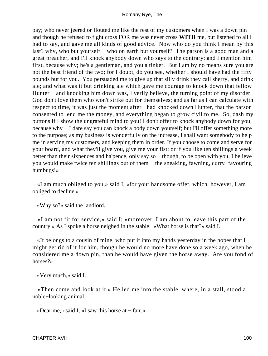pay; who never jeered or flouted me like the rest of my customers when I was a down pin − and though he refused to fight cross FOR me was never cross **WITH** me, but listened to all I had to say, and gave me all kinds of good advice. Now who do you think I mean by this last? why, who but yourself − who on earth but yourself? The parson is a good man and a great preacher, and I'll knock anybody down who says to the contrary; and I mention him first, because why; he's a gentleman, and you a tinker. But I am by no means sure you are not the best friend of the two; for I doubt, do you see, whether I should have had the fifty pounds but for you. You persuaded me to give up that silly drink they call sherry, and drink ale; and what was it but drinking ale which gave me courage to knock down that fellow Hunter – and knocking him down was, I verily believe, the turning point of my disorder. God don't love them who won't strike out for themselves; and as far as I can calculate with respect to time, it was just the moment after I had knocked down Hunter, that the parson consented to lend me the money, and everything began to grow civil to me. So, dash my buttons if I show the ungrateful mind to you! I don't offer to knock anybody down for you, because why − I dare say you can knock a body down yourself; but I'll offer something more to the purpose; as my business is wonderfully on the increase, I shall want somebody to help me in serving my customers, and keeping them in order. If you choose to come and serve for your board, and what they'll give you, give me your fist; or if you like ten shillings a week better than their sixpences and ha'pence, only say so – though, to be open with you, I believe you would make twice ten shillings out of them − the sneaking, fawning, curry−favouring humbugs!»

 «I am much obliged to you,» said I, «for your handsome offer, which, however, I am obliged to decline.»

«Why so?» said the landlord.

 «I am not fit for service,» said I; «moreover, I am about to leave this part of the country.» As I spoke a horse neighed in the stable. «What horse is that?» said I.

 «It belongs to a cousin of mine, who put it into my hands yesterday in the hopes that I might get rid of it for him, though he would no more have done so a week ago, when he considered me a down pin, than he would have given the horse away. Are you fond of horses?»

«Very much,» said I.

 «Then come and look at it.» He led me into the stable, where, in a stall, stood a noble−looking animal.

«Dear me,» said I, «I saw this horse at − fair.»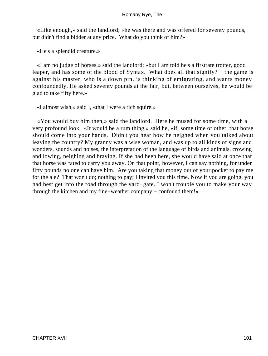«Like enough,» said the landlord; «he was there and was offered for seventy pounds, but didn't find a bidder at any price. What do you think of him?»

«He's a splendid creature.»

 «I am no judge of horses,» said the landlord; «but I am told he's a firstrate trotter, good leaper, and has some of the blood of Syntax. What does all that signify? − the game is against his master, who is a down pin, is thinking of emigrating, and wants money confoundedly. He asked seventy pounds at the fair; but, between ourselves, he would be glad to take fifty here.»

«I almost wish,» said I, «that I were a rich squire.»

 «You would buy him then,» said the landlord. Here he mused for some time, with a very profound look. «It would be a rum thing,» said he, «if, some time or other, that horse should come into your hands. Didn't you hear how he neighed when you talked about leaving the country? My granny was a wise woman, and was up to all kinds of signs and wonders, sounds and noises, the interpretation of the language of birds and animals, crowing and lowing, neighing and braying. If she had been here, she would have said at once that that horse was fated to carry you away. On that point, however, I can say nothing, for under fifty pounds no one can have him. Are you taking that money out of your pocket to pay me for the ale? That won't do; nothing to pay; I invited you this time. Now if you are going, you had best get into the road through the yard−gate. I won't trouble you to make your way through the kitchen and my fine−weather company − confound them!»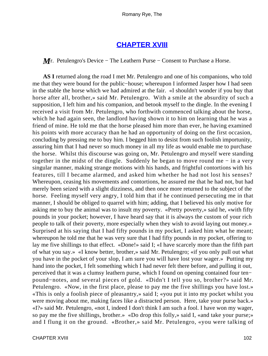## **[CHAPTER XVIII](#page-315-0)**

*M* **r**. Petulengro's Device – The Leathern Purse – Consent to Purchase a Horse.

**AS I** returned along the road I met Mr. Petulengro and one of his companions, who told me that they were bound for the public−house; whereupon I informed Jasper how I had seen in the stable the horse which we had admired at the fair. «I shouldn't wonder if you buy that horse after all, brother,» said Mr. Petulengro. With a smile at the absurdity of such a supposition, I left him and his companion, and betook myself to the dingle. In the evening I received a visit from Mr. Petulengro, who forthwith commenced talking about the horse, which he had again seen, the landlord having shown it to him on learning that he was a friend of mine. He told me that the horse pleased him more than ever, he having examined his points with more accuracy than he had an opportunity of doing on the first occasion, concluding by pressing me to buy him. I begged him to desist from such foolish importunity, assuring him that I had never so much money in all my life as would enable me to purchase the horse. Whilst this discourse was going on, Mr. Petulengro and myself were standing together in the midst of the dingle. Suddenly he began to move round me − in a very singular manner, making strange motions with his hands, and frightful contortions with his features, till I became alarmed, and asked him whether he had not lost his senses? Whereupon, ceasing his movements and contortions, he assured me that he had not, but had merely been seized with a slight dizziness, and then once more returned to the subject of the horse. Feeling myself very angry, I told him that if he continued persecuting me in that manner, I should be obliged to quarrel with him; adding, that I believed his only motive for asking me to buy the animal was to insult my poverty. «Pretty poverty,» said he, «with fifty pounds in your pocket; however, I have heard say that it is always the custom of your rich people to talk of their poverty, more especially when they wish to avoid laying out money.» Surprised at his saying that I had fifty pounds in my pocket, I asked him what he meant; whereupon he told me that he was very sure that I had fifty pounds in my pocket, offering to lay me five shillings to that effect. «Done!» said I; «I have scarcely more than the fifth part of what you say.» «I know better, brother,» said Mr. Petulengro; «if you only pull out what you have in the pocket of your slop, I am sure you will have lost your wager.» Putting my hand into the pocket, I felt something which I had never felt there before, and pulling it out, perceived that it was a clumsy leathern purse, which I found on opening contained four ten− pound−notes, and several pieces of gold. «Didn't I tell you so, brother?» said Mr. Petulengro. «Now, in the first place, please to pay me the five shillings you have lost.» «This is only a foolish piece of pleasantry,» said I; «you put it into my pocket whilst you were moving about me, making faces like a distracted person. Here, take your purse back.» «I?» said Mr. Petulengro, «not I, indeed I don't think I am such a fool. I have won my wager, so pay me the five shillings, brother.» «Do drop this folly,» said I, «and take your purse;» and I flung it on the ground. «Brother,» said Mr. Petulengro, «you were talking of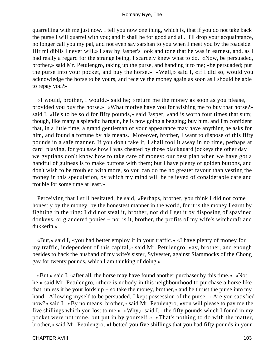quarrelling with me just now. I tell you now one thing, which is, that if you do not take back the purse I will quarrel with you; and it shall be for good and all. I'll drop your acquaintance, no longer call you my pal, and not even say sarshan to you when I meet you by the roadside. Hir mi diblis I never will.» I saw by Jasper's look and tone that he was in earnest, and, as I had really a regard for the strange being, I scarcely knew what to do. «Now, be persuaded, brother,» said Mr. Petulengro, taking up the purse, and handing it to me; «be persuaded; put the purse into your pocket, and buy the horse.» «Well,» said I, «if I did so, would you acknowledge the horse to be yours, and receive the money again as soon as I should be able to repay you?»

 «I would, brother, I would,» said he; «return me the money as soon as you please, provided you buy the horse.» «What motive have you for wishing me to buy that horse?» said I. «He's to be sold for fifty pounds,» said Jasper, «and is worth four times that sum; though, like many a splendid bargain, he is now going a begging; buy him, and I'm confident that, in a little time, a grand gentleman of your appearance may have anything he asks for him, and found a fortune by his means. Moreover, brother, I want to dispose of this fifty pounds in a safe manner. If you don't take it, I shall fool it away in no time, perhaps at card−playing, for you saw how I was cheated by those blackguard jockeys the other day − we gyptians don't know how to take care of money: our best plan when we have got a handful of guineas is to make buttons with them; but I have plenty of golden buttons, and don't wish to be troubled with more, so you can do me no greater favour than vesting the money in this speculation, by which my mind will be relieved of considerable care and trouble for some time at least.»

 Perceiving that I still hesitated, he said, «Perhaps, brother, you think I did not come honestly by the money: by the honestest manner in the world, for it is the money I earnt by fighting in the ring: I did not steal it, brother, nor did I get it by disposing of spavined donkeys, or glandered ponies − nor is it, brother, the profits of my wife's witchcraft and dukkerin.»

 «But,» said I, «you had better employ it in your traffic.» «I have plenty of money for my traffic, independent of this capital,» said Mr. Petulengro; «ay, brother, and enough besides to back the husband of my wife's sister, Sylvester, against Slammocks of the Chong gav for twenty pounds, which I am thinking of doing.»

 «But,» said I, «after all, the horse may have found another purchaser by this time.» «Not he,» said Mr. Petulengro, «there is nobody in this neighbourhood to purchase a horse like that, unless it be your lordship − so take the money, brother,» and he thrust the purse into my hand. Allowing myself to be persuaded, I kept possession of the purse. «Are you satisfied now?» said I. «By no means, brother,» said Mr. Petulengro, «you will please to pay me the five shillings which you lost to me.» «Why,» said I, «the fifty pounds which I found in my pocket were not mine, but put in by yourself.» «That's nothing to do with the matter, brother,» said Mr. Petulengro, «I betted you five shillings that you had fifty pounds in your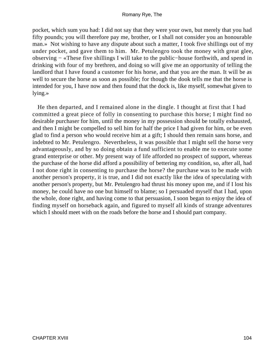pocket, which sum you had: I did not say that they were your own, but merely that you had fifty pounds; you will therefore pay me, brother, or I shall not consider you an honourable man.» Not wishing to have any dispute about such a matter, I took five shillings out of my under pocket, and gave them to him. Mr. Petulengro took the money with great glee, observing − «These five shillings I will take to the public−house forthwith, and spend in drinking with four of my brethren, and doing so will give me an opportunity of telling the landlord that I have found a customer for his horse, and that you are the man. It will be as well to secure the horse as soon as possible; for though the dook tells me that the horse is intended for you, I have now and then found that the dock is, like myself, somewhat given to lying.»

 He then departed, and I remained alone in the dingle. I thought at first that I had committed a great piece of folly in consenting to purchase this horse; I might find no desirable purchaser for him, until the money in my possession should be totally exhausted, and then I might be compelled to sell him for half the price I had given for him, or be even glad to find a person who would receive him at a gift; I should then remain sans horse, and indebted to Mr. Petulengro. Nevertheless, it was possible that I might sell the horse very advantageously, and by so doing obtain a fund sufficient to enable me to execute some grand enterprise or other. My present way of life afforded no prospect of support, whereas the purchase of the horse did afford a possibility of bettering my condition, so, after all, had I not done right in consenting to purchase the horse? the purchase was to be made with another person's property, it is true, and I did not exactly like the idea of speculating with another person's property, but Mr. Petulengro had thrust his money upon me, and if I lost his money, he could have no one but himself to blame; so I persuaded myself that I had, upon the whole, done right, and having come to that persuasion, I soon began to enjoy the idea of finding myself on horseback again, and figured to myself all kinds of strange adventures which I should meet with on the roads before the horse and I should part company.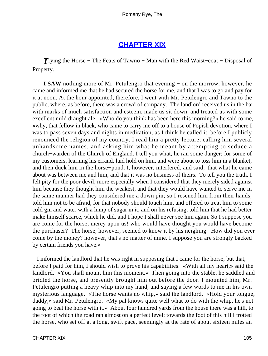# **[CHAPTER XIX](#page-315-0)**

*T*rying the Horse − The Feats of Tawno − Man with the Red Waist−coat − Disposal of Property.

**I SAW** nothing more of Mr. Petulengro that evening − on the morrow, however, he came and informed me that he had secured the horse for me, and that I was to go and pay for it at noon. At the hour appointed, therefore, I went with Mr. Petulengro and Tawno to the public, where, as before, there was a crowd of company. The landlord received us in the bar with marks of much satisfaction and esteem, made us sit down, and treated us with some excellent mild draught ale. «Who do you think has been here this morning?» he said to me, «why, that fellow in black, who came to carry me off to a house of Popish devotion, where I was to pass seven days and nights in meditation, as I think he called it, before I publicly renounced the religion of my country. I read him a pretty lecture, calling him several unhandsome names, and asking him what he meant by attempting to seduce a church−warden of the Church of England. I tell you what, he ran some danger; for some of my customers, learning his errand, laid hold on him, and were about to toss him in a blanket, and then duck him in the horse−pond. I, however, interfered, and said, 'that what he came about was between me and him, and that it was no business of theirs.' To tell you the truth, I felt pity for the poor devil, more especially when I considered that they merely sided against him because they thought him the weakest, and that they would have wanted to serve me in the same manner had they considered me a down pin; so I rescued him from their hands, told him not to be afraid, for that nobody should touch him, and offered to treat him to some cold gin and water with a lump of sugar in it; and on his refusing, told him that he had better make himself scarce, which he did, and I hope I shall never see him again. So I suppose you are come for the horse; mercy upon us! who would have thought you would have become the purchaser? The horse, however, seemed to know it by his neighing. How did you ever come by the money? however, that's no matter of mine. I suppose you are strongly backed by certain friends you have.»

 I informed the landlord that he was right in supposing that I came for the horse, but that, before I paid for him, I should wish to prove his capabilities. «With all my heart,» said the landlord. «You shall mount him this moment.» Then going into the stable, he saddled and bridled the horse, and presently brought him out before the door. I mounted him, Mr. Petulengro putting a heavy whip into my hand, and saying a few words to me in his own mysterious language. «The horse wants no whip,» said the landlord. «Hold your tongue, daddy,» said Mr. Petulengro. «My pal knows quite well what to do with the whip, he's not going to beat the horse with it.» About four hundred yards from the house there was a hill, to the foot of which the road ran almost on a perfect level; towards the foot of this hill I trotted the horse, who set off at a long, swift pace, seemingly at the rate of about sixteen miles an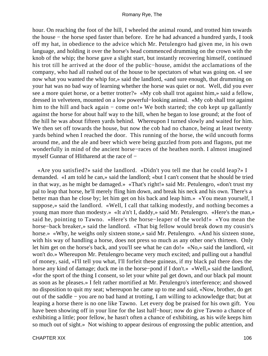hour. On reaching the foot of the hill, I wheeled the animal round, and trotted him towards the house − the horse sped faster than before. Ere he had advanced a hundred yards, I took off my hat, in obedience to the advice which Mr. Petulengro had given me, in his own language, and holding it over the horse's head commenced drumming on the crown with the knob of the whip; the horse gave a slight start, but instantly recovering himself, continued his trot till he arrived at the door of the public−house, amidst the acclamations of the company, who had all rushed out of the house to be spectators of what was going on. «I see now what you wanted the whip for,» said the landlord, «and sure enough, that drumming on your hat was no bad way of learning whether the horse was quiet or not. Well, did you ever see a more quiet horse, or a better trotter?» «My cob shall trot against him,» said a fellow, dressed in velveteen, mounted on a low powerful−looking animal. «My cob shall trot against him to the hill and back again − come on!» We both started; the cob kept up gallantly against the horse for about half way to the hill, when he began to lose ground; at the foot of the hill he was about fifteen yards behind. Whereupon I turned slowly and waited for him. We then set off towards the house, but now the cob had no chance, being at least twenty yards behind when I reached the door. This running of the horse, the wild uncouth forms around me, and the ale and beer which were being guzzled from pots and flagons, put me wonderfully in mind of the ancient horse−races of the heathen north. I almost imagined myself Gunnar of Hlitharend at the race of −

 «Are you satisfied?» said the landlord. «Didn't you tell me that he could leap?» I demanded. «I am told he can,» said the landlord; «but I can't consent that he should be tried in that way, as he might be damaged.» «That's right!» said Mr. Petulengro, «don't trust my pal to leap that horse, he'll merely fling him down, and break his neck and his own. There's a better man than he close by; let him get on his back and leap him.» «You mean yourself, I suppose,» said the landlord. «Well, I call that talking modestly, and nothing becomes a young man more than modesty.» «It a'n't I, daddy,» said Mr. Petulengro. «Here's the man,» said he, pointing to Tawno. «Here's the horse−leaper of the world!» «You mean the horse−back breaker,» said the landlord. «That big fellow would break down my cousin's horse.» «Why, he weighs only sixteen stone,» said Mr. Petulengro. «And his sixteen stone, with his way of handling a horse, does not press so much as any other one's thirteen. Only let him get on the horse's back, and you'll see what he can do!» «No,» said the landlord, «it won't do.» Whereupon Mr. Petulengro became very much excited; and pulling out a handful of money, said, «I'll tell you what, I'll forfeit these guineas, if my black pal there does the horse any kind of damage; duck me in the horse−pond if I don't.» «Well,» said the landlord, «for the sport of the thing I consent, so let your white pal get down, and our black pal mount as soon as he pleases.» I felt rather mortified at Mr. Petulengro's interference; and showed no disposition to quit my seat; whereupon he came up to me and said, «Now, brother, do get out of the saddle − you are no bad hand at trotting, I am willing to acknowledge that; but at leaping a horse there is no one like Tawno. Let every dog be praised for his own gift. You have been showing off in your line for the last half−hour; now do give Tawno a chance of exhibiting a little; poor fellow, he hasn't often a chance of exhibiting, as his wife keeps him so much out of sight.» Not wishing to appear desirous of engrossing the public attention, and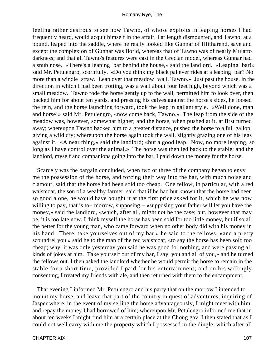feeling rather desirous to see how Tawno, of whose exploits in leaping horses I had frequently heard, would acquit himself in the affair, I at length dismounted, and Tawno, at a bound, leaped into the saddle, where he really looked like Gunnar of Hlitharend, save and except the complexion of Gunnar was florid, whereas that of Tawno was of nearly Mulatto darkness; and that all Tawno's features were cast in the Grecian model, whereas Gunnar had a snub nose. «There's a leaping−bar behind the house,» said the landlord. «Leaping−bar!» said Mr. Petulengro, scornfully. «Do you think my black pal ever rides at a leaping−bar? No more than a windle−straw. Leap over that meadow−wall, Tawno.» Just past the house, in the direction in which I had been trotting, was a wall about four feet high, beyond which was a small meadow. Tawno rode the horse gently up to the wall, permitted him to look over, then backed him for about ten yards, and pressing his calves against the horse's sides, he loosed the rein, and the horse launching forward, took the leap in gallant style. «Well done, man and horse!» said Mr. Petulengro, «now come back, Tawno.» The leap from the side of the meadow was, however, somewhat higher; and the horse, when pushed at it, at first turned away; whereupon Tawno backed him to a greater distance, pushed the horse to a full gallop, giving a wild cry; whereupon the horse again took the wall, slightly grazing one of his legs against it. «A near thing,» said the landlord; «but a good leap. Now, no more leaping, so long as I have control over the animal.» The horse was then led back to the stable; and the landlord, myself and companions going into the bar, I paid down the money for the horse.

 Scarcely was the bargain concluded, when two or three of the company began to envy me the possession of the horse, and forcing their way into the bar, with much noise and clamour, said that the horse had been sold too cheap. One fellow, in particular, with a red waistcoat, the son of a wealthy farmer, said that if he had but known that the horse had been so good a one, he would have bought it at the first price asked for it, which he was now willing to pay, that is to– morrow, supposing – «supposing your father will let you have the money,» said the landlord, «which, after all, might not be the case; but, however that may be, it is too late now. I think myself the horse has been sold for too little money, but if so all the better for the young man, who came forward when no other body did with his money in his hand. There, take yourselves out of my bar,» he said to the fellows; «and a pretty scoundrel you,» said he to the man of the red waistcoat, «to say the horse has been sold too cheap; why, it was only yesterday you said he was good for nothing, and were passing all kinds of jokes at him. Take yourself out of my bar, I say, you and all of you,» and he turned the fellows out. I then asked the landlord whether he would permit the horse to remain in the stable for a short time, provided I paid for his entertainment; and on his willingly consenting, I treated my friends with ale, and then returned with them to the encampment.

 That evening I informed Mr. Petulengro and his party that on the morrow I intended to mount my horse, and leave that part of the country in quest of adventures; inquiring of Jasper where, in the event of my selling the horse advantageously, I might meet with him, and repay the money I had borrowed of him; whereupon Mr. Petulengro informed me that in about ten weeks I might find him at a certain place at the Chong gav. I then stated that as I could not well carry with me the property which I possessed in the dingle, which after all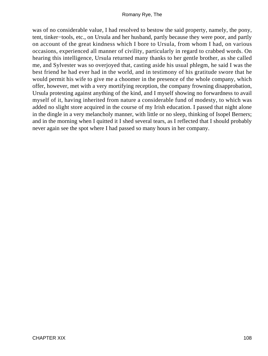was of no considerable value, I had resolved to bestow the said property, namely, the pony, tent, tinker−tools, etc., on Ursula and her husband, partly because they were poor, and partly on account of the great kindness which I bore to Ursula, from whom I had, on various occasions, experienced all manner of civility, particularly in regard to crabbed words. On hearing this intelligence, Ursula returned many thanks to her gentle brother, as she called me, and Sylvester was so overjoyed that, casting aside his usual phlegm, he said I was the best friend he had ever had in the world, and in testimony of his gratitude swore that he would permit his wife to give me a choomer in the presence of the whole company, which offer, however, met with a very mortifying reception, the company frowning disapprobation, Ursula protesting against anything of the kind, and I myself showing no forwardness to avail myself of it, having inherited from nature a considerable fund of modesty, to which was added no slight store acquired in the course of my Irish education. I passed that night alone in the dingle in a very melancholy manner, with little or no sleep, thinking of Isopel Berners; and in the morning when I quitted it I shed several tears, as I reflected that I should probably never again see the spot where I had passed so many hours in her company.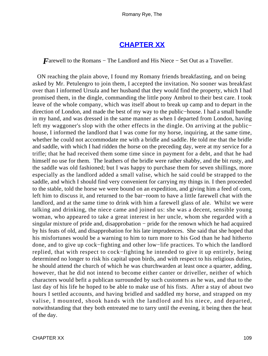# **[CHAPTER XX](#page-315-0)**

*F*arewell to the Romans – The Landlord and His Niece – Set Out as a Traveller.

 ON reaching the plain above, I found my Romany friends breakfasting, and on being asked by Mr. Petulengro to join them, I accepted the invitation. No sooner was breakfast over than I informed Ursula and her husband that they would find the property, which I had promised them, in the dingle, commanding the little pony Ambrol to their best care. I took leave of the whole company, which was itself about to break up camp and to depart in the direction of London, and made the best of my way to the public−house. I had a small bundle in my hand, and was dressed in the same manner as when I departed from London, having left my waggoner's slop with the other effects in the dingle. On arriving at the public− house, I informed the landlord that I was come for my horse, inquiring, at the same time, whether he could not accommodate me with a bridle and saddle. He told me that the bridle and saddle, with which I had ridden the horse on the preceding day, were at my service for a trifle; that he had received them some time since in payment for a debt, and that he had himself no use for them. The leathers of the bridle were rather shabby, and the bit rusty, and the saddle was old fashioned; but I was happy to purchase them for seven shillings, more especially as the landlord added a small valise, which he said could be strapped to the saddle, and which I should find very convenient for carrying my things in. I then proceeded to the stable, told the horse we were bound on an expedition, and giving him a feed of corn, left him to discuss it, and returned to the bar−room to have a little farewell chat with the landlord, and at the same time to drink with him a farewell glass of ale. Whilst we were talking and drinking, the niece came and joined us: she was a decent, sensible young woman, who appeared to take a great interest in her uncle, whom she regarded with a singular mixture of pride and, disapprobation – pride for the renown which he had acquired by his feats of old, and disapprobation for his late imprudences. She said that she hoped that his misfortunes would be a warning to him to turn more to his God than he had hitherto done, and to give up cock−fighting and other low−life practices. To which the landlord replied, that with respect to cock−fighting he intended to give it up entirely, being determined no longer to risk his capital upon birds, and with respect to his religious duties, he should attend the church of which he was churchwarden at least once a quarter, adding, however, that he did not intend to become either canter or driveller, neither of which characters would befit a publican surrounded by such customers as he was, and that to the last day of his life he hoped to be able to make use of his fists. After a stay of about two hours I settled accounts, and having bridled and saddled my horse, and strapped on my valise, I mounted, shook hands with the landlord and his niece, and departed, notwithstanding that they both entreated me to tarry until the evening, it being then the heat of the day.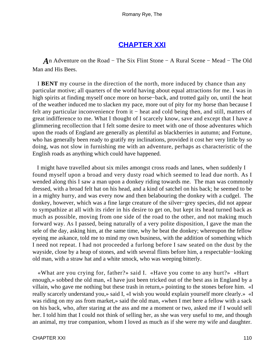### **[CHAPTER XXI](#page-316-0)**

*A*n Adventure on the Road − The Six Flint Stone − A Rural Scene − Mead − The Old Man and His Bees.

 I **BENT** my course in the direction of the north, more induced by chance than any particular motive; all quarters of the world having about equal attractions for me. I was in high spirits at finding myself once more on horse−back, and trotted gaily on, until the heat of the weather induced me to slacken my pace, more out of pity for my horse than because I felt any particular inconvenience from it – heat and cold being then, and still, matters of great indifference to me. What I thought of I scarcely know, save and except that I have a glimmering recollection that I felt some desire to meet with one of those adventures which upon the roads of England are generally as plentiful as blackberries in autumn; and Fortune, who has generally been ready to gratify my inclinations, provided it cost her very little by so doing, was not slow in furnishing me with an adventure, perhaps as characteristic of the English roads as anything which could have happened.

 I might have travelled about six miles amongst cross roads and lanes, when suddenly I found myself upon a broad and very dusty road which seemed to lead due north. As I wended along this I saw a man upon a donkey riding towards me. The man was commonly dressed, with a broad felt hat on his head, and a kind of satchel on his back; he seemed to be in a mighty hurry, and was every now and then belabouring the donkey with a cudgel. The donkey, however, which was a fine large creature of the silver−grey species, did not appear to sympathize at all with its rider in his desire to get on, but kept its head turned back as much as possible, moving from one side of the road to the other, and not making much forward way. As I passed, being naturally of a very polite disposition, I gave the man the sele of the day, asking him, at the same time, why he beat the donkey; whereupon the fellow eyeing me askance, told me to mind my own business, with the addition of something which I need not repeat. I had not proceeded a furlong before I saw seated on the dust by the wayside, close by a heap of stones, and with several flints before him, a respectable−looking old man, with a straw hat and a white smock, who was weeping bitterly.

 «What are you crying for, father?» said I. «Have you come to any hurt?» «Hurt enough,» sobbed the old man, «I have just been tricked out of the best ass in England by a villain, who gave me nothing but these trash in return,» pointing to the stones before him. «I really scarcely understand you,» said I, «I wish you would explain yourself more clearly.» «I was riding on my ass from market,» said the old man, «when I met here a fellow with a sack on his back, who, after staring at the ass and me a moment or two, asked me if I would sell her. I told him that I could not think of selling her, as she was very useful to me, and though an animal, my true companion, whom I loved as much as if she were my wife and daughter.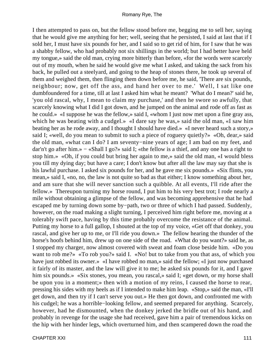I then attempted to pass on, but the fellow stood before me, begging me to sell her, saying that he would give me anything for her; well, seeing that he persisted, I said at last that if I sold her, I must have six pounds for her, and I said so to get rid of him, for I saw that he was a shabby fellow, who had probably not six shillings in the world; but I had better have held my tongue,» said the old man, crying more bitterly than before, «for the words were scarcely out of my mouth, when he said he would give me what I asked, and taking the sack from his back, he pulled out a steelyard, and going to the heap of stones there, he took up several of them and weighed them, then flinging them down before me, he said, 'There are six pounds, neighbour; now, get off the ass, and hand her over to me.' Well, I sat like one dumbfoundered for a time, till at last I asked him what he meant? 'What do I mean?' said he, 'you old rascal, why, I mean to claim my purchase,' and then he swore so awfully, that scarcely knowing what I did I got down, and he jumped on the animal and rode off as fast as he could.» «I suppose he was the fellow,» said I, «whom I just now met upon a fine gray ass, which he was beating with a cudgel.» «I dare say he was,» said the old man, «I saw him beating her as he rode away, and I thought I should have died.» «I never heard such a story,» said I; «well, do you mean to submit to such a piece of roguery quietly?» «Oh, dear,» said the old man, «what can I do? I am seventy−nine years of age; I am bad on my feet, and dar'n't go after him.» − «Shall I go?» said I; «the fellow is a thief, and any one has a right to stop him.» «Oh, if you could but bring her again to me,» said the old man, «I would bless you till my dying day; but have a care; I don't know but after all the law may say that she is his lawful purchase. I asked six pounds for her, and he gave me six pounds.» «Six flints, you mean,» said I, «no, no, the law is not quite so bad as that either; I know something about her, and am sure that she will never sanction such a quibble. At all events, I'll ride after the fellow.» Thereupon turning my horse round, I put him to his very best trot; I rode nearly a mile without obtaining a glimpse of the fellow, and was becoming apprehensive that he had escaped me by turning down some by−path, two or three of which I had passed. Suddenly, however, on the road making a slight turning, I perceived him right before me, moving at a tolerably swift pace, having by this time probably overcome the resistance of the animal. Putting my horse to a full gallop, I shouted at the top of my voice, «Get off that donkey, you rascal, and give her up to me, or I'll ride you down.» The fellow hearing the thunder of the horse's hoofs behind him, drew up on one side of the road. «What do you want?» said he, as I stopped my charger, now almost covered with sweat and foam close beside him. «Do you want to rob me?» «To rob you?» said I. «No! but to take from you that ass, of which you have just robbed its owner.» «I have robbed no man,» said the fellow; «I just now purchased it fairly of its master, and the law will give it to me; he asked six pounds for it, and I gave him six pounds.» «Six stones, you mean, you rascal,» said I; «get down, or my horse shall be upon you in a moment;» then with a motion of my reins, I caused the horse to rear, pressing his sides with my heels as if I intended to make him leap. «Stop,» said the man, «I'll get down, and then try if I can't serve you out.» He then got down, and confronted me with his cudgel; he was a horrible−looking fellow, and seemed prepared for anything. Scarcely, however, had he dismounted, when the donkey jerked the bridle out of his hand, and probably in revenge for the usage she had received, gave him a pair of tremendous kicks on the hip with her hinder legs, which overturned him, and then scampered down the road the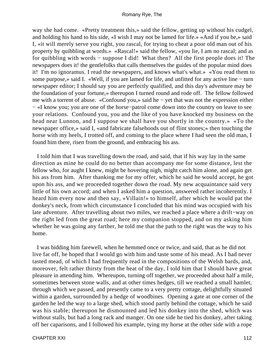way she had come. «Pretty treatment this,» said the fellow, getting up without his cudgel, and holding his hand to his side, «I wish I may not be lamed for life.» «And if you be,» said I, «it will merely serve you right, you rascal, for trying to cheat a poor old man out of his property by quibbling at words.» «Rascal!» said the fellow, «you lie, I am no rascal; and as for quibbling with words − suppose I did! What then? All the first people does it! The newspapers does it! the gentlefolks that calls themselves the guides of the popular mind does it! I'm no ignoramus. I read the newspapers, and knows what's what.» «You read them to some purpose,» said I. «Well, if you are lamed for life, and unfitted for any active line – turn newspaper editor; I should say you are perfectly qualified, and this day's adventure may be the foundation of your fortune,» thereupon I turned round and rode off. The fellow followed me with a torrent of abuse. «Confound you,» said he − yet that was not the expression either − «I know you; you are one of the horse−patrol come down into the country on leave to see your relations. Confound you, you and the like of you have knocked my business on the head near Lunnon, and I suppose we shall have you shortly in the country.» «To the newspaper office,» said I, «and fabricate falsehoods out of flint stones;» then touching the horse with my heels, I trotted off, and coming to the place where I had seen the old man, I found him there, risen from the ground, and embracing his ass.

 I told him that I was travelling down the road, and said, that if his way lay in the same direction as mine he could do no better than accompany me for some distance, lest the fellow who, for aught I knew, might be hovering nigh, might catch him alone, and again get his ass from him. After thanking me for my offer, which he said he would accept, he got upon his ass, and we proceeded together down the road. My new acquaintance said very little of his own accord; and when I asked him a question, answered rather incoherently. I heard him every now and then say, «Villain!» to himself, after which he would pat the donkey's neck, from which circumstance I concluded that his mind was occupied with his late adventure. After travelling about two miles, we reached a place where a drift−way on the right led from the great road; here my companion stopped, and on my asking him whether he was going any farther, he told me that the path to the right was the way to his home.

 I was bidding him farewell, when he hemmed once or twice, and said, that as he did not live far off, he hoped that I would go with him and taste some of his mead. As I had never tasted mead, of which I had frequently read in the compositions of the Welsh bards, and, moreover, felt rather thirsty from the heat of the day, I told him that I should have great pleasure in attending him. Whereupon, turning off together, we proceeded about half a mile, sometimes between stone walls, and at other times hedges, till we reached a small hamlet, through which we passed, and presently came to a very pretty cottage, delightfully situated within a garden, surrounded by a hedge of woodbines. Opening a gate at one corner of the garden he led the way to a large shed, which stood partly behind the cottage, which he said was his stable; thereupon he dismounted and led his donkey into the shed, which was without stalls, but had a long rack and manger. On one side he tied his donkey, after taking off her caparisons, and I followed his example, tying my horse at the other side with a rope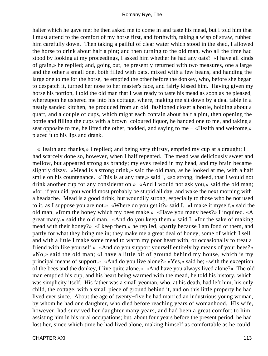halter which he gave me; he then asked me to come in and taste his mead, but I told him that I must attend to the comfort of my horse first, and forthwith, taking a wisp of straw, rubbed him carefully down. Then taking a pailful of clear water which stood in the shed, I allowed the horse to drink about half a pint; and then turning to the old man, who all the time had stood by looking at my proceedings, I asked him whether he had any oats? «I have all kinds of grain,» he replied; and, going out, he presently returned with two measures, one a large and the other a small one, both filled with oats, mixed with a few beans, and handing the large one to me for the horse, he emptied the other before the donkey, who, before she began to despatch it, turned her nose to her master's face, and fairly kissed him. Having given my horse his portion, I told the old man that I was ready to taste his mead as soon as he pleased, whereupon he ushered me into his cottage, where, making me sit down by a deal table in a neatly sanded kitchen, he produced from an old−fashioned closet a bottle, holding about a quart, and a couple of cups, which might each contain about half a pint, then opening the bottle and filling the cups with a brown−coloured liquor, he handed one to me, and taking a seat opposite to me, he lifted the other, nodded, and saying to me – «Health and welcome,» placed it to his lips and drank.

 «Health and thanks,» I replied; and being very thirsty, emptied my cup at a draught; I had scarcely done so, however, when I half repented. The mead was deliciously sweet and mellow, but appeared strong as brandy; my eyes reeled in my head, and my brain became slightly dizzy. «Mead is a strong drink,» said the old man, as he looked at me, with a half smile on his countenance. «This is at any rate,» said I, «so strong, indeed, that I would not drink another cup for any consideration.» «And I would not ask you,» said the old man; «for, if you did, you would most probably be stupid all day, and wake the next morning with a headache. Mead is a good drink, but woundily strong, especially to those who be not used to it, as I suppose you are not.» «Where do you get it?» said I. «I make it myself,» said the old man, «from the honey which my bees make.» «Have you many bees?» I inquired. «A great many,» said the old man. «And do you keep them,» said I, «for the sake of making mead with their honey?» «I keep them,» he replied, «partly because I am fond of them, and partly for what they bring me in; they make me a great deal of honey, some of which I sell, and with a little I make some mead to warm my poor heart with, or occasionally to treat a friend with like yourself.» «And do you support yourself entirely by means of your bees?» «No,» said the old man; «I have a little bit of ground behind my house, which is my principal means of support.» «And do you live alone?» «Yes,» said he; «with the exception of the bees and the donkey, I live quite alone.» «And have you always lived alone?» The old man emptied his cup, and his heart being warmed with the mead, he told his history, which was simplicity itself. His father was a small yeoman, who, at his death, had left him, his only child, the cottage, with a small piece of ground behind it, and on this little property he had lived ever since. About the age of twenty−five he had married an industrious young woman, by whom he had one daughter, who died before reaching years of womanhood. His wife, however, had survived her daughter many years, and had been a great comfort to him, assisting him in his rural occupations; but, about four years before the present period, he had lost her, since which time he had lived alone, making himself as comfortable as he could;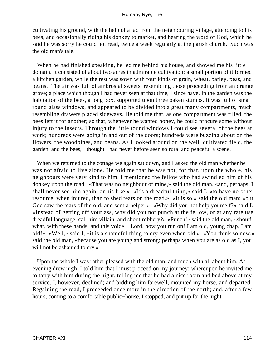cultivating his ground, with the help of a lad from the neighbouring village, attending to his bees, and occasionally riding his donkey to market, and hearing the word of God, which he said he was sorry he could not read, twice a week regularly at the parish church. Such was the old man's tale.

 When he had finished speaking, he led me behind his house, and showed me his little domain. It consisted of about two acres in admirable cultivation; a small portion of it formed a kitchen garden, while the rest was sown with four kinds of grain, wheat, barley, peas, and beans. The air was full of ambrosial sweets, resembling those proceeding from an orange grove; a place which though I had never seen at that time, I since have. In the garden was the habitation of the bees, a long box, supported upon three oaken stumps. It was full of small round glass windows, and appeared to be divided into a great many compartments, much resembling drawers placed sideways. He told me that, as one compartment was filled, the bees left it for another; so that, whenever he wanted honey, he could procure some without injury to the insects. Through the little round windows I could see several of the bees at work; hundreds were going in and out of the doors; hundreds were buzzing about on the flowers, the woodbines, and beans. As I looked around on the well−cultivated field, the garden, and the bees, I thought I had never before seen so rural and peaceful a scene.

 When we returned to the cottage we again sat down, and I asked the old man whether he was not afraid to live alone. He told me that he was not, for that, upon the whole, his neighbours were very kind to him. I mentioned the fellow who had swindled him of his donkey upon the road. «That was no neighbour of mine,» said the old man, «and, perhaps, I shall never see him again, or his like.» «It's a dreadful thing,» said I, «to have no other resource, when injured, than to shed tears on the road.» «It is so,» said the old man; «but God saw the tears of the old, and sent a helper.» «Why did you not help yourself?» said I. «Instead of getting off your ass, why did you not punch at the fellow, or at any rate use dreadful language, call him villain, and shout robbery?» «Punch!» said the old man, «shout! what, with these hands, and this voice − Lord, how you run on! I am old, young chap, I am old!» «Well,» said I, «it is a shameful thing to cry even when old.» «You think so now,» said the old man, «because you are young and strong; perhaps when you are as old as I, you will not be ashamed to cry.»

 Upon the whole I was rather pleased with the old man, and much with all about him. As evening drew nigh, I told him that I must proceed on my journey; whereupon he invited me to tarry with him during the night, telling me that he had a nice room and bed above at my service. I, however, declined; and bidding him farewell, mounted my horse, and departed. Regaining the road, I proceeded once more in the direction of the north; and, after a few hours, coming to a comfortable public−house, I stopped, and put up for the night.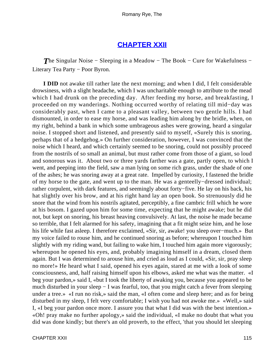### **[CHAPTER XXII](#page-316-0)**

**The Singular Noise – Sleeping in a Meadow – The Book – Cure for Wakefulness –** Literary Tea Party − Poor Byron.

**I DID** not awake till rather late the next morning; and when I did, I felt considerable drowsiness, with a slight headache, which I was uncharitable enough to attribute to the mead which I had drunk on the preceding day. After feeding my horse, and breakfasting, I proceeded on my wanderings. Nothing occurred worthy of relating till mid−day was considerably past, when I came to a pleasant valley, between two gentle hills. I had dismounted, in order to ease my horse, and was leading him along by the bridle, when, on my right, behind a bank in which some umbrageous ashes were growing, heard a singular noise. I stopped short and listened, and presently said to myself, «Surely this is snoring, perhaps that of a hedgehog.» On further consideration, however, I was convinced that the noise which I heard, and which certainly seemed to be snoring, could not possibly proceed from the nostrils of so small an animal, but must rather come from those of a giant, so loud and sonorous was it. About two or three yards farther was a gate, partly open, to which I went, and peeping into the field, saw a man lying on some rich grass, under the shade of one of the ashes; he was snoring away at a great rate. Impelled by curiosity, I fastened the bridle of my horse to the gate, and went up to the man. He was a genteelly−dressed individual; rather corpulent, with dark features, and seemingly about forty−five. He lay on his back, his hat slightly over his brow, and at his right hand lay an open book. So strenuously did he snore that the wind from his nostrils agitated, perceptibly, a fine cambric frill which he wore at his bosom. I gazed upon him for some time, expecting that he might awake; but he did not, but kept on snoring, his breast heaving convulsively. At last, the noise he made became so terrible, that I felt alarmed for his safety, imagining that a fit might seize him, and he lose his life while fast asleep. I therefore exclaimed, «Sir, sir, awake! you sleep over−much.» But my voice failed to rouse him, and he continued snoring as before; whereupon I touched him slightly with my riding wand, but failing to wake him, I touched him again more vigorously; whereupon he opened his eyes, and, probably imagining himself in a dream, closed them again. But I was determined to arouse him, and cried as loud as I could, «Sir, sir, pray sleep no more!» He heard what I said, opened his eyes again, stared at me with a look of some consciousness, and, half raising himself upon his elbows, asked me what was the matter. «I beg your pardon,» said I, «but I took the liberty of awaking you, because you appeared to be much disturbed in your sleep − I was fearful, too, that you might catch a fever from sleeping under a tree.» «I run no risk,» said the man, «I often come and sleep here; and as for being disturbed in my sleep, I felt very comfortable; I wish you had not awoke me.» «Well,» said I, «I beg your pardon once more. I assure you that what I did was with the best intention.» «Oh! pray make no further apology,» said the individual, «I make no doubt that what you did was done kindly; but there's an old proverb, to the effect, 'that you should let sleeping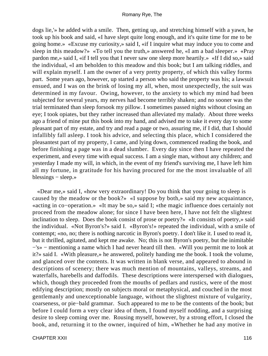dogs lie,'» he added with a smile. Then, getting up, and stretching himself with a yawn, he took up his book and said, «I have slept quite long enough, and it's quite time for me to be going home.» «Excuse my curiosity,» said I, «if I inquire what may induce you to come and sleep in this meadow?» «To tell you the truth,» answered he, «I am a bad sleeper.» «Pray pardon me,» said I, «if I tell you that I never saw one sleep more heartily.» «If I did so,» said the individual, «I am beholden to this meadow and this book; but I am talking riddles, and will explain myself. I am the owner of a very pretty property, of which this valley forms part. Some years ago, however, up started a person who said the property was his; a lawsuit ensued, and I was on the brink of losing my all, when, most unexpectedly, the suit was determined in my favour. Owing, however, to the anxiety to which my mind had been subjected for several years, my nerves had become terribly shaken; and no sooner was the trial terminated than sleep forsook my pillow. I sometimes passed nights without closing an eye; I took opiates, but they rather increased than alleviated my malady. About three weeks ago a friend of mine put this book into my hand, and advised me to take it every day to some pleasant part of my estate, and try and read a page or two, assuring me, if I did, that I should infallibly fall asleep. I took his advice, and selecting this place, which I considered the pleasantest part of my property, I came, and lying down, commenced reading the book, and before finishing a page was in a dead slumber. Every day since then I have repeated the experiment, and every time with equal success. I am a single man, without any children; and yesterday I made my will, in which, in the event of my friend's surviving me, I have left him all my fortune, in gratitude for his having procured for me the most invaluable of all blessings − sleep.»

 «Dear me,» said I, «how very extraordinary! Do you think that your going to sleep is caused by the meadow or the book?» «I suppose by both,» said my new acquaintance, «acting in co−operation.» «It may be so,» said I; «the magic influence does certainly not proceed from the meadow alone; for since I have been here, I have not felt the slightest inclination to sleep. Does the book consist of prose or poetry?» «It consists of poetry,» said the individual. «Not Byron's?» said I. «Byron's!» repeated the individual, with a smile of contempt; «no, no; there is nothing narcotic in Byron's poetry. I don't like it. I used to read it, but it thrilled, agitated, and kept me awake. No; this is not Byron's poetry, but the inimitable −'s» − mentioning a name which I had never heard till then. «Will you permit me to look at it?» said I. «With pleasure,» he answered, politely handing me the book. I took the volume, and glanced over the contents. It was written in blank verse, and appeared to abound in descriptions of scenery; there was much mention of mountains, valleys, streams, and waterfalls, harebells and daffodils. These descriptions were interspersed with dialogues, which, though they proceeded from the mouths of pedlars and rustics, were of the most edifying description; mostly on subjects moral or metaphysical, and couched in the most gentlemanly and unexceptionable language, without the slightest mixture of vulgarity, coarseness, or pie−bald grammar. Such appeared to me to be the contents of the book; but before I could form a very clear idea of them, I found myself nodding, and a surprising desire to sleep coming over me. Rousing myself, however, by a strong effort, I closed the book, and, returning it to the owner, inquired of him, «Whether he had any motive in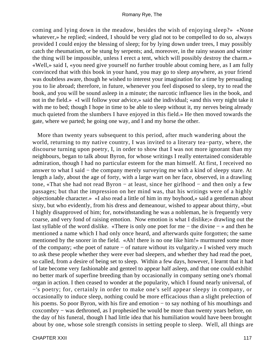coming and lying down in the meadow, besides the wish of enjoying sleep?» «None whatever,» he replied; «indeed, I should be very glad not to be compelled to do so, always provided I could enjoy the blessing of sleep; for by lying down under trees, I may possibly catch the rheumatism, or be stung by serpents; and, moreover, in the rainy season and winter the thing will be impossible, unless I erect a tent, which will possibly destroy the charm.» «Well,» said I, «you need give yourself no further trouble about coming here, as I am fully convinced that with this book in your hand, you may go to sleep anywhere, as your friend was doubtless aware, though he wished to interest your imagination for a time by persuading you to lie abroad; therefore, in future, whenever you feel disposed to sleep, try to read the book, and you will be sound asleep in a minute; the narcotic influence lies in the book, and not in the field.» «I will follow your advice,» said the individual; «and this very night take it with me to bed; though I hope in time to be able to sleep without it, my nerves being already much quieted from the slumbers I have enjoyed in this field.» He then moved towards the gate, where we parted; he going one way, and I and my horse the other.

 More than twenty years subsequent to this period, after much wandering about the world, returning to my native country, I was invited to a literary tea−party, where, the discourse turning upon poetry, I, in order to show that I was not more ignorant than my neighbours, began to talk about Byron, for whose writings I really entertained considerable admiration, though I had no particular esteem for the man himself. At first, I received no answer to what I said − the company merely surveying me with a kind of sleepy stare. At length a lady, about the age of forty, with a large wart on her face, observed, in a drawling tone, «That she had not read Byron − at least, since her girlhood − and then only a few passages; but that the impression on her mind was, that his writings were of a highly objectionable character.» «I also read a little of him in my boyhood,» said a gentleman about sixty, but who evidently, from his dress and demeanour, wished to appear about thirty, «but I highly disapproved of him; for, notwithstanding he was a nobleman, he is frequently very coarse, and very fond of raising emotion. Now emotion is what I dislike;» drawling out the last syllable of the word dislike. «There is only one poet for me − the divine − » and then he mentioned a name which I had only once heard, and afterwards quite forgotten; the same mentioned by the snorer in the field. «Ah! there is no one like him!» murmured some more of the company; «the poet of nature − of nature without its vulgarity.» I wished very much to ask these people whether they were ever bad sleepers, and whether they had read the poet, so called, from a desire of being set to sleep. Within a few days, however, I learnt that it had of late become very fashionable and genteel to appear half asleep, and that one could exhibit no better mark of superfine breeding than by occasionally in company setting one's rhomal organ in action. I then ceased to wonder at the popularity, which I found nearly universal, of −'s poetry; for, certainly in order to make one's self appear sleepy in company, or occasionally to induce sleep, nothing could be more efficacious than a slight prelection of his poems. So poor Byron, with his fire and emotion − to say nothing of his mouthings and coxcombry − was dethroned, as I prophesied he would be more than twenty years before, on the day of his funeral, though I had little idea that his humiliation would have been brought about by one, whose sole strength consists in setting people to sleep. Well, all things are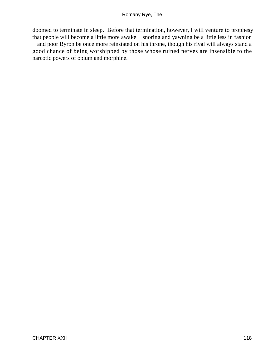doomed to terminate in sleep. Before that termination, however, I will venture to prophesy that people will become a little more awake − snoring and yawning be a little less in fashion − and poor Byron be once more reinstated on his throne, though his rival will always stand a good chance of being worshipped by those whose ruined nerves are insensible to the narcotic powers of opium and morphine.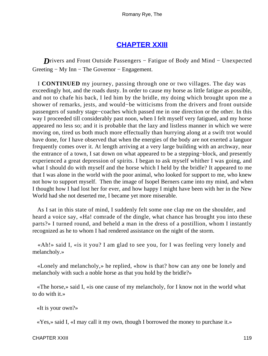# **[CHAPTER XXIII](#page-316-0)**

*D*rivers and Front Outside Passengers − Fatigue of Body and Mind − Unexpected Greeting − My Inn − The Governor − Engagement.

 I **CONTINUED** my journey, passing through one or two villages. The day was exceedingly hot, and the roads dusty. In order to cause my horse as little fatigue as possible, and not to chafe his back, I led him by the bridle, my doing which brought upon me a shower of remarks, jests, and would−be witticisms from the drivers and front outside passengers of sundry stage−coaches which passed me in one direction or the other. In this way I proceeded till considerably past noon, when I felt myself very fatigued, and my horse appeared no less so; and it is probable that the lazy and listless manner in which we were moving on, tired us both much more effectually than hurrying along at a swift trot would have done, for I have observed that when the energies of the body are not exerted a languor frequently comes over it. At length arriving at a very large building with an archway, near the entrance of a town, I sat down on what appeared to be a stepping−block, and presently experienced a great depression of spirits. I began to ask myself whither I was going, and what I should do with myself and the horse which I held by the bridle? It appeared to me that I was alone in the world with the poor animal, who looked for support to me, who knew not how to support myself. Then the image of Isopel Berners came into my mind, and when I thought how I had lost her for ever, and how happy I might have been with her in the New World had she not deserted me, I became yet more miserable.

 As I sat in this state of mind, I suddenly felt some one clap me on the shoulder, and heard a voice say, «Ha! comrade of the dingle, what chance has brought you into these parts?» I turned round, and beheld a man in the dress of a postillion, whom I instantly recognized as he to whom I had rendered assistance on the night of the storm.

 «Ah!» said I, «is it you? I am glad to see you, for I was feeling very lonely and melancholy.»

 «Lonely and melancholy,» he replied, «how is that? how can any one be lonely and melancholy with such a noble horse as that you hold by the bridle?»

 «The horse,» said I, «is one cause of my melancholy, for I know not in the world what to do with it.»

«It is your own?»

«Yes,» said I, «I may call it my own, though I borrowed the money to purchase it.»

CHAPTER XXIII 119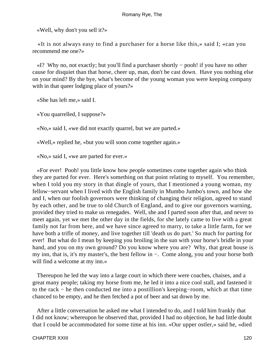«Well, why don't you sell it?»

 «It is not always easy to find a purchaser for a horse like this,» said I; «can you recommend me one?»

 «I? Why no, not exactly; but you'll find a purchaser shortly − pooh! if you have no other cause for disquiet than that horse, cheer up, man, don't be cast down. Have you nothing else on your mind? By the bye, what's become of the young woman you were keeping company with in that queer lodging place of yours?»

«She has left me,» said I.

«You quarrelled, I suppose?»

«No,» said I, «we did not exactly quarrel, but we are parted.»

«Well,» replied he, «but you will soon come together again.»

«No,» said I, «we are parted for ever.»

 «For ever! Pooh! you little know how people sometimes come together again who think they are parted for ever. Here's something on that point relating to myself. You remember, when I told you my story in that dingle of yours, that I mentioned a young woman, my fellow−servant when I lived with the English family in Mumbo Jumbo's town, and how she and I, when our foolish governors were thinking of changing their religion, agreed to stand by each other, and be true to old Church of England, and to give our governors warning, provided they tried to make us renegades. Well, she and I parted soon after that, and never to meet again, yet we met the other day in the fields, for she lately came to live with a great family not far from here, and we have since agreed to marry, to take a little farm, for we have both a trifle of money, and live together till 'death us do part.' So much for parting for ever! But what do I mean by keeping you broiling in the sun with your horse's bridle in your hand, and you on my own ground? Do you know where you are? Why, that great house is my inn, that is, it's my master's, the best fellow in −. Come along, you and your horse both will find a welcome at my inn.»

 Thereupon he led the way into a large court in which there were coaches, chaises, and a great many people; taking my horse from me, he led it into a nice cool stall, and fastened it to the rack − he then conducted me into a postillion's keeping−room, which at that time chanced to be empty, and he then fetched a pot of beer and sat down by me.

 After a little conversation he asked me what I intended to do, and I told him frankly that I did not know; whereupon he observed that, provided I had no objection, he had little doubt that I could be accommodated for some time at his inn. «Our upper ostler,» said he, «died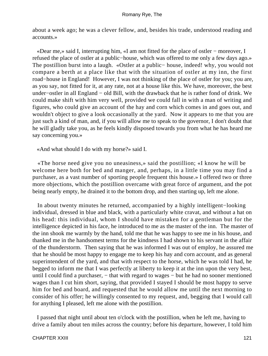about a week ago; he was a clever fellow, and, besides his trade, understood reading and accounts.»

 «Dear me,» said I, interrupting him, «I am not fitted for the place of ostler − moreover, I refused the place of ostler at a public−house, which was offered to me only a few days ago.» The postillion burst into a laugh. «Ostler at a public− house, indeed! why, you would not compare a berth at a place like that with the situation of ostler at my inn, the first road−house in England! However, I was not thinking of the place of ostler for you; you are, as you say, not fitted for it, at any rate, not at a house like this. We have, moreover, the best under−ostler in all England − old Bill, with the drawback that he is rather fond of drink. We could make shift with him very well, provided we could fall in with a man of writing and figures, who could give an account of the hay and corn which comes in and goes out, and wouldn't object to give a look occasionally at the yard. Now it appears to me that you are just such a kind of man, and, if you will allow me to speak to the governor, I don't doubt that he will gladly take you, as he feels kindly disposed towards you from what he has heard me say concerning you.»

«And what should I do with my horse?» said I.

 «The horse need give you no uneasiness,» said the postillion; «I know he will be welcome here both for bed and manger, and, perhaps, in a little time you may find a purchaser, as a vast number of sporting people frequent this house.» I offered two or three more objections, which the postillion overcame with great force of argument, and the pot being nearly empty, he drained it to the bottom drop, and then starting up, left me alone.

 In about twenty minutes he returned, accompanied by a highly intelligent−looking individual, dressed in blue and black, with a particularly white cravat, and without a hat on his head: this individual, whom I should have mistaken for a gentleman but for the intelligence depicted in his face, he introduced to me as the master of the inn. The master of the inn shook me warmly by the hand, told me that he was happy to see me in his house, and thanked me in the handsomest terms for the kindness I had shown to his servant in the affair of the thunderstorm. Then saying that he was informed I was out of employ, he assured me that he should be most happy to engage me to keep his hay and corn account, and as general superintendent of the yard, and that with respect to the horse, which he was told I had, he begged to inform me that I was perfectly at liberty to keep it at the inn upon the very best, until I could find a purchaser, – that with regard to wages – but he had no sooner mentioned wages than I cut him short, saying, that provided I stayed I should be most happy to serve him for bed and board, and requested that he would allow me until the next morning to consider of his offer; he willingly consented to my request, and, begging that I would call for anything I pleased, left me alone with the postillion.

 I passed that night until about ten o'clock with the postillion, when he left me, having to drive a family about ten miles across the country; before his departure, however, I told him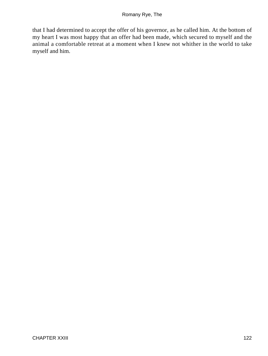that I had determined to accept the offer of his governor, as he called him. At the bottom of my heart I was most happy that an offer had been made, which secured to myself and the animal a comfortable retreat at a moment when I knew not whither in the world to take myself and him.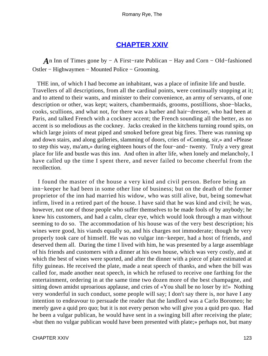### **[CHAPTER XXIV](#page-316-0)**

*A*n Inn of Times gone by − A First–rate Publican – Hay and Corn – Old–fashioned Ostler − Highwaymen − Mounted Police − Grooming.

 THE inn, of which I had become an inhabitant, was a place of infinite life and bustle. Travellers of all descriptions, from all the cardinal points, were continually stopping at it; and to attend to their wants, and minister to their convenience, an army of servants, of one description or other, was kept; waiters, chambermaids, grooms, postillions, shoe−blacks, cooks, scullions, and what not, for there was a barber and hair−dresser, who had been at Paris, and talked French with a cockney accent; the French sounding all the better, as no accent is so melodious as the cockney. Jacks creaked in the kitchens turning round spits, on which large joints of meat piped and smoked before great big fires. There was running up and down stairs, and along galleries, slamming of doors, cries of «Coming, sir,» and «Please to step this way, ma'am,» during eighteen hours of the four−and− twenty. Truly a very great place for life and bustle was this inn. And often in after life, when lonely and melancholy, I have called up the time I spent there, and never failed to become cheerful from the recollection.

 I found the master of the house a very kind and civil person. Before being an inn−keeper he had been in some other line of business; but on the death of the former proprietor of the inn had married his widow, who was still alive, but, being somewhat infirm, lived in a retired part of the house. I have said that he was kind and civil; he was, however, not one of those people who suffer themselves to be made fools of by anybody; he knew his customers, and had a calm, clear eye, which would look through a man without seeming to do so. The accommodation of his house was of the very best description; his wines were good, his viands equally so, and his charges not immoderate; though he very properly took care of himself. He was no vulgar inn−keeper, had a host of friends, and deserved them all. During the time I lived with him, he was presented by a large assemblage of his friends and customers with a dinner at his own house, which was very costly, and at which the best of wines were sported, and after the dinner with a piece of plate estimated at fifty guineas. He received the plate, made a neat speech of thanks, and when the bill was called for, made another neat speech, in which he refused to receive one farthing for the entertainment, ordering in at the same time two dozen more of the best champagne, and sitting down amidst uproarious applause, and cries of «You shall be no loser by it!» Nothing very wonderful in such conduct, some people will say; I don't say there is, nor have I any intention to endeavour to persuade the reader that the landlord was a Carlo Boromeo; he merely gave a quid pro quo; but it is not every person who will give you a quid pro quo. Had he been a vulgar publican, he would have sent in a swinging bill after receiving the plate; «but then no vulgar publican would have been presented with plate;» perhaps not, but many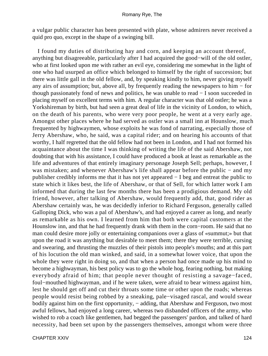a vulgar public character has been presented with plate, whose admirers never received a quid pro quo, except in the shape of a swinging bill.

 I found my duties of distributing hay and corn, and keeping an account thereof, anything but disagreeable, particularly after I had acquired the good−will of the old ostler, who at first looked upon me with rather an evil eye, considering me somewhat in the light of one who had usurped an office which belonged to himself by the right of succession; but there was little gall in the old fellow, and, by speaking kindly to him, never giving myself any airs of assumption; but, above all, by frequently reading the newspapers to him − for though passionately fond of news and politics, he was unable to read − I soon succeeded in placing myself on excellent terms with him. A regular character was that old ostler; he was a Yorkshireman by birth, but had seen a great deal of life in the vicinity of London, to which, on the death of his parents, who were very poor people, he went at a very early age. Amongst other places where he had served as ostler was a small inn at Hounslow, much frequented by highwaymen, whose exploits he was fond of narrating, especially those of Jerry Abershaw, who, he said, was a capital rider; and on hearing his accounts of that worthy, I half regretted that the old fellow had not been in London, and I had not formed his acquaintance about the time I was thinking of writing the life of the said Abershaw, not doubting that with his assistance, I could have produced a book at least as remarkable as the life and adventures of that entirely imaginary personage Joseph Sell; perhaps, however, I was mistaken; and whenever Abershaw's life shall appear before the public – and my publisher credibly informs me that it has not yet appeared − I beg and entreat the public to state which it likes best, the life of Abershaw, or that of Sell, for which latter work I am informed that during the last few months there has been a prodigious demand. My old friend, however, after talking of Abershaw, would frequently add, that, good rider as Abershaw certainly was, he was decidedly inferior to Richard Ferguson, generally called Galloping Dick, who was a pal of Abershaw's, and had enjoyed a career as long, and nearly as remarkable as his own. I learned from him that both were capital customers at the Hounslow inn, and that he had frequently drank with them in the corn−room. He said that no man could desire more jolly or entertaining companions over a glass of «summut;» but that upon the road it was anything but desirable to meet them; there they were terrible, cursing and swearing, and thrusting the muzzles of their pistols into people's mouths; and at this part of his locution the old man winked, and said, in a somewhat lower voice, that upon the whole they were right in doing so, and that when a person had once made up his mind to become a highwayman, his best policy was to go the whole hog, fearing nothing, but making everybody afraid of him; that people never thought of resisting a savage−faced, foul−mouthed highwayman, and if he were taken, were afraid to bear witness against him, lest he should get off and cut their throats some time or other upon the roads; whereas people would resist being robbed by a sneaking, pale−visaged rascal, and would swear bodily against him on the first opportunity, − adding, that Abershaw and Ferguson, two most awful fellows, had enjoyed a long career, whereas two disbanded officers of the army, who wished to rob a coach like gentlemen, had begged the passengers' pardon, and talked of hard necessity, had been set upon by the passengers themselves, amongst whom were three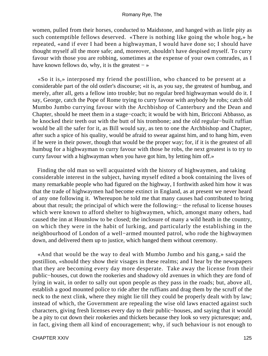women, pulled from their horses, conducted to Maidstone, and hanged with as little pity as such contemptible fellows deserved. «There is nothing like going the whole hog,» he repeated, «and if ever I had been a highwayman, I would have done so; I should have thought myself all the more safe; and, moreover, shouldn't have despised myself. To curry favour with those you are robbing, sometimes at the expense of your own comrades, as I have known fellows do, why, it is the greatest  $-$  »

 «So it is,» interposed my friend the postillion, who chanced to be present at a considerable part of the old ostler's discourse; «it is, as you say, the greatest of humbug, and merely, after all, gets a fellow into trouble; but no regular bred highwayman would do it. I say, George, catch the Pope of Rome trying to curry favour with anybody he robs; catch old Mumbo Jumbo currying favour with the Archbishop of Canterbury and the Dean and Chapter, should he meet them in a stage−coach; it would be with him, Bricconi Abbasso, as he knocked their teeth out with the butt of his trombone; and the old regular−built ruffian would be all the safer for it, as Bill would say, as ten to one the Archbishop and Chapter, after such a spice of his quality, would be afraid to swear against him, and to hang him, even if he were in their power, though that would be the proper way; for, if it is the greatest of all humbug for a highwayman to curry favour with those he robs, the next greatest is to try to curry favour with a highwayman when you have got him, by letting him off.»

 Finding the old man so well acquainted with the history of highwaymen, and taking considerable interest in the subject, having myself edited a book containing the lives of many remarkable people who had figured on the highway, I forthwith asked him how it was that the trade of highwaymen had become extinct in England, as at present we never heard of any one following it. Whereupon he told me that many causes had contributed to bring about that result; the principal of which were the following:− the refusal to license houses which were known to afford shelter to highwaymen, which, amongst many others, had caused the inn at Hounslow to be closed; the inclosure of many a wild heath in the country, on which they were in the habit of lurking, and particularly the establishing in the neighbourhood of London of a well−armed mounted patrol, who rode the highwaymen down, and delivered them up to justice, which hanged them without ceremony.

 «And that would be the way to deal with Mumbo Jumbo and his gang,» said the postillion, «should they show their visages in these realms; and I hear by the newspapers that they are becoming every day more desperate. Take away the license from their public−houses, cut down the rookeries and shadowy old avenues in which they are fond of lying in wait, in order to sally out upon people as they pass in the roads; but, above all, establish a good mounted police to ride after the ruffians and drag them by the scruff of the neck to the next clink, where they might lie till they could be properly dealt with by law; instead of which, the Government are repealing the wise old laws enacted against such characters, giving fresh licenses every day to their public−houses, and saying that it would be a pity to cut down their rookeries and thickets because they look so very picturesque; and, in fact, giving them all kind of encouragement; why, if such behaviour is not enough to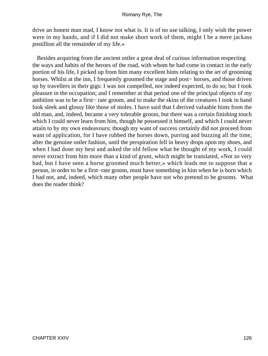drive an honest man mad, I know not what is. It is of no use talking, I only wish the power were in my hands, and if I did not make short work of them, might I be a mere jackass postillion all the remainder of my life.»

 Besides acquiring from the ancient ostler a great deal of curious information respecting the ways and habits of the heroes of the road, with whom he had come in contact in the early portion of his life, I picked up from him many excellent hints relating to the art of grooming horses. Whilst at the inn, I frequently groomed the stage and post− horses, and those driven up by travellers in their gigs: I was not compelled, nor indeed expected, to do so; but I took pleasure in the occupation; and I remember at that period one of the principal objects of my ambition was to be a first− rate groom, and to make the skins of the creatures I took in hand look sleek and glossy like those of moles. I have said that I derived valuable hints from the old man, and, indeed, became a very tolerable groom, but there was a certain finishing touch which I could never learn from him, though he possessed it himself, and which I could never attain to by my own endeavours; though my want of success certainly did not proceed from want of application, for I have rubbed the horses down, purring and buzzing all the time, after the genuine ostler fashion, until the perspiration fell in heavy drops upon my shoes, and when I had done my best and asked the old fellow what he thought of my work, I could never extract from him more than a kind of grunt, which might be translated, «Not so very bad, but I have seen a horse groomed much better,» which leads me to suppose that a person, in order to be a first−rate groom, must have something in him when he is born which I had not, and, indeed, which many other people have not who pretend to be grooms. What does the reader think?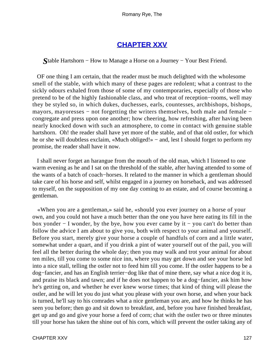# **[CHAPTER XXV](#page-316-0)**

*S*table Hartshorn − How to Manage a Horse on a Journey − Your Best Friend.

 OF one thing I am certain, that the reader must be much delighted with the wholesome smell of the stable, with which many of these pages are redolent; what a contrast to the sickly odours exhaled from those of some of my contemporaries, especially of those who pretend to be of the highly fashionable class, and who treat of reception−rooms, well may they be styled so, in which dukes, duchesses, earls, countesses, archbishops, bishops, mayors, mayoresses – not forgetting the writers themselves, both male and female – congregate and press upon one another; how cheering, how refreshing, after having been nearly knocked down with such an atmosphere, to come in contact with genuine stable hartshorn. Oh! the reader shall have yet more of the stable, and of that old ostler, for which he or she will doubtless exclaim, «Much obliged!» − and, lest I should forget to perform my promise, the reader shall have it now.

 I shall never forget an harangue from the mouth of the old man, which I listened to one warm evening as he and I sat on the threshold of the stable, after having attended to some of the wants of a batch of coach−horses. It related to the manner in which a gentleman should take care of his horse and self, whilst engaged in a journey on horseback, and was addressed to myself, on the supposition of my one day coming to an estate, and of course becoming a gentleman.

 «When you are a gentleman,» said he, «should you ever journey on a horse of your own, and you could not have a much better than the one you have here eating its fill in the box yonder − I wonder, by the bye, how you ever came by it − you can't do better than follow the advice I am about to give you, both with respect to your animal and yourself. Before you start, merely give your horse a couple of handfuls of corn and a little water, somewhat under a quart, and if you drink a pint of water yourself out of the pail, you will feel all the better during the whole day; then you may walk and trot your animal for about ten miles, till you come to some nice inn, where you may get down and see your horse led into a nice stall, telling the ostler not to feed him till you come. If the ostler happens to be a dog−fancier, and has an English terrier−dog like that of mine there, say what a nice dog it is, and praise its black and tawn; and if he does not happen to be a dog−fancier, ask him how he's getting on, and whether he ever knew worse times; that kind of thing will please the ostler, and he will let you do just what you please with your own horse, and when your back is turned, he'll say to his comrades what a nice gentleman you are, and how he thinks he has seen you before; then go and sit down to breakfast, and, before you have finished breakfast, get up and go and give your horse a feed of corn; chat with the ostler two or three minutes till your horse has taken the shine out of his corn, which will prevent the ostler taking any of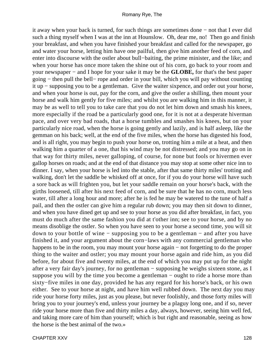it away when your back is turned, for such things are sometimes done − not that I ever did such a thing myself when I was at the inn at Hounslow. Oh, dear me, no! Then go and finish your breakfast, and when you have finished your breakfast and called for the newspaper, go and water your horse, letting him have one pailful, then give him another feed of corn, and enter into discourse with the ostler about bull−baiting, the prime minister, and the like; and when your horse has once more taken the shine out of his corn, go back to your room and your newspaper − and I hope for your sake it may be the **GLOBE,** for that's the best paper going − then pull the bell− rope and order in your bill, which you will pay without counting it up − supposing you to be a gentleman. Give the waiter sixpence, and order out your horse, and when your horse is out, pay for the corn, and give the ostler a shilling, then mount your horse and walk him gently for five miles; and whilst you are walking him in this manner, it may be as well to tell you to take care that you do not let him down and smash his knees, more especially if the road be a particularly good one, for it is not at a desperate hiverman pace, and over very bad roads, that a horse tumbles and smashes his knees, but on your particularly nice road, when the horse is going gently and lazily, and is half asleep, like the gemman on his back; well, at the end of the five miles, when the horse has digested his food, and is all right, you may begin to push your horse on, trotting him a mile at a heat, and then walking him a quarter of a one, that his wind may be not distressed; and you may go on in that way for thirty miles, never galloping, of course, for none but fools or hivermen ever gallop horses on roads; and at the end of that distance you may stop at some other nice inn to dinner. I say, when your horse is led into the stable, after that same thirty miles' trotting and walking, don't let the saddle be whisked off at once, for if you do your horse will have such a sore back as will frighten you, but let your saddle remain on your horse's back, with the girths loosened, till after his next feed of corn, and be sure that he has no corn, much less water, till after a long hour and more; after he is fed he may be watered to the tune of half a pail, and then the ostler can give him a regular rub down; you may then sit down to dinner, and when you have dined get up and see to your horse as you did after breakfast, in fact, you must do much after the same fashion you did at t'other inn; see to your horse, and by no means disoblige the ostler. So when you have seen to your horse a second time, you will sit down to your bottle of wine − supposing you to be a gentleman − and after you have finished it, and your argument about the corn−laws with any commercial gentleman who happens to be in the room, you may mount your horse again − not forgetting to do the proper thing to the waiter and ostler; you may mount your horse again and ride him, as you did before, for about five and twenty miles, at the end of which you may put up for the night after a very fair day's journey, for no gentleman − supposing he weighs sixteen stone, as I suppose you will by the time you become a gentleman – ought to ride a horse more than sixty−five miles in one day, provided he has any regard for his horse's back, or his own either. See to your horse at night, and have him well rubbed down. The next day you may ride your horse forty miles, just as you please, but never foolishly, and those forty miles will bring you to your journey's end, unless your journey be a plaguy long one, and if so, never ride your horse more than five and thirty miles a day, always, however, seeing him well fed, and taking more care of him than yourself; which is but right and reasonable, seeing as how the horse is the best animal of the two.»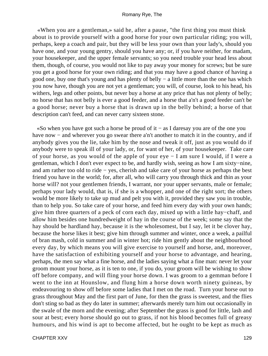«When you are a gentleman,» said he, after a pause, "the first thing you must think about is to provide yourself with a good horse for your own particular riding; you will, perhaps, keep a coach and pair, but they will be less your own than your lady's, should you have one, and your young gentry, should you have any; or, if you have neither, for madam, your housekeeper, and the upper female servants; so you need trouble your head less about them, though, of course, you would not like to pay away your money for screws; but be sure you get a good horse for your own riding; and that you may have a good chance of having a good one, buy one that's young and has plenty of belly − a little more than the one has which you now have, though you are not yet a gentleman; you will, of course, look to his head, his withers, legs and other points, but never buy a horse at any price that has not plenty of belly; no horse that has not belly is ever a good feeder, and a horse that a'n't a good feeder can't be a good horse; never buy a horse that is drawn up in the belly behind; a horse of that description can't feed, and can never carry sixteen stone.

 «So when you have got such a horse be proud of it − as I daresay you are of the one you have now – and wherever you go swear there a'n't another to match it in the country, and if anybody gives you the lie, take him by the nose and tweak it off, just as you would do if anybody were to speak ill of your lady, or, for want of her, of your housekeeper. Take care of your horse, as you would of the apple of your eye − I am sure I would, if I were a gentleman, which I don't ever expect to be, and hardly wish, seeing as how I am sixty−nine, and am rather too old to ride − yes, cherish and take care of your horse as perhaps the best friend you have in the world; for, after all, who will carry you through thick and thin as your horse will? not your gentlemen friends, I warrant, nor your upper servants, male or female; perhaps your lady would, that is, if she is a whopper, and one of the right sort; the others would be more likely to take up mud and pelt you with it, provided they saw you in trouble, than to help you. So take care of your horse, and feed him every day with your own hands; give him three quarters of a peck of corn each day, mixed up with a little hay−chaff, and allow him besides one hundredweight of hay in the course of the week; some say that the hay should be hardland hay, because it is the wholesomest, but I say, let it be clover hay, because the horse likes it best; give him through summer and winter, once a week, a pailful of bran mash, cold in summer and in winter hot; ride him gently about the neighbourhood every day, by which means you will give exercise to yourself and horse, and, moreover, have the satisfaction of exhibiting yourself and your horse to advantage, and hearing, perhaps, the men say what a fine horse, and the ladies saying what a fine man: never let your groom mount your horse, as it is ten to one, if you do, your groom will be wishing to show off before company, and will fling your horse down. I was groom to a gemman before I went to the inn at Hounslow, and flung him a horse down worth ninety guineas, by endeavouring to show off before some ladies that I met on the road. Turn your horse out to grass throughout May and the first part of June, for then the grass is sweetest, and the flies don't sting so bad as they do later in summer; afterwards merely turn him out occasionally in the swale of the morn and the evening; after September the grass is good for little, lash and sour at best; every horse should go out to grass, if not his blood becomes full of greasy humours, and his wind is apt to become affected, but he ought to be kept as much as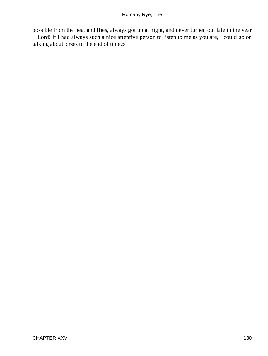possible from the heat and flies, always got up at night, and never turned out late in the year − Lord! if I had always such a nice attentive person to listen to me as you are, I could go on talking about 'orses to the end of time.»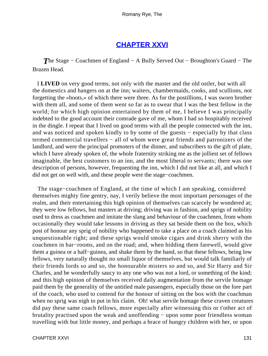## **[CHAPTER XXVI](#page-316-0)**

*The Stage – Coachmen of England – A Bully Served Out – Broughton's Guard – The* Brazen Head.

 I **LIVED** on very good terms, not only with the master and the old ostler, but with all the domestics and hangers on at the inn; waiters, chambermaids, cooks, and scullions, not forgetting the «boots,» of which there were three. As for the postillions, I was sworn brother with them all, and some of them went so far as to swear that I was the best fellow in the world; for which high opinion entertained by them of me, I believe I was principally indebted to the good account their comrade gave of me, whom I had so hospitably received in the dingle. I repeat that I lived on good terms with all the people connected with the inn, and was noticed and spoken kindly to by some of the guests − especially by that class termed commercial travellers − all of whom were great friends and patronizers of the landlord, and were the principal promoters of the dinner, and subscribers to the gift of plate, which I have already spoken of, the whole fraternity striking me as the jolliest set of fellows imaginable, the best customers to an inn, and the most liberal to servants; there was one description of persons, however, frequenting the inn, which I did not like at all, and which I did not get on well with, and these people were the stage−coachmen.

 The stage−coachmen of England, at the time of which I am speaking, considered themselves mighty fine gentry, nay, I verily believe the most important personages of the realm, and their entertaining this high opinion of themselves can scarcely be wondered at; they were low fellows, but masters at driving; driving was in fashion, and sprigs of nobility used to dress as coachmen and imitate the slang and behaviour of the coachmen, from whom occasionally they would take lessons in driving as they sat beside them on the box, which post of honour any sprig of nobility who happened to take a place on a coach claimed as his unquestionable right; and these sprigs would smoke cigars and drink sherry with the coachmen in bar−rooms, and on the road; and, when bidding them farewell, would give them a guinea or a half−guinea, and shake them by the hand, so that these fellows, being low fellows, very naturally thought no small liquor of themselves, but would talk familiarly of their friends lords so and so, the honourable misters so and so, and Sir Harry and Sir Charles, and be wonderfully saucy to any one who was not a lord, or something of the kind; and this high opinion of themselves received daily augmentation from the servile homage paid them by the generality of the untitled male passengers, especially those on the fore part of the coach, who used to contend for the honour of sitting on the box with the coachman when no sprig was nigh to put in his claim. Oh! what servile homage these craven creatures did pay these same coach fellows, more especially after witnessing this or t'other act of brutality practised upon the weak and unoffending − upon some poor friendless woman travelling with but little money, and perhaps a brace of hungry children with her, or upon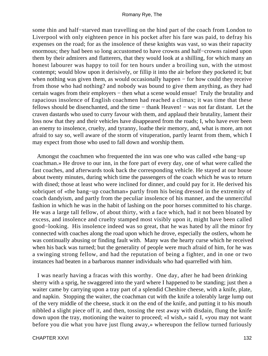some thin and half−starved man travelling on the hind part of the coach from London to Liverpool with only eighteen pence in his pocket after his fare was paid, to defray his expenses on the road; for as the insolence of these knights was vast, so was their rapacity enormous; they had been so long accustomed to have crowns and half−crowns rained upon them by their admirers and flatterers, that they would look at a shilling, for which many an honest labourer was happy to toil for ten hours under a broiling sun, with the utmost contempt; would blow upon it derisively, or fillip it into the air before they pocketed it; but when nothing was given them, as would occasionally happen – for how could they receive from those who had nothing? and nobody was bound to give them anything, as they had certain wages from their employers – then what a scene would ensue! Truly the brutality and rapacious insolence of English coachmen had reached a climax; it was time that these fellows should be disenchanted, and the time − thank Heaven! − was not far distant. Let the craven dastards who used to curry favour with them, and applaud their brutality, lament their loss now that they and their vehicles have disappeared from the roads; I, who have ever been an enemy to insolence, cruelty, and tyranny, loathe their memory, and, what is more, am not afraid to say so, well aware of the storm of vituperation, partly learnt from them, which I may expect from those who used to fall down and worship them.

 Amongst the coachmen who frequented the inn was one who was called «the bang−up coachman.» He drove to our inn, in the fore part of every day, one of what were called the fast coaches, and afterwards took back the corresponding vehicle. He stayed at our house about twenty minutes, during which time the passengers of the coach which he was to return with dined; those at least who were inclined for dinner, and could pay for it. He derived his sobriquet of «the bang−up coachman» partly from his being dressed in the extremity of coach dandyism, and partly from the peculiar insolence of his manner, and the unmerciful fashion in which he was in the habit of lashing on the poor horses committed to his charge. He was a large tall fellow, of about thirty, with a face which, had it not been bloated by excess, and insolence and cruelty stamped most visibly upon it, might have been called good−looking. His insolence indeed was so great, that he was hated by all the minor fry connected with coaches along the road upon which he drove, especially the ostlers, whom he was continually abusing or finding fault with. Many was the hearty curse which he received when his back was turned; but the generality of people were much afraid of him, for he was a swinging strong fellow, and had the reputation of being a fighter, and in one or two instances had beaten in a barbarous manner individuals who had quarrelled with him.

 I was nearly having a fracas with this worthy. One day, after he had been drinking sherry with a sprig, he swaggered into the yard where I happened to be standing; just then a waiter came by carrying upon a tray part of a splendid Cheshire cheese, with a knife, plate, and napkin. Stopping the waiter, the coachman cut with the knife a tolerably large lump out of the very middle of the cheese, stuck it on the end of the knife, and putting it to his mouth nibbled a slight piece off it, and then, tossing the rest away with disdain, flung the knife down upon the tray, motioning the waiter to proceed; «I wish,» said I, «you may not want before you die what you have just flung away,» whereupon the fellow turned furiously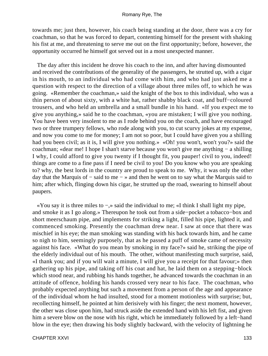towards me; just then, however, his coach being standing at the door, there was a cry for coachman, so that he was forced to depart, contenting himself for the present with shaking his fist at me, and threatening to serve me out on the first opportunity; before, however, the opportunity occurred he himself got served out in a most unexpected manner.

 The day after this incident he drove his coach to the inn, and after having dismounted and received the contributions of the generality of the passengers, he strutted up, with a cigar in his mouth, to an individual who had come with him, and who had just asked me a question with respect to the direction of a village about three miles off, to which he was going. «Remember the coachman,» said the knight of the box to this individual, who was a thin person of about sixty, with a white hat, rather shabby black coat, and buff−coloured trousers, and who held an umbrella and a small bundle in his hand. «If you expect me to give you anything,» said he to the coachman, «you are mistaken; I will give you nothing. You have been very insolent to me as I rode behind you on the coach, and have encouraged two or three trumpery fellows, who rode along with you, to cut scurvy jokes at my expense, and now you come to me for money; I am not so poor, but I could have given you a shilling had you been civil; as it is, I will give you nothing.» «Oh! you won't, won't you?» said the coachman; «dear me! I hope I shan't starve because you won't give me anything − a shilling I why, I could afford to give you twenty if I thought fit, you pauper! civil to you, indeed! things are come to a fine pass if I need be civil to you! Do you know who you are speaking to? why, the best lords in the country are proud to speak to me. Why, it was only the other day that the Marquis of − said to me − » and then he went on to say what the Marquis said to him; after which, flinging down his cigar, he strutted up the road, swearing to himself about paupers.

 «You say it is three miles to −,» said the individual to me; «I think I shall light my pipe, and smoke it as I go along.» Thereupon he took out from a side−pocket a tobacco−box and short meerschaum pipe, and implements for striking a light, filled his pipe, lighted it, and commenced smoking. Presently the coachman drew near. I saw at once that there was mischief in his eye; the man smoking was standing with his back towards him, and he came so nigh to him, seemingly purposely, that as he passed a puff of smoke came of necessity against his face. «What do you mean by smoking in my face?» said he, striking the pipe of the elderly individual out of his mouth. The other, without manifesting much surprise, said, «I thank you; and if you will wait a minute, I will give you a receipt for that favour;» then gathering up his pipe, and taking off his coat and hat, he laid them on a stepping−block which stood near, and rubbing his hands together, he advanced towards the coachman in an attitude of offence, holding his hands crossed very near to his face. The coachman, who probably expected anything but such a movement from a person of the age and appearance of the individual whom he had insulted, stood for a moment motionless with surprise; but, recollecting himself, he pointed at him derisively with his finger; the next moment, however, the other was close upon him, had struck aside the extended hand with his left fist, and given him a severe blow on the nose with his right, which he immediately followed by a left−hand blow in the eye; then drawing his body slightly backward, with the velocity of lightning he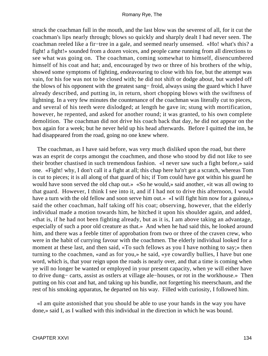struck the coachman full in the mouth, and the last blow was the severest of all, for it cut the coachman's lips nearly through; blows so quickly and sharply dealt I had never seen. The coachman reeled like a fir−tree in a gale, and seemed nearly unsensed. «Ho! what's this? a fight! a fight!» sounded from a dozen voices, and people came running from all directions to see what was going on. The coachman, coming somewhat to himself, disencumbered himself of his coat and hat; and, encouraged by two or three of his brothers of the whip, showed some symptoms of fighting, endeavouring to close with his foe, but the attempt was vain, for his foe was not to be closed with; he did not shift or dodge about, but warded off the blows of his opponent with the greatest sang− froid, always using the guard which I have already described, and putting in, in return, short chopping blows with the swiftness of lightning. In a very few minutes the countenance of the coachman was literally cut to pieces, and several of his teeth were dislodged; at length he gave in; stung with mortification, however, he repented, and asked for another round; it was granted, to his own complete demolition. The coachman did not drive his coach back that day, he did not appear on the box again for a week; but he never held up his head afterwards. Before I quitted the inn, he had disappeared from the road, going no one knew where.

 The coachman, as I have said before, was very much disliked upon the road, but there was an esprit de corps amongst the coachmen, and those who stood by did not like to see their brother chastised in such tremendous fashion. «I never saw such a fight before,» said one. «Fight! why, I don't call it a fight at all; this chap here ha'n't got a scratch, whereas Tom is cut to pieces; it is all along of that guard of his; if Tom could have got within his guard he would have soon served the old chap out.» «So he would,» said another, «it was all owing to that guard. However, I think I see into it, and if I had not to drive this afternoon, I would have a turn with the old fellow and soon serve him out.» «I will fight him now for a guinea,» said the other coachman, half taking off his coat; observing, however, that the elderly individual made a motion towards him, he hitched it upon his shoulder again, and added, «that is, if he had not been fighting already, but as it is, I am above taking an advantage, especially of such a poor old creature as that.» And when he had said this, he looked around him, and there was a feeble titter of approbation from two or three of the craven crew, who were in the habit of currying favour with the coachmen. The elderly individual looked for a moment at these last, and then said, «To such fellows as you I have nothing to say;» then turning to the coachmen, «and as for you,» he said, «ye cowardly bullies, I have but one word, which is, that your reign upon the roads is nearly over, and that a time is coming when ye will no longer be wanted or employed in your present capacity, when ye will either have to drive dung− carts, assist as ostlers at village ale−houses, or rot in the workhouse.» Then putting on his coat and hat, and taking up his bundle, not forgetting his meerschaum, and the rest of his smoking apparatus, he departed on his way. Filled with curiosity, I followed him.

 «I am quite astonished that you should be able to use your hands in the way you have done,» said I, as I walked with this individual in the direction in which he was bound.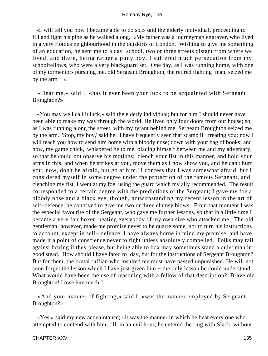«I will tell you how I became able to do so,» said the elderly individual, proceeding to fill and light his pipe as he walked along. «My father was a journeyman engraver, who lived in a very riotous neighbourhood in the outskirts of London. Wishing to give me something of an education, he sent me to a day−school, two or three streets distant from where we lived, and there, being rather a puny boy, I suffered much persecution from my schoolfellows, who were a very blackguard set. One day, as I was running home, with one of my tormentors pursuing me, old Sergeant Broughton, the retired fighting−man, seized me by the arm  $-$  »

 «Dear me,» said I, «has it ever been your luck to be acquainted with Sergeant Broughton?»

 «You may well call it luck,» said the elderly individual; but for him I should never have been able to make my way through the world. He lived only four doors from our house; so, as I was running along the street, with my tyrant behind me, Sergeant Broughton seized me by the arm. 'Stop, my boy,' said he; 'I have frequently seen that scamp ill−treating you; now I will teach you how to send him home with a bloody nose; down with your bag of books; and now, my game chick,' whispered he to me, placing himself between me and my adversary, so that he could not observe his motions; 'clench your fist in this manner, and hold your arms in this, and when he strikes at you, move them as I now show you, and he can't hurt you; now, don't be afraid, but go at him.' I confess that I was somewhat afraid, but I considered myself in some degree under the protection of the famous Sergeant, and, clenching my fist, I went at my foe, using the guard which my ally recommended. The result corresponded to a certain degree with the predictions of the Sergeant; I gave my foe a bloody nose and a black eye, though, notwithstanding my recent lesson in the art of self−defence, he contrived to give me two or three clumsy blows. From that moment I was the especial favourite of the Sergeant, who gave me further lessons, so that in a little time I became a very fair boxer, beating everybody of my own size who attacked me. The old gentleman, however, made me promise never to be quarrelsome, nor to turn his instructions to account, except in self− defence. I have always borne in mind my promise, and have made it a point of conscience never to fight unless absolutely compelled. Folks may rail against boxing if they please, but being able to box may sometimes stand a quiet man in good stead. How should I have fared to−day, but for the instructions of Sergeant Broughton? But for them, the brutal ruffian who insulted me must have passed unpunished. He will not soon forget the lesson which I have just given him – the only lesson he could understand. What would have been the use of reasoning with a fellow of that description? Brave old Broughton! I owe him much."

 «And your manner of fighting,» said I, «was the manner employed by Sergeant Broughton?»

 «Yes,» said my new acquaintance; «it was the manner in which he beat every one who attempted to contend with him, till, in an evil hour, he entered the ring with Slack, without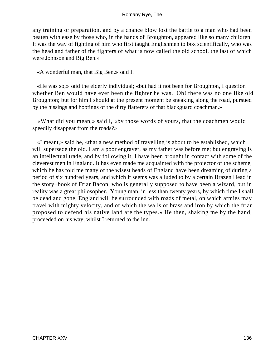any training or preparation, and by a chance blow lost the battle to a man who had been beaten with ease by those who, in the hands of Broughton, appeared like so many children. It was the way of fighting of him who first taught Englishmen to box scientifically, who was the head and father of the fighters of what is now called the old school, the last of which were Johnson and Big Ben.»

«A wonderful man, that Big Ben,» said I.

 «He was so,» said the elderly individual; «but had it not been for Broughton, I question whether Ben would have ever been the fighter he was. Oh! there was no one like old Broughton; but for him I should at the present moment be sneaking along the road, pursued by the hissings and hootings of the dirty flatterers of that blackguard coachman.»

 «What did you mean,» said I, «by those words of yours, that the coachmen would speedily disappear from the roads?»

 «I meant,» said he, «that a new method of travelling is about to be established, which will supersede the old. I am a poor engraver, as my father was before me; but engraving is an intellectual trade, and by following it, I have been brought in contact with some of the cleverest men in England. It has even made me acquainted with the projector of the scheme, which he has told me many of the wisest heads of England have been dreaming of during a period of six hundred years, and which it seems was alluded to by a certain Brazen Head in the story−book of Friar Bacon, who is generally supposed to have been a wizard, but in reality was a great philosopher. Young man, in less than twenty years, by which time I shall be dead and gone, England will be surrounded with roads of metal, on which armies may travel with mighty velocity, and of which the walls of brass and iron by which the friar proposed to defend his native land are the types.» He then, shaking me by the hand, proceeded on his way, whilst I returned to the inn.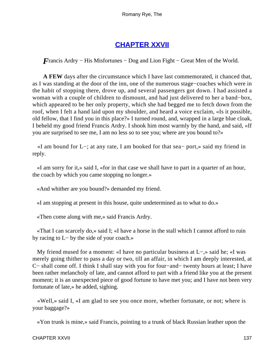# **[CHAPTER XXVII](#page-316-0)**

*F*rancis Ardry – His Misfortunes – Dog and Lion Fight – Great Men of the World.

**A FEW** days after the circumstance which I have last commemorated, it chanced that, as I was standing at the door of the inn, one of the numerous stage−coaches which were in the habit of stopping there, drove up, and several passengers got down. I had assisted a woman with a couple of children to dismount, and had just delivered to her a band−box, which appeared to be her only property, which she had begged me to fetch down from the roof, when I felt a hand laid upon my shoulder, and heard a voice exclaim, «Is it possible, old fellow, that I find you in this place?» I turned round, and, wrapped in a large blue cloak, I beheld my good friend Francis Ardry. I shook him most warmly by the hand, and said, «If you are surprised to see me, I am no less so to see you; where are you bound to?»

 «I am bound for L−; at any rate, I am booked for that sea− port,» said my friend in reply.

 «I am sorry for it,» said I, «for in that case we shall have to part in a quarter of an hour, the coach by which you came stopping no longer.»

«And whither are you bound?» demanded my friend.

«I am stopping at present in this house, quite undetermined as to what to do.»

«Then come along with me,» said Francis Ardry.

 «That I can scarcely do,» said I; «I have a horse in the stall which I cannot afford to ruin by racing to L− by the side of your coach.»

 My friend mused for a moment: «I have no particular business at L−,» said he; «I was merely going thither to pass a day or two, till an affair, in which I am deeply interested, at C− shall come off. I think I shall stay with you for four−and− twenty hours at least; I have been rather melancholy of late, and cannot afford to part with a friend like you at the present moment; it is an unexpected piece of good fortune to have met you; and I have not been very fortunate of late,» he added, sighing.

 «Well,» said I, «I am glad to see you once more, whether fortunate, or not; where is your baggage?»

«Yon trunk is mine,» said Francis, pointing to a trunk of black Russian leather upon the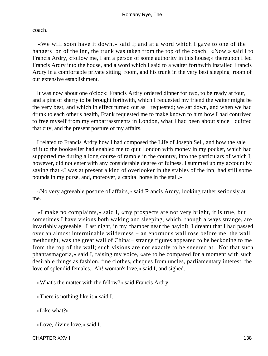coach.

 «We will soon have it down,» said I; and at a word which I gave to one of the hangers−on of the inn, the trunk was taken from the top of the coach. «Now,» said I to Francis Ardry, «follow me, I am a person of some authority in this house;» thereupon I led Francis Ardry into the house, and a word which I said to a waiter forthwith installed Francis Ardry in a comfortable private sitting−room, and his trunk in the very best sleeping−room of our extensive establishment.

 It was now about one o'clock: Francis Ardry ordered dinner for two, to be ready at four, and a pint of sherry to be brought forthwith, which I requested my friend the waiter might be the very best, and which in effect turned out as I requested; we sat down, and when we had drunk to each other's health, Frank requested me to make known to him how I had contrived to free myself from my embarrassments in London, what I had been about since I quitted that city, and the present posture of my affairs.

 I related to Francis Ardry how I had composed the Life of Joseph Sell, and how the sale of it to the bookseller had enabled me to quit London with money in my pocket, which had supported me during a long course of ramble in the country, into the particulars of which I, however, did not enter with any considerable degree of fulness. I summed up my account by saying that «I was at present a kind of overlooker in the stables of the inn, had still some pounds in my purse, and, moreover, a capital horse in the stall.»

 «No very agreeable posture of affairs,» said Francis Ardry, looking rather seriously at me.

 «I make no complaints,» said I, «my prospects are not very bright, it is true, but sometimes I have visions both waking and sleeping, which, though always strange, are invariably agreeable. Last night, in my chamber near the hayloft, I dreamt that I had passed over an almost interminable wilderness − an enormous wall rose before me, the wall, methought, was the great wall of China:− strange figures appeared to be beckoning to me from the top of the wall; such visions are not exactly to be sneered at. Not that such phantasmagoria,» said I, raising my voice, «are to be compared for a moment with such desirable things as fashion, fine clothes, cheques from uncles, parliamentary interest, the love of splendid females. Ah! woman's love,» said I, and sighed.

«What's the matter with the fellow?» said Francis Ardry.

«There is nothing like it,» said I.

«Like what?»

«Love, divine love,» said I.

CHAPTER XXVII 138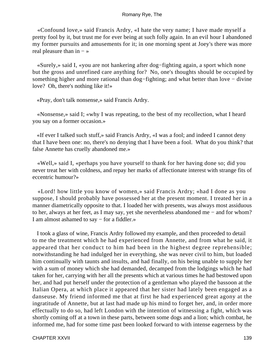«Confound love,» said Francis Ardry, «I hate the very name; I have made myself a pretty fool by it, but trust me for ever being at such folly again. In an evil hour I abandoned my former pursuits and amusements for it; in one morning spent at Joey's there was more real pleasure than in − »

 «Surely,» said I, «you are not hankering after dog−fighting again, a sport which none but the gross and unrefined care anything for? No, one's thoughts should be occupied by something higher and more rational than dog–fighting; and what better than love – divine love? Oh, there's nothing like it!»

«Pray, don't talk nonsense,» said Francis Ardry.

 «Nonsense,» said I; «why I was repeating, to the best of my recollection, what I heard you say on a former occasion.»

 «If ever I talked such stuff,» said Francis Ardry, «I was a fool; and indeed I cannot deny that I have been one: no, there's no denying that I have been a fool. What do you think? that false Annette has cruelly abandoned me.»

 «Well,» said I, «perhaps you have yourself to thank for her having done so; did you never treat her with coldness, and repay her marks of affectionate interest with strange fits of eccentric humour?»

 «Lord! how little you know of women,» said Francis Ardry; «had I done as you suppose, I should probably have possessed her at the present moment. I treated her in a manner diametrically opposite to that. I loaded her with presents, was always most assiduous to her, always at her feet, as I may say, yet she nevertheless abandoned me − and for whom? I am almost ashamed to say − for a fiddler.»

 I took a glass of wine, Francis Ardry followed my example, and then proceeded to detail to me the treatment which he had experienced from Annette, and from what he said, it appeared that her conduct to him had been in the highest degree reprehensible; notwithstanding he had indulged her in everything, she was never civil to him, but loaded him continually with taunts and insults, and had finally, on his being unable to supply her with a sum of money which she had demanded, decamped from the lodgings which he had taken for her, carrying with her all the presents which at various times he had bestowed upon her, and had put herself under the protection of a gentleman who played the bassoon at the Italian Opera, at which place it appeared that her sister had lately been engaged as a danseuse. My friend informed me that at first he had experienced great agony at the ingratitude of Annette, but at last had made up his mind to forget her, and, in order more effectually to do so, had left London with the intention of witnessing a fight, which was shortly coming off at a town in these parts, between some dogs and a lion; which combat, he informed me, had for some time past been looked forward to with intense eagerness by the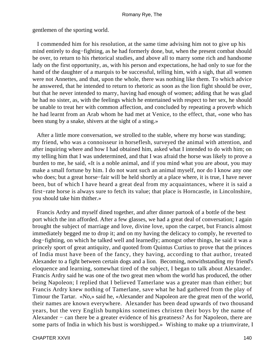gentlemen of the sporting world.

 I commended him for his resolution, at the same time advising him not to give up his mind entirely to dog−fighting, as he had formerly done, but, when the present combat should be over, to return to his rhetorical studies, and above all to marry some rich and handsome lady on the first opportunity, as, with his person and expectations, he had only to sue for the hand of the daughter of a marquis to be successful, telling him, with a sigh, that all women were not Annettes, and that, upon the whole, there was nothing like them. To which advice he answered, that he intended to return to rhetoric as soon as the lion fight should be over, but that he never intended to marry, having had enough of women; adding that he was glad he had no sister, as, with the feelings which he entertained with respect to her sex, he should be unable to treat her with common affection, and concluded by repeating a proverb which he had learnt from an Arab whom he had met at Venice, to the effect, that, «one who has been stung by a snake, shivers at the sight of a sting.»

 After a little more conversation, we strolled to the stable, where my horse was standing; my friend, who was a connoisseur in horseflesh, surveyed the animal with attention, and after inquiring where and how I had obtained him, asked what I intended to do with him; on my telling him that I was undetermined, and that I was afraid the horse was likely to prove a burden to me, he said, «It is a noble animal, and if you mind what you are about, you may make a small fortune by him. I do not want such an animal myself, nor do I know any one who does; but a great horse−fair will be held shortly at a place where, it is true, I have never been, but of which I have heard a great deal from my acquaintances, where it is said a first−rate horse is always sure to fetch its value; that place is Horncastle, in Lincolnshire, you should take him thither.»

 Francis Ardry and myself dined together, and after dinner partook of a bottle of the best port which the inn afforded. After a few glasses, we had a great deal of conversation; I again brought the subject of marriage and love, divine love, upon the carpet, but Francis almost immediately begged me to drop it; and on my having the delicacy to comply, he reverted to dog−fighting, on which he talked well and learnedly; amongst other things, he said it was a princely sport of great antiquity, and quoted from Quintus Curtius to prove that the princes of India must have been of the fancy, they having, according to that author, treated Alexander to a fight between certain dogs and a lion. Becoming, notwithstanding my friend's eloquence and learning, somewhat tired of the subject, I began to talk about Alexander. Francis Ardry said he was one of the two great men whom the world has produced, the other being Napoleon; I replied that I believed Tamerlane was a greater man than either; but Francis Ardry knew nothing of Tamerlane, save what he had gathered from the play of Timour the Tartar. «No,» said he, «Alexander and Napoleon are the great men of the world, their names are known everywhere. Alexander has been dead upwards of two thousand years, but the very English bumpkins sometimes christen their boys by the name of Alexander − can there be a greater evidence of his greatness? As for Napoleon, there are some parts of India in which his bust is worshipped.» Wishing to make up a triumvirate, I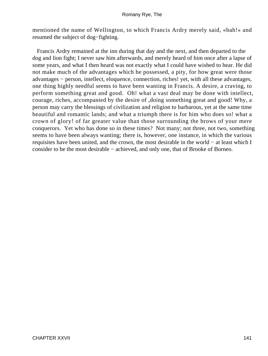mentioned the name of Wellington, to which Francis Ardry merely said, «bah!» and resumed the subject of dog−fighting.

 Francis Ardry remained at the inn during that day and the next, and then departed to the dog and lion fight; I never saw him afterwards, and merely heard of him once after a lapse of some years, and what I then heard was not exactly what I could have wished to hear. He did not make much of the advantages which he possessed, a pity, for how great were those advantages − person, intellect, eloquence, connection, riches! yet, with all these advantages, one thing highly needful seems to have been wanting in Francis. A desire, a craving, to perform something great and good. Oh! what a vast deal may be done with intellect, courage, riches, accompanied by the desire of ,doing something great and good! Why, a person may carry the blessings of civilization and religion to barbarous, yet at the same time beautiful and romantic lands; and what a triumph there is for him who does so! what a crown of glory! of far greater value than those surrounding the brows of your mere conquerors. Yet who has done so in these times? Not many; not three, not two, something seems to have been always wanting; there is, however, one instance, in which the various requisites have been united, and the crown, the most desirable in the world − at least which I consider to be the most desirable − achieved, and only one, that of Brooke of Borneo.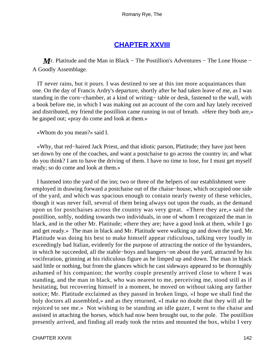## **[CHAPTER XXVIII](#page-316-0)**

*M r*. Platitude and the Man in Black – The Postillion's Adventures – The Lone House – A Goodly Assemblage.

 IT never rains, but it pours. I was destined to see at this inn more acquaintances than one. On the day of Francis Ardry's departure, shortly after he had taken leave of me, as I was standing in the corn–chamber, at a kind of writing– table or desk, fastened to the wall, with a book before me, in which I was making out an account of the corn and hay lately received and distributed, my friend the postillion came running in out of breath. «Here they both are,» he gasped out; «pray do come and look at them.»

«Whom do you mean?» said I.

 «Why, that red−haired Jack Priest, and that idiotic parson, Platitude; they have just been set down by one of the coaches, and want a postchaise to go across the country in; and what do you think? I am to have the driving of them. I have no time to lose, for I must get myself ready; so do come and look at them.»

 I hastened into the yard of the inn; two or three of the helpers of our establishment were employed in drawing forward a postchaise out of the chaise−house, which occupied one side of the yard, and which was spacious enough to contain nearly twenty of these vehicles, though it was never full, several of them being always out upon the roads, as the demand upon us for postchaises across the country was very great. «There they are,» said the postillion, softly, nodding towards two individuals, in one of whom I recognized the man in black, and in the other Mr. Platitude; «there they are; have a good look at them, while I go and get ready.» The man in black and Mr. Platitude were walking up and down the yard, Mr. Platitude was doing his best to make himself appear ridiculous, talking very loudly in exceedingly bad Italian, evidently for the purpose of attracting the notice of the bystanders, in which he succeeded, all the stable−boys and hangers−on about the yard, attracted by his vociferation, grinning at his ridiculous figure as he limped up and down. The man in black said little or nothing, but from the glances which he cast sideways appeared to be thoroughly ashamed of his companion; the worthy couple presently arrived close to where I was standing, and the man in black, who was nearest to me, perceiving me, stood still as if hesitating, but recovering himself in a moment, he moved on without taking any farther notice; Mr. Platitude exclaimed as they passed in broken lingo, «I hope we shall find the holy doctors all assembled,» and as they returned, «I make no doubt that they will all be rejoiced to see me.» Not wishing to be standing an idle gazer, I went to the chaise and assisted in attaching the horses, which had now been brought out, to the pole. The postillion presently arrived, and finding all ready took the reins and mounted the box, whilst I very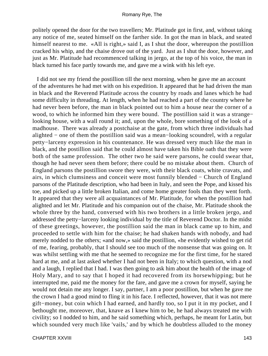politely opened the door for the two travellers; Mr. Platitude got in first, and, without taking any notice of me, seated himself on the farther side. In got the man in black, and seated himself nearest to me. «All is right,» said I, as I shut the door, whereupon the postillion cracked his whip, and the chaise drove out of the yard. Just as I shut the door, however, and just as Mr. Platitude had recommenced talking in jergo, at the top of his voice, the man in black turned his face partly towards me, and gave me a wink with his left eye.

 I did not see my friend the postillion till the next morning, when he gave me an account of the adventures he had met with on his expedition. It appeared that he had driven the man in black and the Reverend Platitude across the country by roads and lanes which he had some difficulty in threading. At length, when he had reached a part of the country where he had never been before, the man in black pointed out to him a house near the corner of a wood, to which he informed him they were bound. The postillion said it was a strange− looking house, with a wall round it; and, upon the whole, bore something of the look of a madhouse. There was already a postchaise at the gate, from which three individuals had alighted − one of them the postillion said was a mean−looking scoundrel, with a regular petty−larceny expression in his countenance. He was dressed very much like the man in black, and the postillion said that he could almost have taken his Bible oath that they were both of the same profession. The other two he said were parsons, he could swear that, though he had never seen them before; there could be no mistake about them. Church of England parsons the postillion swore they were, with their black coats, white cravats, and airs, in which clumsiness and conceit were most funnily blended − Church of England parsons of the Platitude description, who had been in Italy, and seen the Pope, and kissed his toe, and picked up a little broken Italian, and come home greater fools than they went forth. It appeared that they were all acquaintances of Mr. Platitude, for when the postillion had alighted and let Mr. Platitude and his companion out of the chaise, Mr. Platitude shook the whole three by the hand, conversed with his two brothers in a little broken jergo, and addressed the petty−larceny looking individual by the title of Reverend Doctor. In the midst of these greetings, however, the postillion said the man in black came up to him, and proceeded to settle with him for the chaise; he had shaken hands with nobody, and had merely nodded to the others; «and now,» said the postillion, «he evidently wished to get rid of me, fearing, probably, that I should see too much of the nonsense that was going on. It was whilst settling with me that he seemed to recognize me for the first time, for he stared hard at me, and at last asked whether I had not been in Italy; to which question, with a nod and a laugh, I replied that I had. I was then going to ask him about the health of the image of Holy Mary, and to say that I hoped it had recovered from its horsewhipping; but he interrupted me, paid me the money for the fare, and gave me a crown for myself, saying he would not detain me any longer. I say, partner, I am a poor postillion, but when he gave me the crown I had a good mind to fling it in his face. I reflected, however, that it was not mere gift−money, but coin which I had earned, and hardly too, so I put it in my pocket, and I bethought me, moreover, that, knave as I knew him to be, he had always treated me with civility; so I nodded to him, and he said something which, perhaps, he meant for Latin, but which sounded very much like 'vails,' and by which he doubtless alluded to the money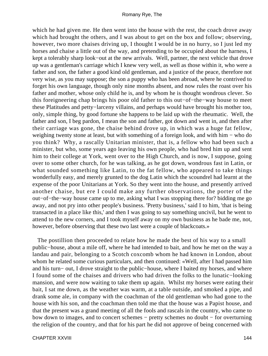which he had given me. He then went into the house with the rest, the coach drove away which had brought the others, and I was about to get on the box and follow; observing, however, two more chaises driving up, I thought I would be in no hurry, so I just led my horses and chaise a little out of the way, and pretending to be occupied about the harness, I kept a tolerably sharp look−out at the new arrivals. Well, partner, the next vehicle that drove up was a gentleman's carriage which I knew very well, as well as those within it, who were a father and son, the father a good kind old gentleman, and a justice of the peace, therefore not very wise, as you may suppose; the son a puppy who has been abroad, where he contrived to forget his own language, though only nine months absent, and now rules the roast over his father and mother, whose only child he is, and by whom he is thought wondrous clever. So this foreigneering chap brings his poor old father to this out−of−the−way house to meet these Platitudes and petty−larceny villains, and perhaps would have brought his mother too, only, simple thing, by good fortune she happens to be laid up with the rheumatic. Well, the father and son, I beg pardon, I mean the son and father, got down and went in, and then after their carriage was gone, the chaise behind drove up, in which was a huge fat fellow, weighing twenty stone at least, but with something of a foreign look, and with him – who do you think? Why, a rascally Unitarian minister, that is, a fellow who had been such a minister, but who, some years ago leaving his own people, who had bred him up and sent him to their college at York, went over to the High Church, and is now, I suppose, going over to some other church, for he was talking, as he got down, wondrous fast in Latin, or what sounded something like Latin, to the fat fellow, who appeared to take things wonderfully easy, and merely grunted to the dog Latin which the scoundrel had learnt at the expense of the poor Unitarians at York. So they went into the house, and presently arrived another chaise, but ere I could make any further observations, the porter of the out−of−the−way house came up to me, asking what I was stopping there for? bidding me go away, and not pry into other people's business. 'Pretty business,' said I to him, 'that is being transacted in a place like this,' and then I was going to say something uncivil, but he went to attend to the new corners, and I took myself away on my own business as he bade me, not, however, before observing that these two last were a couple of blackcoats.»

 The postillion then proceeded to relate how he made the best of his way to a small public−house, about a mile off, where he had intended to bait, and how he met on the way a landau and pair, belonging to a Scotch coxcomb whom he had known in London, about whom he related some curious particulars, and then continued: «Well, after I had passed him and his turn− out, I drove straight to the public−house, where I baited my horses, and where I found some of the chaises and drivers who had driven the folks to the lunatic−looking mansion, and were now waiting to take them up again. Whilst my horses were eating their bait, I sat me down, as the weather was warm, at a table outside, and smoked a pipe, and drank some ale, in company with the coachman of the old gentleman who had gone to the house with his son, and the coachman then told me that the house was a Papist house, and that the present was a grand meeting of all the fools and rascals in the country, who came to bow down to images, and to concert schemes − pretty schemes no doubt − for overturning the religion of the country, and that for his part he did not approve of being concerned with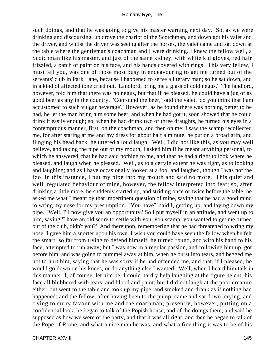such doings, and that he was going to give his master warning next day. So, as we were drinking and discoursing, up drove the chariot of the Scotchman, and down got his valet and the driver, and whilst the driver was seeing after the horses, the valet came and sat down at the table where the gentleman's coachman and I were drinking. I knew the fellow well, a Scotchman like his master, and just of the same kidney, with white kid gloves, red hair frizzled, a patch of paint on his face, and his hands covered with rings. This very fellow, I must tell you, was one of those most busy in endeavouring to get me turned out of the servants' club in Park Lane, because I happened to serve a literary man; so he sat down, and in a kind of affected tone cried out, 'Landlord, bring me a glass of cold negus.' The landlord, however, told him that there was no negus, but that if he pleased, he could have a jug of as good beer as any in the country. 'Confound the beer,' said the valet, 'do you think that I am accustomed to such vulgar beverage?' However, as he found there was nothing better to be had, he let the man bring him some beer, and when he had got it, soon showed that he could drink it easily enough; so, when he had drunk two or three draughts, he turned his eyes in a contemptuous manner, first, on the coachman, and then on me: I saw the scamp recollected me, for after staring at me and my dress for about half a minute, he put on a broad grin, and flinging his head back, he uttered a loud laugh. Well, I did not like this, as you may well believe, and taking the pipe out of my mouth, I asked him if he meant anything personal, to which he answered, that he had said nothing to me, and that he had a right to look where he pleased, and laugh when he pleased. Well, as to a certain extent he was right, as to looking and laughing; and as I have occasionally looked at a fool and laughed, though I was not the fool in this instance, I put my pipe into my mouth and said no more. This quiet and well−regulated behaviour of mine, however, the fellow interpreted into fear; so, after drinking a little more, he suddenly started up, and striding once or twice before the table, he asked me what I meant by that impertinent question of mine, saying that he had a good mind to wring my nose for my presumption. 'You have?' said I, getting up, and laying down my pipe. 'Well, I'll now give you an opportunity.' So I put myself in an attitude, and went up to him, saying 'I have an old score to settle with you, you scamp; you wanted to get me turned out of the club, didn't you?' And thereupon, remembering that he had threatened to wring my nose, I gave him a snorter upon his own. I wish you could have seen the fellow when he felt the smart; so far from trying to defend himself, he turned round, and with his hand to his face, attempted to run away; but I was now in a regular passion, and following him up, got before him, and was going to pummel away at him, when he burst into tears, and begged me not to hurt him, saying that he was sorry if he had offended me, and that, if I pleased, he would go down on his knees, or do anything else I wanted. Well, when I heard him talk in this manner, I, of course, let him be; I could hardly help laughing at the figure he cut; his face all blubbered with tears, and blood and paint; but I did not laugh at the poor creature either, but went to the table and took up my pipe, and smoked and drank as if nothing had happened; and the fellow, after having been to the pump, came and sat down, crying, and trying to curry favour with me and the coachman; presently, however, putting on a confidential look, he began to talk of the Popish house, and of the doings there, and said he supposed as how we were of the party, and that it was all right; and then he began to talk of the Pope of Rome, and what a nice man he was, and what a fine thing it was to be of his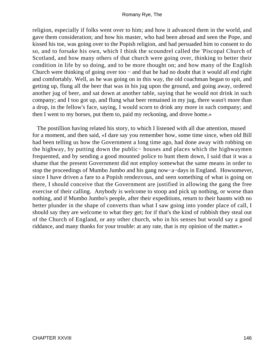religion, especially if folks went over to him; and how it advanced them in the world, and gave them consideration; and how his master, who had been abroad and seen the Pope, and kissed his toe, was going over to the Popish religion, and had persuaded him to consent to do so, and to forsake his own, which I think the scoundrel called the 'Piscopal Church of Scotland, and how many others of that church were going over, thinking to better their condition in life by so doing, and to be more thought on; and how many of the English Church were thinking of going over too − and that he had no doubt that it would all end right and comfortably. Well, as he was going on in this way, the old coachman began to spit, and getting up, flung all the beer that was in his jug upon the ground, and going away, ordered another jug of beer, and sat down at another table, saying that he would not drink in such company; and I too got up, and flung what beer remained in my jug, there wasn't more than a drop, in the fellow's face, saying, I would scorn to drink any more in such company; and then I went to my horses, put them to, paid my reckoning, and drove home.»

 The postillion having related his story, to which I listened with all due attention, mused for a moment, and then said, «I dare say you remember how, some time since, when old Bill had been telling us how the Government a long time ago, had done away with robbing on the highway, by putting down the public− houses and places which the highwaymen frequented, and by sending a good mounted police to hunt them down, I said that it was a shame that the present Government did not employ somewhat the same means in order to stop the proceedings of Mumbo Jumbo and his gang now−a−days in England. Howsomever, since I have driven a fare to a Popish rendezvous, and seen something of what is going on there, I should conceive that the Government are justified in allowing the gang the free exercise of their calling. Anybody is welcome to stoop and pick up nothing, or worse than nothing, and if Mumbo Jumbo's people, after their expeditions, return to their haunts with no better plunder in the shape of converts than what I saw going into yonder place of call, I should say they are welcome to what they get; for if that's the kind of rubbish they steal out of the Church of England, or any other church, who in his senses but would say a good riddance, and many thanks for your trouble: at any rate, that is my opinion of the matter.»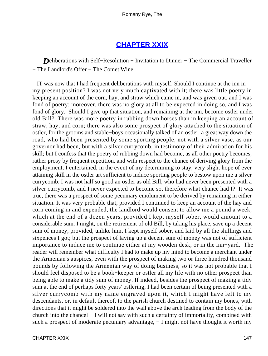## **[CHAPTER XXIX](#page-316-0)**

*Deliberations with Self–Resolution – Invitation to Dinner – The Commercial Traveller* − The Landlord's Offer − The Comet Wine.

 IT was now that I had frequent deliberations with myself. Should I continue at the inn in my present position? I was not very much captivated with it; there was little poetry in keeping an account of the corn, hay, and straw which came in, and was given out, and I was fond of poetry; moreover, there was no glory at all to be expected in doing so, and I was fond of glory. Should I give up that situation, and remaining at the inn, become ostler under old Bill? There was more poetry in rubbing down horses than in keeping an account of straw, hay, and corn; there was also some prospect of glory attached to the situation of ostler, for the grooms and stable−boys occasionally talked of an ostler, a great way down the road, who had been presented by some sporting people, not with a silver vase, as our governor had been, but with a silver currycomb, in testimony of their admiration for his skill; but I confess that the poetry of rubbing down had become, as all other poetry becomes, rather prosy by frequent repetition, and with respect to the chance of deriving glory from the employment, I entertained, in the event of my determining to stay, very slight hope of ever attaining skill in the ostler art sufficient to induce sporting people to bestow upon me a silver currycomb. I was not half so good an ostler as old Bill, who had never been presented with a silver currycomb, and I never expected to become so, therefore what chance had I? It was true, there was a prospect of some pecuniary emolument to be derived by remaining in either situation. It was very probable that, provided I continued to keep an account of the hay and corn coming in and expended, the landlord would consent to allow me a pound a week, which at the end of a dozen years, provided I kept myself sober, would amount to a considerable sum. I might, on the retirement of old Bill, by taking his place, save up a decent sum of money, provided, unlike him, I kept myself sober, and laid by all the shillings and sixpences I got; but the prospect of laying up a decent sum of money was not of sufficient importance to induce me to continue either at my wooden desk, or in the inn−yard. The reader will remember what difficulty I had to make up my mind to become a merchant under the Armenian's auspices, even with the prospect of making two or three hundred thousand pounds by following the Armenian way of doing business, so it was not probable that I should feel disposed to be a book−keeper or ostler all my life with no other prospect than being able to make a tidy sum of money. If indeed, besides the prospect of making a tidy sum at the end of perhaps forty years' ostlering, I had been certain of being presented with a silver currycomb with my name engraved upon it, which I might have left to my descendants, or, in default thereof, to the parish church destined to contain my bones, with directions that it might be soldered into the wall above the arch leading from the body of the church into the chancel − I will not say with such a certainty of immortality, combined with such a prospect of moderate pecuniary advantage, − I might not have thought it worth my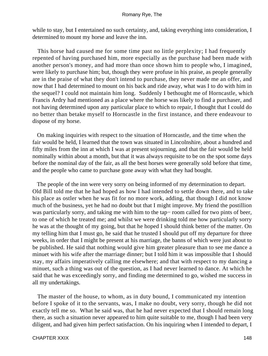while to stay, but I entertained no such certainty, and, taking everything into consideration, I determined to mount my horse and leave the inn.

 This horse had caused me for some time past no little perplexity; I had frequently repented of having purchased him, more especially as the purchase had been made with another person's money, and had more than once shown him to people who, I imagined, were likely to purchase him; but, though they were profuse in his praise, as people generally are in the praise of what they don't intend to purchase, they never made me an offer, and now that I had determined to mount on his back and ride away, what was I to do with him in the sequel? I could not maintain him long. Suddenly I bethought me of Horncastle, which Francis Ardry had mentioned as a place where the horse was likely to find a purchaser, and not having determined upon any particular place to which to repair, I thought that I could do no better than betake myself to Horncastle in the first instance, and there endeavour to dispose of my horse.

 On making inquiries with respect to the situation of Horncastle, and the time when the fair would be held, I learned that the town was situated in Lincolnshire, about a hundred and fifty miles from the inn at which I was at present sojourning, and that the fair would be held nominally within about a month, but that it was always requisite to be on the spot some days before the nominal day of the fair, as all the best horses were generally sold before that time, and the people who came to purchase gone away with what they had bought.

 The people of the inn were very sorry on being informed of my determination to depart. Old Bill told me that he had hoped as how I had intended to settle down there, and to take his place as ostler when he was fit for no more work, adding, that though I did not know much of the business, yet he had no doubt but that I might improve. My friend the postillion was particularly sorry, and taking me with him to the tap− room called for two pints of beer, to one of which he treated me; and whilst we were drinking told me how particularly sorry he was at the thought of my going, but that he hoped I should think better of the matter. On my telling him that I must go, he said that he trusted I should put off my departure for three weeks, in order that I might be present at his marriage, the banns of which were just about to be published. He said that nothing would give him greater pleasure than to see me dance a minuet with his wife after the marriage dinner; but I told him it was impossible that I should stay, my affairs imperatively calling me elsewhere; and that with respect to my dancing a minuet, such a thing was out of the question, as I had never learned to dance. At which he said that he was exceedingly sorry, and finding me determined to go, wished me success in all my undertakings.

 The master of the house, to whom, as in duty bound, I communicated my intention before I spoke of it to the servants, was, I make no doubt, very sorry, though he did not exactly tell me so. What he said was, that he had never expected that I should remain long there, as such a situation never appeared to him quite suitable to me, though I had been very diligent, and had given him perfect satisfaction. On his inquiring when I intended to depart, I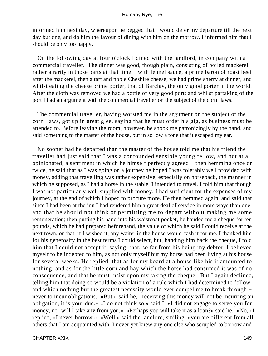informed him next day, whereupon he begged that I would defer my departure till the next day but one, and do him the favour of dining with him on the morrow. I informed him that I should be only too happy.

 On the following day at four o'clock I dined with the landlord, in company with a commercial traveller. The dinner was good, though plain, consisting of boiled mackerel − rather a rarity in those parts at that time − with fennel sauce, a prime baron of roast beef after the mackerel, then a tart and noble Cheshire cheese; we had prime sherry at dinner, and whilst eating the cheese prime porter, that of Barclay, the only good porter in the world. After the cloth was removed we had a bottle of very good port; and whilst partaking of the port I had an argument with the commercial traveller on the subject of the corn−laws.

 The commercial traveller, having worsted me in the argument on the subject of the corn−laws, got up in great glee, saying that he must order his gig, as business must be attended to. Before leaving the room, however, he shook me patronizingly by the hand, and said something to the master of the house, but in so low a tone that it escaped my ear.

 No sooner had he departed than the master of the house told me that his friend the traveller had just said that I was a confounded sensible young fellow, and not at all opinionated, a sentiment in which he himself perfectly agreed − then hemming once or twice, he said that as I was going on a journey he hoped I was tolerably well provided with money, adding that travelling was rather expensive, especially on horseback, the manner in which he supposed, as I had a horse in the stable, I intended to travel. I told him that though I was not particularly well supplied with money, I had sufficient for the expenses of my journey, at the end of which I hoped to procure more. He then hemmed again, and said that since I had been at the inn I had rendered him a great deal of service in more ways than one, and that he should not think of permitting me to depart without making me some remuneration; then putting his hand into his waistcoat pocket, he handed me a cheque for ten pounds, which he had prepared beforehand, the value of which he said I could receive at the next town, or that, if I wished it, any waiter in the house would cash it for me. I thanked him for his generosity in the best terms I could select, but, handing him back the cheque, I told him that I could not accept it, saying, that, so far from his being my debtor, I believed myself to be indebted to him, as not only myself but my horse had been living at his house for several weeks. He replied, that as for my board at a house like his it amounted to nothing, and as for the little corn and hay which the horse had consumed it was of no consequence, and that he must insist upon my taking the cheque. But I again declined, telling him that doing so would be a violation of a rule which I had determined to follow, and which nothing but the greatest necessity would ever compel me to break through − never to incur obligations. «But,» said he, «receiving this money will not be incurring an obligation, it is your due.» «I do not think so,» said I; «I did not engage to serve you for money, nor will I take any from you.» «Perhaps you will take it as a loan?» said he. «No,» I replied, «I never borrow.» «Well,» said the landlord, smiling, «you are different from all others that I am acquainted with. I never yet knew any one else who scrupled to borrow and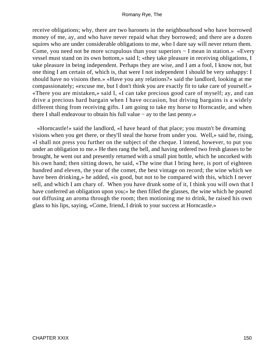receive obligations; why, there are two baronets in the neighbourhood who have borrowed money of me, ay, and who have never repaid what they borrowed; and there are a dozen squires who are under considerable obligations to me, who I dare say will never return them. Come, you need not be more scrupulous than your superiors − I mean in station.» «Every vessel must stand on its own bottom,» said I; «they take pleasure in receiving obligations, I take pleasure in being independent. Perhaps they are wise, and I am a fool, I know not, but one thing I am certain of, which is, that were I not independent I should be very unhappy: I should have no visions then.» «Have you any relations?» said the landlord, looking at me compassionately; «excuse me, but I don't think you are exactly fit to take care of yourself.» «There you are mistaken,» said I, «I can take precious good care of myself; ay, and can drive a precious hard bargain when I have occasion, but driving bargains is a widely different thing from receiving gifts. I am going to take my horse to Horncastle, and when there I shall endeavour to obtain his full value − ay to the last penny.»

 «Horncastle!» said the landlord, «I have heard of that place; you mustn't be dreaming visions when you get there, or they'll steal the horse from under you. Well,» said he, rising, «I shall not press you further on the subject of the cheque. I intend, however, to put you under an obligation to me.» He then rang the bell, and having ordered two fresh glasses to be brought, he went out and presently returned with a small pint bottle, which he uncorked with his own hand; then sitting down, he said, «The wine that I bring here, is port of eighteen hundred and eleven, the year of the comet, the best vintage on record; the wine which we have been drinking,» he added, «is good, but not to be compared with this, which I never sell, and which I am chary of. When you have drunk some of it, I think you will own that I have conferred an obligation upon you;» he then filled the glasses, the wine which he poured out diffusing an aroma through the room; then motioning me to drink, he raised his own glass to his lips, saying, «Come, friend, I drink to your success at Horncastle.»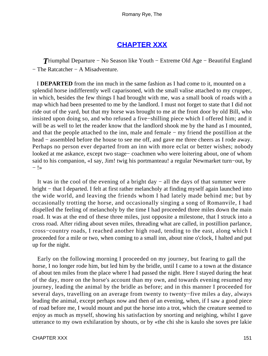# **[CHAPTER XXX](#page-316-0)**

*T*riumphal Departure − No Season like Youth − Extreme Old Age − Beautiful England − The Ratcatcher − A Misadventure.

 I **DEPARTED** from the inn much in the same fashion as I had come to it, mounted on a splendid horse indifferently well caparisoned, with the small valise attached to my crupper, in which, besides the few things I had brought with me, was a small book of roads with a map which had been presented to me by the landlord. I must not forget to state that I did not ride out of the yard, but that my horse was brought to me at the front door by old Bill, who insisted upon doing so, and who refused a five−shilling piece which I offered him; and it will be as well to let the reader know that the landlord shook me by the hand as I mounted, and that the people attached to the inn, male and female − my friend the postillion at the head – assembled before the house to see me off, and gave me three cheers as I rode away. Perhaps no person ever departed from an inn with more eclat or better wishes; nobody looked at me askance, except two stage− coachmen who were loitering about, one of whom said to his companion, «I say, Jim! twig his portmanteau! a regular Newmarket turn−out, by − !»

 It was in the cool of the evening of a bright day − all the days of that summer were bright − that I departed. I felt at first rather melancholy at finding myself again launched into the wide world, and leaving the friends whom I had lately made behind me; but by occasionally trotting the horse, and occasionally singing a song of Romanvile, I had dispelled the feeling of melancholy by the time I had proceeded three miles down the main road. It was at the end of these three miles, just opposite a milestone, that I struck into a cross road. After riding about seven miles, threading what are called, in postillion parlance, cross−country roads, I reached another high road, tending to the east, along which I proceeded for a mile or two, when coming to a small inn, about nine o'clock, I halted and put up for the night.

 Early on the following morning I proceeded on my journey, but fearing to gall the horse, I no longer rode him, but led him by the bridle, until I came to a town at the distance of about ten miles from the place where I had passed the night. Here I stayed during the heat of the day, more on the horse's account than my own, and towards evening resumed my journey, leading the animal by the bridle as before; and in this manner I proceeded for several days, travelling on an average from twenty to twenty−five miles a day, always leading the animal, except perhaps now and then of an evening, when, if I saw a good piece of road before me, I would mount and put the horse into a trot, which the creature seemed to enjoy as much as myself, showing his satisfaction by snorting and neighing, whilst I gave utterance to my own exhilaration by shouts, or by «the chi she is kaulo she soves pre lakie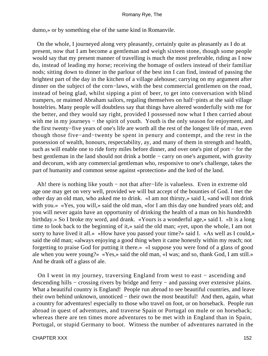dumo,» or by something else of the same kind in Romanvile.

 On the whole, I journeyed along very pleasantly, certainly quite as pleasantly as I do at present, now that I am become a gentleman and weigh sixteen stone, though some people would say that my present manner of travelling is much the most preferable, riding as I now do, instead of leading my horse; receiving the homage of ostlers instead of their familiar nods; sitting down to dinner in the parlour of the best inn I can find, instead of passing the brightest part of the day in the kitchen of a village alehouse; carrying on my argument after dinner on the subject of the corn−laws, with the best commercial gentlemen on the road, instead of being glad, whilst sipping a pint of beer, to get into conversation with blind trampers, or maimed Abraham sailors, regaling themselves on half−pints at the said village hostelries. Many people will doubtless say that things have altered wonderfully with me for the better, and they would say right, provided I possessed now what I then carried about with me in my journeys – the spirit of youth. Youth is the only season for enjoyment, and the first twenty−five years of one's life are worth all the rest of the longest life of man, even though those five−and−twenty be spent in penury and contempt, and the rest in the possession of wealth, honours, respectability, ay, and many of them in strength and health, such as will enable one to ride forty miles before dinner, and over one's pint of port − for the best gentleman in the land should not drink a bottle − carry on one's argument, with gravity and decorum, with any commercial gentleman who, responsive to one's challenge, takes the part of humanity and common sense against «protection» and the lord of the land.

 Ah! there is nothing like youth − not that after−life is valueless. Even in extreme old age one may get on very well, provided we will but accept of the bounties of God. I met the other day an old man, who asked me to drink. «I am not thirsty,» said I, «and will not drink with you.» «Yes, you will,» said the old man, «for I am this day one hundred years old; and you will never again have an opportunity of drinking the health of a man on his hundredth birthday.» So I broke my word, and drank. «Yours is a wonderful age,» said I. «It is a long time to look back to the beginning of it,» said the old man; «yet, upon the whole, I am not sorry to have lived it all.» «How have you passed your time?» said I. «As well as I could,» said the old man; «always enjoying a good thing when it came honestly within my reach; not forgetting to praise God for putting it there.» «I suppose you were fond of a glass of good ale when you were young?» «Yes,» said the old man, «I was; and so, thank God, I am still.» And he drank off a glass of ale.

 On I went in my journey, traversing England from west to east − ascending and descending hills − crossing rivers by bridge and ferry − and passing over extensive plains. What a beautiful country is England! People run abroad to see beautiful countries, and leave their own behind unknown, unnoticed − their own the most beautiful! And then, again, what a country for adventures! especially to those who travel on foot, or on horseback. People run abroad in quest of adventures, and traverse Spain or Portugal on mule or on horseback; whereas there are ten times more adventures to be met with in England than in Spain, Portugal, or stupid Germany to boot. Witness the number of adventures narrated in the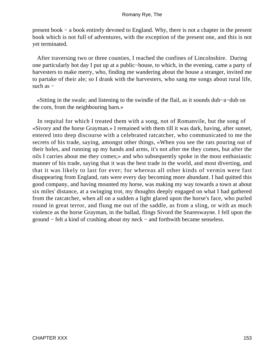present book − a book entirely devoted to England. Why, there is not a chapter in the present book which is not full of adventures, with the exception of the present one, and this is not yet terminated.

 After traversing two or three counties, I reached the confines of Lincolnshire. During one particularly hot day I put up at a public−house, to which, in the evening, came a party of harvesters to make merry, who, finding me wandering about the house a stranger, invited me to partake of their ale; so I drank with the harvesters, who sang me songs about rural life, such as  $-$ 

 «Sitting in the swale; and listening to the swindle of the flail, as it sounds dub−a−dub on the corn, from the neighbouring barn.»

 In requital for which I treated them with a song, not of Romanvile, but the song of «Sivory and the horse Grayman.» I remained with them till it was dark, having, after sunset, entered into deep discourse with a celebrated ratcatcher, who communicated to me the secrets of his trade, saying, amongst other things, «When you see the rats pouring out of their holes, and running up my hands and arms, it's not after me they comes, but after the oils I carries about me they comes;» and who subsequently spoke in the most enthusiastic manner of his trade, saying that it was the best trade in the world, and most diverting, and that it was likely to last for ever; for whereas all other kinds of vermin were fast disappearing from England, rats were every day becoming more abundant. I had quitted this good company, and having mounted my horse, was making my way towards a town at about six miles' distance, at a swinging trot, my thoughts deeply engaged on what I had gathered from the ratcatcher, when all on a sudden a light glared upon the horse's face, who purled round in great terror, and flung me out of the saddle, as from a sling, or with as much violence as the horse Grayman, in the ballad, flings Sivord the Snareswayne. I fell upon the ground − felt a kind of crashing about my neck − and forthwith became senseless.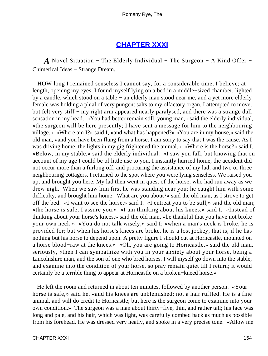## **[CHAPTER XXXI](#page-316-0)**

*A* Novel Situation – The Elderly Individual – The Surgeon – A Kind Offer – Chimerical Ideas − Strange Dream.

 HOW long I remained senseless I cannot say, for a considerable time, I believe; at length, opening my eyes, I found myself lying on a bed in a middle−sized chamber, lighted by a candle, which stood on a table − an elderly man stood near me, and a yet more elderly female was holding a phial of very pungent salts to my olfactory organ. I attempted to move, but felt very stiff – my right arm appeared nearly paralysed, and there was a strange dull sensation in my head. «You had better remain still, young man,» said the elderly individual, «the surgeon will be here presently; I have sent a message for him to the neighbouring village.» «Where am I?» said I, «and what has happened?» «You are in my house,» said the old man, «and you have been flung from a horse. I am sorry to say that I was the cause. As I was driving home, the lights in my gig frightened the animal.» «Where is the horse?» said I. «Below, in my stable,» said the elderly individual. «I saw you fall, but knowing that on account of my age I could be of little use to you, I instantly hurried home, the accident did not occur more than a furlong off, and procuring the assistance of my lad, and two or three neighbouring cottagers, I returned to the spot where you were lying senseless. We raised you up, and brought you here. My lad then went in quest of the horse, who had run away as we drew nigh. When we saw him first he was standing near you; he caught him with some difficulty, and brought him home. What are you about?» said the old man, as I strove to get off the bed. «I want to see the horse,» said I. «I entreat you to be still,» said the old man; «the horse is safe, I assure you.» «I am thinking about his knees,» said I. «Instead of thinking about your horse's knees,» said the old man, «be thankful that you have not broke your own neck.» «You do not talk wisely,» said I; «when a man's neck is broke, he is provided for; but when his horse's knees are broke, he is a lost jockey, that is, if he has nothing but his horse to depend upon. A pretty figure I should cut at Horncastle, mounted on a horse blood−raw at the knees.» «Oh, you are going to Horncastle,» said the old man, seriously, «then I can sympathize with you in your anxiety about your horse, being a Lincolnshire man, and the son of one who bred horses. I will myself go down into the stable, and examine into the condition of your horse, so pray remain quiet till I return; it would certainly be a terrible thing to appear at Horncastle on a broken−kneed horse.»

 He left the room and returned in about ten minutes, followed by another person. «Your horse is safe,» said he, «and his knees are unblemished; not a hair ruffled. He is a fine animal, and will do credit to Horncastle; but here is the surgeon come to examine into your own condition.» The surgeon was a man about thirty−five, thin, and rather tall; his face was long and pale, and his hair, which was light, was carefully combed back as much as possible from his forehead. He was dressed very neatly, and spoke in a very precise tone. «Allow me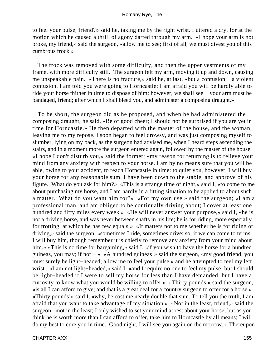to feel your pulse, friend?» said he, taking me by the right wrist. I uttered a cry, for at the motion which he caused a thrill of agony darted through my arm. «I hope your arm is not broke, my friend,» said the surgeon, «allow me to see; first of all, we must divest you of this cumbrous frock.»

 The frock was removed with some difficulty, and then the upper vestments of my frame, with more difficulty still. The surgeon felt my arm, moving it up and down, causing me unspeakable pain. «There is no fracture,» said he, at last, «but a contusion − a violent contusion. I am told you were going to Horncastle; I am afraid you will be hardly able to ride your horse thither in time to dispose of him; however, we shall see − your arm must be bandaged, friend; after which I shall bleed you, and administer a composing draught.»

 To be short, the surgeon did as he proposed, and when he had administered the composing draught, he said, «Be of good cheer; I should not be surprised if you are yet in time for Horncastle.» He then departed with the master of the house, and the woman, leaving me to my repose. I soon began to feel drowsy, and was just composing myself to slumber, lying on my back, as the surgeon had advised me, when I heard steps ascending the stairs, and in a moment more the surgeon entered again, followed by the master of the house. «I hope I don't disturb you,» said the former; «my reason for returning is to relieve your mind from any anxiety with respect to your horse. I am by no means sure that you will be able, owing to your accident, to reach Horncastle in time: to quiet you, however, I will buy your horse for any reasonable sum. I have been down to the stable, and approve of his figure. What do you ask for him?» «This is a strange time of night,» said I, «to come to me about purchasing my horse, and I am hardly in a fitting situation to be applied to about such a matter. What do you want him for?» «For my own use,» said the surgeon; «I am a professional man, and am obliged to be continually driving about; I cover at least one hundred and fifty miles every week.» «He will never answer your purpose,» said I, «he is not a driving horse, and was never between shafts in his life; he is for riding, more especially for trotting, at which he has few equals.» «It matters not to me whether he is for riding or driving,» said the surgeon, «sometimes I ride, sometimes drive; so, if we can come to terms, I will buy him, though remember it is chiefly to remove any anxiety from your mind about him.» «This is no time for bargaining,» said I, «if you wish to have the horse for a hundred guineas, you may; if not − » «A hundred guineas!» said the surgeon, «my good friend, you must surely be light−headed; allow me to feel your pulse,» and he attempted to feel my left wrist. «I am not light−headed,» said I, «and I require no one to feel my pulse; but I should be light−headed if I were to sell my horse for less than I have demanded; but I have a curiosity to know what you would be willing to offer.» «Thirty pounds,» said the surgeon, «is all I can afford to give; and that is a great deal for a country surgeon to offer for a horse.» «Thirty pounds!» said I, «why, he cost me nearly double that sum. To tell you the truth, I am afraid that you want to take advantage of my situation.» «Not in the least, friend,» said the surgeon, «not in the least; I only wished to set your mind at rest about your horse; but as you think he is worth more than I can afford to offer, take him to Horncastle by all means; I will do my best to cure you in time. Good night, I will see you again on the morrow.» Thereupon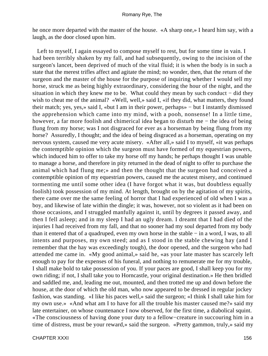he once more departed with the master of the house. «A sharp one,» I heard him say, with a laugh, as the door closed upon him.

 Left to myself, I again essayed to compose myself to rest, but for some time in vain. I had been terribly shaken by my fall, and had subsequently, owing to the incision of the surgeon's lancet, been deprived of much of the vital fluid; it is when the body is in such a state that the merest trifles affect and agitate the mind; no wonder, then, that the return of the surgeon and the master of the house for the purpose of inquiring whether I would sell my horse, struck me as being highly extraordinary, considering the hour of the night, and the situation in which they knew me to be. What could they mean by such conduct − did they wish to cheat me of the animal? «Well, well,» said I, «if they did, what matters, they found their match; yes, yes,» said I, «but I am in their power, perhaps» − but I instantly dismissed the apprehension which came into my mind, with a pooh, nonsense! In a little time, however, a far more foolish and chimerical idea began to disturb me − the idea of being flung from my horse; was I not disgraced for ever as a horseman by being flung from my horse? Assuredly, I thought; and the idea of being disgraced as a horseman, operating on my nervous system, caused me very acute misery. «After all,» said I to myself, «it was perhaps the contemptible opinion which the surgeon must have formed of my equestrian powers, which induced him to offer to take my horse off my hands; he perhaps thought I was unable to manage a horse, and therefore in pity returned in the dead of night to offer to purchase the animal which had flung me;» and then the thought that the surgeon had conceived a contemptible opinion of my equestrian powers, caused me the acutest misery, and continued tormenting me until some other idea (I have forgot what it was, but doubtless equally foolish) took possession of my mind. At length, brought on by the agitation of my spirits, there came over me the same feeling of horror that I had experienced of old when I was a boy, and likewise of late within the dingle; it was, however, not so violent as it had been on those occasions, and I struggled manfully against it, until by degrees it passed away, and then I fell asleep; and in my sleep I had an ugly dream. I dreamt that I had died of the injuries I had received from my fall, and that no sooner had my soul departed from my body than it entered that of a quadruped, even my own horse in the stable − in a word, I was, to all intents and purposes, my own steed; and as I stood in the stable chewing hay (and I remember that the hay was exceedingly tough), the door opened, and the surgeon who had attended me came in. «My good animal,» said he, «as your late master has scarcely left enough to pay for the expenses of his funeral, and nothing to remunerate me for my trouble, I shall make bold to take possession of you. If your paces are good, I shall keep you for my own riding; if not, I shall take you to Horncastle, your original destination.» He then bridled and saddled me, and, leading me out, mounted, and then trotted me up and down before the house, at the door of which the old man, who now appeared to be dressed in regular jockey fashion, was standing. «I like his paces well,» said the surgeon; «I think I shall take him for my own use.» «And what am I to have for all the trouble his master caused me?» said my late entertainer, on whose countenance I now observed, for the first time, a diabolical squint. «The consciousness of having done your duty to a fellow−creature in succouring him in a time of distress, must be your reward,» said the surgeon. «Pretty gammon, truly,» said my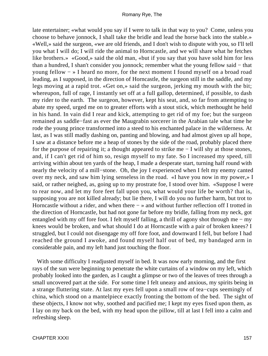late entertainer; «what would you say if I were to talk in that way to you? Come, unless you choose to behave jonnock, I shall take the bridle and lead the horse back into the stable.» «Well,» said the surgeon, «we are old friends, and I don't wish to dispute with you, so I'll tell you what I will do; I will ride the animal to Horncastle, and we will share what he fetches like brothers.» «Good,» said the old man, «but if you say that you have sold him for less than a hundred, I shan't consider you jonnock; remember what the young fellow said − that young fellow − » I heard no more, for the next moment I found myself on a broad road leading, as I supposed, in the direction of Horncastle, the surgeon still in the saddle, and my legs moving at a rapid trot. «Get on,» said the surgeon, jerking my mouth with the bit; whereupon, full of rage, I instantly set off at a full gallop, determined, if possible, to dash my rider to the earth. The surgeon, however, kept his seat, and, so far from attempting to abate my speed, urged me on to greater efforts with a stout stick, which methought he held in his hand. In vain did I rear and kick, attempting to get rid of my foe; but the surgeon remained as saddle−fast as ever the Maugrabin sorcerer in the Arabian tale what time he rode the young prince transformed into a steed to his enchanted palace in the wilderness. At last, as I was still madly dashing on, panting and blowing, and had almost given up all hope, I saw at a distance before me a heap of stones by the side of the road, probably placed there for the purpose of repairing it; a thought appeared to strike me − I will shy at those stones, and, if I can't get rid of him so, resign myself to my fate. So I increased my speed, till arriving within about ten yards of the heap, I made a desperate start, turning half round with nearly the velocity of a mill−stone. Oh, the joy I experienced when I felt my enemy canted over my neck, and saw him lying senseless in the road. «I have you now in my power,» I said, or rather neighed, as, going up to my prostrate foe, I stood over him. «Suppose I were to rear now, and let my fore feet fall upon you, what would your life be worth? that is, supposing you are not killed already; but lie there, I will do you no further harm, but trot to Horncastle without a rider, and when there − » and without further reflection off I trotted in the direction of Horncastle, but had not gone far before my bridle, falling from my neck, got entangled with my off fore foot. I felt myself falling, a thrill of agony shot through me − my knees would be broken, and what should I do at Horncastle with a pair of broken knees? I struggled, but I could not disengage my off fore foot, and downward I fell, but before I had reached the ground I awoke, and found myself half out of bed, my bandaged arm in considerable pain, and my left hand just touching the floor.

With some difficulty I readjusted myself in bed. It was now early morning, and the first rays of the sun were beginning to penetrate the white curtains of a window on my left, which probably looked into the garden, as I caught a glimpse or two of the leaves of trees through a small uncovered part at the side. For some time I felt uneasy and anxious, my spirits being in a strange fluttering state. At last my eyes fell upon a small row of tea−cups seemingly of china, which stood on a mantelpiece exactly fronting the bottom of the bed. The sight of these objects, I know not why, soothed and pacified me; I kept my eyes fixed upon them, as I lay on my back on the bed, with my head upon the pillow, till at last I fell into a calm and refreshing sleep.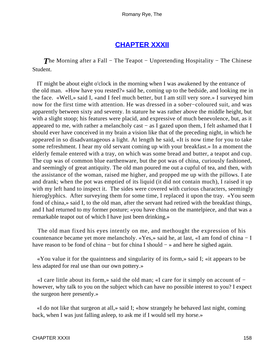## **[CHAPTER XXXII](#page-316-0)**

*The Morning after a Fall* – The Teapot – Unpretending Hospitality – The Chinese Student.

 IT might be about eight o'clock in the morning when I was awakened by the entrance of the old man. «How have you rested?» said he, coming up to the bedside, and looking me in the face. «Well,» said I, «and I feel much better, but I am still very sore.» I surveyed him now for the first time with attention. He was dressed in a sober−coloured suit, and was apparently between sixty and seventy. In stature he was rather above the middle height, but with a slight stoop; his features were placid, and expressive of much benevolence, but, as it appeared to me, with rather a melancholy cast − as I gazed upon them, I felt ashamed that I should ever have conceived in my brain a vision like that of the preceding night, in which he appeared in so disadvantageous a light. At length he said, «It is now time for you to take some refreshment. I hear my old servant coming up with your breakfast.» In a moment the elderly female entered with a tray, on which was some bread and butter, a teapot and cup. The cup was of common blue earthenware, but the pot was of china, curiously fashioned, and seemingly of great antiquity. The old man poured me out a cupful of tea, and then, with the assistance of the woman, raised me higher, and propped me up with the pillows. I ate and drank; when the pot was emptied of its liquid (it did not contain much), I raised it up with my left hand to inspect it. The sides were covered with curious characters, seemingly hieroglyphics. After surveying them for some time, I replaced it upon the tray. «You seem fond of china,» said I, to the old man, after the servant had retired with the breakfast things, and I had returned to my former posture; «you have china on the mantelpiece, and that was a remarkable teapot out of which I have just been drinking.»

 The old man fixed his eyes intently on me, and methought the expression of his countenance became yet more melancholy. «Yes,» said he, at last, «I am fond of china − I have reason to be fond of china – but for china I should – » and here he sighed again.

 «You value it for the quaintness and singularity of its form,» said I; «it appears to be less adapted for real use than our own pottery.»

 «I care little about its form,» said the old man; «I care for it simply on account of − however, why talk to you on the subject which can have no possible interest to you? I expect the surgeon here presently.»

 «I do not like that surgeon at all,» said I; «how strangely he behaved last night, coming back, when I was just falling asleep, to ask me if I would sell my horse.»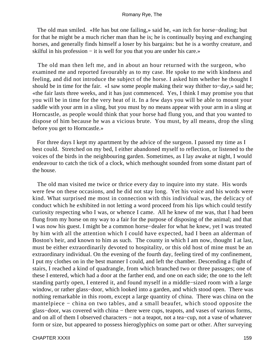The old man smiled. «He has but one failing,» said he, «an itch for horse−dealing; but for that he might be a much richer man than he is; he is continually buying and exchanging horses, and generally finds himself a loser by his bargains: but he is a worthy creature, and skilful in his profession – it is well for you that you are under his care.»

 The old man then left me, and in about an hour returned with the surgeon, who examined me and reported favourably as to my case. He spoke to me with kindness and feeling, and did not introduce the subject of the horse. I asked him whether he thought I should be in time for the fair. «I saw some people making their way thither to−day,» said he; «the fair lasts three weeks, and it has just commenced. Yes, I think I may promise you that you will be in time for the very heat of it. In a few days you will be able to mount your saddle with your arm in a sling, but you must by no means appear with your arm in a sling at Horncastle, as people would think that your horse had flung you, and that you wanted to dispose of him because he was a vicious brute. You must, by all means, drop the sling before you get to Horncastle.»

 For three days I kept my apartment by the advice of the surgeon. I passed my time as I best could. Stretched on my bed, I either abandoned myself to reflection, or listened to the voices of the birds in the neighbouring garden. Sometimes, as I lay awake at night, I would endeavour to catch the tick of a clock, which methought sounded from some distant part of the house.

 The old man visited me twice or thrice every day to inquire into my state. His words were few on these occasions, and he did not stay long. Yet his voice and his words were kind. What surprised me most in connection with this individual was, the delicacy of conduct which he exhibited in not letting a word proceed from his lips which could testify curiosity respecting who I was, or whence I came. All he knew of me was, that I had been flung from my horse on my way to a fair for the purpose of disposing of the animal; and that I was now his guest. I might be a common horse−dealer for what he knew, yet I was treated by him with all the attention which I could have expected, had I been an alderman of Boston's heir, and known to him as such. The county in which I am now, thought I at last, must be either extraordinarily devoted to hospitality, or this old host of mine must be an extraordinary individual. On the evening of the fourth day, feeling tired of my confinement, I put my clothes on in the best manner I could, and left the chamber. Descending a flight of stairs, I reached a kind of quadrangle, from which branched two or three passages; one of these I entered, which had a door at the farther end, and one on each side; the one to the left standing partly open, I entered it, and found myself in a middle−sized room with a large window, or rather glass−door, which looked into a garden, and which stood open. There was nothing remarkable in this room, except a large quantity of china. There was china on the mantelpiece − china on two tables, and a small beaufet, which stood opposite the glass-door, was covered with china – there were cups, teapots, and vases of various forms, and on all of them I observed characters − not a teapot, not a tea−cup, not a vase of whatever form or size, but appeared to possess hieroglyphics on some part or other. After surveying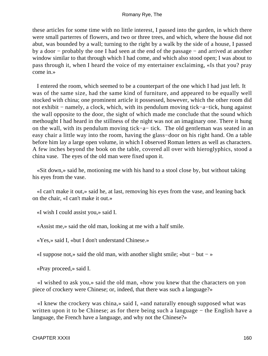these articles for some time with no little interest, I passed into the garden, in which there were small parterres of flowers, and two or three trees, and which, where the house did not abut, was bounded by a wall; turning to the right by a walk by the side of a house, I passed by a door − probably the one I had seen at the end of the passage − and arrived at another window similar to that through which I had come, and which also stood open; I was about to pass through it, when I heard the voice of my entertainer exclaiming, «Is that you? pray come in.»

 I entered the room, which seemed to be a counterpart of the one which I had just left. It was of the same size, had the same kind of furniture, and appeared to be equally well stocked with china; one prominent article it possessed, however, which the other room did not exhibit − namely, a clock, which, with its pendulum moving tick−a−tick, hung against the wall opposite to the door, the sight of which made me conclude that the sound which methought I had heard in the stillness of the night was not an imaginary one. There it hung on the wall, with its pendulum moving tick−a− tick. The old gentleman was seated in an easy chair a little way into the room, having the glass−door on his right hand. On a table before him lay a large open volume, in which I observed Roman letters as well as characters. A few inches beyond the book on the table, covered all over with hieroglyphics, stood a china vase. The eyes of the old man were fixed upon it.

 «Sit down,» said he, motioning me with his hand to a stool close by, but without taking his eyes from the vase.

 «I can't make it out,» said he, at last, removing his eyes from the vase, and leaning back on the chair, «I can't make it out.»

«I wish I could assist you,» said I.

«Assist me,» said the old man, looking at me with a half smile.

«Yes,» said I, «but I don't understand Chinese.»

«I suppose not,» said the old man, with another slight smile; «but − but − »

«Pray proceed,» said I.

 «I wished to ask you,» said the old man, «how you knew that the characters on yon piece of crockery were Chinese; or, indeed, that there was such a language?»

 «I knew the crockery was china,» said I, «and naturally enough supposed what was written upon it to be Chinese; as for there being such a language – the English have a language, the French have a language, and why not the Chinese?»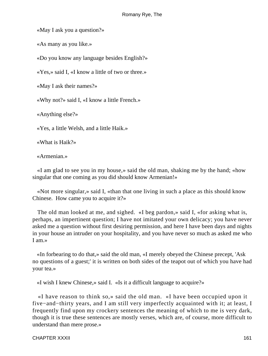«May I ask you a question?»

«As many as you like.»

«Do you know any language besides English?»

«Yes,» said I, «I know a little of two or three.»

«May I ask their names?»

«Why not?» said I, «I know a little French.»

«Anything else?»

«Yes, a little Welsh, and a little Haik.»

«What is Haik?»

«Armenian.»

 «I am glad to see you in my house,» said the old man, shaking me by the hand; «how singular that one coming as you did should know Armenian!»

 «Not more singular,» said I, «than that one living in such a place as this should know Chinese. How came you to acquire it?»

 The old man looked at me, and sighed. «I beg pardon,» said I, «for asking what is, perhaps, an impertinent question; I have not imitated your own delicacy; you have never asked me a question without first desiring permission, and here I have been days and nights in your house an intruder on your hospitality, and you have never so much as asked me who I am.»

 «In forbearing to do that,» said the old man, «I merely obeyed the Chinese precept, 'Ask no questions of a guest;' it is written on both sides of the teapot out of which you have had your tea.»

«I wish I knew Chinese,» said I. «Is it a difficult language to acquire?»

 «I have reason to think so,» said the old man. «I have been occupied upon it five−and−thirty years, and I am still very imperfectly acquainted with it; at least, I frequently find upon my crockery sentences the meaning of which to me is very dark, though it is true these sentences are mostly verses, which are, of course, more difficult to understand than mere prose.»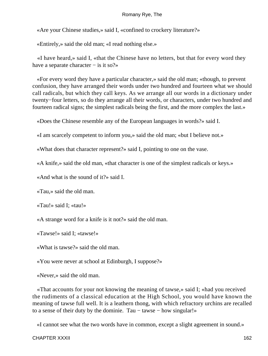«Are your Chinese studies,» said I, «confined to crockery literature?»

«Entirely,» said the old man; «I read nothing else.»

 «I have heard,» said I, «that the Chinese have no letters, but that for every word they have a separate character − is it so?»

 «For every word they have a particular character,» said the old man; «though, to prevent confusion, they have arranged their words under two hundred and fourteen what we should call radicals, but which they call keys. As we arrange all our words in a dictionary under twenty−four letters, so do they arrange all their words, or characters, under two hundred and fourteen radical signs; the simplest radicals being the first, and the more complex the last.»

«Does the Chinese resemble any of the European languages in words?» said I.

«I am scarcely competent to inform you,» said the old man; «but I believe not.»

«What does that character represent?» said I, pointing to one on the vase.

«A knife,» said the old man, «that character is one of the simplest radicals or keys.»

«And what is the sound of it?» said I.

«Tau,» said the old man.

«Tau!» said I; «tau!»

«A strange word for a knife is it not?» said the old man.

«Tawse!» said I; «tawse!»

«What is tawse?» said the old man.

«You were never at school at Edinburgh, I suppose?»

«Never,» said the old man.

 «That accounts for your not knowing the meaning of tawse,» said I; «had you received the rudiments of a classical education at the High School, you would have known the meaning of tawse full well. It is a leathern thong, with which refractory urchins are recalled to a sense of their duty by the dominie. Tau – tawse – how singular!»

«I cannot see what the two words have in common, except a slight agreement in sound.»

CHAPTER XXXII 162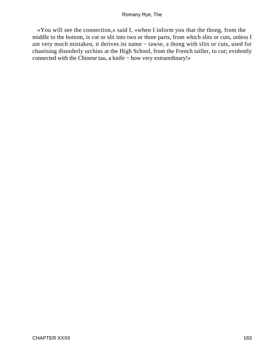«You will see the connection,» said I, «when I inform you that the thong, from the middle to the bottom, is cut or slit into two or three parts, from which slits or cuts, unless I am very much mistaken, it derives its name − tawse, a thong with slits or cuts, used for chastising disorderly urchins at the High School, from the French tailler, to cut; evidently connected with the Chinese tau, a knife − how very extraordinary!»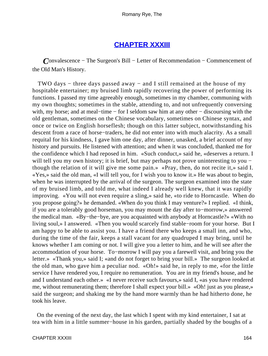## **[CHAPTER XXXIII](#page-316-0)**

*C*onvalescence − The Surgeon's Bill − Letter of Recommendation − Commencement of the Old Man's History.

 TWO days − three days passed away − and I still remained at the house of my hospitable entertainer; my bruised limb rapidly recovering the power of performing its functions. I passed my time agreeably enough, sometimes in my chamber, communing with my own thoughts; sometimes in the stable, attending to, and not unfrequently conversing with, my horse; and at meal−time − for I seldom saw him at any other − discoursing with the old gentleman, sometimes on the Chinese vocabulary, sometimes on Chinese syntax, and once or twice on English horseflesh; though on this latter subject, notwithstanding his descent from a race of horse−traders, he did not enter into with much alacrity. As a small requital for his kindness, I gave him one day, after dinner, unasked, a brief account of my history and pursuits. He listened with attention; and when it was concluded, thanked me for the confidence which I had reposed in him. «Such conduct,» said he, «deserves a return. I will tell you my own history; it is brief, but may perhaps not prove uninteresting to you − though the relation of it will give me some pain.» «Pray, then, do not recite it,» said I. «Yes,» said the old man, «I will tell you, for I wish you to know it.» He was about to begin, when he was interrupted by the arrival of the surgeon. The surgeon examined into the state of my bruised limb, and told me, what indeed I already well knew, that it was rapidly improving. «You will not even require a sling,» said he, «to ride to Horncastle. When do you propose going?» he demanded. «When do you think I may venture?» I replied. «I think, if you are a tolerably good horseman, you may mount the day after to−morrow,» answered the medical man. «By−the−bye, are you acquainted with anybody at Horncastle?» «With no living soul,» I answered. «Then you would scarcely find stable−room for your horse. But I am happy to be able to assist you. I have a friend there who keeps a small inn, and who, during the time of the fair, keeps a stall vacant for any quadruped I may bring, until he knows whether I am coming or not. I will give you a letter to him, and he will see after the accommodation of your horse. To−morrow I will pay you a farewell visit, and bring you the letter.» «Thank you,» said I; «and do not forget to bring your bill.» The surgeon looked at the old man, who gave him a peculiar nod. «Oh!» said he, in reply to me, «for the little service I have rendered you, I require no remuneration. You are in my friend's house, and he and I understand each other.» «I never receive such favours,» said I, «as you have rendered me, without remunerating them; therefore I shall expect your bill.» «Oh! just as you please,» said the surgeon; and shaking me by the hand more warmly than he had hitherto done, he took his leave.

 On the evening of the next day, the last which I spent with my kind entertainer, I sat at tea with him in a little summer−house in his garden, partially shaded by the boughs of a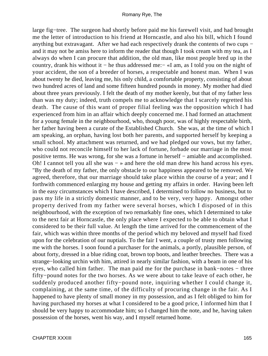large fig−tree. The surgeon had shortly before paid me his farewell visit, and had brought me the letter of introduction to his friend at Horncastle, and also his bill, which I found anything but extravagant. After we had each respectively drank the contents of two cups − and it may not be amiss here to inform the reader that though I took cream with my tea, as I always do when I can procure that addition, the old man, like most people bred up in the country, drank his without it − he thus addressed me:− «I am, as I told you on the night of your accident, the son of a breeder of horses, a respectable and honest man. When I was about twenty he died, leaving me, his only child, a comfortable property, consisting of about two hundred acres of land and some fifteen hundred pounds in money. My mother had died about three years previously. I felt the death of my mother keenly, but that of my father less than was my duty; indeed, truth compels me to acknowledge that I scarcely regretted his death. The cause of this want of proper filial feeling was the opposition which I had experienced from him in an affair which deeply concerned me. I had formed an attachment for a young female in the neighbourhood, who, though poor, was of highly respectable birth, her father having been a curate of the Established Church. She was, at the time of which I am speaking, an orphan, having lost both her parents, and supported herself by keeping a small school. My attachment was returned, and we had pledged our vows, but my father, who could not reconcile himself to her lack of fortune, forbade our marriage in the most positive terms. He was wrong, for she was a fortune in herself − amiable and accomplished. Oh! I cannot tell you all she was − » and here the old man drew his hand across his eyes. "By the death of my father, the only obstacle to our happiness appeared to be removed. We agreed, therefore, that our marriage should take place within the course of a year; and I forthwith commenced enlarging my house and getting my affairs in order. Having been left in the easy circumstances which I have described, I determined to follow no business, but to pass my life in a strictly domestic manner, and to be very, very happy. Amongst other property derived from my father were several horses, which I disposed of in this neighbourhood, with the exception of two remarkably fine ones, which I determined to take to the next fair at Horncastle, the only place where I expected to be able to obtain what I considered to be their full value. At length the time arrived for the commencement of the fair, which was within three months of the period which my beloved and myself had fixed upon for the celebration of our nuptials. To the fair I went, a couple of trusty men following me with the horses. I soon found a purchaser for the animals, a portly, plausible person, of about forty, dressed in a blue riding coat, brown top boots, and leather breeches. There was a strange−looking urchin with him, attired in nearly similar fashion, with a beam in one of his eyes, who called him father. The man paid me for the purchase in bank−notes − three fifty−pound notes for the two horses. As we were about to take leave of each other, he suddenly produced another fifty−pound note, inquiring whether I could change it, complaining, at the same time, of the difficulty of procuring change in the fair. As I happened to have plenty of small money in my possession, and as I felt obliged to him for having purchased my horses at what I considered to be a good price, I informed him that I should be very happy to accommodate him; so I changed him the note, and he, having taken possession of the horses, went his way, and I myself returned home.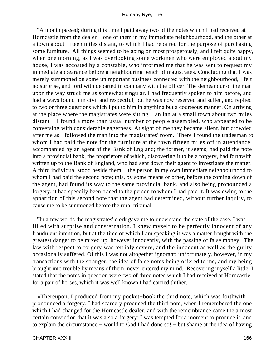"A month passed; during this time I paid away two of the notes which I had received at Horncastle from the dealer – one of them in my immediate neighbourhood, and the other at a town about fifteen miles distant, to which I had repaired for the purpose of purchasing some furniture. All things seemed to be going on most prosperously, and I felt quite happy, when one morning, as I was overlooking some workmen who were employed about my house, I was accosted by a constable, who informed me that he was sent to request my immediate appearance before a neighbouring bench of magistrates. Concluding that I was merely summoned on some unimportant business connected with the neighbourhood, I felt no surprise, and forthwith departed in company with the officer. The demeanour of the man upon the way struck me as somewhat singular. I had frequently spoken to him before, and had always found him civil and respectful, but he was now reserved and sullen, and replied to two or three questions which I put to him in anything but a courteous manner. On arriving at the place where the magistrates were sitting − an inn at a small town about two miles distant − I found a more than usual number of people assembled, who appeared to be conversing with considerable eagerness. At sight of me they became silent, but crowded after me as I followed the man into the magistrates' room. There I found the tradesman to whom I had paid the note for the furniture at the town fifteen miles off in attendance, accompanied by an agent of the Bank of England; the former, it seems, had paid the note into a provincial bank, the proprietors of which, discovering it to be a forgery, had forthwith written up to the Bank of England, who had sent down their agent to investigate the matter. A third individual stood beside them − the person in my own immediate neighbourhood to whom I had paid the second note; this, by some means or other, before the coming down of the agent, had found its way to the same provincial bank, and also being pronounced a forgery, it had speedily been traced to the person to whom I had paid it. It was owing to the apparition of this second note that the agent had determined, without further inquiry, to cause me to be summoned before the rural tribunal.

 "In a few words the magistrates' clerk gave me to understand the state of the case. I was filled with surprise and consternation. I knew myself to be perfectly innocent of any fraudulent intention, but at the time of which I am speaking it was a matter fraught with the greatest danger to be mixed up, however innocently, with the passing of false money. The law with respect to forgery was terribly severe, and the innocent as well as the guilty occasionally suffered. Of this I was not altogether ignorant; unfortunately, however, in my transactions with the stranger, the idea of false notes being offered to me, and my being brought into trouble by means of them, never entered my mind. Recovering myself a little, I stated that the notes in question were two of three notes which I had received at Horncastle, for a pair of horses, which it was well known I had carried thither.

 «Thereupon, I produced from my pocket−book the third note, which was forthwith pronounced a forgery. I had scarcely produced the third note, when I remembered the one which I had changed for the Horncastle dealer, and with the remembrance came the almost certain conviction that it was also a forgery; I was tempted for a moment to produce it, and to explain the circumstance − would to God I had done so! − but shame at the idea of having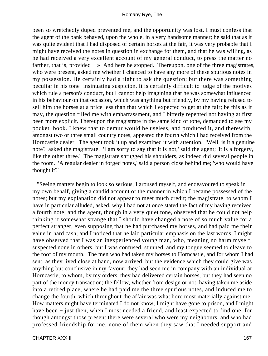been so wretchedly duped prevented me, and the opportunity was lost. I must confess that the agent of the bank behaved, upon the whole, in a very handsome manner; he said that as it was quite evident that I had disposed of certain horses at the fair, it was very probable that I might have received the notes in question in exchange for them, and that he was willing, as he had received a very excellent account of my general conduct, to press the matter no farther, that is, provided − » And here he stopped. Thereupon, one of the three magistrates, who were present, asked me whether I chanced to have any more of these spurious notes in my possession. He certainly had a right to ask the question; but there was something peculiar in his tone−insinuating suspicion. It is certainly difficult to judge of the motives which rule a person's conduct, but I cannot help imagining that he was somewhat influenced in his behaviour on that occasion, which was anything but friendly, by my having refused to sell him the horses at a price less than that which I expected to get at the fair; be this as it may, the question filled me with embarrassment, and I bitterly repented not having at first been more explicit. Thereupon the magistrate in the same kind of tone, demanded to see my pocket−book. I knew that to demur would be useless, and produced it, and therewith, amongst two or three small country notes, appeared the fourth which I had received from the Horncastle dealer. The agent took it up and examined it with attention. 'Well, is it a genuine note?' asked the magistrate. 'I am sorry to say that it is not,' said the agent; 'it is a forgery, like the other three.' The magistrate shrugged his shoulders, as indeed did several people in the room. 'A regular dealer in forged notes,' said a person close behind me; 'who would have thought it?'

 "Seeing matters begin to look so serious, I aroused myself, and endeavoured to speak in my own behalf, giving a candid account of the manner in which I became possessed of the notes; but my explanation did not appear to meet much credit; the magistrate, to whom I have in particular alluded, asked, why I had not at once stated the fact of my having received a fourth note; and the agent, though in a very quiet tone, observed that he could not help thinking it somewhat strange that I should have changed a note of so much value for a perfect stranger, even supposing that he had purchased my horses, and had paid me their value in hard cash; and I noticed that he laid particular emphasis on the last words. I might have observed that I was an inexperienced young man, who, meaning no harm myself, suspected none in others, but I was confused, stunned, and my tongue seemed to cleave to the roof of my mouth. The men who had taken my horses to Horncastle, and for whom I had sent, as they lived close at hand, now arrived, but the evidence which they could give was anything but conclusive in my favour; they had seen me in company with an individual at Horncastle, to whom, by my orders, they had delivered certain horses, but they had seen no part of the money transaction; the fellow, whether from design or not, having taken me aside into a retired place, where he had paid me the three spurious notes, and induced me to change the fourth, which throughout the affair was what bore most materially against me. How matters might have terminated I do not know, I might have gone to prison, and I might have been − just then, when I most needed a friend, and least expected to find one, for though amongst those present there were several who were my neighbours, and who had professed friendship for me, none of them when they saw that I needed support and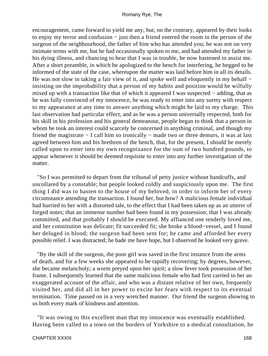encouragement, came forward to yield me any, but, on the contrary, appeared by their looks to enjoy my terror and confusion − just then a friend entered the room in the person of the surgeon of the neighbourhood, the father of him who has attended you; he was not on very intimate terms with me, but he had occasionally spoken to me, and had attended my father in his dying illness, and chancing to hear that I was in trouble, he now hastened to assist me. After a short preamble, in which he apologized to the bench for interfering, he begged to be informed of the state of the case, whereupon the matter was laid before him in all its details. He was not slow in taking a fair view of it, and spoke well and eloquently in my behalf − insisting on the improbability that a person of my habits and position would be wilfully mixed up with a transaction like that of which it appeared I was suspected − adding, that as he was fully convinced of my innocence, he was ready to enter into any surety with respect to my appearance at any time to answer anything which might be laid to my charge. This last observation had particular effect, and as he was a person universally respected, both for his skill in his profession and his general demeanour, people began to think that a person in whom he took an interest could scarcely be concerned in anything criminal, and though my friend the magistrate − I call him so ironically − made two or three demurs, it was at last agreed between him and his brethren of the bench, that, for the present, I should be merely called upon to enter into my own recognizance for the sum of two hundred pounds, to appear whenever it should be deemed requisite to enter into any further investigation of the matter.

 "So I was permitted to depart from the tribunal of petty justice without handcuffs, and uncollared by a constable; but people looked coldly and suspiciously upon me. The first thing I did was to hasten to the house of my beloved, in order to inform her of every circumstance attending the transaction. I found her, but how? A malicious female individual had hurried to her with a distorted tale, to the effect that I had been taken up as an utterer of forged notes; that an immense number had been found in my possession; that I was already committed, and that probably I should be executed. My affianced one tenderly loved me, and her constitution was delicate; fit succeeded fit; she broke a blood−vessel, and I found her deluged in blood; the surgeon had been sent for; he came and afforded her every possible relief. I was distracted; he bade me have hope, but I observed he looked very grave.

 "By the skill of the surgeon, the poor girl was saved in the first instance from the arms of death, and for a few weeks she appeared to be rapidly recovering; by degrees, however, she became melancholy; a worm preyed upon her spirit; a slow fever took possession of her frame. I subsequently learned that the same malicious female who had first carried to her an exaggerated account of the affair, and who was a distant relative of her own, frequently visited her, and did all in her power to excite her fears with respect to its eventual termination. Time passed on in a very wretched manner. Our friend the surgeon showing to us both every mark of kindness and attention.

 "It was owing to this excellent man that my innocence was eventually established. Having been called to a town on the borders of Yorkshire to a medical consultation, he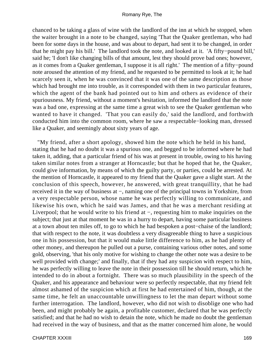chanced to be taking a glass of wine with the landlord of the inn at which he stopped, when the waiter brought in a note to be changed, saying 'That the Quaker gentleman, who had been for some days in the house, and was about to depart, had sent it to be changed, in order that he might pay his bill.' The landlord took the note, and looked at it. 'A fifty−pound bill,' said he; 'I don't like changing bills of that amount, lest they should prove bad ones; however, as it comes from a Quaker gentleman, I suppose it is all right.' The mention of a fifty−pound note aroused the attention of my friend, and he requested to be permitted to look at it; he had scarcely seen it, when he was convinced that it was one of the same description as those which had brought me into trouble, as it corresponded with them in two particular features, which the agent of the bank had pointed out to him and others as evidence of their spuriousness. My friend, without a moment's hesitation, informed the landlord that the note was a bad one, expressing at the same time a great wish to see the Quaker gentleman who wanted to have it changed. 'That you can easily do,' said the landlord, and forthwith conducted him into the common room, where he saw a respectable−looking man, dressed like a Quaker, and seemingly about sixty years of age.

 "My friend, after a short apology, showed him the note which he held in his hand, stating that he had no doubt it was a spurious one, and begged to be informed where he had taken it, adding, that a particular friend of his was at present in trouble, owing to his having taken similar notes from a stranger at Horncastle; but that he hoped that he, the Quaker, could give information, by means of which the guilty party, or parties, could be arrested. At the mention of Horncastle, it appeared to my friend that the Quaker gave a slight start. At the conclusion of this speech, however, he answered, with great tranquillity, that he had received it in the way of business at −, naming one of the principal towns in Yorkshire, from a very respectable person, whose name he was perfectly willing to communicate, and likewise his own, which he said was James, and that he was a merchant residing at Liverpool; that he would write to his friend at −, requesting him to make inquiries on the subject; that just at that moment he was in a hurry to depart, having some particular business at a town about ten miles off, to go to which he had bespoken a post−chaise of the landlord; that with respect to the note, it was doubtless a very disagreeable thing to have a suspicious one in his possession, but that it would make little difference to him, as he had plenty of other money, and thereupon he pulled out a purse, containing various other notes, and some gold, observing, 'that his only motive for wishing to change the other note was a desire to be well provided with change;' and finally, that if they had any suspicion with respect to him, he was perfectly willing to leave the note in their possession till he should return, which he intended to do in about a fortnight. There was so much plausibility in the speech of the Quaker, and his appearance and behaviour were so perfectly respectable, that my friend felt almost ashamed of the suspicion which at first he had entertained of him, though, at the same time, he felt an unaccountable unwillingness to let the man depart without some further interrogation. The landlord, however, who did not wish to disoblige one who had been, and might probably be again, a profitable customer, declared that he was perfectly satisfied; and that he had no wish to detain the note, which he made no doubt the gentleman had received in the way of business, and that as the matter concerned him alone, he would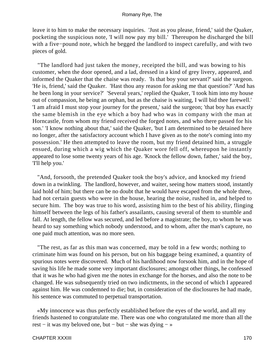leave it to him to make the necessary inquiries. 'Just as you please, friend,' said the Quaker, pocketing the suspicious note, 'I will now pay my bill.' Thereupon he discharged the bill with a five−pound note, which he begged the landlord to inspect carefully, and with two pieces of gold.

 "The landlord had just taken the money, receipted the bill, and was bowing to his customer, when the door opened, and a lad, dressed in a kind of grey livery, appeared, and informed the Quaker that the chaise was ready. 'Is that boy your servant?' said the surgeon. 'He is, friend,' said the Quaker. 'Hast thou any reason for asking me that question?' 'And has he been long in your service?' 'Several years,' replied the Quaker, 'I took him into my house out of compassion, he being an orphan, but as the chaise is waiting, I will bid thee farewell.' 'I am afraid I must stop your journey for the present,' said the surgeon; 'that boy has exactly the same blemish in the eye which a boy had who was in company with the man at Horncastle, from whom my friend received the forged notes, and who there passed for his son.' 'I know nothing about that,' said the Quaker, 'but I am determined to be detained here no longer, after the satisfactory account which I have given as to the note's coming into my possession.' He then attempted to leave the room, but my friend detained him, a struggle ensued, during which a wig which the Quaker wore fell off, whereupon he instantly appeared to lose some twenty years of his age. 'Knock the fellow down, father,' said the boy, 'I'll help you.'

 "And, forsooth, the pretended Quaker took the boy's advice, and knocked my friend down in a twinkling. The landlord, however, and waiter, seeing how matters stood, instantly laid hold of him; but there can be no doubt that he would have escaped from the whole three, had not certain guests who were in the house, hearing the noise, rushed in, and helped to secure him. The boy was true to his word, assisting him to the best of his ability, flinging himself between the legs of his father's assailants, causing several of them to stumble and fall. At length, the fellow was secured, and led before a magistrate; the boy, to whom he was heard to say something which nobody understood, and to whom, after the man's capture, no one paid much attention, was no more seen.

 "The rest, as far as this man was concerned, may be told in a few words; nothing to criminate him was found on his person, but on his baggage being examined, a quantity of spurious notes were discovered. Much of his hardihood now forsook him, and in the hope of saving his life he made some very important disclosures; amongst other things, he confessed that it was he who had given me the notes in exchange for the horses, and also the note to be changed. He was subsequently tried on two indictments, in the second of which I appeared against him. He was condemned to die; but, in consideration of the disclosures he had made, his sentence was commuted to perpetual transportation.

 «My innocence was thus perfectly established before the eyes of the world, and all my friends hastened to congratulate me. There was one who congratulated me more than all the rest − it was my beloved one, but − but − she was dying − »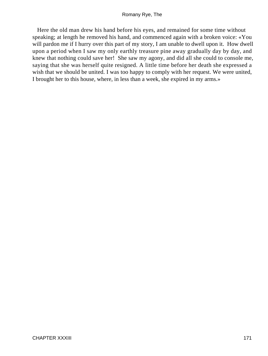Here the old man drew his hand before his eyes, and remained for some time without speaking; at length he removed his hand, and commenced again with a broken voice: «You will pardon me if I hurry over this part of my story, I am unable to dwell upon it. How dwell upon a period when I saw my only earthly treasure pine away gradually day by day, and knew that nothing could save her! She saw my agony, and did all she could to console me, saying that she was herself quite resigned. A little time before her death she expressed a wish that we should be united. I was too happy to comply with her request. We were united, I brought her to this house, where, in less than a week, she expired in my arms.»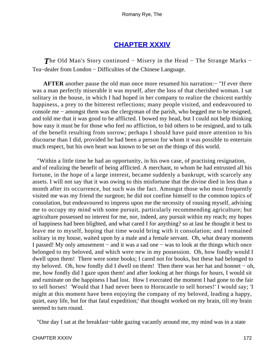## **[CHAPTER XXXIV](#page-316-0)**

*The Old Man's Story continued − Misery in the Head − The Strange Marks −* Tea−dealer from London − Difficulties of the Chinese Language.

**AFTER** another pause the old man once more resumed his narration:− "If ever there was a man perfectly miserable it was myself, after the loss of that cherished woman. I sat solitary in the house, in which I had hoped in her company to realize the choicest earthly happiness, a prey to the bitterest reflections; many people visited, and endeavoured to console me − amongst them was the clergyman of the parish, who begged me to be resigned, and told me that it was good to be afflicted. I bowed my head, but I could not help thinking how easy it must be for those who feel no affliction, to bid others to be resigned, and to talk of the benefit resulting from sorrow; perhaps I should have paid more attention to his discourse than I did, provided he had been a person for whom it was possible to entertain much respect, but his own heart was known to be set on the things of this world.

 "Within a little time he had an opportunity, in his own case, of practising resignation, and of realizing the benefit of being afflicted. A merchant, to whom he had entrusted all his fortune, in the hope of a large interest, became suddenly a bankrupt, with scarcely any assets. I will not say that it was owing to this misfortune that the divine died in less than a month after its occurrence, but such was the fact. Amongst those who most frequently visited me was my friend the surgeon; he did not confine himself to the common topics of consolation, but endeavoured to impress upon me the necessity of rousing myself, advising me to occupy my mind with some pursuit, particularly recommending agriculture; but agriculture possessed no interest for me, nor, indeed, any pursuit within my reach; my hopes of happiness had been blighted, and what cared I for anything? so at last he thought it best to leave me to myself, hoping that time would bring with it consolation; and I remained solitary in my house, waited upon by a male and a female servant. Oh, what dreary moments I passed! My only amusement − and it was a sad one − was to look at the things which once belonged to my beloved, and which were new in my possession. Oh, how fondly would I dwell upon them! There were some books; I cared not for books, but these had belonged to my beloved. Oh, how fondly did I dwell on them! Then there was her hat and bonnet − oh, me, how fondly did I gaze upon them! and after looking at her things for hours, I would sit and ruminate on the happiness I had lost. How I execrated the moment I had gone to the fair to sell horses! 'Would that I had never been to Horncastle to sell horses!' I would say; 'I might at this moment have been enjoying the company of my beloved, leading a happy, quiet, easy life, but for that fatal expedition;' that thought worked on my brain, till my brain seemed to turn round.

"One day I sat at the breakfast−table gazing vacantly around me, my mind was in a state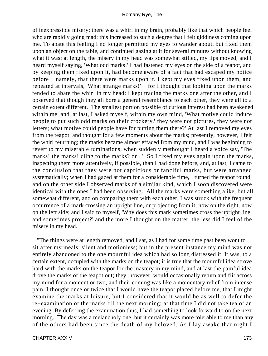of inexpressible misery; there was a whirl in my brain, probably like that which people feel who are rapidly going mad; this increased to such a degree that I felt giddiness coming upon me. To abate this feeling I no longer permitted my eyes to wander about, but fixed them upon an object on the table, and continued gazing at it for several minutes without knowing what it was; at length, the misery in my head was somewhat stilled, my lips moved, and I heard myself saying, 'What odd marks!' I had fastened my eyes on the side of a teapot, and by keeping them fixed upon it, had become aware of a fact that had escaped my notice before − namely, that there were marks upon it. I kept my eyes fixed upon them, and repeated at intervals, 'What strange marks!' − for I thought that looking upon the marks tended to abate the whirl in my head: I kept tracing the marks one after the other, and I observed that though they all bore a general resemblance to each other, they were all to a certain extent different. The smallest portion possible of curious interest had been awakened within me, and, at last, I asked myself, within my own mind, 'What motive could induce people to put such odd marks on their crockery? they were not pictures, they were not letters; what motive could people have for putting them there?' At last I removed my eyes from the teapot, and thought for a few moments about the marks; presently, however, I felt the whirl returning; the marks became almost effaced from my mind, and I was beginning to revert to my miserable ruminations, when suddenly methought I heard a voice say, 'The marks! the marks! cling to the marks? or− ' So I fixed my eyes again upon the marks, inspecting them more attentively, if possible, than I had done before, and, at last, I came to the conclusion that they were not capricious or fanciful marks, but were arranged systematically; when I had gazed at them for a considerable time, I turned the teapot round, and on the other side I observed marks of a similar kind, which I soon discovered were identical with the ones I had been observing. All the marks were something alike, but all somewhat different, and on comparing them with each other, I was struck with the frequent occurrence of a mark crossing an upright line, or projecting from it, now on the right, now on the left side; and I said to myself, 'Why does this mark sometimes cross the upright line, and sometimes project?' and the more I thought on the matter, the less did I feel of the misery in my head.

 "The things were at length removed, and I sat, as I had for some time past been wont to sit after my meals, silent and motionless; but in the present instance my mind was not entirely abandoned to the one mournful idea which had so long distressed it. It was, to a certain extent, occupied with the marks on the teapot; it is true that the mournful idea strove hard with the marks on the teapot for the mastery in my mind, and at last the painful idea drove the marks of the teapot out; they, however, would occasionally return and flit across my mind for a moment or two, and their coming was like a momentary relief from intense pain. I thought once or twice that I would have the teapot placed before me, that I might examine the marks at leisure, but I considered that it would be as well to defer the re−examination of the marks till the next morning; at that time I did not take tea of an evening. By deferring the examination thus, I had something to look forward to on the next morning. The day was a melancholy one, but it certainly was more tolerable to me than any of the others had been since the death of my beloved. As I lay awake that night I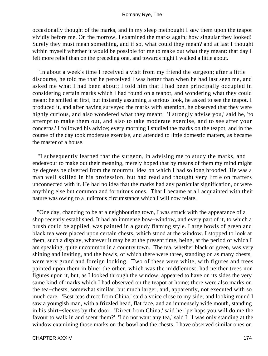occasionally thought of the marks, and in my sleep methought I saw them upon the teapot vividly before me. On the morrow, I examined the marks again; how singular they looked! Surely they must mean something, and if so, what could they mean? and at last I thought within myself whether it would be possible for me to make out what they meant: that day I felt more relief than on the preceding one, and towards night I walked a little about.

 "In about a week's time I received a visit from my friend the surgeon; after a little discourse, he told me that he perceived I was better than when he had last seen me, and asked me what I had been about; I told him that I had been principally occupied in considering certain marks which I had found on a teapot, and wondering what they could mean; he smiled at first, but instantly assuming a serious look, he asked to see the teapot. I produced it, and after having surveyed the marks with attention, he observed that they were highly curious, and also wondered what they meant. 'I strongly advise you,' said he, 'to attempt to make them out, and also to take moderate exercise, and to see after your concerns.' I followed his advice; every morning I studied the marks on the teapot, and in the course of the day took moderate exercise, and attended to little domestic matters, as became the master of a house.

 "I subsequently learned that the surgeon, in advising me to study the marks, and endeavour to make out their meaning, merely hoped that by means of them my mind might by degrees be diverted from the mournful idea on which I had so long brooded. He was a man well skilled in his profession, but had read and thought very little on matters unconnected with it. He had no idea that the marks had any particular signification, or were anything else but common and fortuitous ones. That I became at all acquainted with their nature was owing to a ludicrous circumstance which I will now relate.

 "One day, chancing to be at a neighbouring town, I was struck with the appearance of a shop recently established. It had an immense bow−window, and every part of it, to which a brush could be applied, was painted in a gaudy flaming style. Large bowls of green and black tea were placed upon certain chests, which stood at the window. I stopped to look at them, such a display, whatever it may be at the present time, being, at the period of which I am speaking, quite uncommon in a country town. The tea, whether black or green, was very shining and inviting, and the bowls, of which there were three, standing on as many chests, were very grand and foreign looking. Two of these were white, with figures and trees painted upon them in blue; the other, which was the middlemost, had neither trees nor figures upon it, but, as I looked through the window, appeared to have on its sides the very same kind of marks which I had observed on the teapot at home; there were also marks on the tea−chests, somewhat similar, but much larger, and, apparently, not executed with so much care. 'Best teas direct from China,' said a voice close to my side; and looking round I saw a youngish man, with a frizzled head, flat face, and an immensely wide mouth, standing in his shirt−sleeves by the door. 'Direct from China,' said he; 'perhaps you will do me the favour to walk in and scent them?' 'I do not want any tea,' said I; 'I was only standing at the window examining those marks on the bowl and the chests. I have observed similar ones on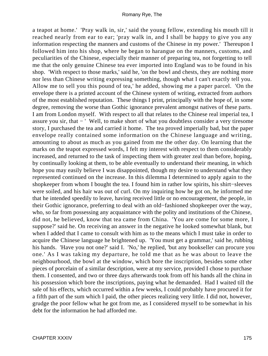a teapot at home.' 'Pray walk in, sir,' said the young fellow, extending his mouth till it reached nearly from ear to ear; 'pray walk in, and I shall be happy to give you any information respecting the manners and customs of the Chinese in my power.' Thereupon I followed him into his shop, where he began to harangue on the manners, customs, and peculiarities of the Chinese, especially their manner of preparing tea, not forgetting to tell me that the only genuine Chinese tea ever imported into England was to be found in his shop. 'With respect to those marks,' said he, 'on the bowl and chests, they are nothing more nor less than Chinese writing expressing something, though what I can't exactly tell you. Allow me to sell you this pound of tea,' he added, showing me a paper parcel. 'On the envelope there is a printed account of the Chinese system of writing, extracted from authors of the most established reputation. These things I print, principally with the hope of, in some degree, removing the worse than Gothic ignorance prevalent amongst natives of these parts. I am from London myself. With respect to all that relates to the Chinese real imperial tea, I assure you sir, that − ' Well, to make short of what you doubtless consider a very tiresome story, I purchased the tea and carried it home. The tea proved imperially bad, but the paper envelope really contained some information on the Chinese language and writing, amounting to about as much as you gained from me the other day. On learning that the marks on the teapot expressed words, I felt my interest with respect to them considerably increased, and returned to the task of inspecting them with greater zeal than before, hoping, by continually looking at them, to be able eventually to understand their meaning, in which hope you may easily believe I was disappointed, though my desire to understand what they represented continued on the increase. In this dilemma I determined to apply again to the shopkeeper from whom I bought the tea. I found him in rather low spirits, his shirt−sleeves were soiled, and his hair was out of curl. On my inquiring how he got on, he informed me that he intended speedily to leave, having received little or no encouragement, the people, in their Gothic ignorance, preferring to deal with an old−fashioned shopkeeper over the way, who, so far from possessing any acquaintance with the polity and institutions of the Chinese, did not, he believed, know that tea came from China. 'You are come for some more, I suppose?' said he. On receiving an answer in the negative he looked somewhat blank, but when I added that I came to consult with him as to the means which I must take in order to acquire the Chinese language he brightened up. 'You must get a grammar,' said he, rubbing his hands. 'Have you not one?' said I. 'No,' he replied, 'but any bookseller can procure you one.' As I was taking my departure, he told me that as he was about to leave the neighbourhood, the bowl at the window, which bore the inscription, besides some other pieces of porcelain of a similar description, were at my service, provided I chose to purchase them. I consented, and two or three days afterwards took from off his hands all the china in his possession which bore the inscriptions, paying what he demanded. Had I waited till the sale of his effects, which occurred within a few weeks, I could probably have procured it for a fifth part of the sum which I paid, the other pieces realizing very little. I did not, however, grudge the poor fellow what he got from me, as I considered myself to be somewhat in his debt for the information he had afforded me.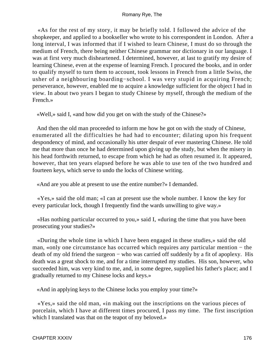«As for the rest of my story, it may be briefly told. I followed the advice of the shopkeeper, and applied to a bookseller who wrote to his correspondent in London. After a long interval, I was informed that if I wished to learn Chinese, I must do so through the medium of French, there being neither Chinese grammar nor dictionary in our language. I was at first very much disheartened. I determined, however, at last to gratify my desire of learning Chinese, even at the expense of learning French. I procured the books, and in order to qualify myself to turn them to account, took lessons in French from a little Swiss, the usher of a neighbouring boarding−school. I was very stupid in acquiring French; perseverance, however, enabled me to acquire a knowledge sufficient for the object I had in view. In about two years I began to study Chinese by myself, through the medium of the French.»

«Well,» said I, «and how did you get on with the study of the Chinese?»

 And then the old man proceeded to inform me how he got on with the study of Chinese, enumerated all the difficulties he had had to encounter; dilating upon his frequent despondency of mind, and occasionally his utter despair of ever mastering Chinese. He told me that more than once he had determined upon giving up the study, but when the misery in his head forthwith returned, to escape from which he had as often resumed it. It appeared, however, that ten years elapsed before he was able to use ten of the two hundred and fourteen keys, which serve to undo the locks of Chinese writing.

«And are you able at present to use the entire number?» I demanded.

 «Yes,» said the old man; «I can at present use the whole number. I know the key for every particular lock, though I frequently find the wards unwilling to give way.»

 «Has nothing particular occurred to you,» said I, «during the time that you have been prosecuting your studies?»

 «During the whole time in which I have been engaged in these studies,» said the old man, «only one circumstance has occurred which requires any particular mention − the death of my old friend the surgeon – who was carried off suddenly by a fit of apoplexy. His death was a great shock to me, and for a time interrupted my studies. His son, however, who succeeded him, was very kind to me, and, in some degree, supplied his father's place; and I gradually returned to my Chinese locks and keys.»

«And in applying keys to the Chinese locks you employ your time?»

 «Yes,» said the old man, «in making out the inscriptions on the various pieces of porcelain, which I have at different times procured, I pass my time. The first inscription which I translated was that on the teapot of my beloved.»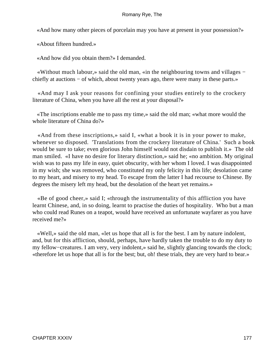«And how many other pieces of porcelain may you have at present in your possession?»

«About fifteen hundred.»

«And how did you obtain them?» I demanded.

 «Without much labour,» said the old man, «in the neighbouring towns and villages − chiefly at auctions – of which, about twenty years ago, there were many in these parts.»

 «And may I ask your reasons for confining your studies entirely to the crockery literature of China, when you have all the rest at your disposal?»

 «The inscriptions enable me to pass my time,» said the old man; «what more would the whole literature of China do?»

 «And from these inscriptions,» said I, «what a book it is in your power to make, whenever so disposed. 'Translations from the crockery literature of China.' Such a book would be sure to take; even glorious John himself would not disdain to publish it.» The old man smiled. «I have no desire for literary distinction,» said he; «no ambition. My original wish was to pass my life in easy, quiet obscurity, with her whom I loved. I was disappointed in my wish; she was removed, who constituted my only felicity in this life; desolation came to my heart, and misery to my head. To escape from the latter I had recourse to Chinese. By degrees the misery left my head, but the desolation of the heart yet remains.»

 «Be of good cheer,» said I; «through the instrumentality of this affliction you have learnt Chinese, and, in so doing, learnt to practise the duties of hospitality. Who but a man who could read Runes on a teapot, would have received an unfortunate wayfarer as you have received me?»

 «Well,» said the old man, «let us hope that all is for the best. I am by nature indolent, and, but for this affliction, should, perhaps, have hardly taken the trouble to do my duty to my fellow−creatures. I am very, very indolent,» said he, slightly glancing towards the clock; «therefore let us hope that all is for the best; but, oh! these trials, they are very hard to bear.»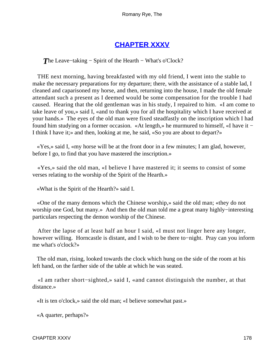# **[CHAPTER XXXV](#page-316-0)**

*T*he Leave–taking – Spirit of the Hearth – What's o'Clock?

 THE next morning, having breakfasted with my old friend, I went into the stable to make the necessary preparations for my departure; there, with the assistance of a stable lad, I cleaned and caparisoned my horse, and then, returning into the house, I made the old female attendant such a present as I deemed would be some compensation for the trouble I had caused. Hearing that the old gentleman was in his study, I repaired to him. «I am come to take leave of you,» said I, «and to thank you for all the hospitality which I have received at your hands.» The eyes of the old man were fixed steadfastly on the inscription which I had found him studying on a former occasion. «At length,» he murmured to himself, «I have it − I think I have it;» and then, looking at me, he said, «So you are about to depart?»

 «Yes,» said I, «my horse will be at the front door in a few minutes; I am glad, however, before I go, to find that you have mastered the inscription.»

 «Yes,» said the old man, «I believe I have mastered it; it seems to consist of some verses relating to the worship of the Spirit of the Hearth.»

«What is the Spirit of the Hearth?» said I.

 «One of the many demons which the Chinese worship,» said the old man; «they do not worship one God, but many.» And then the old man told me a great many highly−interesting particulars respecting the demon worship of the Chinese.

 After the lapse of at least half an hour I said, «I must not linger here any longer, however willing. Horncastle is distant, and I wish to be there to−night. Pray can you inform me what's o'clock?»

 The old man, rising, looked towards the clock which hung on the side of the room at his left hand, on the farther side of the table at which he was seated.

 «I am rather short−sighted,» said I, «and cannot distinguish the number, at that distance.»

«It is ten o'clock,» said the old man; «I believe somewhat past.»

«A quarter, perhaps?»

CHAPTER XXXV 178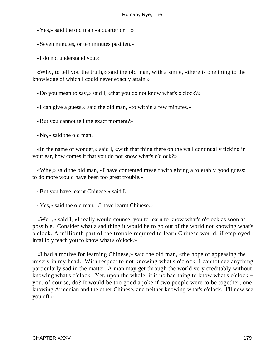«Yes,» said the old man «a quarter or − »

«Seven minutes, or ten minutes past ten.»

«I do not understand you.»

 «Why, to tell you the truth,» said the old man, with a smile, «there is one thing to the knowledge of which I could never exactly attain.»

«Do you mean to say,» said I, «that you do not know what's o'clock?»

«I can give a guess,» said the old man, «to within a few minutes.»

«But you cannot tell the exact moment?»

«No,» said the old man.

 «In the name of wonder,» said I, «with that thing there on the wall continually ticking in your ear, how comes it that you do not know what's o'clock?»

 «Why,» said the old man, «I have contented myself with giving a tolerably good guess; to do more would have been too great trouble.»

«But you have learnt Chinese,» said I.

«Yes,» said the old man, «I have learnt Chinese.»

 «Well,» said I, «I really would counsel you to learn to know what's o'clock as soon as possible. Consider what a sad thing it would be to go out of the world not knowing what's o'clock. A millionth part of the trouble required to learn Chinese would, if employed, infallibly teach you to know what's o'clock.»

 «I had a motive for learning Chinese,» said the old man, «the hope of appeasing the misery in my head. With respect to not knowing what's o'clock, I cannot see anything particularly sad in the matter. A man may get through the world very creditably without knowing what's o'clock. Yet, upon the whole, it is no bad thing to know what's o'clock − you, of course, do? It would be too good a joke if two people were to be together, one knowing Armenian and the other Chinese, and neither knowing what's o'clock. I'll now see you off.»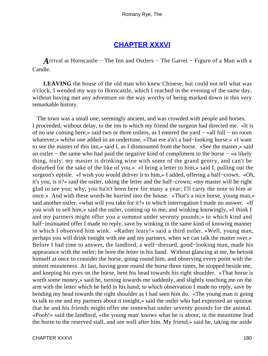# **[CHAPTER XXXVI](#page-316-0)**

*A*rrival at Horncastle – The Inn and Ostlers – The Garret – Figure of a Man with a Candle.

**LEAVING** the house of the old man who knew Chinese, but could not tell what was o'clock, I wended my way to Horncastle, which I reached in the evening of the same day, without having met any adventure on the way worthy of being marked down in this very remarkable history.

 The town was a small one, seemingly ancient, and was crowded with people and horses. I proceeded, without delay, to the inn to which my friend the surgeon had directed me. «It is of no use coming here,» said two or three ostlers, as I entered the yard − «all full − no room whatever;» whilst one added in an undertone, «That ere a'n't a bad−looking horse.» «I want to see the master of this inn,» said I, as I dismounted from the horse. «See the master,» said an ostler − the same who had paid the negative kind of compliment to the horse − «a likely thing, truly; my master is drinking wine with some of the grand gentry, and can't be disturbed for the sake of the like of you.» «I bring a letter to him,» said I, pulling out the surgeon's epistle. «I wish you would deliver it to him,» I added, offering a half−crown. «Oh, it's you, is it?» said the ostler, taking the letter and the half−crown; «my master will be right glad to see you; why, you ha'n't been here for many a year; I'll carry the note to him at once.» And with these words he hurried into the house. «That's a nice horse, young man,» said another ostler, «what will you take for it?» to which interrogation I made no answer. «If you wish to sell him,» said the ostler, coming up to me, and winking knowingly, «I think I and my partners might offer you a summut under seventy pounds;» to which kind and half–insinuated offer I made no reply, save by winking in the same kind of knowing manner in which I observed him wink. «Rather leary!» said a third ostler. «Well, young man, perhaps you will drink tonight with me and my partners, when we can talk the matter over.» Before I had time to answer, the landlord, a well−dressed, good−looking man, made his appearance with the ostler; he bore the letter in his hand. Without glancing at me, he betook himself at once to consider the horse, going round him, and observing every point with the utmost minuteness. At last, having gone round the horse three times, he stopped beside me, and keeping his eyes on the horse, bent his head towards his right shoulder. «That horse is worth some money,» said he, turning towards me suddenly, and slightly touching me on the arm with the letter which he held in his hand; to which observation I made no reply, save by bending my head towards the right shoulder as I had seen him do. «The young man is going to talk to me and my partners about it tonight,» said the ostler who had expressed an opinion that he and his friends might offer me somewhat under seventy pounds for the animal. «Pooh!» said the landlord, «the young man' knows what he is about; in the meantime lead the horse to the reserved stall, and see well after him. My friend,» said he, taking me aside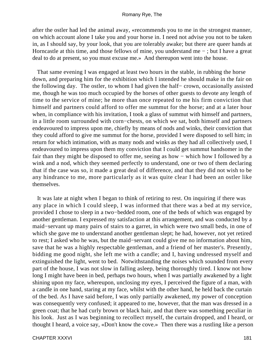after the ostler had led the animal away, «recommends you to me in the strongest manner, on which account alone I take you and your horse in. I need not advise you not to be taken in, as I should say, by your look, that you are tolerably awake; but there are queer hands at Horncastle at this time, and those fellows of mine, you understand me − ; but I have a great deal to do at present, so you must excuse me.» And thereupon went into the house.

 That same evening I was engaged at least two hours in the stable, in rubbing the horse down, and preparing him for the exhibition which I intended he should make in the fair on the following day. The ostler, to whom I had given the half− crown, occasionally assisted me, though he was too much occupied by the horses of other guests to devote any length of time to the service of mine; he more than once repeated to me his firm conviction that himself and partners could afford to offer me summut for the horse; and at a later hour when, in compliance with his invitation, I took a glass of summut with himself and partners, in a little room surrounded with corn−chests, on which we sat, both himself and partners endeavoured to impress upon me, chiefly by means of nods and winks, their conviction that they could afford to give me summut for the horse, provided I were disposed to sell him; in return for which intimation, with as many nods and winks as they had all collectively used, I endeavoured to impress upon them my conviction that I could get summut handsomer in the fair than they might be disposed to offer me, seeing as how − which how I followed by a wink and a nod, which they seemed perfectly to understand, one or two of them declaring that if the case was so, it made a great deal of difference, and that they did not wish to be any hindrance to me, more particularly as it was quite clear I had been an ostler like themselves.

 It was late at night when I began to think of retiring to rest. On inquiring if there was any place in which I could sleep, I was informed that there was a bed at my service, provided I chose to sleep in a two−bedded room, one of the beds of which was engaged by another gentleman. I expressed my satisfaction at this arrangement, and was conducted by a maid−servant up many pairs of stairs to a garret, in which were two small beds, in one of which she gave me to understand another gentleman slept; he had, however, not yet retired to rest; I asked who he was, but the maid−servant could give me no information about him, save that he was a highly respectable gentleman, and a friend of her master's. Presently, bidding me good night, she left me with a candle; and I, having undressed myself and extinguished the light, went to bed. Notwithstanding the noises which sounded from every part of the house, I was not slow in falling asleep, being thoroughly tired. I know not how long I might have been in bed, perhaps two hours, when I was partially awakened by a light shining upon my face, whereupon, unclosing my eyes, I perceived the figure of a man, with a candle in one hand, staring at my face, whilst with the other hand, he held back the curtain of the bed. As I have said before, I was only partially awakened, my power of conception was consequently very confused; it appeared to me, however, that the man was dressed in a green coat; that he had curly brown or black hair, and that there was something peculiar in his look. Just as I was beginning to recollect myself, the curtain dropped, and I heard, or thought I heard, a voice say, «Don't know the cove.» Then there was a rustling like a person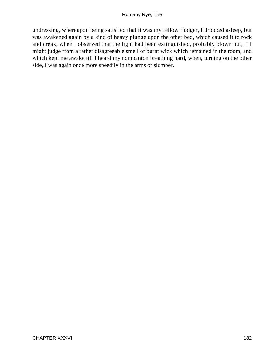undressing, whereupon being satisfied that it was my fellow−lodger, I dropped asleep, but was awakened again by a kind of heavy plunge upon the other bed, which caused it to rock and creak, when I observed that the light had been extinguished, probably blown out, if I might judge from a rather disagreeable smell of burnt wick which remained in the room, and which kept me awake till I heard my companion breathing hard, when, turning on the other side, I was again once more speedily in the arms of slumber.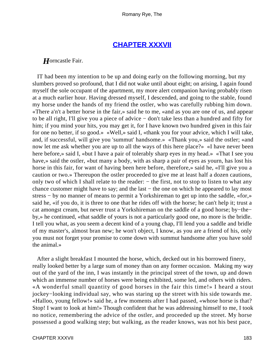# **[CHAPTER XXXVII](#page-316-0)**

## *H*orncastle Fair.

 IT had been my intention to be up and doing early on the following morning, but my slumbers proved so profound, that I did not wake until about eight; on arising, I again found myself the sole occupant of the apartment, my more alert companion having probably risen at a much earlier hour. Having dressed myself, I descended, and going to the stable, found my horse under the hands of my friend the ostler, who was carefully rubbing him down. «There a'n't a better horse in the fair,» said he to me, «and as you are one of us, and appear to be all right, I'll give you a piece of advice − don't take less than a hundred and fifty for him; if you mind your hits, you may get it, for I have known two hundred given in this fair for one no better, if so good.» «Well,» said I, «thank you for your advice, which I will take, and, if successful, will give you 'summut' handsome.» «Thank you,» said the ostler; «and now let me ask whether you are up to all the ways of this here place?» «I have never been here before,» said I, «but I have a pair of tolerably sharp eyes in my head.» «That I see you have,» said the ostler, «but many a body, with as sharp a pair of eyes as yourn, has lost his horse in this fair, for want of having been here before, therefore,» said he, «I'll give you a caution or two.» Thereupon the ostler proceeded to give me at least half a dozen cautions, only two of which I shall relate to the reader: − the first, not to stop to listen to what any chance customer might have to say; and the last − the one on which he appeared to lay most stress – by no manner of means to permit a Yorkshireman to get up into the saddle, «for,» said he, «if you do, it is three to one that he rides off with the horse; he can't help it; trust a cat amongst cream, but never trust a Yorkshireman on the saddle of a good horse; by−the− by,» he continued, «that saddle of yours is not a particularly good one, no more is the bridle. I tell you what, as you seem a decent kind of a young chap, I'll lend you a saddle and bridle of my master's, almost bran new; he won't object, I know, as you are a friend of his, only you must not forget your promise to come down with summut handsome after you have sold the animal.»

 After a slight breakfast I mounted the horse, which, decked out in his borrowed finery, really looked better by a large sum of money than on any former occasion. Making my way out of the yard of the inn, I was instantly in the principal street of the town, up and down which an immense number of horses were being exhibited, some led, and others with riders. «A wonderful small quantity of good horses in the fair this time!» I heard a stout jockey−looking individual say, who was staring up the street with his side towards me. «Halloo, young fellow!» said he, a few moments after I had passed, «whose horse is that? Stop! I want to look at him!» Though confident that he was addressing himself to me, I took no notice, remembering the advice of the ostler, and proceeded up the street. My horse possessed a good walking step; but walking, as the reader knows, was not his best pace,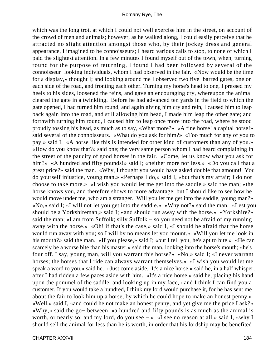which was the long trot, at which I could not well exercise him in the street, on account of the crowd of men and animals; however, as he walked along, I could easily perceive that he attracted no slight attention amongst those who, by their jockey dress and general appearance, I imagined to be connoisseurs; I heard various calls to stop, to none of which I paid the slightest attention. In a few minutes I found myself out of the town, when, turning round for the purpose of returning, I found I had been followed by several of the connoisseur−looking individuals, whom I had observed in the fair. «Now would be the time for a display,» thought I; and looking around me I observed two five−barred gates, one on each side of the road, and fronting each other. Turning my horse's head to one, I pressed my heels to his sides, loosened the reins, and gave an encouraging cry, whereupon the animal cleared the gate in a twinkling. Before he had advanced ten yards in the field to which the gate opened, I had turned him round, and again giving him cry and rein, I caused him to leap back again into the road, and still allowing him head, I made him leap the other gate; and forthwith turning him round, I caused him to leap once more into the road, where he stood proudly tossing his head, as much as to say, «What more?» «A fine horse! a capital horse!» said several of the connoisseurs. «What do you ask for him?» «Too much for any of you to pay,» said I. «A horse like this is intended for other kind of customers than any of you.» «How do you know that?» said one; the very same person whom I had heard complaining in the street of the paucity of good horses in the fair. «Come, let us know what you ask for him?» «A hundred and fifty pounds!» said I; «neither more nor less.» «Do you call that a great price?» said the man. «Why, I thought you would have asked double that amount! You do yourself injustice, young man.» «Perhaps I do,» said I, «but that's my affair; I do not choose to take more.» «I wish you would let me get into the saddle,» said the man; «the horse knows you, and therefore shows to more advantage; but I should like to see how he would move under me, who am a stranger. Will you let me get into the saddle, young man?» «No,» said I; «I will not let you get into the saddle.» «Why not?» said the man. «Lest you should be a Yorkshireman,» said I; «and should run away with the horse.» «Yorkshire?» said the man; «I am from Suffolk; silly Suffolk – so you need not be afraid of my running away with the horse.» «Oh! if that's the case,» said I, «I should be afraid that the horse would run away with you; so I will by no means let you mount.» «Will you let me look in his mouth?» said the man. «If you please,» said I; «but I tell you, he's apt to bite.» «He can scarcely be a worse bite than his master,» said the man, looking into the horse's mouth; «he's four off. I say, young man, will you warrant this horse?» «No,» said I; «I never warrant horses; the horses that I ride can always warrant themselves.» «I wish you would let me speak a word to you,» said he. «Just come aside. It's a nice horse,» said he, in a half whisper, after I had ridden a few paces aside with him. «It's a nice horse,» said he, placing his hand upon the pommel of the saddle, and looking up in my face, «and I think I can find you a customer. If you would take a hundred, I think my lord would purchase it, for he has sent me about the fair to look him up a horse, by which he could hope to make an honest penny.» «Well,» said I, «and could he not make an honest penny, and yet give me the price I ask?» «Why,» said the go− between, «a hundred and fifty pounds is as much as the animal is worth, or nearly so; and my lord, do you see − » «I see no reason at all,» said I, «why I should sell the animal for less than he is worth, in order that his lordship may be benefited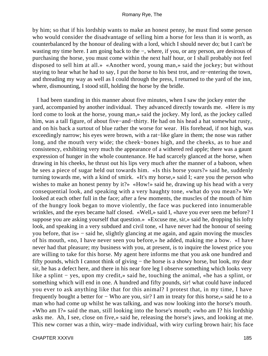by him; so that if his lordship wants to make an honest penny, he must find some person who would consider the disadvantage of selling him a horse for less than it is worth, as counterbalanced by the honour of dealing with a lord, which I should never do; but I can't be wasting my time here. I am going back to the −, where, if you, or any person, are desirous of purchasing the horse, you must come within the next half hour, or I shall probably not feel disposed to sell him at all.» «Another word, young man,» said the jockey; but without staying to hear what he had to say, I put the horse to his best trot, and re−entering the town, and threading my way as well as I could through the press, I returned to the yard of the inn, where, dismounting, I stood still, holding the horse by the bridle.

 I had been standing in this manner about five minutes, when I saw the jockey enter the yard, accompanied by another individual. They advanced directly towards me. «Here is my lord come to look at the horse, young man,» said the jockey. My lord, as the jockey called him, was a tall figure, of about five−and−thirty. He had on his head a hat somewhat rusty, and on his back a surtout of blue rather the worse for wear. His forehead, if not high, was exceedingly narrow; his eyes were brown, with a rat−like glare in them; the nose was rather long, and the mouth very wide; the cheek−bones high, and the cheeks, as to hue and consistency, exhibiting very much the appearance of a withered red apple; there was a gaunt expression of hunger in the whole countenance. He had scarcely glanced at the horse, when drawing in his cheeks, he thrust out his lips very much after the manner of a baboon, when he sees a piece of sugar held out towards him. «Is this horse yours?» said he, suddenly turning towards me, with a kind of smirk. «It's my horse,» said I; «are you the person who wishes to make an honest penny by it?» «How!» said he, drawing up his head with a very consequential look, and speaking with a very haughty tone, «what do you mean?» We looked at each other full in the face; after a few moments, the muscles of the mouth of him of the hungry look began to move violently, the face was puckered into innumerable wrinkles, and the eyes became half closed. «Well,» said I, «have you ever seen me before? I suppose you are asking yourself that question.» «Excuse me, sir,» said he, dropping his lofty look, and speaking in a very subdued and civil tone, «I have never had the honour of seeing you before, that is» − said he, slightly glancing at me again, and again moving the muscles of his mouth, «no, I have never seen you before,» he added, making me a bow. «I have never had that pleasure; my business with you, at present, is to inquire the lowest price you are willing to take for this horse. My agent here informs me that you ask one hundred and fifty pounds, which I cannot think of giving − the horse is a showy horse, but look, my dear sir, he has a defect here, and there in his near fore leg I observe something which looks very like a splint − yes, upon my credit,» said he, touching the animal, «he has a splint, or something which will end in one. A hundred and fifty pounds, sir! what could have induced you ever to ask anything like that for this animal? I protest that, in my time, I have frequently bought a better for − Who are you, sir? I am in treaty for this horse,» said he to a man who had come up whilst he was talking, and was now looking into the horse's mouth. «Who am I?» said the man, still looking into the horse's mouth; «who am I? his lordship asks me. Ah, I see, close on five,» said he, releasing the horse's jaws, and looking at me. This new corner was a thin, wiry−made individual, with wiry curling brown hair; his face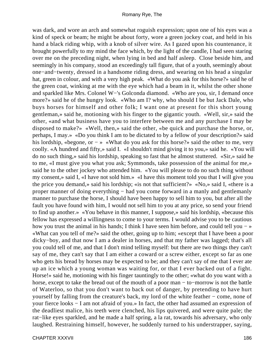was dark, and wore an arch and somewhat roguish expression; upon one of his eyes was a kind of speck or beam; he might be about forty, wore a green jockey coat, and held in his hand a black riding whip, with a knob of silver wire. As I gazed upon his countenance, it brought powerfully to my mind the face which, by the light of the candle, I had seen staring over me on the preceding night, when lying in bed and half asleep. Close beside him, and seemingly in his company, stood an exceedingly tall figure, that of a youth, seemingly about one−and−twenty, dressed in a handsome riding dress, and wearing on his head a singular hat, green in colour, and with a very high peak. «What do you ask for this horse?» said he of the green coat, winking at me with the eye which had a beam in it, whilst the other shone and sparkled like Mrs. Colonel W−'s Golconda diamond. «Who are you, sir, I demand once more?» said he of the hungry look. «Who am I? why, who should I be but Jack Dale, who buys horses for himself and other folk; I want one at present for this short young gentleman,» said he, motioning with his finger to the gigantic youth. «Well, sir,» said the other, «and what business have you to interfere between me and any purchase I may be disposed to make?» «Well, then,» said the other, «be quick and purchase the horse, or, perhaps, I may.» «Do you think I am to be dictated to by a fellow of your description?» said his lordship, «begone, or − » «What do you ask for this horse?» said the other to me, very coolly. «A hundred and fifty,» said I. «I shouldn't mind giving it to you,» said he. «You will do no such thing,» said his lordship, speaking so fast that he almost stuttered. «Sir,» said he to me, «I must give you what you ask; Symmonds, take possession of the animal for me,» said he to the other jockey who attended him. «You will please to do no such thing without my consent,» said I, «I have not sold him.» «I have this moment told you that I will give you the price you demand,» said his lordship; «is not that sufficient?» «No,» said I, «there is a proper manner of doing everything – had you come forward in a manly and gentlemanly manner to purchase the horse, I should have been happy to sell him to you, but after all the fault you have found with him, I would not sell him to you at any price, so send your friend to find up another.» «You behave in this manner, I suppose,» said his lordship, «because this fellow has expressed a willingness to come to your terms. I would advise you to be cautious how you trust the animal in his hands; I think I have seen him before, and could tell you − » «What can you tell of me?» said the other, going up to him; «except that I have been a poor dicky−boy, and that now I am a dealer in horses, and that my father was lagged; that's all you could tell of me, and that I don't mind telling myself: but there are two things they can't say of me, they can't say that I am either a coward or a screw either, except so far as one who gets his bread by horses may be expected to be; and they can't say of me that I ever ate up an ice which a young woman was waiting for, or that I ever backed out of a fight. Horse!» said he, motioning with his finger tauntingly to the other; «what do you want with a horse, except to take the bread out of the mouth of a poor man − to−morrow is not the battle of Waterloo, so that you don't want to back out of danger, by pretending to have hurt yourself by falling from the creature's back, my lord of the white feather − come, none of your fierce looks − I am not afraid of you.» In fact, the other had assumed an expression of the deadliest malice, his teeth were clenched, his lips quivered, and were quite pale; the rat−like eyes sparkled, and he made a half spring, a la rat, towards his adversary, who only laughed. Restraining himself, however, he suddenly turned to his understrapper, saying,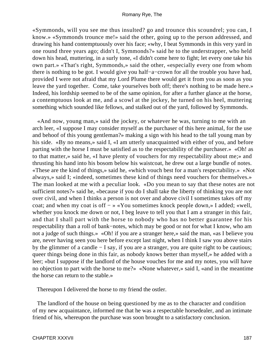«Symmonds, will you see me thus insulted? go and trounce this scoundrel; you can, I know.» «Symmonds trounce me!» said the other, going up to the person addressed, and drawing his hand contemptuously over his face; «why, I beat Symmonds in this very yard in one round three years ago; didn't I, Symmonds?» said he to the understrapper, who held down his head, muttering, in a surly tone, «I didn't come here to fight; let every one take his own part.» «That's right, Symmonds,» said the other, «especially every one from whom there is nothing to be got. I would give you half−a−crown for all the trouble you have had, provided I were not afraid that my Lord Plume there would get it from you as soon as you leave the yard together. Come, take yourselves both off; there's nothing to be made here.» Indeed, his lordship seemed to be of the same opinion, for after a further glance at the horse, a contemptuous look at me, and a scowl at the jockey, he turned on his heel, muttering something which sounded like fellows, and stalked out of the yard, followed by Symmonds.

 «And now, young man,» said the jockey, or whatever he was, turning to me with an arch leer, «I suppose I may consider myself as the purchaser of this here animal, for the use and behoof of this young gentleman?» making a sign with his head to the tall young man by his side. «By no means,» said I, «I am utterly unacquainted with either of you, and before parting with the horse I must be satisfied as to the respectability of the purchaser.» «Oh! as to that matter,» said he, «I have plenty of vouchers for my respectability about me;» and thrusting his hand into his bosom below his waistcoat, he drew out a large bundle of notes. «These are the kind of things,» said he, «which vouch best for a man's respectability.» «Not always,» said I; «indeed, sometimes these kind of things need vouchers for themselves.» The man looked at me with a peculiar look. «Do you mean to say that these notes are not sufficient notes?» said he, «because if you do I shall take the liberty of thinking you are not over civil, and when I thinks a person is not over and above civil I sometimes takes off my coat; and when my coat is off − » «You sometimes knock people down,» I added; «well, whether you knock me down or not, I beg leave to tell you that I am a stranger in this fair, and that I shall part with the horse to nobody who has no better guarantee for his respectability than a roll of bank−notes, which may be good or not for what I know, who am not a judge of such things.» «Oh! if you are a stranger here,» said the man, «as I believe you are, never having seen you here before except last night, when I think I saw you above stairs by the glimmer of a candle − I say, if you are a stranger, you are quite right to be cautious; queer things being done in this fair, as nobody knows better than myself,» he added with a leer; «but I suppose if the landlord of the house vouches for me and my notes, you will have no objection to part with the horse to me?» «None whatever,» said I, «and in the meantime the horse can return to the stable.»

Thereupon I delivered the horse to my friend the ostler.

 The landlord of the house on being questioned by me as to the character and condition of my new acquaintance, informed me that he was a respectable horsedealer, and an intimate friend of his, whereupon the purchase was soon brought to a satisfactory conclusion.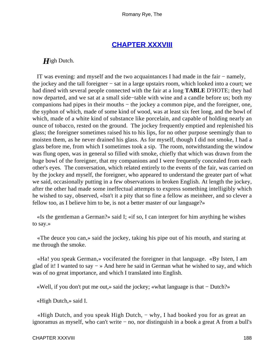# **[CHAPTER XXXVIII](#page-316-0)**

## *H*igh Dutch.

 IT was evening: and myself and the two acquaintances I had made in the fair − namely, the jockey and the tall foreigner − sat in a large upstairs room, which looked into a court; we had dined with several people connected with the fair at a long **TABLE** D'HOTE; they had now departed, and we sat at a small side−table with wine and a candle before us; both my companions had pipes in their mouths − the jockey a common pipe, and the foreigner, one, the syphon of which, made of some kind of wood, was at least six feet long, and the bowl of which, made of a white kind of substance like porcelain, and capable of holding nearly an ounce of tobacco, rested on the ground. The jockey frequently emptied and replenished his glass; the foreigner sometimes raised his to his lips, for no other purpose seemingly than to moisten them, as he never drained his glass. As for myself, though I did not smoke, I had a glass before me, from which I sometimes took a sip. The room, notwithstanding the window was flung open, was in general so filled with smoke, chiefly that which was drawn from the huge bowl of the foreigner, that my companions and I were frequently concealed from each other's eyes. The conversation, which related entirely to the events of the fair, was carried on by the jockey and myself, the foreigner, who appeared to understand the greater part of what we said, occasionally putting in a few observations in broken English. At length the jockey, after the other had made some ineffectual attempts to express something intelligibly which he wished to say, observed, «Isn't it a pity that so fine a fellow as meinheer, and so clever a fellow too, as I believe him to be, is not a better master of our language?»

 «Is the gentleman a German?» said I; «if so, I can interpret for him anything he wishes to say.»

 «The deuce you can,» said the jockey, taking his pipe out of his mouth, and staring at me through the smoke.

 «Ha! you speak German,» vociferated the foreigner in that language. «By Isten, I am glad of it! I wanted to say − » And here he said in German what he wished to say, and which was of no great importance, and which I translated into English.

«Well, if you don't put me out,» said the jockey; «what language is that − Dutch?»

«High Dutch,» said I.

 «High Dutch, and you speak High Dutch, − why, I had booked you for as great an ignoramus as myself, who can't write − no, nor distinguish in a book a great A from a bull's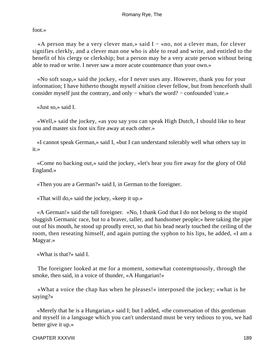foot.»

 «A person may be a very clever man,» said I − «no, not a clever man, for clever signifies clerkly, and a clever man one who is able to read and write, and entitled to the benefit of his clergy or clerkship; but a person may be a very acute person without being able to read or write. I never saw a more acute countenance than your own.»

 «No soft soap,» said the jockey, «for I never uses any. However, thank you for your information; I have hitherto thought myself a'nition clever fellow, but from henceforth shall consider myself just the contrary, and only − what's the word? − confounded 'cute.»

«Just so,» said I.

 «Well,» said the jockey, «as you say you can speak High Dutch, I should like to hear you and master six foot six fire away at each other.»

 «I cannot speak German,» said I, «but I can understand tolerably well what others say in it.»

 «Come no backing out,» said the jockey, «let's hear you fire away for the glory of Old England.»

«Then you are a German?» said I, in German to the foreigner.

«That will do,» said the jockey, «keep it up.»

 «A German!» said the tall foreigner. «No, I thank God that I do not belong to the stupid sluggish Germanic race, but to a braver, taller, and handsomer people;» here taking the pipe out of his mouth, he stood up proudly erect, so that his head nearly touched the ceiling of the room, then reseating himself, and again putting the syphon to his lips, he added, «I am a Magyar.»

«What is that?» said I.

 The foreigner looked at me for a moment, somewhat contemptuously, through the smoke, then said, in a voice of thunder, «A Hungarian!»

 «What a voice the chap has when he pleases!» interposed the jockey; «what is he saying?»

 «Merely that he is a Hungarian,» said I; but I added, «the conversation of this gentleman and myself in a language which you can't understand must be very tedious to you, we had better give it up.»

CHAPTER XXXVIII 189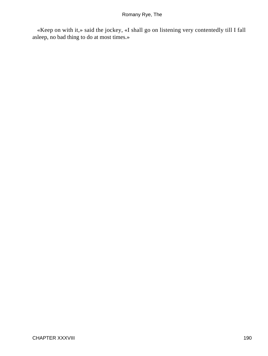«Keep on with it,» said the jockey, «I shall go on listening very contentedly till I fall asleep, no bad thing to do at most times.»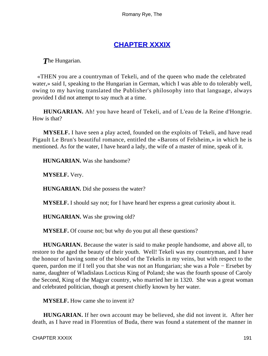# **[CHAPTER XXXIX](#page-316-0)**

*T*he Hungarian.

 «THEN you are a countryman of Tekeli, and of the queen who made the celebrated water,» said I, speaking to the Hungarian in German, which I was able to do tolerably well, owing to my having translated the Publisher's philosophy into that language, always provided I did not attempt to say much at a time.

**HUNGARIAN.** Ah! you have heard of Tekeli, and of L'eau de la Reine d'Hongrie. How is that?

**MYSELF.** I have seen a play acted, founded on the exploits of Tekeli, and have read Pigault Le Brun's beautiful romance, entitled the «Barons of Felsheim,» in which he is mentioned. As for the water, I have heard a lady, the wife of a master of mine, speak of it.

**HUNGARIAN.** Was she handsome?

**MYSELF.** Very.

**HUNGARIAN.** Did she possess the water?

**MYSELF.** I should say not; for I have heard her express a great curiosity about it.

**HUNGARIAN.** Was she growing old?

**MYSELF.** Of course not; but why do you put all these questions?

**HUNGARIAN.** Because the water is said to make people handsome, and above all, to restore to the aged the beauty of their youth. Well! Tekeli was my countryman, and I have the honour of having some of the blood of the Tekelis in my veins, but with respect to the queen, pardon me if I tell you that she was not an Hungarian; she was a Pole − Ersebet by name, daughter of Wladislaus Locticus King of Poland; she was the fourth spouse of Caroly the Second, King of the Magyar country, who married her in 1320. She was a great woman and celebrated politician, though at present chiefly known by her water.

**MYSELF.** How came she to invent it?

**HUNGARIAN.** If her own account may be believed, she did not invent it. After her death, as I have read in Florentius of Buda, there was found a statement of the manner in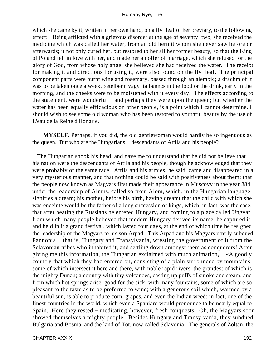which she came by it, written in her own hand, on a fly−leaf of her breviary, to the following effect:− Being afflicted with a grievous disorder at the age of seventy−two, she received the medicine which was called her water, from an old hermit whom she never saw before or afterwards; it not only cured her, but restored to her all her former beauty, so that the King of Poland fell in love with her, and made her an offer of marriage, which she refused for the glory of God, from whose holy angel she believed she had received the water. The receipt for making it and directions for using it, were also found on the fly−leaf. The principal component parts were burnt wine and rosemary, passed through an alembic; a drachm of it was to be taken once a week, «etelbenn vagy italbann,» in the food or the drink, early in the morning, and the cheeks were to be moistened with it every day. The effects according to the statement, were wonderful − and perhaps they were upon the queen; but whether the water has been equally efficacious on other people, is a point which I cannot determine. I should wish to see some old woman who has been restored to youthful beauty by the use of L'eau de la Reine d'Hongrie.

**MYSELF.** Perhaps, if you did, the old gentlewoman would hardly be so ingenuous as the queen. But who are the Hungarians − descendants of Attila and his people?

 The Hungarian shook his head, and gave me to understand that he did not believe that his nation were the descendants of Attila and his people, though he acknowledged that they were probably of the same race. Attila and his armies, he said, came and disappeared in a very mysterious manner, and that nothing could be said with positiveness about them; that the people now known as Magyars first made their appearance in Muscovy in the year 884, under the leadership of Almus, called so from Alom, which, in the Hungarian language, signifies a dream; his mother, before his birth, having dreamt that the child with which she was enceinte would be the father of a long succession of kings, which, in fact, was the case; that after beating the Russians he entered Hungary, and coming to a place called Ungvar, from which many people believed that modern Hungary derived its name, he captured it, and held in it a grand festival, which lasted four days, at the end of which time he resigned the leadership of the Magyars to his son Arpad. This Arpad and his Magyars utterly subdued Pannonia – that is, Hungary and Transylvania, wresting the government of it from the Sclavonian tribes who inhabited it, and settling down amongst them as conquerors! After giving me this information, the Hungarian exclaimed with much animation,  $-\ll A$  goodly country that which they had entered on, consisting of a plain surrounded by mountains, some of which intersect it here and there, with noble rapid rivers, the grandest of which is the mighty Dunau; a country with tiny volcanoes, casting up puffs of smoke and steam, and from which hot springs arise, good for the sick; with many fountains, some of which are so pleasant to the taste as to be preferred to wine; with a generous soil which, warmed by a beautiful sun, is able to produce corn, grapes, and even the Indian weed; in fact, one of the finest countries in the world, which even a Spaniard would pronounce to be nearly equal to Spain. Here they rested − meditating, however, fresh conquests. Oh, the Magyars soon showed themselves a mighty people. Besides Hungary and Transylvania, they subdued Bulgaria and Bosnia, and the land of Tot, now called Sclavonia. The generals of Zoltan, the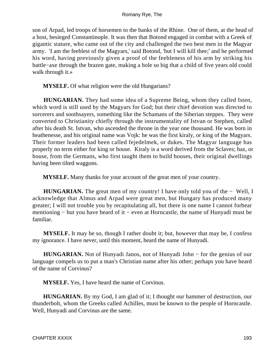son of Arpad, led troops of horsemen to the banks of the Rhine. One of them, at the head of a host, besieged Constantinople. It was then that Botond engaged in combat with a Greek of gigantic stature, who came out of the city and challenged the two best men in the Magyar army. 'I am the feeblest of the Magyars,' said Botond, 'but I will kill thee;' and he performed his word, having previously given a proof of the feebleness of his arm by striking his battle−axe through the brazen gate, making a hole so big that a child of five years old could walk through it.»

**MYSELF.** Of what religion were the old Hungarians?

**HUNGARIAN.** They had some idea of a Supreme Being, whom they called Isten, which word is still used by the Magyars for God; but their chief devotion was directed to sorcerers and soothsayers, something like the Schamans of the Siberian steppes. They were converted to Christianity chiefly through the instrumentality of Istvan or Stephen, called after his death St. Istvan, who ascended the throne in the year one thousand. He was born in heathenesse, and his original name was Vojk: he was the first kiraly, or king of the Magyars. Their former leaders had been called fejedelmek, or dukes. The Magyar language has properly no term either for king or house. Kiraly is a word derived from the Sclaves; haz, or house, from the Germans, who first taught them to build houses, their original dwellings having been tilted waggons.

**MYSELF.** Many thanks for your account of the great men of your country.

**HUNGARIAN.** The great men of my country! I have only told you of the − Well, I acknowledge that Almus and Arpad were great men, but Hungary has produced many greater; I will not trouble you by recapitulating all, but there is one name I cannot forbear mentioning − but you have heard of it − even at Horncastle, the name of Hunyadi must be familiar.

**MYSELF.** It may be so, though I rather doubt it; but, however that may be, I confess my ignorance. I have never, until this moment, heard the name of Hunyadi.

**HUNGARIAN.** Not of Hunyadi Janos, not of Hunyadi John − for the genius of our language compels us to put a man's Christian name after his other; perhaps you have heard of the name of Corvinus?

**MYSELF.** Yes, I have heard the name of Corvinus.

**HUNGARIAN.** By my God, I am glad of it; I thought our hammer of destruction, our thunderbolt, whom the Greeks called Achilles, must be known to the people of Horncastle. Well, Hunyadi and Corvinus are the same.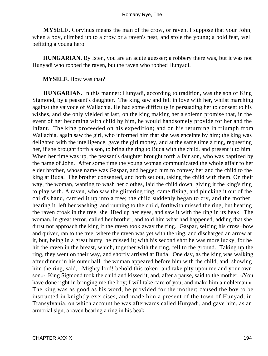**MYSELF.** Corvinus means the man of the crow, or raven. I suppose that your John, when a boy, climbed up to a crow or a raven's nest, and stole the young; a bold feat, well befitting a young hero.

**HUNGARIAN.** By Isten, you are an acute guesser; a robbery there was, but it was not Hunyadi who robbed the raven, but the raven who robbed Hunyadi.

### **MYSELF.** How was that?

**HUNGARIAN.** In this manner: Hunyadi, according to tradition, was the son of King Sigmond, by a peasant's daughter. The king saw and fell in love with her, whilst marching against the vaivode of Wallachia. He had some difficulty in persuading her to consent to his wishes, and she only yielded at last, on the king making her a solemn promise that, in the event of her becoming with child by him, he would handsomely provide for her and the infant. The king proceeded on his expedition; and on his returning in triumph from Wallachia, again saw the girl, who informed him that she was enceinte by him; the king was delighted with the intelligence, gave the girl money, and at the same time a ring, requesting her, if she brought forth a son, to bring the ring to Buda with the child, and present it to him. When her time was up, the peasant's daughter brought forth a fair son, who was baptized by the name of John. After some time the young woman communicated the whole affair to her elder brother, whose name was Gaspar, and begged him to convey her and the child to the king at Buda. The brother consented, and both set out, taking the child with them. On their way, the woman, wanting to wash her clothes, laid the child down, giving it the king's ring to play with. A raven, who saw the glittering ring, came flying, and plucking it out of the child's hand, carried it up into a tree; the child suddenly began to cry, and the mother, hearing it, left her washing, and running to the child, forthwith missed the ring, but hearing the raven croak in the tree, she lifted up her eyes, and saw it with the ring in its beak. The woman, in great terror, called her brother, and told him what had happened, adding that she durst not approach the king if the raven took away the ring. Gaspar, seizing his cross−bow and quiver, ran to the tree, where the raven was yet with the ring, and discharged an arrow at it, but, being in a great hurry, he missed it; with his second shot he was more lucky, for he hit the raven in the breast, which, together with the ring, fell to the ground. Taking up the ring, they went on their way, and shortly arrived at Buda. One day, as the king was walking after dinner in his outer hall, the woman appeared before him with the child, and, showing him the ring, said, «Mighty lord! behold this token! and take pity upon me and your own son.» King Sigmond took the child and kissed it, and, after a pause, said to the mother, «You have done right in bringing me the boy; I will take care of you, and make him a nobleman.» The king was as good as his word, he provided for the mother; caused the boy to be instructed in knightly exercises, and made him a present of the town of Hunyad, in Transylvania, on which account he was afterwards called Hunyadi, and gave him, as an armorial sign, a raven bearing a ring in his beak.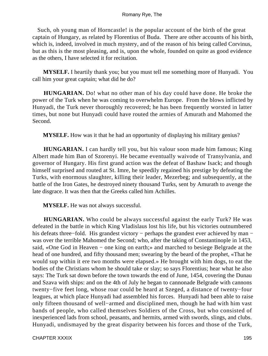Such, oh young man of Horncastle! is the popular account of the birth of the great captain of Hungary, as related by Florentius of Buda. There are other accounts of his birth, which is, indeed, involved in much mystery, and of the reason of his being called Corvinus, but as this is the most pleasing, and is, upon the whole, founded on quite as good evidence as the others, I have selected it for recitation.

**MYSELF.** I heartily thank you; but you must tell me something more of Hunyadi. You call him your great captain; what did he do?

**HUNGARIAN.** Do! what no other man of his day could have done. He broke the power of the Turk when he was coming to overwhelm Europe. From the blows inflicted by Hunyadi, the Turk never thoroughly recovered; he has been frequently worsted in latter times, but none but Hunyadi could have routed the armies of Amurath and Mahomed the Second.

**MYSELF.** How was it that he had an opportunity of displaying his military genius?

**HUNGARIAN.** I can hardly tell you, but his valour soon made him famous; King Albert made him Ban of Szorenyi. He became eventually waivode of Transylvania, and governor of Hungary. His first grand action was the defeat of Bashaw Isack; and though himself surprised and routed at St. Imre, he speedily regained his prestige by defeating the Turks, with enormous slaughter, killing their leader, Mezerbeg; and subsequently, at the battle of the Iron Gates, he destroyed ninety thousand Turks, sent by Amurath to avenge the late disgrace. It was then that the Greeks called him Achilles.

**MYSELF.** He was not always successful.

**HUNGARIAN.** Who could be always successful against the early Turk? He was defeated in the battle in which King Vladislaus lost his life, but his victories outnumbered his defeats three–fold. His grandest victory – perhaps the grandest ever achieved by man – was over the terrible Mahomed the Second; who, after the taking of Constantinople in 1453, said, «One God in Heaven − one king on earth;» and marched to besiege Belgrade at the head of one hundred, and fifty thousand men; swearing by the beard of the prophet, «That he would sup within it ere two months were elapsed.» He brought with him dogs, to eat the bodies of the Christians whom he should take or slay; so says Florentius; hear what he also says: The Turk sat down before the town towards the end of June, 1454, covering the Dunau and Szava with ships: and on the 4th of July he began to cannonade Belgrade with cannons twenty−five feet long, whose roar could be heard at Szeged, a distance of twenty−four leagues, at which place Hunyadi had assembled his forces. Hunyadi had been able to raise only fifteen thousand of well−armed and disciplined men, though he had with him vast bands of people, who called themselves Soldiers of the Cross, but who consisted of inexperienced lads from school, peasants, and hermits, armed with swords, slings, and clubs. Hunyadi, undismayed by the great disparity between his forces and those of the Turk,

CHAPTER XXXIX 195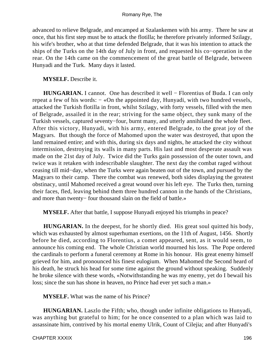advanced to relieve Belgrade, and encamped at Szalankemen with his army. There he saw at once, that his first step must be to attack the flotilla; he therefore privately informed Szilagy, his wife's brother, who at that time defended Belgrade, that it was his intention to attack the ships of the Turks on the 14th day of July in front, and requested his co−operation in the rear. On the 14th came on the commencement of the great battle of Belgrade, between Hunyadi and the Turk. Many days it lasted.

**MYSELF.** Describe it.

**HUNGARIAN.** I cannot. One has described it well − Florentius of Buda. I can only repeat a few of his words: − «On the appointed day, Hunyadi, with two hundred vessels, attacked the Turkish flotilla in front, whilst Szilagy, with forty vessels, filled with the men of Belgrade, assailed it in the rear; striving for the same object, they sunk many of the Turkish vessels, captured seventy−four, burnt many, and utterly annihilated the whole fleet. After this victory, Hunyadi, with his army, entered Belgrade, to the great joy of the Magyars. But though the force of Mahomed upon the water was destroyed, that upon the land remained entire; and with this, during six days and nights, he attacked the city without intermission, destroying its walls in many parts. His last and most desperate assault was made on the 21st day of July. Twice did the Turks gain possession of the outer town, and twice was it retaken with indescribable slaughter. The next day the combat raged without ceasing till mid−day, when the Turks were again beaten out of the town, and pursued by the Magyars to their camp. There the combat was renewed, both sides displaying the greatest obstinacy, until Mahomed received a great wound over his left eye. The Turks then, turning their faces, fled, leaving behind them three hundred cannon in the hands of the Christians, and more than twenty− four thousand slain on the field of battle.»

**MYSELF.** After that battle, I suppose Hunyadi enjoyed his triumphs in peace?

**HUNGARIAN.** In the deepest, for he shortly died. His great soul quitted his body, which was exhausted by almost superhuman exertions, on the 11th of August, 1456. Shortly before he died, according to Florentius, a comet appeared, sent, as it would seem, to announce his coming end. The whole Christian world mourned his loss. The Pope ordered the cardinals to perform a funeral ceremony at Rome in his honour. His great enemy himself grieved for him, and pronounced his finest eulogium. When Mahomed the Second heard of his death, he struck his head for some time against the ground without speaking. Suddenly he broke silence with these words, «Notwithstanding he was my enemy, yet do I bewail his loss; since the sun has shone in heaven, no Prince had ever yet such a man.»

**MYSELF.** What was the name of his Prince?

**HUNGARIAN.** Laszlo the Fifth; who, though under infinite obligations to Hunyadi, was anything but grateful to him; for he once consented to a plan which was laid to assassinate him, contrived by his mortal enemy Ulrik, Count of Cilejia; and after Hunyadi's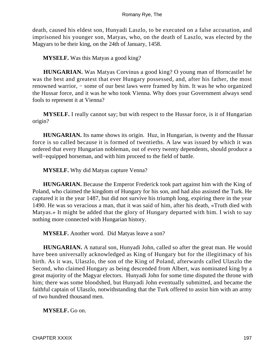death, caused his eldest son, Hunyadi Laszlo, to be executed on a false accusation, and imprisoned his younger son, Matyas, who, on the death of Laszlo, was elected by the Magyars to be their king, on the 24th of January, 1458.

**MYSELF.** Was this Matyas a good king?

**HUNGARIAN.** Was Matyas Corvinus a good king? O young man of Horncastle! he was the best and greatest that ever Hungary possessed, and, after his father, the most renowned warrior, − some of our best laws were framed by him. It was he who organized the Hussar force, and it was he who took Vienna. Why does your Government always send fools to represent it at Vienna?

**MYSELF.** I really cannot say; but with respect to the Hussar force, is it of Hungarian origin?

**HUNGARIAN.** Its name shows its origin. Huz, in Hungarian, is twenty and the Hussar force is so called because it is formed of twentieths. A law was issued by which it was ordered that every Hungarian nobleman, out of every twenty dependents, should produce a well−equipped horseman, and with him proceed to the field of battle.

**MYSELF.** Why did Matyas capture Venna?

**HUNGARIAN.** Because the Emperor Frederick took part against him with the King of Poland, who claimed the kingdom of Hungary for his son, and had also assisted the Turk. He captured it in the year 1487, but did not survive his triumph long, expiring there in the year 1490. He was so veracious a man, that it was said of him, after his death, «Truth died with Matyas.» It might be added that the glory of Hungary departed with him. I wish to say nothing more connected with Hungarian history.

**MYSELF.** Another word. Did Matyas leave a son?

**HUNGARIAN.** A natural son, Hunyadi John, called so after the great man. He would have been universally acknowledged as King of Hungary but for the illegitimacy of his birth. As it was, Ulaszlo, the son of the King of Poland, afterwards called Ulaszlo the Second, who claimed Hungary as being descended from Albert, was nominated king by a great majority of the Magyar electors. Hunyadi John for some time disputed the throne with him; there was some bloodshed, but Hunyadi John eventually submitted, and became the faithful captain of Ulaszlo, notwithstanding that the Turk offered to assist him with an army of two hundred thousand men.

**MYSELF.** Go on.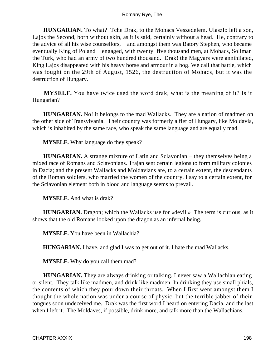**HUNGARIAN.** To what? Tche Drak, to the Mohacs Veszedelem. Ulaszlo left a son, Lajos the Second, born without skin, as it is said, certainly without a head. He, contrary to the advice of all his wise counsellors, − and amongst them was Batory Stephen, who became eventually King of Poland − engaged, with twenty−five thousand men, at Mohacs, Soliman the Turk, who had an army of two hundred thousand. Drak! the Magyars were annihilated, King Lajos disappeared with his heavy horse and armour in a bog. We call that battle, which was fought on the 29th of August, 1526, the destruction of Mohacs, but it was the destruction of Hungary.

**MYSELF.** You have twice used the word drak, what is the meaning of it? Is it Hungarian?

**HUNGARIAN.** No! it belongs to the mad Wallacks. They are a nation of madmen on the other side of Transylvania. Their country was formerly a fief of Hungary, like Moldavia, which is inhabited by the same race, who speak the same language and are equally mad.

**MYSELF.** What language do they speak?

HUNGARIAN. A strange mixture of Latin and Sclavonian – they themselves being a mixed race of Romans and Sclavonians. Trajan sent certain legions to form military colonies in Dacia; and the present Wallacks and Moldavians are, to a certain extent, the descendants of the Roman soldiers, who married the women of the country. I say to a certain extent, for the Sclavonian element both in blood and language seems to prevail.

**MYSELF.** And what is drak?

**HUNGARIAN.** Dragon; which the Wallacks use for «devil.» The term is curious, as it shows that the old Romans looked upon the dragon as an infernal being.

**MYSELF.** You have been in Wallachia?

**HUNGARIAN.** I have, and glad I was to get out of it. I hate the mad Wallacks.

**MYSELF.** Why do you call them mad?

**HUNGARIAN.** They are always drinking or talking. I never saw a Wallachian eating or silent. They talk like madmen, and drink like madmen. In drinking they use small phials, the contents of which they pour down their throats. When I first went amongst them I thought the whole nation was under a course of physic, but the terrible jabber of their tongues soon undeceived me. Drak was the first word I heard on entering Dacia, and the last when I left it. The Moldaves, if possible, drink more, and talk more than the Wallachians.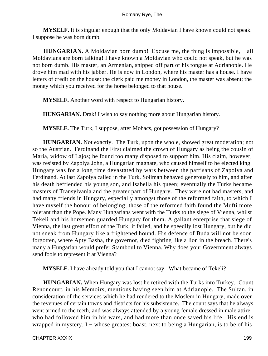**MYSELF.** It is singular enough that the only Moldavian I have known could not speak. I suppose he was born dumb.

**HUNGARIAN.** A Moldavian born dumb! Excuse me, the thing is impossible, – all Moldavians are born talking! I have known a Moldavian who could not speak, but he was not born dumb. His master, an Armenian, snipped off part of his tongue at Adrianople. He drove him mad with his jabber. He is now in London, where his master has a house. I have letters of credit on the house: the clerk paid me money in London, the master was absent; the money which you received for the horse belonged to that house.

**MYSELF.** Another word with respect to Hungarian history.

**HUNGARIAN.** Drak! I wish to say nothing more about Hungarian history.

**MYSELF.** The Turk, I suppose, after Mohacs, got possession of Hungary?

**HUNGARIAN.** Not exactly. The Turk, upon the whole, showed great moderation; not so the Austrian. Ferdinand the First claimed the crown of Hungary as being the cousin of Maria, widow of Lajos; he found too many disposed to support him. His claim, however, was resisted by Zapolya John, a Hungarian magnate, who caused himself to be elected king. Hungary was for a long time devastated by wars between the partisans of Zapolya and Ferdinand. At last Zapolya called in the Turk. Soliman behaved generously to him, and after his death befriended his young son, and Isabella his queen; eventually the Turks became masters of Transylvania and the greater part of Hungary. They were not bad masters, and had many friends in Hungary, especially amongst those of the reformed faith, to which I have myself the honour of belonging; those of the reformed faith found the Mufti more tolerant than the Pope. Many Hungarians went with the Turks to the siege of Vienna, whilst Tekeli and his horsemen guarded Hungary for them. A gallant enterprise that siege of Vienna, the last great effort of the Turk; it failed, and he speedily lost Hungary, but he did not sneak from Hungary like a frightened hound. His defence of Buda will not be soon forgotten, where Apty Basha, the governor, died fighting like a lion in the breach. There's many a Hungarian would prefer Stamboul to Vienna. Why does your Government always send fools to represent it at Vienna?

**MYSELF.** I have already told you that I cannot say. What became of Tekeli?

**HUNGARIAN.** When Hungary was lost he retired with the Turks into Turkey. Count Renoncourt, in his Memoirs, mentions having seen him at Adrianople. The Sultan, in consideration of the services which he had rendered to the Moslem in Hungary, made over the revenues of certain towns and districts for his subsistence. The count says that he always went armed to the teeth, and was always attended by a young female dressed in male attire, who had followed him in his wars, and had more than once saved his life. His end is wrapped in mystery, I – whose greatest boast, next to being a Hungarian, is to be of his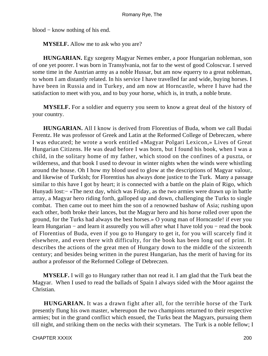blood − know nothing of his end.

**MYSELF.** Allow me to ask who you are?

**HUNGARIAN.** Egy szegeny Magyar Nemes ember, a poor Hungarian nobleman, son of one yet poorer. I was born in Transylvania, not far to the west of good Coloscvar. I served some time in the Austrian army as a noble Hussar, but am now equerry to a great nobleman, to whom I am distantly related. In his service I have travelled far and wide, buying horses. I have been in Russia and in Turkey, and am now at Horncastle, where I have had the satisfaction to meet with you, and to buy your horse, which is, in truth, a noble brute.

**MYSELF.** For a soldier and equerry you seem to know a great deal of the history of your country.

**HUNGARIAN.** All I know is derived from Florentius of Buda, whom we call Budai Ferentz. He was professor of Greek and Latin at the Reformed College of Debreczen, where I was educated; he wrote a work entitled «Magyar Polgari Lexicon,» Lives of Great Hungarian Citizens. He was dead before I was born, but I found his book, when I was a child, in the solitary home of my father, which stood on the confines of a puszta, or wilderness, and that book I used to devour in winter nights when the winds were whistling around the house. Oh I how my blood used to glow at the descriptions of Magyar valour, and likewise of Turkish; for Florentius has always done justice to the Turk. Many a passage similar to this have I got by heart; it is connected with a battle on the plain of Rigo, which Hunyadi lost:− «The next day, which was Friday, as the two armies were drawn up in battle array, a Magyar hero riding forth, galloped up and down, challenging the Turks to single combat. Then came out to meet him the son of a renowned bashaw of Asia; rushing upon each other, both broke their lances, but the Magyar hero and his horse rolled over upon the ground, for the Turks had always the best horses.» O young man of Horncastle! if ever you learn Hungarian − and learn it assuredly you will after what I have told you − read the book of Florentius of Buda, even if you go to Hungary to get it, for you will scarcely find it elsewhere, and even there with difficulty, for the book has been long out of print. It describes the actions of the great men of Hungary down to the middle of the sixteenth century; and besides being written in the purest Hungarian, has the merit of having for its author a professor of the Reformed College of Debreczen.

**MYSELF.** I will go to Hungary rather than not read it. I am glad that the Turk beat the Magyar. When I used to read the ballads of Spain I always sided with the Moor against the Christian.

**HUNGARIAN.** It was a drawn fight after all, for the terrible horse of the Turk presently flung his own master, whereupon the two champions returned to their respective armies; but in the grand conflict which ensued, the Turks beat the Magyars, pursuing them till night, and striking them on the necks with their scymetars. The Turk is a noble fellow; I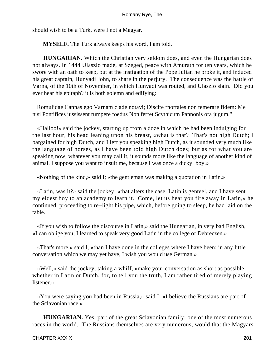should wish to be a Turk, were I not a Magyar.

**MYSELF.** The Turk always keeps his word, I am told.

**HUNGARIAN.** Which the Christian very seldom does, and even the Hungarian does not always. In 1444 Ulaszlo made, at Szeged, peace with Amurath for ten years, which he swore with an oath to keep, but at the instigation of the Pope Julian he broke it, and induced his great captain, Hunyadi John, to share in the perjury. The consequence was the battle of Varna, of the 10th of November, in which Hunyadi was routed, and Ulaszlo slain. Did you ever hear his epitaph? it is both solemn and edifying:−

 Romulidae Cannas ego Varnam clade notavi; Discite rnortales non temerare fidem: Me nisi Pontifices jussissent rumpere foedus Non ferret Scythicum Pannonis ora jugum."

 «Halloo!» said the jockey, starting up from a doze in which he had been indulging for the last hour, his head leaning upon his breast, «what is that? That's not high Dutch; I bargained for high Dutch, and I left you speaking high Dutch, as it sounded very much like the language of horses, as I have been told high Dutch does; but as for what you are speaking now, whatever you may call it, it sounds more like the language of another kind of animal. I suppose you want to insult me, because I was once a dicky−boy.»

«Nothing of the kind,» said I; «the gentleman was making a quotation in Latin.»

 «Latin, was it?» said the jockey; «that alters the case. Latin is genteel, and I have sent my eldest boy to an academy to learn it. Come, let us hear you fire away in Latin,» he continued, proceeding to re−light his pipe, which, before going to sleep, he had laid on the table.

 «If you wish to follow the discourse in Latin,» said the Hungarian, in very bad English, «I can oblige you; I learned to speak very good Latin in the college of Debreczen.»

 «That's more,» said I, «than I have done in the colleges where I have been; in any little conversation which we may yet have, I wish you would use German.»

 «Well,» said the jockey, taking a whiff, «make your conversation as short as possible, whether in Latin or Dutch, for, to tell you the truth, I am rather tired of merely playing listener.»

 «You were saying you had been in Russia,» said I; «I believe the Russians are part of the Sclavonian race.»

**HUNGARIAN.** Yes, part of the great Sclavonian family; one of the most numerous races in the world. The Russians themselves are very numerous; would that the Magyars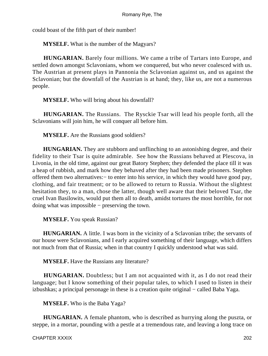could boast of the fifth part of their number!

**MYSELF.** What is the number of the Magyars?

**HUNGARIAN.** Barely four millions. We came a tribe of Tartars into Europe, and settled down amongst Sclavonians, whom we conquered, but who never coalesced with us. The Austrian at present plays in Pannonia the Sclavonian against us, and us against the Sclavonian; but the downfall of the Austrian is at hand; they, like us, are not a numerous people.

**MYSELF.** Who will bring about his downfall?

**HUNGARIAN.** The Russians. The Rysckie Tsar will lead his people forth, all the Sclavonians will join him, he will conquer all before him.

**MYSELF.** Are the Russians good soldiers?

**HUNGARIAN.** They are stubborn and unflinching to an astonishing degree, and their fidelity to their Tsar is quite admirable. See how the Russians behaved at Plescova, in Livonia, in the old time, against our great Batory Stephen; they defended the place till it was a heap of rubbish, and mark how they behaved after they had been made prisoners. Stephen offered them two alternatives:− to enter into his service, in which they would have good pay, clothing, and fair treatment; or to be allowed to return to Russia. Without the slightest hesitation they, to a man, chose the latter, though well aware that their beloved Tsar, the cruel Ivan Basilowits, would put them all to death, amidst tortures the most horrible, for not doing what was impossible − preserving the town.

**MYSELF.** You speak Russian?

**HUNGARIAN.** A little. I was born in the vicinity of a Sclavonian tribe; the servants of our house were Sclavonians, and I early acquired something of their language, which differs not much from that of Russia; when in that country I quickly understood what was said.

**MYSELF.** Have the Russians any literature?

**HUNGARIAN.** Doubtless; but I am not acquainted with it, as I do not read their language; but I know something of their popular tales, to which I used to listen in their izbushkas; a principal personage in these is a creation quite original − called Baba Yaga.

**MYSELF.** Who is the Baba Yaga?

**HUNGARIAN.** A female phantom, who is described as hurrying along the puszta, or steppe, in a mortar, pounding with a pestle at a tremendous rate, and leaving a long trace on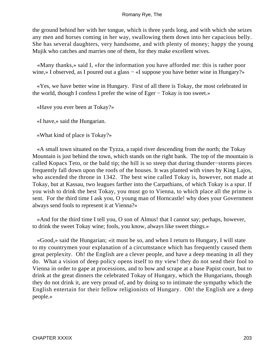the ground behind her with her tongue, which is three yards long, and with which she seizes any men and horses coming in her way, swallowing them down into her capacious belly. She has several daughters, very handsome, and with plenty of money; happy the young Mujik who catches and marries one of them, for they make excellent wives.

 «Many thanks,» said I, «for the information you have afforded me: this is rather poor wine,» I observed, as I poured out a glass – «I suppose you have better wine in Hungary?»

 «Yes, we have better wine in Hungary. First of all there is Tokay, the most celebrated in the world, though I confess I prefer the wine of Eger − Tokay is too sweet.»

«Have you ever been at Tokay?»

«I have,» said the Hungarian.

«What kind of place is Tokay?»

 «A small town situated on the Tyzza, a rapid river descending from the north; the Tokay Mountain is just behind the town, which stands on the right bank. The top of the mountain is called Kopacs Teto, or the bald tip; the hill is so steep that during thunder−storms pieces frequently fall down upon the roofs of the houses. It was planted with vines by King Lajos, who ascended the throne in 1342. The best wine called Tokay is, however, not made at Tokay, but at Kassau, two leagues farther into the Carpathians, of which Tokay is a spur. If you wish to drink the best Tokay, you must go to Vienna, to which place all the prime is sent. For the third time I ask you, O young man of Horncastle! why does your Government always send fools to represent it at Vienna?»

 «And for the third time I tell you, O son of Almus! that I cannot say; perhaps, however, to drink the sweet Tokay wine; fools, you know, always like sweet things.»

 «Good,» said the Hungarian; «it must be so, and when I return to Hungary, I will state to my countrymen your explanation of a circumstance which has frequently caused them great perplexity. Oh! the English are a clever people, and have a deep meaning in all they do. What a vision of deep policy opens itself to my view! they do not send their fool to Vienna in order to gape at processions, and to bow and scrape at a base Papist court, but to drink at the great dinners the celebrated Tokay of Hungary, which the Hungarians, though they do not drink it, are very proud of, and by doing so to intimate the sympathy which the English entertain for their fellow religionists of Hungary. Oh! the English are a deep people.»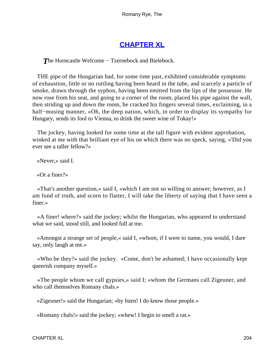# **[CHAPTER XL](#page-316-0)**

**The Horncastle Welcome – Tzernebock and Bielebock.** 

 THE pipe of the Hungarian had, for some time past, exhibited considerable symptoms of exhaustion, little or no ruttling having been heard in the tube, and scarcely a particle of smoke, drawn through the syphon, having been emitted from the lips of the possessor. He now rose from his seat, and going to a corner of the room, placed his pipe against the wall, then striding up and down the room, he cracked his fingers several times, exclaiming, in a half−musing manner, «Oh, the deep nation, which, in order to display its sympathy for Hungary, sends its fool to Vienna, to drink the sweet wine of Tokay!»

 The jockey, having looked for some time at the tall figure with evident approbation, winked at me with that brilliant eye of his on which there was no speck, saying, «'Did you ever see a taller fellow?»

«Never,» said I.

«Or a finer?»

 «That's another question,» said I, «which I am not so willing to answer; however, as I am fond of truth, and scorn to flatter, I will take the liberty of saying that I have seen a finer.»

 «A finer! where?» said the jockey; whilst the Hungarian, who appeared to understand what we said, stood still, and looked full at me.

 «Amongst a strange set of people,» said I, «whom, if I were to name, you would, I dare say, only laugh at me.»

 «Who be they?» said the jockey. «Come, don't be ashamed; I have occasionally kept queerish company myself.»

 «The people whom we call gypsies,» said I; «whom the Germans call Zigeuner, and who call themselves Romany chals.»

«Zigeuner!» said the Hungarian; «by Isten! I do know those people.»

«Romany chals!» said the jockey; «whew! I begin to smell a rat.»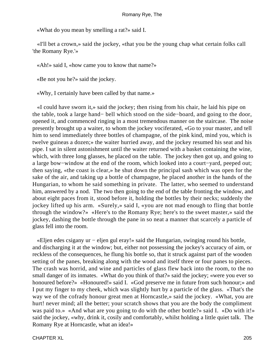«What do you mean by smelling a rat?» said I.

 «I'll bet a crown,» said the jockey, «that you be the young chap what certain folks call 'the Romany Rye.'»

«Ah!» said I, «how came you to know that name?»

«Be not you he?» said the jockey.

«Why, I certainly have been called by that name.»

 «I could have sworn it,» said the jockey; then rising from his chair, he laid his pipe on the table, took a large hand− bell which stood on the side−board, and going to the door, opened it, and commenced ringing in a most tremendous manner on the staircase. The noise presently brought up a waiter, to whom the jockey vociferated, «Go to your master, and tell him to send immediately three bottles of champagne, of the pink kind, mind you, which is twelve guineas a dozen;» the waiter hurried away, and the jockey resumed his seat and his pipe. I sat in silent astonishment until the waiter returned with a basket containing the wine, which, with three long glasses, he placed on the table. The jockey then got up, and going to a large bow−window at the end of the room, which looked into a court−yard, peeped out; then saying, «the coast is clear,» he shut down the principal sash which was open for the sake of the air, and taking up a bottle of champagne, he placed another in the hands of the Hungarian, to whom he said something in private. The latter, who seemed to understand him, answered by a nod. The two then going to the end of the table fronting the window, and about eight paces from it, stood before it, holding the bottles by their necks; suddenly the jockey lifted up his arm. «Surely,» said I, «you are not mad enough to fling that bottle through the window?» «Here's to the Romany Rye; here's to the sweet master,» said the jockey, dashing the bottle through the pane in so neat a manner that scarcely a particle of glass fell into the room.

 «Eljen edes csigany ur − eljen gul eray!» said the Hungarian, swinging round his bottle, and discharging it at the window; but, either not possessing the jockey's accuracy of aim, or reckless of the consequences, he flung his bottle so, that it struck against part of the wooden setting of the panes, breaking along with the wood and itself three or four panes to pieces. The crash was horrid, and wine and particles of glass flew back into the room, to the no small danger of its inmates. «What do you think of that?» said the jockey; «were you ever so honoured before?» «Honoured!» said I. «God preserve me in future from such honour;» and I put my finger to my cheek, which was slightly hurt by a particle of the glass. «That's the way we of the cofrady honour great men at Horncastle,» said the jockey. «What, you are hurt! never mind; all the better; your scratch shows that you are the body the compliment was paid to.» «And what are you going to do with the other bottle?» said I. «Do with it!» said the jockey, «why, drink it, cosily and comfortably, whilst holding a little quiet talk. The Romany Rye at Horncastle, what an idea!»

CHAPTER XL 205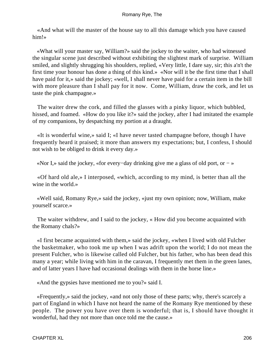«And what will the master of the house say to all this damage which you have caused him!»

 «What will your master say, William?» said the jockey to the waiter, who had witnessed the singular scene just described without exhibiting the slightest mark of surprise. William smiled, and slightly shrugging his shoulders, replied, «Very little, I dare say, sir; this a'n't the first time your honour has done a thing of this kind.» «Nor will it be the first time that I shall have paid for it,» said the jockey; «well, I shall never have paid for a certain item in the bill with more pleasure than I shall pay for it now. Come, William, draw the cork, and let us taste the pink champagne.»

 The waiter drew the cork, and filled the glasses with a pinky liquor, which bubbled, hissed, and foamed. «How do you like it?» said the jockey, after I had imitated the example of my companions, by despatching my portion at a draught.

 «It is wonderful wine,» said I; «I have never tasted champagne before, though I have frequently heard it praised; it more than answers my expectations; but, I confess, I should not wish to be obliged to drink it every day.»

«Nor I,» said the jockey, «for every−day drinking give me a glass of old port, or − »

 «Of hard old ale,» I interposed, «which, according to my mind, is better than all the wine in the world.»

 «Well said, Romany Rye,» said the jockey, «just my own opinion; now, William, make yourself scarce.»

 The waiter withdrew, and I said to the jockey, « How did you become acquainted with the Romany chals?»

 «I first became acquainted with them,» said the jockey, «when I lived with old Fulcher the basketmaker, who took me up when I was adrift upon the world; I do not mean the present Fulcher, who is likewise called old Fulcher, but his father, who has been dead this many a year; while living with him in the caravan, I frequently met them in the green lanes, and of latter years I have had occasional dealings with them in the horse line.»

«And the gypsies have mentioned me to you?» said I.

 «Frequently,» said the jockey, «and not only those of these parts; why, there's scarcely a part of England in which I have not heard the name of the Romany Rye mentioned by these people. The power you have over them is wonderful; that is, I should have thought it wonderful, had they not more than once told me the cause.»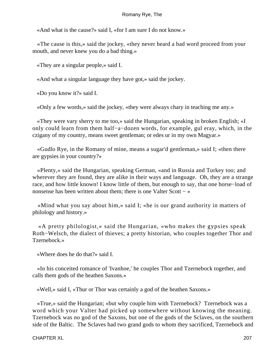«And what is the cause?» said I, «for I am sure I do not know.»

 «The cause is this,» said the jockey, «they never heard a bad word proceed from your mouth, and never knew you do a bad thing.»

«They are a singular people,» said I.

«And what a singular language they have got,» said the jockey.

«Do you know it?» said I.

«Only a few words,» said the jockey, «they were always chary in teaching me any.»

 «They were vary sherry to me too,» said the Hungarian, speaking in broken English; «I only could learn from them half−a−dozen words, for example, gul eray, which, in the czigany of my country, means sweet gentleman; or edes ur in my own Magyar.»

 «Gudlo Rye, in the Romany of mine, means a sugar'd gentleman,» said I; «then there are gypsies in your country?»

 «Plenty,» said the Hungarian, speaking German, «and in Russia and Turkey too; and wherever they are found, they are alike in their ways and language. Oh, they are a strange race, and how little known! I know little of them, but enough to say, that one horse−load of nonsense has been written about them; there is one Valter Scott − »

 «Mind what you say about him,» said I; «he is our grand authority in matters of philology and history.»

 «A pretty philologist,» said the Hungarian, «who makes the gypsies speak Roth−Welsch, the dialect of thieves; a pretty historian, who couples together Thor and Tzernebock.»

«Where does he do that?» said I.

 «In his conceited romance of 'Ivanhoe,' he couples Thor and Tzernebock together, and calls them gods of the heathen Saxons.»

«Well,» said I, «Thur or Thor was certainly a god of the heathen Saxons.»

 «True,» said the Hungarian; «but why couple him with Tzernebock? Tzernebock was a word which your Valter had picked up somewhere without knowing the meaning. Tzernebock was no god of the Saxons, but one of the gods of the Sclaves, on the southern side of the Baltic. The Sclaves had two grand gods to whom they sacrificed, Tzernebock and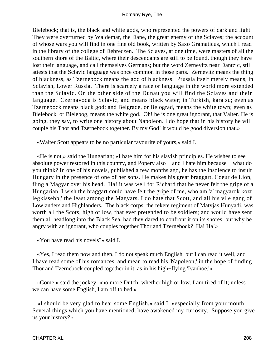Bielebock; that is, the black and white gods, who represented the powers of dark and light. They were overturned by Waldemar, the Dane, the great enemy of the Sclaves; the account of whose wars you will find in one fine old book, written by Saxo Gramaticus, which I read in the library of the college of Debreczen. The Sclaves, at one time, were masters of all the southern shore of the Baltic, where their descendants are still to be found, though they have lost their language, and call themselves Germans; but the word Zernevitz near Dantzic, still attests that the Sclavic language was once common in those parts. Zernevitz means the thing of blackness, as Tzernebock means the god of blackness. Prussia itself merely means, in Sclavish, Lower Russia. There is scarcely a race or language in the world more extended than the Sclavic. On the other side of the Dunau you will find the Sclaves and their language. Czernavoda is Sclavic, and means black water; in Turkish, kara su; even as Tzernebock means black god; and Belgrade, or Belograd, means the white town; even as Bielebock, or Bielebog, means the white god. Oh! he is one great ignorant, that Valter. He is going, they say, to write one history about Napoleon. I do hope that in his history he will couple his Thor and Tzernebock together. By my God! it would be good diversion that.»

«Walter Scott appears to be no particular favourite of yours,» said I.

 «He is not,» said the Hungarian; «I hate him for his slavish principles. He wishes to see absolute power restored in this country, and Popery also − and I hate him because − what do you think? In one of his novels, published a few months ago, he has the insolence to insult Hungary in the presence of one of her sons. He makes his great braggart, Coeur de Lion, fling a Magyar over his head. Ha! it was well for Richard that he never felt the gripe of a Hungarian. I wish the braggart could have felt the gripe of me, who am 'a' magyarok kozt legkissebb,' the least among the Magyars. I do hate that Scott, and all his vile gang of Lowlanders and Highlanders. The black corps, the fekete regiment of Matyjas Hunyadi, was worth all the Scots, high or low, that ever pretended to be soldiers; and would have sent them all headlong into the Black Sea, had they dared to confront it on its shores; but why be angry with an ignorant, who couples together Thor and Tzernebock? Ha! Ha!»

«You have read his novels?» said I.

 «Yes, I read them now and then. I do not speak much English, but I can read it well, and I have read some of his romances, and mean to read his 'Napoleon,' in the hope of finding Thor and Tzernebock coupled together in it, as in his high−flying 'Ivanhoe.'»

 «Come,» said the jockey, «no more Dutch, whether high or low. I am tired of it; unless we can have some English, I am off to bed.»

 «I should be very glad to hear some English,» said I; «especially from your mouth. Several things which you have mentioned, have awakened my curiosity. Suppose you give us your history?»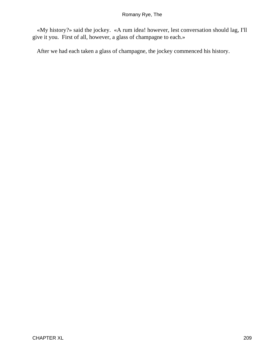«My history?» said the jockey. «A rum idea! however, lest conversation should lag, I'll give it you. First of all, however, a glass of champagne to each.»

After we had each taken a glass of champagne, the jockey commenced his history.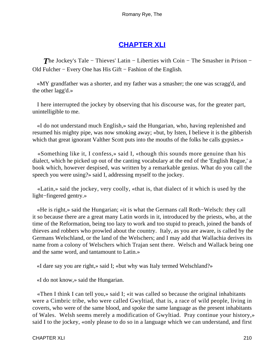# **[CHAPTER XLI](#page-316-0)**

**The Jockey's Tale – Thieves' Latin – Liberties with Coin – The Smasher in Prison –** Old Fulcher − Every One has His Gift − Fashion of the English.

 «MY grandfather was a shorter, and my father was a smasher; the one was scragg'd, and the other lagg'd.»

 I here interrupted the jockey by observing that his discourse was, for the greater part, unintelligible to me.

 «I do not understand much English,» said the Hungarian, who, having replenished and resumed his mighty pipe, was now smoking away; «but, by Isten, I believe it is the gibberish which that great ignorant Valther Scott puts into the mouths of the folks he calls gypsies.»

 «Something like it, I confess,» said I, «though this sounds more genuine than his dialect, which he picked up out of the canting vocabulary at the end of the 'English Rogue,' a book which, however despised, was written by a remarkable genius. What do you call the speech you were using?» said I, addressing myself to the jockey.

 «Latin,» said the jockey, very coolly, «that is, that dialect of it which is used by the light−fingered gentry.»

 «He is right,» said the Hungarian; «it is what the Germans call Roth−Welsch: they call it so because there are a great many Latin words in it, introduced by the priests, who, at the time of the Reformation, being too lazy to work and too stupid to preach, joined the bands of thieves and robbers who prowled about the country. Italy, as you are aware, is called by the Germans Welschland, or the land of the Welschers; and I may add that Wallachia derives its name from a colony of Welschers which Trajan sent there. Welsch and Wallack being one and the same word, and tantamount to Latin.»

«I dare say you are right,» said I; «but why was Italy termed Welschland?»

«I do not know,» said the Hungarian.

 «Then I think I can tell you,» said I; «it was called so because the original inhabitants were a Cimbric tribe, who were called Gwyltiad, that is, a race of wild people, living in coverts, who were of the same blood, and spoke the same language as the present inhabitants of Wales. Welsh seems merely a modification of Gwyltiad. Pray continue your history,» said I to the jockey, «only please to do so in a language which we can understand, and first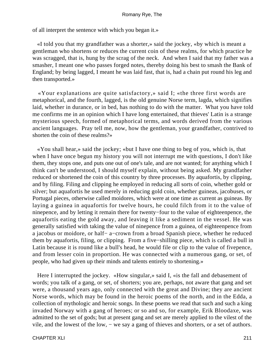of all interpret the sentence with which you began it.»

 «I told you that my grandfather was a shorter,» said the jockey, «by which is meant a gentleman who shortens or reduces the current coin of these realms, for which practice he was scragged, that is, hung by the scrag of the neck. And when I said that my father was a smasher, I meant one who passes forged notes, thereby doing his best to smash the Bank of England; by being lagged, I meant he was laid fast, that is, had a chain put round his leg and then transported.»

 «Your explanations are quite satisfactory,» said I; «the three first words are metaphorical, and the fourth, lagged, is the old genuine Norse term, lagda, which signifies laid, whether in durance, or in bed, has nothing to do with the matter. What you have told me confirms me in an opinion which I have long entertained, that thieves' Latin is a strange mysterious speech, formed of metaphorical terms, and words derived from the various ancient languages. Pray tell me, now, how the gentleman, your grandfather, contrived to shorten the coin of these realms?»

 «You shall hear,» said the jockey; «but I have one thing to beg of you, which is, that when I have once begun my history you will not interrupt me with questions, I don't like them, they stops one, and puts one out of one's tale, and are not wanted; for anything which I think can't be understood, I should myself explain, without being asked. My grandfather reduced or shortened the coin of this country by three processes. By aquafortis, by clipping, and by filing. Filing and clipping he employed in reducing all sorts of coin, whether gold or silver; but aquafortis he used merely in reducing gold coin, whether guineas, jacobuses, or Portugal pieces, otherwise called moidores, which were at one time as current as guineas. By laying a guinea in aquafortis for twelve hours, he could filch from it to the value of ninepence, and by letting it remain there for twenty−four to the value of eighteenpence, the aquafortis eating the gold away, and leaving it like a sediment in the vessel. He was generally satisfied with taking the value of ninepence from a guinea, of eighteenpence from a jacobus or moidore, or half− a−crown from a broad Spanish piece, whether he reduced them by aquafortis, filing, or clipping. From a five−shilling piece, which is called a bull in Latin because it is round like a bull's head, he would file or clip to the value of fivepence, and from lesser coin in proportion. He was connected with a numerous gang, or set, of people, who had given up their minds and talents entirely to shortening.»

 Here I interrupted the jockey. «How singular,» said I, «is the fall and debasement of words; you talk of a gang, or set, of shorters; you are, perhaps, not aware that gang and set were, a thousand years ago, only connected with the great and Divine; they are ancient Norse words, which may be found in the heroic poems of the north, and in the Edda, a collection of mythologic and heroic songs. In these poems we read that such and such a king invaded Norway with a gang of heroes; or so and so, for example, Erik Bloodaxe, was admitted to the set of gods; but at present gang and set are merely applied to the vilest of the vile, and the lowest of the low, − we say a gang of thieves and shorters, or a set of authors.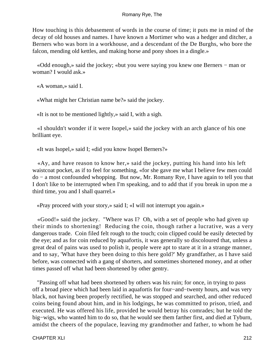How touching is this debasement of words in the course of time; it puts me in mind of the decay of old houses and names. I have known a Mortimer who was a hedger and ditcher, a Berners who was born in a workhouse, and a descendant of the De Burghs, who bore the falcon, mending old kettles, and making horse and pony shoes in a dingle.»

 «Odd enough,» said the jockey; «but you were saying you knew one Berners − man or woman? I would ask.»

«A woman,» said I.

«What might her Christian name be?» said the jockey.

«It is not to be mentioned lightly,» said I, with a sigh.

 «I shouldn't wonder if it were Isopel,» said the jockey with an arch glance of his one brilliant eye.

«It was Isopel,» said I; «did you know Isopel Berners?»

 «Ay, and have reason to know her,» said the jockey, putting his hand into his left waistcoat pocket, as if to feel for something, «for she gave me what I believe few men could do − a most confounded whopping. But now, Mr. Romany Rye, I have again to tell you that I don't like to be interrupted when I'm speaking, and to add that if you break in upon me a third time, you and I shall quarrel.»

«Pray proceed with your story,» said I; «I will not interrupt you again.»

 «Good!» said the jockey. "Where was I? Oh, with a set of people who had given up their minds to shortening! Reducing the coin, though rather a lucrative, was a very dangerous trade. Coin filed felt rough to the touch; coin clipped could be easily detected by the eye; and as for coin reduced by aquafortis, it was generally so discoloured that, unless a great deal of pains was used to polish it, people were apt to stare at it in a strange manner, and to say, 'What have they been doing to this here gold?' My grandfather, as I have said before, was connected with a gang of shorters, and sometimes shortened money, and at other times passed off what had been shortened by other gentry.

 "Passing off what had been shortened by others was his ruin; for once, in trying to pass off a broad piece which had been laid in aquafortis for four−and−twenty hours, and was very black, not having been properly rectified, he was stopped and searched, and other reduced coins being found about him, and in his lodgings, he was committed to prison, tried, and executed. He was offered his life, provided he would betray his comrades; but he told the big−wigs, who wanted him to do so, that he would see them farther first, and died at Tyburn, amidst the cheers of the populace, leaving my grandmother and father, to whom he had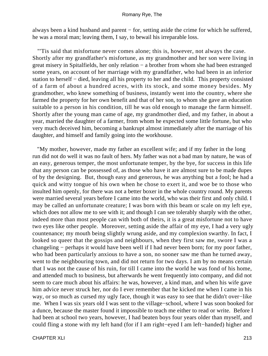always been a kind husband and parent − for, setting aside the crime for which he suffered, he was a moral man; leaving them, I say, to bewail his irreparable loss.

 "'Tis said that misfortune never comes alone; this is, however, not always the case. Shortly after my grandfather's misfortune, as my grandmother and her son were living in great misery in Spitalfields, her only relation − a brother from whom she had been estranged some years, on account of her marriage with my grandfather, who had been in an inferior station to herself − died, leaving all his property to her and the child. This property consisted of a farm of about a hundred acres, with its stock, and some money besides. My grandmother, who knew something of business, instantly went into the country, where she farmed the property for her own benefit and that of her son, to whom she gave an education suitable to a person in his condition, till he was old enough to manage the farm himself. Shortly after the young man came of age, my grandmother died, and my father, in about a year, married the daughter of a farmer, from whom he expected some little fortune, but who very much deceived him, becoming a bankrupt almost immediately after the marriage of his daughter, and himself and family going into the workhouse.

 "My mother, however, made my father an excellent wife; and if my father in the long run did not do well it was no fault of hers. My father was not a bad man by nature, he was of an easy, generous temper, the most unfortunate temper, by the bye, for success in this life that any person can be possessed of, as those who have it are almost sure to be made dupes of by the designing. But, though easy and generous, he was anything but a fool; he had a quick and witty tongue of his own when he chose to exert it, and woe be to those who insulted him openly, for there was not a better boxer in the whole country round. My parents were married several years before I came into the world, who was their first and only child. I may be called an unfortunate creature; I was born with this beam or scale on my left eye, which does not allow me to see with it; and though I can see tolerably sharply with the other, indeed more than most people can with both of theirs, it is a great misfortune not to have two eyes like other people. Moreover, setting aside the affair of my eye, I had a very ugly countenance; my mouth being slightly wrung aside, and my complexion swarthy. In fact, I looked so queer that the gossips and neighbours, when they first saw me, swore I was a changeling − perhaps it would have been well if I had never been born; for my poor father, who had been particularly anxious to have a son, no sooner saw me than he turned away, went to the neighbouring town, and did not return for two days. I am by no means certain that I was not the cause of his ruin, for till I came into the world he was fond of his home, and attended much to business, but afterwards he went frequently into company, and did not seem to care much about his affairs: he was, however, a kind man, and when his wife gave him advice never struck her, nor do I ever remember that he kicked me when I came in his way, or so much as cursed my ugly face, though it was easy to see that he didn't over−like me. When I was six years old I was sent to the village−school, where I was soon booked for a dunce, because the master found it impossible to teach me either to read or write. Before I had been at school two years, however, I had beaten boys four years older than myself, and could fling a stone with my left hand (for if I am right−eyed I am left−handed) higher and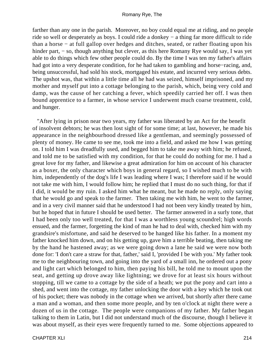farther than any one in the parish. Moreover, no boy could equal me at riding, and no people ride so well or desperately as boys. I could ride a donkey − a thing far more difficult to ride than a horse − at full gallop over hedges and ditches, seated, or rather floating upon his hinder part, − so, though anything but clever, as this here Romany Rye would say, I was yet able to do things which few other people could do. By the time I was ten my father's affairs had got into a very desperate condition, for he had taken to gambling and horse−racing, and, being unsuccessful, had sold his stock, mortgaged his estate, and incurred very serious debts. The upshot was, that within a little time all he had was seized, himself imprisoned, and my mother and myself put into a cottage belonging to the parish, which, being very cold and damp, was the cause of her catching a fever, which speedily carried her off. I was then bound apprentice to a farmer, in whose service I underwent much coarse treatment, cold, and hunger.

 "After lying in prison near two years, my father was liberated by an Act for the benefit of insolvent debtors; he was then lost sight of for some time; at last, however, he made his appearance in the neighbourhood dressed like a gentleman, and seemingly possessed of plenty of money. He came to see me, took me into a field, and asked me how I was getting on. I told him I was dreadfully used, and begged him to take me away with him; he refused, and told me to be satisfied with my condition, for that he could do nothing for me. I had a great love for my father, and likewise a great admiration for him on account of his character as a boxer, the only character which boys in general regard, so I wished much to be with him, independently of the dog's life I was leading where I was; I therefore said if he would not take me with him, I would follow him; he replied that I must do no such thing, for that if I did, it would be my ruin. I asked him what he meant, but he made no reply, only saying that he would go and speak to the farmer. Then taking me with him, he went to the farmer, and in a very civil manner said that he understood I had not been very kindly treated by him, but he hoped that in future I should be used better. The farmer answered in a surly tone, that I had been only too well treated, for that I was a worthless young scoundrel; high words ensued, and the farmer, forgetting the kind of man he had to deal with, checked him with my grandsire's misfortune, and said he deserved to be hanged like his father. In a moment my father knocked him down, and on his getting up, gave him a terrible beating, then taking me by the hand he hastened away; as we were going down a lane he said we were now both done for: 'I don't care a straw for that, father,' said I, 'provided I be with you.' My father took me to the neighbouring town, and going into the yard of a small inn, he ordered out a pony and light cart which belonged to him, then paying his bill, he told me to mount upon the seat, and getting up drove away like lightning; we drove for at least six hours without stopping, till we came to a cottage by the side of a heath; we put the pony and cart into a shed, and went into the cottage, my father unlocking the door with a key which he took out of his pocket; there was nobody in the cottage when we arrived, but shortly after there came a man and a woman, and then some more people, and by ten o'clock at night there were a dozen of us in the cottage. The people were companions of my father. My father began talking to them in Latin, but I did not understand much of the discourse, though I believe it was about myself, as their eyes were frequently turned to me. Some objections appeared to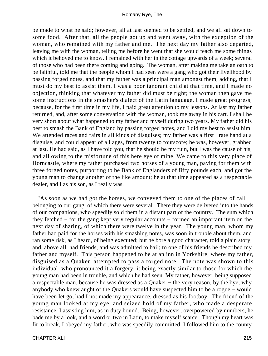be made to what he said; however, all at last seemed to be settled, and we all sat down to some food. After that, all the people got up and went away, with the exception of the woman, who remained with my father and me. The next day my father also departed, leaving me with the woman, telling me before he went that she would teach me some things which it behoved me to know. I remained with her in the cottage upwards of a week; several of those who had been there coming and going. The woman, after making me take an oath to be faithful, told me that the people whom I had seen were a gang who got their livelihood by passing forged notes, and that my father was a principal man amongst them, adding, that I must do my best to assist them. I was a poor ignorant child at that time, and I made no objection, thinking that whatever my father did must be right; the woman then gave me some instructions in the smasher's dialect of the Latin language. I made great progress, because, for the first time in my life, I paid great attention to my lessons. At last my father returned, and, after some conversation with the woman, took me away in his cart. I shall be very short about what happened to my father and myself during two years. My father did his best to smash the Bank of England by passing forged notes, and I did my best to assist him. We attended races and fairs in all kinds of disguises; my father was a first− rate hand at a disguise, and could appear of all ages, from twenty to fourscore; he was, however, grabbed at last. He had said, as I have told you, that he should be my ruin, but I was the cause of his, and all owing to the misfortune of this here eye of mine. We came to this very place of Horncastle, where my father purchased two horses of a young man, paying for them with three forged notes, purporting to be Bank of Englanders of fifty pounds each, and got the young man to change another of the like amount; he at that time appeared as a respectable dealer, and I as his son, as I really was.

 "As soon as we had got the horses, we conveyed them to one of the places of call belonging to our gang, of which there were several. There they were delivered into the hands of our companions, who speedily sold them in a distant part of the country. The sum which they fetched − for the gang kept very regular accounts − formed an important item on the next day of sharing, of which there were twelve in the year. The young man, whom my father had paid for the horses with his smashing notes, was soon in trouble about them, and ran some risk, as I heard, of being executed; but he bore a good character, told a plain story, and, above all, had friends, and was admitted to bail; to one of his friends he described my father and myself. This person happened to be at an inn in Yorkshire, where my father, disguised as a Quaker, attempted to pass a forged note. The note was shown to this individual, who pronounced it a forgery, it being exactly similar to those for which the young man had been in trouble, and which he had seen. My father, however, being supposed a respectable man, because he was dressed as a Quaker − the very reason, by the bye, why anybody who knew aught of the Quakers would have suspected him to be a rogue − would have been let go, had I not made my appearance, dressed as his footboy. The friend of the young man looked at my eye, and seized hold of my father, who made a desperate resistance, I assisting him, as in duty bound. Being, however, overpowered by numbers, he bade me by a look, and a word or two in Latin, to make myself scarce. Though my heart was fit to break, I obeyed my father, who was speedily committed. I followed him to the county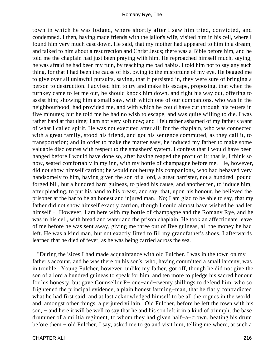town in which he was lodged, where shortly after I saw him tried, convicted, and condemned. I then, having made friends with the jailor's wife, visited him in his cell, where I found him very much cast down. He said, that my mother had appeared to him in a dream, and talked to him about a resurrection and Christ Jesus; there was a Bible before him, and he told me the chaplain had just been praying with him. He reproached himself much, saying, he was afraid he had been my ruin, by teaching me bad habits. I told him not to say any such thing, for that I had been the cause of his, owing to the misfortune of my eye. He begged me to give over all unlawful pursuits, saying, that if persisted in, they were sure of bringing a person to destruction. I advised him to try and make his escape, proposing, that when the turnkey came to let me out, he should knock him down, and fight his way out, offering to assist him; showing him a small saw, with which one of our companions, who was in the neighbourhood, had provided me, and with which he could have cut through his fetters in five minutes; but he told me he had no wish to escape, and was quite willing to die. I was rather hard at that time; I am not very soft now; and I felt rather ashamed of my father's want of what I called spirit. He was not executed after all; for the chaplain, who was connected with a great family, stood his friend, and got his sentence commuted, as they call it, to transportation; and in order to make the matter easy, he induced my father to make some valuable disclosures with respect to the smashers' system. I confess that I would have been hanged before I would have done so, after having reaped the profit of it; that is, I think so now, seated comfortably in my inn, with my bottle of champagne before me. He, however, did not show himself carrion; he would not betray his companions, who had behaved very handsomely to him, having given the son of a lord, a great barrister, not a hundred−pound forged bill, but a hundred hard guineas, to plead his cause, and another ten, to induce him, after pleading, to put his hand to his breast, and say, that, upon his honour, he believed the prisoner at the bar to be an honest and injured man. No; I am glad to be able to say, that my father did not show himself exactly carrion, though I could almost have wished he had let himself − However, I am here with my bottle of champagne and the Romany Rye, and he was in his cell, with bread and water and the prison chaplain. He took an affectionate leave of me before he was sent away, giving me three out of five guineas, all the money he had left. He was a kind man, but not exactly fitted to fill my grandfather's shoes. I afterwards learned that he died of fever, as he was being carried across the sea.

 "During the 'sizes I had made acquaintance with old Fulcher. I was in the town on my father's account, and he was there on his son's, who, having committed a small larceny, was in trouble. Young Fulcher, however, unlike my father, got off, though he did not give the son of a lord a hundred guineas to speak for him, and ten more to pledge his sacred honour for his honesty, but gave Counsellor P− one−and−twenty shillings to defend him, who so frightened the principal evidence, a plain honest farming−man, that he flatly contradicted what he had first said, and at last acknowledged himself to be all the rogues in the world, and, amongst other things, a perjured villain. Old Fulcher, before he left the town with his son, – and here it will be well to say that he and his son left it in a kind of triumph, the base drummer of a militia regiment, to whom they had given half−a−crown, beating his drum before them − old Fulcher, I say, asked me to go and visit him, telling me where, at such a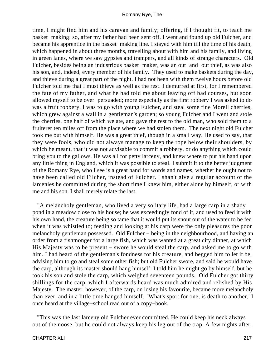time, I might find him and his caravan and family; offering, if I thought fit, to teach me basket−making: so, after my father had been sent off, I went and found up old Fulcher, and became his apprentice in the basket−making line. I stayed with him till the time of his death, which happened in about three months, travelling about with him and his family, and living in green lanes, where we saw gypsies and trampers, and all kinds of strange characters. Old Fulcher, besides being an industrious basket−maker, was an out−and−out thief, as was also his son, and, indeed, every member of his family. They used to make baskets during the day, and thieve during a great part of the night. I had not been with them twelve hours before old Fulcher told me that I must thieve as well as the rest. I demurred at first, for I remembered the fate of my father, and what he had told me about leaving off bad courses, but soon allowed myself to be over−persuaded; more especially as the first robbery I was asked to do was a fruit robbery. I was to go with young Fulcher, and steal some fine Morell cherries, which grew against a wall in a gentleman's garden; so young Fulcher and I went and stole the cherries, one half of which we ate, and gave the rest to the old man, who sold them to a fruiterer ten miles off from the place where we had stolen them. The next night old Fulcher took me out with himself. He was a great thief, though in a small way. He used to say, that they were fools, who did not always manage to keep the rope below their shoulders, by which he meant, that it was not advisable to commit a robbery, or do anything which could bring you to the gallows. He was all for petty larceny, and knew where to put his hand upon any little thing in England, which it was possible to steal. I submit it to the better judgment of the Romany Rye, who I see is a great hand for words and names, whether he ought not to have been called old Filcher, instead of Fulcher. I shan't give a regular account of the larcenies he committed during the short time I knew him, either alone by himself, or with me and his son. I shall merely relate the last.

 "A melancholy gentleman, who lived a very solitary life, had a large carp in a shady pond in a meadow close to his house; he was exceedingly fond of it, and used to feed it with his own hand, the creature being so tame that it would put its snout out of the water to be fed when it was whistled to; feeding and looking at his carp were the only pleasures the poor melancholy gentleman possessed. Old Fulcher − being in the neighbourhood, and having an order from a fishmonger for a large fish, which was wanted at a great city dinner, at which His Majesty was to be present − swore he would steal the carp, and asked me to go with him. I had heard of the gentleman's fondness for his creature, and begged him to let it be, advising him to go and steal some other fish; but old Fulcher swore, and said he would have the carp, although its master should hang himself; I told him he might go by himself, but he took his son and stole the carp, which weighed seventeen pounds. Old Fulcher got thirty shillings for the carp, which I afterwards heard was much admired and relished by His Majesty. The master, however, of the carp, on losing his favourite, became more melancholy than ever, and in a little time hanged himself. 'What's sport for one, is death to another,' I once heard at the village−school read out of a copy−book.

 "This was the last larceny old Fulcher ever committed. He could keep his neck always out of the noose, but he could not always keep his leg out of the trap. A few nights after,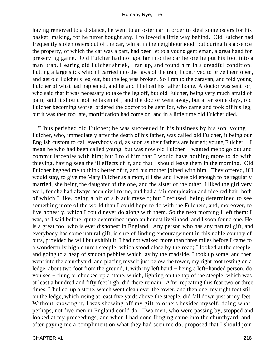having removed to a distance, he went to an osier car in order to steal some osiers for his basket−making, for he never bought any. I followed a little way behind. Old Fulcher had frequently stolen osiers out of the car, whilst in the neighbourhood, but during his absence the property, of which the car was a part, had been let to a young gentleman, a great hand for preserving game. Old Fulcher had not got far into the car before he put his foot into a man−trap. Hearing old Fulcher shriek, I ran up, and found him in a dreadful condition. Putting a large stick which I carried into the jaws of the trap, I contrived to prize them open, and get old Fulcher's leg out, but the leg was broken. So I ran to the caravan, and told young Fulcher of what had happened, and he and I helped his father home. A doctor was sent for, who said that it was necessary to take the leg off, but old Fulcher, being very much afraid of pain, said it should not be taken off, and the doctor went away, but after some days, old Fulcher becoming worse, ordered the doctor to be sent for, who came and took off his leg, but it was then too late, mortification had come on, and in a little time old Fulcher died.

 "Thus perished old Fulcher; he was succeeded in his business by his son, young Fulcher, who, immediately after the death of his father, was called old Fulcher, it being our English custom to call everybody old, as soon as their fathers are buried; young Fulcher − I mean he who had been called young, but was now old Fulcher – wanted me to go out and commit larcenies with him; but I told him that I would have nothing more to do with thieving, having seen the ill effects of it, and that I should leave them in the morning. Old Fulcher begged me to think better of it, and his mother joined with him. They offered, if I would stay, to give me Mary Fulcher as a mort, till she and I were old enough to be regularly married, she being the daughter of the one, and the sister of the other. I liked the girl very well, for she had always been civil to me, and had a fair complexion and nice red hair, both of which I like, being a bit of a black myself; but I refused, being determined to see something more of the world than I could hope to do with the Fulchers, and, moreover, to live honestly, which I could never do along with them. So the next morning I left them: I was, as I said before, quite determined upon an honest livelihood, and I soon found one. He is a great fool who is ever dishonest in England. Any person who has any natural gift, and everybody has some natural gift, is sure of finding encouragement in this noble country of ours, provided he will but exhibit it. I had not walked more than three miles before I came to a wonderfully high church steeple, which stood close by the road; I looked at the steeple, and going to a heap of smooth pebbles which lay by the roadside, I took up some, and then went into the churchyard, and placing myself just below the tower, my right foot resting on a ledge, about two foot from the ground, I, with my left hand − being a left−handed person, do you see − flung or chucked up a stone, which, lighting on the top of the steeple, which was at least a hundred and fifty feet high, did there remain. After repeating this feat two or three times, I 'hulled' up a stone, which went clean over the tower, and then one, my right foot still on the ledge, which rising at least five yards above the steeple, did fall down just at my feet. Without knowing it, I was showing off my gift to others besides myself, doing what, perhaps, not five men in England could do. Two men, who were passing by, stopped and looked at my proceedings, and when I had done flinging came into the churchyard, and, after paying me a compliment on what they had seen me do, proposed that I should join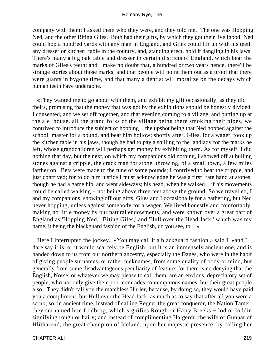company with them; I asked them who they were, and they told me. The one was Hopping Ned, and the other Biting Giles. Both had their gifts, by which they got their livelihood; Ned could hop a hundred yards with any man in England, and Giles could lift up with his teeth any dresser or kitchen−table in the country, and, standing erect, hold it dangling in his jaws. There's many a big oak table and dresser in certain districts of England, which bear the marks of Giles's teeth; and I make no doubt that, a hundred or two years hence, there'll be strange stories about those marks, and that people will point them out as a proof that there were giants in bygone time, and that many a dentist will moralize on the decays which human teeth have undergone.

 «They wanted me to go about with them, and exhibit my gift occasionally, as they did theirs, promising that the money that was got by the exhibitions should be honestly divided. I consented, and we set off together, and that evening coming to a village, and putting up at the ale−house, all the grand folks of the village being there smoking their pipes, we contrived to introduce the subject of hopping − the upshot being that Ned hopped against the school−master for a pound, and beat him hollow; shortly after, Giles, for a wager, took up the kitchen table in his jaws, though he had to pay a shilling to the landlady for the marks he left, whose grandchildren will perhaps get money by exhibiting them. As for myself, I did nothing that day, but the next, on which my companions did nothing, I showed off at hulling stones against a cripple, the crack man for stone−throwing, of a small town, a few miles farther on. Bets were made to the tune of some pounds; I contrived to beat the cripple, and just contrived; for to do him justice I must acknowledge he was a first−rate hand at stones, though he had a game hip, and went sideways; his head, when he walked − if his movements could be called walking − not being above three feet above the ground. So we travelled, I and my companions, showing off our gifts, Giles and I occasionally for a gathering, but Ned never hopping, unless against somebody for a wager. We lived honestly and comfortably, making no little money by our natural endowments, and were known over a great part of England as 'Hopping Ned,' 'Biting Giles,' and 'Hull over the Head Jack,' which was my name, it being the blackguard fashion of the English, do you see, to − »

 Here I interrupted the jockey. «You may call it a blackguard fashion,» said I, «and I dare say it is, or it would scarcely be English; but it is an immensely ancient one, and is handed down to us from our northern ancestry, especially the Danes, who were in the habit of giving people surnames, or rather nicknames, from some quality of body or mind, but generally from some disadvantageous peculiarity of feature; for there is no denying that the English, Norse, or whatever we may please to call them, are an envious, depreciatory set of people, who not only give their poor comrades contemptuous names, but their great people also. They didn't call you the matchless Hurler, because, by doing so, they would have paid you a compliment, but Hull over the Head Jack, as much as to say that after all you were a scrub; so, in ancient time, instead of calling Regner the great conqueror, the Nation Tamer, they surnamed him Lodbrog, which signifies Rough or Hairy Breeks − lod or loddin signifying rough or hairy; and instead of complimenting Halgerdr, the wife of Gunnar of Hlitharend, the great champion of Iceland, upon her majestic presence, by calling her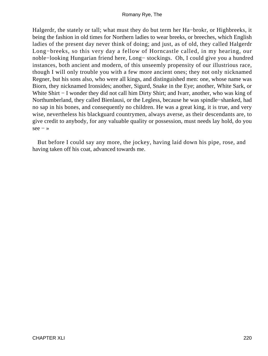Halgerdr, the stately or tall; what must they do but term her Ha−brokr, or Highbreeks, it being the fashion in old times for Northern ladies to wear breeks, or breeches, which English ladies of the present day never think of doing; and just, as of old, they called Halgerdr Long−breeks, so this very day a fellow of Horncastle called, in my hearing, our noble−looking Hungarian friend here, Long− stockings. Oh, I could give you a hundred instances, both ancient and modern, of this unseemly propensity of our illustrious race, though I will only trouble you with a few more ancient ones; they not only nicknamed Regner, but his sons also, who were all kings, and distinguished men: one, whose name was Biorn, they nicknamed Ironsides; another, Sigurd, Snake in the Eye; another, White Sark, or White Shirt − I wonder they did not call him Dirty Shirt; and Ivarr, another, who was king of Northumberland, they called Bienlausi, or the Legless, because he was spindle−shanked, had no sap in his bones, and consequently no children. He was a great king, it is true, and very wise, nevertheless his blackguard countrymen, always averse, as their descendants are, to give credit to anybody, for any valuable quality or possession, must needs lay hold, do you  $see - *»*$ 

 But before I could say any more, the jockey, having laid down his pipe, rose, and having taken off his coat, advanced towards me.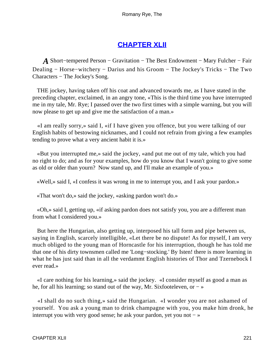# **[CHAPTER XLII](#page-316-0)**

*A* Short−tempered Person − Gravitation − The Best Endowment − Mary Fulcher − Fair Dealing − Horse−witchery − Darius and his Groom − The Jockey's Tricks − The Two Characters − The Jockey's Song.

 THE jockey, having taken off his coat and advanced towards me, as I have stated in the preceding chapter, exclaimed, in an angry tone, «This is the third time you have interrupted me in my tale, Mr. Rye; I passed over the two first times with a simple warning, but you will now please to get up and give me the satisfaction of a man.»

 «I am really sorry,» said I, «if I have given you offence, but you were talking of our English habits of bestowing nicknames, and I could not refrain from giving a few examples tending to prove what a very ancient habit it is.»

 «But you interrupted me,» said the jockey, «and put me out of my tale, which you had no right to do; and as for your examples, how do you know that I wasn't going to give some as old or older than yourn? Now stand up, and I'll make an example of you.»

«Well,» said I, «I confess it was wrong in me to interrupt you, and I ask your pardon.»

«That won't do,» said the jockey, «asking pardon won't do.»

 «Oh,» said I, getting up, «if asking pardon does not satisfy you, you are a different man from what I considered you.»

 But here the Hungarian, also getting up, interposed his tall form and pipe between us, saying in English, scarcely intelligible, «Let there be no dispute! As for myself, I am very much obliged to the young man of Horncastle for his interruption, though he has told me that one of his dirty townsmen called me 'Long−stocking.' By Isten! there is more learning in what he has just said than in all the verdammt English histories of Thor and Tzernebock I ever read.»

 «I care nothing for his learning,» said the jockey. «I consider myself as good a man as he, for all his learning; so stand out of the way, Mr. Sixfooteleven, or – »

 «I shall do no such thing,» said the Hungarian. «I wonder you are not ashamed of yourself. You ask a young man to drink champagne with you, you make him dronk, he interrupt you with very good sense; he ask your pardon, yet you not  $-\infty$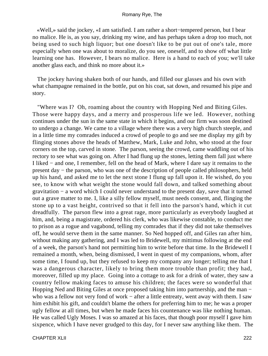«Well,» said the jockey, «I am satisfied. I am rather a short−tempered person, but I bear no malice. He is, as you say, drinking my wine, and has perhaps taken a drop too much, not being used to such high liquor; but one doesn't like to be put out of one's tale, more especially when one was about to moralize, do you see, oneself, and to show off what little learning one has. However, I bears no malice. Here is a hand to each of you; we'll take another glass each, and think no more about it.»

 The jockey having shaken both of our hands, and filled our glasses and his own with what champagne remained in the bottle, put on his coat, sat down, and resumed his pipe and story.

 "Where was I? Oh, roaming about the country with Hopping Ned and Biting Giles. Those were happy days, and a merry and prosperous life we led. However, nothing continues under the sun in the same state in which it begins, and our firm was soon destined to undergo a change. We came to a village where there was a very high church steeple, and in a little time my comrades induced a crowd of people to go and see me display my gift by flinging stones above the heads of Matthew, Mark, Luke and John, who stood at the four corners on the top, carved in stone. The parson, seeing the crowd, came waddling out of his rectory to see what was going on. After I had flung up the stones, letting them fall just where I liked − and one, I remember, fell on the head of Mark, where I dare say it remains to the present day − the parson, who was one of the description of people called philosophers, held up his hand, and asked me to let the next stone I flung up fall upon it. He wished, do you see, to know with what weight the stone would fall down, and talked something about gravitation − a word which I could never understand to the present day, save that it turned out a grave matter to me. I, like a silly fellow myself, must needs consent, and, flinging the stone up to a vast height, contrived so that it fell into the parson's hand, which it cut dreadfully. The parson flew into a great rage, more particularly as everybody laughed at him, and, being a magistrate, ordered his clerk, who was likewise constable, to conduct me to prison as a rogue and vagabond, telling my comrades that if they did not take themselves off, he would serve them in the same manner. So Ned hopped off, and Giles ran after him, without making any gathering, and I was led to Bridewell, my mittimus following at the end of a week, the parson's hand not permitting him to write before that time. In the Bridewell I remained a month, when, being dismissed, I went in quest of my companions, whom, after some time, I found up, but they refused to keep my company any longer; telling me that I was a dangerous character, likely to bring them more trouble than profit; they had, moreover, filled up my place. Going into a cottage to ask for a drink of water, they saw a country fellow making faces to amuse his children; the faces were so wonderful that Hopping Ned and Biting Giles at once proposed taking him into partnership, and the man − who was a fellow not very fond of work – after a little entreaty, went away with them. I saw him exhibit his gift, and couldn't blame the others for preferring him to me; he was a proper ugly fellow at all times, but when he made faces his countenance was like nothing human. He was called Ugly Moses. I was so amazed at his faces, that though poor myself I gave him sixpence, which I have never grudged to this day, for I never saw anything like them. The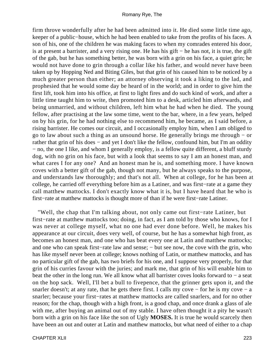firm throve wonderfully after he had been admitted into it. He died some little time ago, keeper of a public−house, which he had been enabled to take from the profits of his faces. A son of his, one of the children he was making faces to when my comrades entered his door, is at present a barrister, and a very rising one. He has his gift − he has not, it is true, the gift of the gab, but he has something better, he was born with a grin on his face, a quiet grin; he would not have done to grin through a collar like his father, and would never have been taken up by Hopping Ned and Biting Giles, but that grin of his caused him to be noticed by a much greater person than either; an attorney observing it took a liking to the lad, and prophesied that he would some day be heard of in the world; and in order to give him the first lift, took him into his office, at first to light fires and do such kind of work, and after a little time taught him to write, then promoted him to a desk, articled him afterwards, and being unmarried, and without children, left him what he had when he died. The young fellow, after practising at the law some time, went to the bar, where, in a few years, helped on by his grin, for he had nothing else to recommend him, he became, as I said before, a rising barrister. He comes our circuit, and I occasionally employ him, when I am obliged to go to law about such a thing as an unsound horse. He generally brings me through − or rather that grin of his does – and yet I don't like the fellow, confound him, but I'm an oddity − no, the one I like, and whom I generally employ, is a fellow quite different, a bluff sturdy dog, with no grin on his face, but with a look that seems to say I am an honest man, and what cares I for any one? And an honest man he is, and something more. I have known coves with a better gift of the gab, though not many, but he always speaks to the purpose, and understands law thoroughly; and that's not all. When at college, for he has been at college, he carried off everything before him as a Latiner, and was first−rate at a game they call matthew mattocks. I don't exactly know what it is, but I have heard that he who is first−rate at matthew mattocks is thought more of than if he were first−rate Latiner.

 "Well, the chap that I'm talking about, not only came out first−rate Latiner, but first−rate at matthew mattocks too; doing, in fact, as I am told by those who knows, for I was never at college myself, what no one had ever done before. Well, he makes his appearance at our circuit, does very well, of course, but he has a somewhat high front, as becomes an honest man, and one who has beat every one at Latin and matthew mattocks; and one who can speak first−rate law and sense; − but see now, the cove with the grin, who has like myself never been at college; knows nothing of Latin, or matthew mattocks, and has no particular gift of the gab, has two briefs for his one, and I suppose very properly, for that grin of his curries favour with the juries; and mark me, that grin of his will enable him to beat the other in the long run. We all know what all barrister coves looks forward to − a seat on the hop sack. Well, I'll bet a bull to fivepence, that the grinner gets upon it, and the snarler doesn't; at any rate, that he gets there first. I calls my cove – for he is my cove – a snarler; because your first−rates at matthew mattocks are called snarlers, and for no other reason; for the chap, though with a high front, is a good chap, and once drank a glass of ale with me, after buying an animal out of my stable. I have often thought it a pity he wasn't born with a grin on his face like the son of Ugly **MOSES.** It is true he would scarcely then have been an out and outer at Latin and matthew mattocks, but what need of either to a chap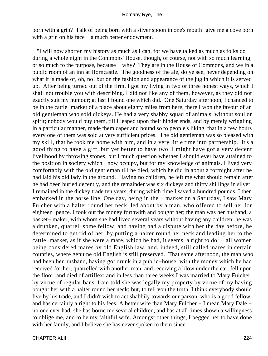born with a grin? Talk of being born with a silver spoon in one's mouth! give me a cove born with a grin on his face – a much better endowment.

 "I will now shorten my history as much as I can, for we have talked as much as folks do during a whole night in the Commons' House, though, of course, not with so much learning, or so much to the purpose, because − why? They are in the House of Commons, and we in a public room of an inn at Horncastle. The goodness of the ale, do ye see, never depending on what it is made of, oh, no! but on the fashion and appearance of the jug in which it is served up. After being turned out of the firm, I got my living in two or three honest ways, which I shall not trouble you with describing. I did not like any of them, however, as they did not exactly suit my humour; at last I found one which did. One Saturday afternoon, I chanced to be in the cattle−market of a place about eighty miles from here; there I won the favour of an old gentleman who sold dickeys. He had a very shabby squad of animals, without soul or spirit; nobody would buy them, till I leaped upon their hinder ends, and by merely wriggling in a particular manner, made them caper and bound so to people's liking, that in a few hours every one of them was sold at very sufficient prices. The old gentleman was so pleased with my skill, that he took me home with him, and in a very little time into partnership. It's a good thing to have a gift, but yet better to have two. I might have got a very decent livelihood by throwing stones, but I much question whether I should ever have attained to the position in society which I now occupy, but for my knowledge of animals. I lived very comfortably with the old gentleman till he died, which he did in about a fortnight after he had laid his old lady in the ground. Having no children, he left me what should remain after he had been buried decently, and the remainder was six dickeys and thirty shillings in silver. I remained in the dickey trade ten years, during which time I saved a hundred pounds. I then embarked in the horse line. One day, being in the − market on a Saturday, I saw Mary Fulcher with a halter round her neck, led about by a man, who offered to sell her for eighteen−pence. I took out the money forthwith and bought her; the man was her husband, a basket− maker, with whom she had lived several years without having any children; he was a drunken, quarrel−some fellow, and having had a dispute with her the day before, he determined to get rid of her, by putting a halter round her neck and leading her to the cattle−market, as if she were a mare, which he had, it seems, a right to do; – all women being considered mares by old English law, and, indeed, still called mares in certain counties, where genuine old English is still preserved. That same afternoon, the man who had been her husband, having got drunk in a public−house, with the money which he had received for her, quarrelled with another man, and receiving a blow under the ear, fell upon the floor, and died of artiflex; and in less than three weeks I was married to Mary Fulcher, by virtue of regular bans. I am told she was legally my property by virtue of my having bought her with a halter round her neck; but, to tell you the truth, I think everybody should live by his trade, and I didn't wish to act shabbily towards our parson, who is a good fellow, and has certainly a right to his fees. A better wife than Mary Fulcher − I mean Mary Dale − no one ever had; she has borne me several children, and has at all times shown a willingness to oblige me, and to be my faithful wife. Amongst other things, I begged her to have done with her family, and I believe she has never spoken to them since.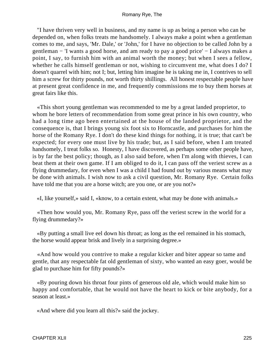"I have thriven very well in business, and my name is up as being a person who can be depended on, when folks treats me handsomely. I always make a point when a gentleman comes to me, and says, 'Mr. Dale,' or 'John,' for I have no objection to be called John by a gentleman − 'I wants a good horse, and am ready to pay a good price' − I always makes a point, I say, to furnish him with an animal worth the money; but when I sees a fellow, whether he calls himself gentleman or not, wishing to circumvent me, what does I do? I doesn't quarrel with him; not I; but, letting him imagine he is taking me in, I contrives to sell him a screw for thirty pounds, not worth thirty shillings. All honest respectable people have at present great confidence in me, and frequently commissions me to buy them horses at great fairs like this.

 «This short young gentleman was recommended to me by a great landed proprietor, to whom he bore letters of recommendation from some great prince in his own country, who had a long time ago been entertained at the house of the landed proprietor, and the consequence is, that I brings young six foot six to Horncastle, and purchases for him the horse of the Romany Rye. I don't do these kind things for nothing, it is true; that can't be expected; for every one must live by his trade; but, as I said before, when I am treated handsomely, I treat folks so. Honesty, I have discovered, as perhaps some other people have, is by far the best policy; though, as I also said before, when I'm along with thieves, I can beat them at their own game. If I am obliged to do it, I can pass off the veriest screw as a flying drummedary, for even when I was a child I had found out by various means what may be done with animals. I wish now to ask a civil question, Mr. Romany Rye. Certain folks have told me that you are a horse witch; are you one, or are you not?»

«I, like yourself,» said I, «know, to a certain extent, what may be done with animals.»

 «Then how would you, Mr. Romany Rye, pass off the veriest screw in the world for a flying drummedary?»

 «By putting a small live eel down his throat; as long as the eel remained in his stomach, the horse would appear brisk and lively in a surprising degree.»

 «And how would you contrive to make a regular kicker and biter appear so tame and gentle, that any respectable fat old gentleman of sixty, who wanted an easy goer, would be glad to purchase him for fifty pounds?»

 «By pouring down his throat four pints of generous old ale, which would make him so happy and comfortable, that he would not have the heart to kick or bite anybody, for a season at least.»

«And where did you learn all this?» said the jockey.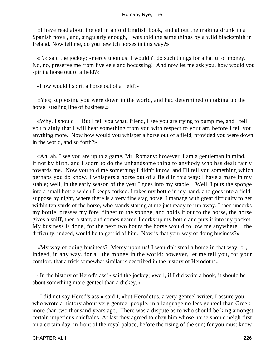«I have read about the eel in an old English book, and about the making drunk in a Spanish novel, and, singularly enough, I was told the same things by a wild blacksmith in Ireland. Now tell me, do you bewitch horses in this way?»

 «I?» said the jockey; «mercy upon us! I wouldn't do such things for a hatful of money. No, no, preserve me from live eels and hocussing! And now let me ask you, how would you spirit a horse out of a field?»

«How would I spirit a horse out of a field?»

 «Yes; supposing you were down in the world, and had determined on taking up the horse−stealing line of business.»

 «Why, I should − But I tell you what, friend, I see you are trying to pump me, and I tell you plainly that I will hear something from you with respect to your art, before I tell you anything more. Now how would you whisper a horse out of a field, provided you were down in the world, and so forth?»

 «Ah, ah, I see you are up to a game, Mr. Romany: however, I am a gentleman in mind, if not by birth, and I scorn to do the unhandsome thing to anybody who has dealt fairly towards me. Now you told me something I didn't know, and I'll tell you something which perhaps you do know. I whispers a horse out of a field in this way: I have a mare in my stable; well, in the early season of the year I goes into my stable − Well, I puts the sponge into a small bottle which I keeps corked. I takes my bottle in my hand, and goes into a field, suppose by night, where there is a very fine stag horse. I manage with great difficulty to get within ten yards of the horse, who stands staring at me just ready to run away. I then uncorks my bottle, presses my fore−finger to the sponge, and holds it out to the horse, the horse gives a sniff, then a start, and comes nearer. I corks up my bottle and puts it into my pocket. My business is done, for the next two hours the horse would follow me anywhere − the difficulty, indeed, would be to get rid of him. Now is that your way of doing business?»

 «My way of doing business? Mercy upon us! I wouldn't steal a horse in that way, or, indeed, in any way, for all the money in the world: however, let me tell you, for your comfort, that a trick somewhat similar is described in the history of Herodotus.»

 «In the history of Herod's ass!» said the jockey; «well, if I did write a book, it should be about something more genteel than a dickey.»

 «I did not say Herod's ass,» said I, «but Herodotus, a very genteel writer, I assure you, who wrote a history about very genteel people, in a language no less genteel than Greek, more than two thousand years ago. There was a dispute as to who should be king amongst certain imperious chieftains. At last they agreed to obey him whose horse should neigh first on a certain day, in front of the royal palace, before the rising of the sun; for you must know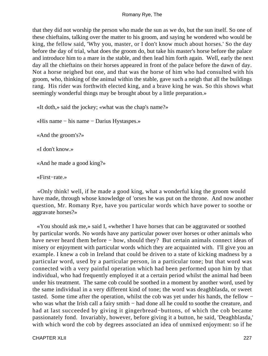that they did not worship the person who made the sun as we do, but the sun itself. So one of these chieftains, talking over the matter to his groom, and saying he wondered who would be king, the fellow said, 'Why you, master, or I don't know much about horses.' So the day before the day of trial, what does the groom do, but take his master's horse before the palace and introduce him to a mare in the stable, and then lead him forth again. Well, early the next day all the chieftains on their horses appeared in front of the palace before the dawn of day. Not a horse neighed but one, and that was the horse of him who had consulted with his groom, who, thinking of the animal within the stable, gave such a neigh that all the buildings rang. His rider was forthwith elected king, and a brave king he was. So this shows what seemingly wonderful things may be brought about by a little preparation.»

«It doth,» said the jockey; «what was the chap's name?»

«His name − his name − Darius Hystaspes.»

«And the groom's?»

«I don't know.»

«And he made a good king?»

«First−rate.»

 «Only think! well, if he made a good king, what a wonderful king the groom would have made, through whose knowledge of 'orses he was put on the throne. And now another question, Mr. Romany Rye, have you particular words which have power to soothe or aggravate horses?»

 «You should ask me,» said I, «whether I have horses that can be aggravated or soothed by particular words. No words have any particular power over horses or other animals who have never heard them before − how, should they? But certain animals connect ideas of misery or enjoyment with particular words which they are acquainted with. I'll give you an example. I knew a cob in Ireland that could be driven to a state of kicking madness by a particular word, used by a particular person, in a particular tone; but that word was connected with a very painful operation which had been performed upon him by that individual, who had frequently employed it at a certain period whilst the animal had been under his treatment. The same cob could be soothed in a moment by another word, used by the same individual in a very different kind of tone; the word was deaghblasda, or sweet tasted. Some time after the operation, whilst the cob was yet under his hands, the fellow − who was what the Irish call a fairy smith – had done all he could to soothe the creature, and had at last succeeded by giving it gingerbread−buttons, of which the cob became passionately fond. Invariably, however, before giving it a button, he said, 'Deaghblasda,' with which word the cob by degrees associated an idea of unmixed enjoyment: so if he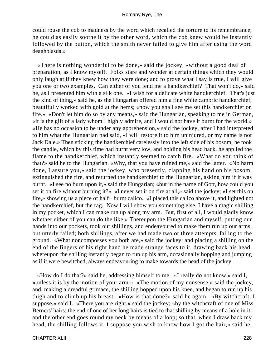could rouse the cob to madness by the word which recalled the torture to its remembrance, he could as easily soothe it by the other word, which the cob knew would be instantly followed by the button, which the smith never failed to give him after using the word deaghblasda.»

 «There is nothing wonderful to be done,» said the jockey, «without a good deal of preparation, as I know myself. Folks stare and wonder at certain things which they would only laugh at if they knew how they were done; and to prove what I say is true, I will give you one or two examples. Can either of you lend me a handkerchief? That won't do,» said he, as I presented him with a silk one. «I wish for a delicate white handkerchief. That's just the kind of thing,» said he, as the Hungarian offered him a fine white cambric handkerchief, beautifully worked with gold at the hems; «now you shall see me set this handkerchief on fire.» «Don't let him do so by any means,» said the Hungarian, speaking to me in German, «it is the gift of a lady whom I highly admire, and I would not have it burnt for the world.» «He has no occasion to be under any apprehension,» said the jockey, after I had interpreted to him what the Hungarian had said, «I will restore it to him uninjured, or my name is not Jack Dale.» Then sticking the handkerchief carelessly into the left side of his bosom, he took the candle, which by this time had burnt very low, and holding his head back, he applied the flame to the handkerchief, which instantly seemed to catch fire. «What do you think of that?» said he to the Hungarian. «Why, that you have ruined me,» said the latter. «No harm done, I assure you,» said the jockey, who presently, clapping his hand on his bosom, extinguished the fire, and returned the handkerchief to the Hungarian, asking him if it was burnt. «I see no burn upon it,» said the Hungarian; «but in the name of Gott, how could you set it on fire without burning it?» «I never set it on fire at all,» said the jockey; «I set this on fire,» showing us a piece of half− burnt calico. «I placed this calico above it, and lighted not the handkerchief, but the rag. Now I will show you something else. I have a magic shilling in my pocket, which I can make run up along my arm. But, first of all, I would gladly know whether either of you can do the like.» Thereupon the Hungarian and myself, putting our hands into our pockets, took out shillings, and endeavoured to make them run up our arms, but utterly failed; both shillings, after we had made two or three attempts, falling to the ground. «What noncomposses you both are,» said the jockey; and placing a shilling on the end of the fingers of his right hand he made strange faces to it, drawing back his head, whereupon the shilling instantly began to run up his arm, occasionally hopping and jumping as if it were bewitched, always endeavouring to make towards the head of the jockey.

 «How do I do that?» said he, addressing himself to me. «I really do not know,» said I, «unless it is by the motion of your arm.» «The motion of my nonsense,» said the jockey, and, making a dreadful grimace, the shilling hopped upon his knee, and began to run up his thigh and to climb up his breast. «How is that done?» said he again. «By witchcraft, I suppose,» said I. «There you are right,» said the jockey; «by the witchcraft of one of Miss Berners' hairs; the end of one of her long hairs is tied to that shilling by means of a hole in it, and the other end goes round my neck by means of a loop; so that, when I draw back my head, the shilling follows it. I suppose you wish to know how I got the hair,» said he,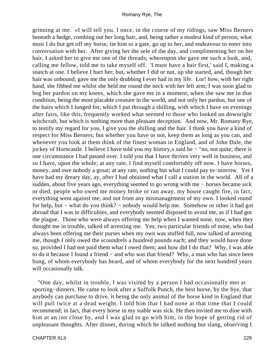grinning at me. «I will tell you. I once, in the course of my ridings, saw Miss Berners beneath a hedge, combing out her long hair, and, being rather a modest kind of person, what must I do but get off my horse, tie him to a gate, go up to her, and endeavour to enter into conversation with her. After giving her the sele of the day, and complimenting her on her hair, I asked her to give me one of the threads; whereupon she gave me such a look, and, calling me fellow, told me to take myself off. 'I must have a hair first,' said I, making a snatch at one. I believe I hurt her; but, whether I did or not, up she started, and, though her hair was unbound, gave me the only drubbing I ever had in my life. Lor! how, with her right hand, she fibbed me whilst she held me round the neck with her left arm; I was soon glad to beg her pardon on my knees, which she gave me in a moment, when she saw me in that condition, being the most placable creature in the world, and not only her pardon, but one of the hairs which I longed for, which I put through a shilling, with which I have on evenings after fairs, like this, frequently worked what seemed to those who looked on downright witchcraft, but which is nothing more than pleasant deception. And now, Mr. Romany Rye, to testify my regard for you, I give you the shilling and the hair. I think you have a kind of respect for Miss Berners; but whether you have or not, keep them as long as you can, and whenever you look at them think of the finest woman in England, and of John Dale, the jockey of Horncastle. I believe I have told you my history,» said he − "no, not quite; there is one circumstance I had passed over. I told you that I have thriven very well in business, and so I have, upon the whole; at any rate, I find myself comfortably off now. I have horses, money, and owe nobody a groat; at any rate, nothing but what I could pay to−morrow. Yet I have had my dreary day, ay, after I had obtained what I call a station in the world. All of a sudden, about five years ago, everything seemed to go wrong with me − horses became sick or died, people who owed me money broke or ran away, my house caught fire, in fact, everything went against me; and not from any mismanagement of my own. I looked round for help, but − what do you think? − nobody would help me. Somehow or other it had got abroad that I was in difficulties, and everybody seemed disposed to avoid me, as if I had got the plague. Those who were always offering me help when I wanted none, now, when they thought me in trouble, talked of arresting me. Yes; two particular friends of mine, who had always been offering me their purses when my own was stuffed full, now talked of arresting me, though I only owed the scoundrels a hundred pounds each; and they would have done so, provided I had not paid them what I owed them; and how did I do that? Why, I was able to do it because I found a friend − and who was that friend? Why, a man who has since been hung, of whom everybody has heard, and of whom everybody for the next hundred years will occasionally talk.

 "One day, whilst in trouble, I was visited by a person I had occasionally met at sporting−dinners. He came to look after a Suffolk Punch, the best horse, by the bye, that anybody can purchase to drive, it being the only animal of the horse kind in England that will pull twice at a dead weight. I told him that I had none at that time that I could recommend; in fact, that every horse in my stable was sick. He then invited me to dine with him at an inn close by, and I was glad to go with him, in the hope of getting rid of unpleasant thoughts. After dinner, during which he talked nothing but slang, observing I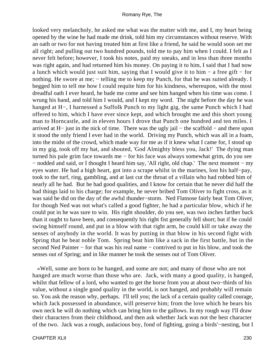looked very melancholy, he asked me what was the matter with me, and I, my heart being opened by the wine he had made me drink, told him my circumstances without reserve. With an oath or two for not having treated him at first like a friend, he said he would soon set me all right; and pulling out two hundred pounds, told me to pay him when I could. I felt as I never felt before; however, I took his notes, paid my sneaks, and in less than three months was right again, and had returned him his money. On paying it to him, I said that I had now a lunch which would just suit him, saying that I would give it to him − a free gift − for nothing. He swore at me; – telling me to keep my Punch, for that he was suited already. I begged him to tell me how I could requite him for his kindness, whereupon, with the most dreadful oath I ever heard, he bade me come and see him hanged when his time was come. I wrung his hand, and told him I would, and I kept my word. The night before the day he was hanged at H−, I harnessed a Suffolk Punch to my light gig, the same Punch which I had offered to him, which I have ever since kept, and which brought me and this short young man to Horncastle, and in eleven hours I drove that Punch one hundred and ten miles. I arrived at H− just in the nick of time. There was the ugly jail − the scaffold − and there upon it stood the only friend I ever had in the world. Driving my Punch, which was all in a foam, into the midst of the crowd, which made way for me as if it knew what I came for, I stood up in my gig, took off my hat, and shouted, 'God Almighty bless you, Jack!' The dying man turned his pale grim face towards me − for his face was always somewhat grim, do you see − nodded and said, or I thought I heard him say, 'All right, old chap.' The next moment − my eyes water. He had a high heart, got into a scrape whilst in the marines, lost his half−pay, took to the turf, ring, gambling, and at last cut the throat of a villain who had robbed him of nearly all he had. But he had good qualities, and I know for certain that he never did half the bad things laid to his charge; for example, he never bribed Tom Oliver to fight cross, as it was said he did on the day of the awful thunder−storm. Ned Flatnose fairly beat Tom Oliver, for though Ned was not what's called a good fighter, he had a particular blow, which if he could put in he was sure to win. His right shoulder, do you see, was two inches farther back than it ought to have been, and consequently his right fist generally fell short; but if he could swing himself round, and put in a blow with that right arm, he could kill or take away the senses of anybody in the world. It was by putting in that blow in his second fight with Spring that he beat noble Tom. Spring beat him like a sack in the first battle, but in the second Ned Painter – for that was his real name – contrived to put in his blow, and took the senses out of Spring; and in like manner he took the senses out of Tom Oliver.

 «Well, some are born to be hanged, and some are not; and many of those who are not hanged are much worse than those who are. Jack, with many a good quality, is hanged, whilst that fellow of a lord, who wanted to get the horse from you at about two−thirds of his value, without a single good quality in the world, is not hanged, and probably will remain so. You ask the reason why, perhaps. I'll tell you; the lack of a certain quality called courage, which Jack possessed in abundance, will preserve him; from the love which he bears his own neck he will do nothing which can bring him to the gallows. In my rough way I'll draw their characters from their childhood, and then ask whether Jack was not the best character of the two. Jack was a rough, audacious boy, fond of fighting, going a birds'−nesting, but I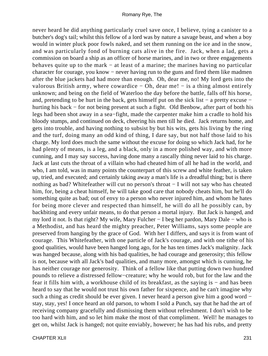never heard he did anything particularly cruel save once, I believe, tying a canister to a butcher's dog's tail; whilst this fellow of a lord was by nature a savage beast, and when a boy would in winter pluck poor fowls naked, and set them running on the ice and in the snow, and was particularly fond of burning cats alive in the fire. Jack, when a lad, gets a commission on board a ship as an officer of horse marines, and in two or three engagements behaves quite up to the mark − at least of a marine; the marines having no particular character for courage, you know − never having run to the guns and fired them like madmen after the blue jackets had had more than enough. Oh, dear me, no! My lord gets into the valorous British army, where cowardice − Oh, dear me! − is a thing almost entirely unknown; and being on the field of Waterloo the day before the battle, falls off his horse, and, pretending to be hurt in the back, gets himself put on the sick list − a pretty excuse − hurting his back − for not being present at such a fight. Old Benbow, after part of both his legs had been shot away in a sea−fight, made the carpenter make him a cradle to hold his bloody stumps, and continued on deck, cheering his men till he died. Jack returns home, and gets into trouble, and having nothing to subsist by but his wits, gets his living by the ring and the turf, doing many an odd kind of thing, I dare say, but not half those laid to his charge. My lord does much the same without the excuse for doing so which Jack had, for he had plenty of means, is a leg, and a black, only in a more polished way, and with more cunning, and I may say success, having done many a rascally thing never laid to his charge. Jack at last cuts the throat of a villain who had cheated him of all he had in the world, and who, I am told, was in many points the counterpart of this screw and white feather, is taken up, tried, and executed; and certainly taking away a man's life is a dreadful thing; but is there nothing as bad? Whitefeather will cut no person's throat − I will not say who has cheated him, for, being a cheat himself, he will take good care that nobody cheats him, but he'll do something quite as bad; out of envy to a person who never injured him, and whom he hates for being more clever and respected than himself, he will do all he possibly can, by backbiting and every unfair means, to do that person a mortal injury. But Jack is hanged, and my lord it not. Is that right? My wife, Mary Fulcher − I beg her pardon, Mary Dale − who is a Methodist, and has heard the mighty preacher, Peter Williams, says some people are preserved from hanging by the grace of God. With her I differs, and says it is from want of courage. This Whitefeather, with one particle of Jack's courage, and with one tithe of his good qualities, would have been hanged long ago, for he has ten times Jack's malignity. Jack was hanged because, along with his bad qualities, he had courage and generosity; this fellow is not, because with all Jack's bad qualities, and many more, amongst which is cunning, he has neither courage nor generosity. Think of a fellow like that putting down two hundred pounds to relieve a distressed fellow−creature; why he would rob, but for the law and the fear it fills him with, a workhouse child of its breakfast, as the saying is − and has been heard to say that he would not trust his own father for sixpence, and he can't imagine why such a thing as credit should be ever given. I never heard a person give him a good word − stay, stay, yes! I once heard an old parson, to whom I sold a Punch, say that he had the art of receiving company gracefully and dismissing them without refreshment. I don't wish to be too hard with him, and so let him make the most of that compliment. Well! he manages to get on, whilst Jack is hanged; not quite enviably, however; he has had his rubs, and pretty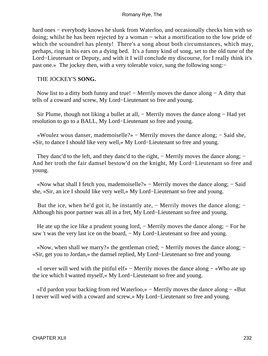hard ones – everybody knows he slunk from Waterloo, and occasionally checks him with so doing; whilst he has been rejected by a woman − what a mortification to the low pride of which the scoundrel has plenty! There's a song about both circumstances, which may, perhaps, ring in his ears on a dying bed. It's a funny kind of song, set to the old tune of the Lord−Lieutenant or Deputy, and with it I will conclude my discourse, for I really think it's past one.» The jockey then, with a very tolerable voice, sung the following song:−

### THE JOCKEY'S **SONG.**

Now list to a ditty both funny and true! − Merrily moves the dance along − A ditty that tells of a coward and screw, My Lord−Lieutenant so free and young.

Sir Plume, though not liking a bullet at all, − Merrily moves the dance along − Had yet resolution to go to a BALL, My Lord−Lieutenant so free and young.

 «Woulez wous danser, mademoiselle?» − Merrily moves the dance along; − Said she, «Sir, to dance I should like very well,» My Lord−Lieutenant so free and young.

They danc'd to the left, and they danc'd to the right, − Merrily moves the dance along; − And her troth the fair damsel bestow'd on the knight, My Lord−Lieutenant so free and young.

 «Now what shall I fetch you, mademoiselle?» − Merrily moves the dance along; − Said she, «Sir, an ice I should like very well,» My Lord−Lieutenant so free and young.

But the ice, when he'd got it, he instantly ate, − Merrily moves the dance along; − Although his poor partner was all in a fret, My Lord−Lieutenant so free and young.

He ate up the ice like a prudent young lord, − Merrily moves the dance along; − For he saw 't was the very last ice on the board, − My Lord–Lieutenant so free and young.

 «Now, when shall we marry?» the gentleman cried; − Merrily moves the dance along; − «Sir, get you to Jordan,» the damsel replied, My Lord−Lieutenant so free and young.

 «I never will wed with the pitiful elf» − Merrily moves the dance along − «Who ate up the ice which I wanted myself,» My Lord−Lieutenant so free and young.

 «I'd pardon your backing from red Waterloo,» − Merrily moves the dance along − «But I never will wed with a coward and screw,» My Lord−Lieutenant so free and young.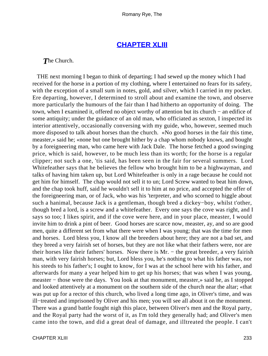## **[CHAPTER XLIII](#page-317-0)**

*T*he Church.

 THE next morning I began to think of departing; I had sewed up the money which I had received for the horse in a portion of my clothing, where I entertained no fears for its safety, with the exception of a small sum in notes, gold, and silver, which I carried in my pocket. Ere departing, however, I determined to stroll about and examine the town, and observe more particularly the humours of the fair than I had hitherto an opportunity of doing. The town, when I examined it, offered no object worthy of attention but its church − an edifice of some antiquity; under the guidance of an old man, who officiated as sexton, I inspected its interior attentively, occasionally conversing with my guide, who, however, seemed much more disposed to talk about horses than the church. «No good horses in the fair this time, measter,» said he; «none but one brought hither by a chap whom nobody knows, and bought by a foreigneering man, who came here with Jack Dale. The horse fetched a good swinging price, which is said, however, to be much less than its worth; for the horse is a regular clipper; not such a one, 'tis said, has been seen in the fair for several summers. Lord Whitefeather says that he believes the fellow who brought him to be a highwayman, and talks of having him taken up, but Lord Whitefeather is only in a rage because he could not get him for himself. The chap would not sell it to un; Lord Screw wanted to beat him down, and the chap took huff, said he wouldn't sell it to him at no price, and accepted the offer of the foreigneering man, or of Jack, who was his 'terpreter, and who scorned to higgle about such a hanimal, because Jack is a gentleman, though bred a dickey−boy, whilst t'other, though bred a lord, is a screw and a whitefeather. Every one says the cove was right, and I says so too; I likes spirit, and if the cove were here, and in your place, measter, I would invite him to drink a pint of beer. Good horses are scarce now, measter, ay, and so are good men, quite a different set from what there were when I was young; that was the time for men and horses. Lord bless you, I know all the breeders about here; they are not a bad set, and they breed a very fairish set of horses, but they are not like what their fathers were, nor are their horses like their fathers' horses. Now there is Mr. − the great breeder, a very fairish man, with very fairish horses; but, Lord bless you, he's nothing to what his father was, nor his steeds to his father's; I ought to know, for I was at the school here with his father, and afterwards for many a year helped him to get up his horses; that was when I was young, measter − those were the days. You look at that monument, measter,» said he, as I stopped and looked attentively at a monument on the southern side of the church near the altar; «that was put up for a rector of this church, who lived a long time ago, in Oliver's time, and was ill−treated and imprisoned by Oliver and his men; you will see all about it on the monument. There was a grand battle fought nigh this place, between Oliver's men and the Royal party, and the Royal party had the worst of it, as I'm told they generally had; and Oliver's men came into the town, and did a great deal of damage, and illtreated the people. I can't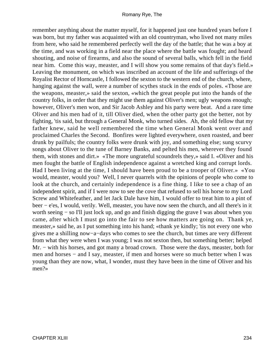remember anything about the matter myself, for it happened just one hundred years before I was born, but my father was acquainted with an old countryman, who lived not many miles from here, who said he remembered perfectly well the day of the battle; that he was a boy at the time, and was working in a field near the place where the battle was fought; and heard shouting, and noise of firearms, and also the sound of several balls, which fell in the field near him. Come this way, measter, and I will show you some remains of that day's field.» Leaving the monument, on which was inscribed an account of the life and sufferings of the Royalist Rector of Horncastle, I followed the sexton to the western end of the church, where, hanging against the wall, were a number of scythes stuck in the ends of poles. «Those are the weapons, measter,» said the sexton, «which the great people put into the hands of the country folks, in order that they might use them against Oliver's men; ugly weapons enough; however, Oliver's men won, and Sir Jacob Ashley and his party were beat. And a rare time Oliver and his men had of it, till Oliver died, when the other party got the better, not by fighting, 'tis said, but through a General Monk, who turned sides. Ah, the old fellow that my father knew, said he well remembered the time when General Monk went over and proclaimed Charles the Second. Bonfires were lighted everywhere, oxen roasted, and beer drunk by pailfuls; the country folks were drunk with joy, and something else; sung scurvy songs about Oliver to the tune of Barney Banks, and pelted his men, wherever they found them, with stones and dirt.» «The more ungrateful scoundrels they,» said I. «Oliver and his men fought the battle of English independence against a wretched king and corrupt lords. Had I been living at the time, I should have been proud to be a trooper of Oliver.» «You would, measter, would you? Well, I never quarrels with the opinions of people who come to look at the church, and certainly independence is a fine thing. I like to see a chap of an independent spirit, and if I were now to see the cove that refused to sell his horse to my Lord Screw and Whitefeather, and let Jack Dale have him, I would offer to treat him to a pint of beer − e'es, I would, verily. Well, measter, you have now seen the church, and all there's in it worth seeing − so I'll just lock up, and go and finish digging the grave I was about when you came, after which I must go into the fair to see how matters are going on. Thank ye, measter,» said he, as I put something into his hand; «thank ye kindly; 'tis not every one who gives me a shilling now−a−days who comes to see the church, but times are very different from what they were when I was young; I was not sexton then, but something better; helped Mr. – with his horses, and got many a broad crown. Those were the days, measter, both for men and horses – and I say, measter, if men and horses were so much better when I was young than they are now, what, I wonder, must they have been in the time of Oliver and his men?»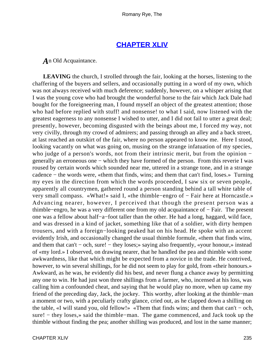## **[CHAPTER XLIV](#page-317-0)**

*A*n Old Acquaintance.

LEAVING the church, I strolled through the fair, looking at the horses, listening to the chaffering of the buyers and sellers, and occasionally putting in a word of my own, which was not always received with much deference; suddenly, however, on a whisper arising that I was the young cove who had brought the wonderful horse to the fair which Jack Dale had bought for the foreigneering man, I found myself an object of the greatest attention; those who had before replied with stuff! and nonsense! to what I said, now listened with the greatest eagerness to any nonsense I wished to utter, and I did not fail to utter a great deal; presently, however, becoming disgusted with the beings about me, I forced my way, not very civilly, through my crowd of admirers; and passing through an alley and a back street, at last reached an outskirt of the fair, where no person appeared to know me. Here I stood, looking vacantly on what was going on, musing on the strange infatuation of my species, who judge of a person's words, not from their intrinsic merit, but from the opinion − generally an erroneous one − which they have formed of the person. From this reverie I was roused by certain words which sounded near me, uttered in a strange tone, and in a strange cadence − the words were, «them that finds, wins; and them that can't find, loses.» Turning my eyes in the direction from which the words proceeded, I saw six or seven people, apparently all countrymen, gathered round a person standing behind a tall white table of very small compass. «What!» said I, «the thimble−engro of − Fair here at Horncastle.» Advancing nearer, however, I perceived that though the present person was a thimble−engro, he was a very different one from my old acquaintance of − Fair. The present one was a fellow about half−a−foot taller than the other. He had a long, haggard, wild face, and was dressed in a kind of jacket, something like that of a soldier, with dirty hempen trousers, and with a foreign−looking peaked hat on his head. He spoke with an accent evidently Irish, and occasionally changed the usual thimble formule, «them that finds wins, and them that can't − och, sure! − they loses;» saying also frequently, «your honour,» instead of «my lord.» I observed, on drawing nearer, that he handled the pea and thimble with some awkwardness, like that which might be expected from a novice in the trade. He contrived, however, to win several shillings, for he did not seem to play for gold, from «their honours.» Awkward, as he was, he evidently did his best, and never flung a chance away by permitting any one to win. He had just won three shillings from a farmer, who, incensed at his loss, was calling him a confounded cheat, and saying that he would play no more, when up came my friend of the preceding day, Jack, the jockey. This worthy, after looking at the thimble−man a moment or two, with a peculiarly crafty glance, cried out, as he clapped down a shilling on the table, «I will stand you, old fellow!» «Them that finds wins; and them that can't − och, sure! – they loses,» said the thimble–man. The game commenced, and Jack took up the thimble without finding the pea; another shilling was produced, and lost in the same manner;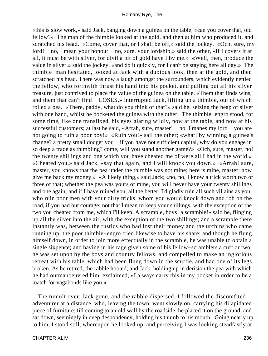«this is slow work,» said Jack, banging down a guinea on the table; «can you cover that, old fellow?» The man of the thimble looked at the gold, and then at him who produced it, and scratched his head. «Come, cover that, or I shall be off,» said the jockey. «Och, sure, my lord! − no, I mean your honour − no, sure, your lordship,» said the other, «if I covers it at all, it must be with silver, for divil a bit of gold have I by me.» «Well, then, produce the value in silver,» said the jockey, «and do it quickly, for I can't be staying here all day.» The thimble−man hesitated, looked at Jack with a dubious look, then at the gold, and then scratched his head. There was now a laugh amongst the surrounders, which evidently nettled the fellow, who forthwith thrust his hand into his pocket, and pulling out all his silver treasure, just contrived to place the value of the guinea on the table. «Them that finds wins, and them that can't find − LOSES,» interrupted Jack, lifting up a thimble, out of which rolled a pea. «There, paddy, what do you think of that?» said he, seizing the heap of silver with one hand, whilst he pocketed the guinea with the other. The thimble−engro stood, for some time, like one transfixed, his eyes glaring wildly, now at the table, and now at his successful customers; at last he said, «Arrah, sure, master! – no, I manes my lord – you are not going to ruin a poor boy!» «Ruin you!» sail the other; «what! by winning a guinea's change? a pretty small dodger you – if you have not sufficient capital, why do you engage in so deep a trade as thimbling? come, will you stand another game?» «Och, sure, master, no! the twenty shillings and one which you have cheated me of were all I had in the world.» «Cheated you,» said Jack, «say that again, and I will knock you down.» «Arrah! sure, master, you knows that the pea under the thimble was not mine; here is mine, master; now give me back my money.» «A likely thing,» said Jack; «no, no, I know a trick worth two or three of that; whether the pea was yours or mine, you will never have your twenty shillings and one again; and if I have ruined you, all the better; I'd gladly ruin all such villains as you, who ruin poor men with your dirty tricks, whom you would knock down and rob on the road, if you had but courage; not that I mean to keep your shillings, with the exception of the two you cheated from me, which I'll keep. A scramble, boys! a scramble!» said he, flinging up all the silver into the air, with the exception of the two shillings; and a scramble there instantly was, between the rustics who had lost their money and the urchins who came running up; the poor thimble−engro tried likewise to have his share; and though he flung himself down, in order to join more effectually in the scramble, he was unable to obtain a single sixpence; and having in his rage given some of his fellow−scramblers a cuff or two, he was set upon by the boys and country fellows, and compelled to make an inglorious retreat with his table, which had been flung down in the scuffle, and had one of its legs broken. As he retired, the rabble hooted, and Jack, holding up in derision the pea with which he had outmanoeuvred him, exclaimed, «I always carry this in my pocket in order to be a match for vagabonds like you.»

 The tumult over, Jack gone, and the rabble dispersed, I followed the discomfited adventurer at a distance, who, leaving the town, went slowly on, carrying his dilapidated piece of furniture; till coming to an old wall by the roadside, he placed it on the ground, and sat down, seemingly in deep despondency, holding his thumb to his mouth. Going nearly up to him, I stood still, whereupon he looked up, and perceiving I was looking steadfastly at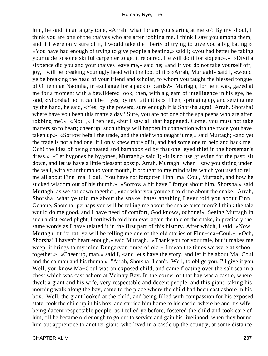him, he said, in an angry tone, «Arrah! what for are you staring at me so? By my shoul, I think you are one of the thaives who are after robbing me. I think I saw you among them, and if I were only sure of it, I would take the liberty of trying to give you a big bating.» «You have had enough of trying to give people a beating,» said I; «you had better be taking your table to some skilful carpenter to get it repaired. He will do it for sixpence.» «Divil a sixpence did you and your thaives leave me,» said he; «and if you do not take yourself off, joy, I will be breaking your ugly head with the foot of it.» «Arrah, Murtagh!» said I, «would ye be breaking the head of your friend and scholar, to whom you taught the blessed tongue of Oilien nan Naomha, in exchange for a pack of cards?» Murtagh, for he it was, gazed at me for a moment with a bewildered look; then, with a gleam of intelligence in his eye, he said, «Shorsha! no, it can't be – yes, by my faith it is!» Then, springing up, and seizing me by the hand, he said, «Yes, by the powers, sure enough it is Shorsha agra! Arrah, Shorsha! where have you been this many a day? Sure, you are not one of the spalpeens who are after robbing me?» «Not I,» I replied, «but I saw all that happened. Come, you must not take matters so to heart; cheer up; such things will happen in connection with the trade you have taken up.» «Sorrow befall the trade, and the thief who taught it me,» said Murtagh; «and yet the trade is not a bad one, if I only knew more of it, and had some one to help and back me. Och! the idea of being cheated and bamboozled by that one−eyed thief in the horseman's dress.» «Let bygones be bygones, Murtagh,» said I; «it is no use grieving for the past; sit down, and let us have a little pleasant gossip. Arrah, Murtagh! when I saw you sitting under the wall, with your thumb to your mouth, it brought to my mind tales which you used to tell me all about Finn−ma−Coul. You have not forgotten Finn−ma−Coul, Murtagh, and how he sucked wisdom out of his thumb.» «Sorrow a bit have I forgot about him, Shorsha,» said Murtagh, as we sat down together, «nor what you yourself told me about the snake. Arrah, Shorsha! what ye told me about the snake, bates anything I ever told you about Finn. Ochone, Shorsha! perhaps you will be telling me about the snake once more? I think the tale would do me good, and I have need of comfort, God knows, ochone!» Seeing Murtagh in such a distressed plight, I forthwith told him over again the tale of the snake, in precisely the same words as I have related it in the first part of this history. After which, I said, «Now, Murtagh, tit for tat; ye will be telling me one of the old stories of Finn−ma−Coul.» «Och, Shorsha! I haven't heart enough,» said Murtagh. «Thank you for your tale, but it makes me weep; it brings to my mind Dungaryon times of old − I mean the times we were at school together.» «Cheer up, man,» said I, «and let's have the story, and let it be about Ma−Coul and the salmon and his thumb.» "Arrah, Shorsha! I can't. Well, to oblige you, I'll give it you. Well, you know Ma−Coul was an exposed child, and came floating over the salt sea in a chest which was cast ashore at Veintry Bay. In the corner of that bay was a castle, where dwelt a giant and his wife, very respectable and decent people, and this giant, taking his morning walk along the bay, came to the place where the child had been cast ashore in his box. Well, the giant looked at the child, and being filled with compassion for his exposed state, took the child up in his box, and carried him home to his castle, where he and his wife, being dacent respectable people, as I telled ye before, fostered the child and took care of him, till he became old enough to go out to service and gain his livelihood, when they bound him out apprentice to another giant, who lived in a castle up the country, at some distance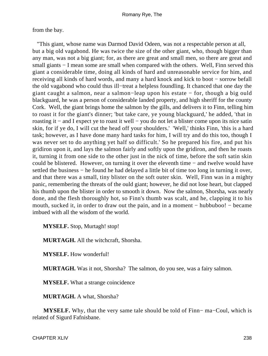from the bay.

 "This giant, whose name was Darmod David Odeen, was not a respectable person at all, but a big old vagabond. He was twice the size of the other giant, who, though bigger than any man, was not a big giant; for, as there are great and small men, so there are great and small giants – I mean some are small when compared with the others. Well, Finn served this giant a considerable time, doing all kinds of hard and unreasonable service for him, and receiving all kinds of hard words, and many a hard knock and kick to boot − sorrow befall the old vagabond who could thus ill−treat a helpless foundling. It chanced that one day the giant caught a salmon, near a salmon−leap upon his estate − for, though a big ould blackguard, he was a person of considerable landed property, and high sheriff for the county Cork. Well, the giant brings home the salmon by the gills, and delivers it to Finn, telling him to roast it for the giant's dinner; 'but take care, ye young blackguard,' he added, 'that in roasting it − and I expect ye to roast it well − you do not let a blister come upon its nice satin skin, for if ye do, I will cut the head off your shoulders.' 'Well,' thinks Finn, 'this is a hard task; however, as I have done many hard tasks for him, I will try and do this too, though I was never set to do anything yet half so difficult.' So he prepared his fire, and put his gridiron upon it, and lays the salmon fairly and softly upon the gridiron, and then he roasts it, turning it from one side to the other just in the nick of time, before the soft satin skin could be blistered. However, on turning it over the eleventh time − and twelve would have settled the business – he found he had delayed a little bit of time too long in turning it over, and that there was a small, tiny blister on the soft outer skin. Well, Finn was in a mighty panic, remembering the threats of the ould giant; however, he did not lose heart, but clapped his thumb upon the blister in order to smooth it down. Now the salmon, Shorsha, was nearly done, and the flesh thoroughly hot, so Finn's thumb was scalt, and he, clapping it to his mouth, sucked it, in order to draw out the pain, and in a moment − hubbuboo! − became imbued with all the wisdom of the world.

**MYSELF.** Stop, Murtagh! stop!

**MURTAGH.** All the witchcraft, Shorsha.

**MYSELF.** How wonderful!

**MURTAGH.** Was it not, Shorsha? The salmon, do you see, was a fairy salmon.

**MYSELF.** What a strange coincidence

**MURTAGH.** A what, Shorsha?

**MYSELF.** Why, that the very same tale should be told of Finn− ma−Coul, which is related of Sigurd Fafnisbane.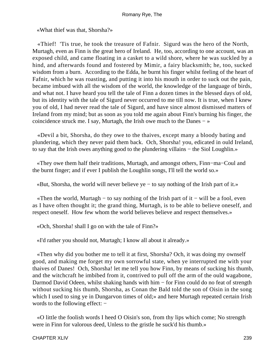«What thief was that, Shorsha?»

 «Thief! 'Tis true, he took the treasure of Fafnir. Sigurd was the hero of the North, Murtagh, even as Finn is the great hero of Ireland. He, too, according to one account, was an exposed child, and came floating in a casket to a wild shore, where he was suckled by a hind, and afterwards found and fostered by Mimir, a fairy blacksmith; he, too, sucked wisdom from a burn. According to the Edda, he burnt his finger whilst feeling of the heart of Fafnir, which he was roasting, and putting it into his mouth in order to suck out the pain, became imbued with all the wisdom of the world, the knowledge of the language of birds, and what not. I have heard you tell the tale of Finn a dozen times in the blessed days of old, but its identity with the tale of Sigurd never occurred to me till now. It is true, when I knew you of old, I had never read the tale of Sigurd, and have since almost dismissed matters of Ireland from my mind; but as soon as you told me again about Finn's burning his finger, the coincidence struck me. I say, Murtagh, the Irish owe much to the Danes − »

 «Devil a bit, Shorsha, do they owe to the thaives, except many a bloody bating and plundering, which they never paid them back. Och, Shorsha! you, edicated in ould Ireland, to say that the Irish owes anything good to the plundering villains − the Siol Loughlin.»

 «They owe them half their traditions, Murtagh, and amongst others, Finn−ma−Coul and the burnt finger; and if ever I publish the Loughlin songs, I'll tell the world so.»

«But, Shorsha, the world will never believe ye − to say nothing of the Irish part of it.»

 «Then the world, Murtagh − to say nothing of the Irish part of it − will be a fool, even as I have often thought it; the grand thing, Murtagh, is to be able to believe oneself, and respect oneself. How few whom the world believes believe and respect themselves.»

«Och, Shorsha! shall I go on with the tale of Finn?»

«I'd rather you should not, Murtagh; I know all about it already.»

 «Then why did you bother me to tell it at first, Shorsha? Och, it was doing my ownself good, and making me forget my own sorrowful state, when ye interrupted me with your thaives of Danes! Och, Shorsha! let me tell you how Finn, by means of sucking his thumb, and the witchcraft he imbibed from it, contrived to pull off the arm of the ould wagabone, Darmod David Odeen, whilst shaking hands with him – for Finn could do no feat of strength without sucking his thumb, Shorsha, as Conan the Bald told the son of Oisin in the song which I used to sing ye in Dungarvon times of old;» and here Murtagh repeated certain Irish words to the following effect: –

 «O little the foolish words I heed O Oisin's son, from thy lips which come; No strength were in Finn for valorous deed, Unless to the gristle he suck'd his thumb.»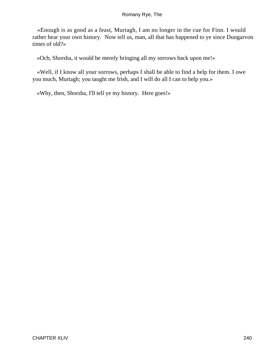«Enough is as good as a feast, Murtagh, I am no longer in the cue for Finn. I would rather hear your own history. Now tell us, man, all that has happened to ye since Dungarvon times of old?»

«Och, Shorsha, it would be merely bringing all my sorrows back upon me!»

 «Well, if I know all your sorrows, perhaps I shall be able to find a help for them. I owe you much, Murtagh; you taught me Irish, and I will do all I can to help you.»

«Why, then, Shorsha, I'll tell ye my history. Here goes!»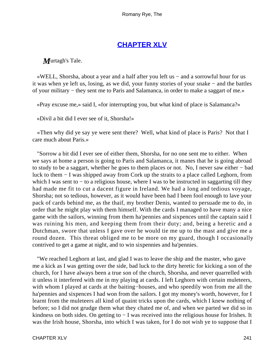## **[CHAPTER XLV](#page-317-0)**

*M*urtagh's Tale.

 «WELL, Shorsha, about a year and a half after you left us − and a sorrowful hour for us it was when ye left us, losing, as we did, your funny stories of your snake − and the battles of your military − they sent me to Paris and Salamanca, in order to make a saggart of me.»

«Pray excuse me,» said I, «for interrupting you, but what kind of place is Salamanca?»

«Divil a bit did I ever see of it, Shorsha!»

 «Then why did ye say ye were sent there? Well, what kind of place is Paris? Not that I care much about Paris.»

 "Sorrow a bit did I ever see of either them, Shorsha, for no one sent me to either. When we says at home a person is going to Paris and Salamanca, it manes that he is going abroad to study to be a saggart, whether he goes to them places or not. No, I never saw either − bad luck to them − I was shipped away from Cork up the straits to a place called Leghorn, from which I was sent to – to a religious house, where I was to be instructed in saggarting till they had made me fit to cut a dacent figure in Ireland. We had a long and tedious voyage, Shorsha; not so tedious, however, as it would have been had I been fool enough to lave your pack of cards behind me, as the thaif, my brother Denis, wanted to persuade me to do, in order that he might play with them himself. With the cards I managed to have many a nice game with the sailors, winning from them ha'pennies and sixpences until the captain said I was ruining his men, and keeping them from their duty; and, being a heretic and a Dutchman, swore that unless I gave over he would tie me up to the mast and give me a round dozen. This threat obliged me to be more on my guard, though I occasionally contrived to get a game at night, and to win sixpennies and ha'pennies.

 "We reached Leghorn at last, and glad I was to leave the ship and the master, who gave me a kick as I was getting over the side, bad luck to the dirty heretic for kicking a son of the church, for I have always been a true son of the church, Shorsha, and never quarrelled with it unless it interfered with me in my playing at cards. I left Leghorn with certain muleteers, with whom I played at cards at the baiting−houses, and who speedily won from me all the ha'pennies and sixpences I had won from the sailors. I got my money's worth, however, for I learnt from the muleteers all kind of quaint tricks upon the cards, which I knew nothing of before; so I did not grudge them what they chated me of, and when we parted we did so in kindness on both sides. On getting to − I was received into the religious house for Irishes. It was the Irish house, Shorsha, into which I was taken, for I do not wish ye to suppose that I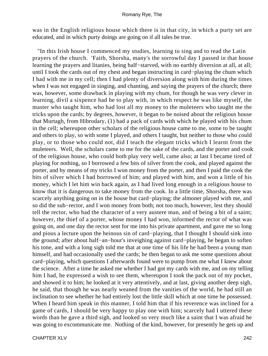was in the English religious house which there is in that city, in which a purty set are educated, and in which purty doings are going on if all tales be true.

 "In this Irish house I commenced my studies, learning to sing and to read the Latin prayers of the church. 'Faith, Shorsha, many's the sorrowful day I passed in that house learning the prayers and litanies, being half−starved, with no earthly diversion at all, at all; until I took the cards out of my chest and began instructing in card−playing the chum which I had with me in my cell; then I had plenty of diversion along with him during the times when I was not engaged in singing, and chanting, and saying the prayers of the church; there was, however, some drawback in playing with my chum, for though he was very clever in learning, divil a sixpence had he to play with, in which respect he was like myself, the master who taught him, who had lost all my money to the muleteers who taught me the tricks upon the cards; by degrees, however, it began to be noised about the religious house that Murtagh, from Hibrodary, (1) had a pack of cards with which he played with his chum in the cell; whereupon other scholars of the religious house came to me, some to be taught and others to play, so with some I played, and others I taught, but neither to those who could play, or to those who could not, did I teach the elegant tricks which I learnt from the muleteers. Well, the scholars came to me for the sake of the cards, and the porter and cook of the religious house, who could both play very well, came also; at last I became tired of playing for nothing, so I borrowed a few bits of silver from the cook, and played against the porter, and by means of my tricks I won money from the porter, and then I paid the cook the bits of silver which I had borrowed of him; and played with him, and won a little of his money, which I let him win back again, as I had lived long enough in a religious house to know that it is dangerous to take money from the cook. In a little time, Shorsha, there was scarcely anything going on in the house but card–playing; the almoner played with me, and so did the sub−rector, and I won money from both; not too much, however, lest they should tell the rector, who had the character of a very austere man, and of being a bit of a saint; however, the thief of a porter, whose money I had won, informed the rector of what was going on, and one day the rector sent for me into his private apartment, and gave me so long and pious a lecture upon the heinous sin of card−playing, that I thought I should sink into the ground; after about half−an−hour's inveighing against card−playing, he began to soften his tone, and with a long sigh told me that at one time of his life he had been a young man himself, and had occasionally used the cards; he then began to ask me some questions about card−playing, which questions I afterwards found were to pump from me what I knew about the science. After a time he asked me whether I had got my cards with me, and on my telling him I had, he expressed a wish to see them, whereupon I took the pack out of my pocket, and showed it to him; he looked at it very attentively, and at last, giving another deep sigh, he said, that though he was nearly weaned from the vanities of the world, he had still an inclination to see whether he had entirely lost the little skill which at one time he possessed. When I heard him speak in this manner, I told him that if his reverence was inclined for a game of cards, I should be very happy to play one with him; scarcely had I uttered these words than he gave a third sigh, and looked so very much like a saint that I was afraid he was going to excommunicate me. Nothing of the kind, however, for presently he gets up and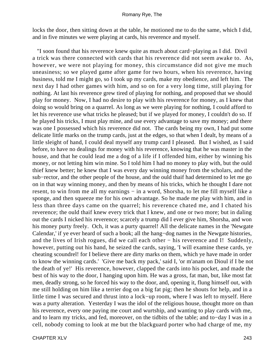locks the door, then sitting down at the table, he motioned me to do the same, which I did, and in five minutes we were playing at cards, his reverence and myself.

 "I soon found that his reverence knew quite as much about card−playing as I did. Divil a trick was there connected with cards that his reverence did not seem awake to. As, however, we were not playing for money, this circumstance did not give me much uneasiness; so we played game after game for two hours, when his reverence, having business, told me I might go, so I took up my cards, make my obedience, and left him. The next day I had other games with him, and so on for a very long time, still playing for nothing. At last his reverence grew tired of playing for nothing, and proposed that we should play for money. Now, I had no desire to play with his reverence for money, as I knew that doing so would bring on a quarrel. As long as we were playing for nothing, I could afford to let his reverence use what tricks he pleased; but if we played for money, I couldn't do so. If he played his tricks, I must play mine, and use every advantage to save my money; and there was one I possessed which his reverence did not. The cards being my own, I had put some delicate little marks on the trump cards, just at the edges, so that when I dealt, by means of a little sleight of hand, I could deal myself any trump card I pleased. But I wished, as I said before, to have no dealings for money with his reverence, knowing that he was master in the house, and that he could lead me a dog of a life if I offended him, either by winning his money, or not letting him win mine. So I told him I had no money to play with, but the ould thief knew better; he knew that I was every day winning money from the scholars, and the sub−rector, and the other people of the house, and the ould thaif had determined to let me go on in that way winning money, and then by means of his tricks, which he thought I dare not resent, to win from me all my earnings – in a word, Shorsha, to let me fill myself like a sponge, and then squeeze me for his own advantage. So he made me play with him, and in less than three days came on the quarrel; his reverence chated me, and I chated his reverence; the ould thaif knew every trick that I knew, and one or two more; but in daling out the cards I nicked his reverence; scarcely a trump did I ever give him, Shorsha, and won his money purty freely. Och, it was a purty quarrel! All the delicate names in the 'Newgate Calendar,' if ye ever heard of such a book; all the hang−dog names in the Newgate histories, and the lives of Irish rogues, did we call each other − his reverence and I! Suddenly, however, putting out his hand, he seized the cards, saying, 'I will examine these cards, ye cheating scoundrel! for I believe there are dirty marks on them, which ye have made in order to know the winning cards.' 'Give me back my pack,' said I, 'or m'anam on Dioul if I be not the death of ye!' His reverence, however, clapped the cards into his pocket, and made the best of his way to the door, I hanging upon him. He was a gross, fat man, but, like most fat men, deadly strong, so he forced his way to the door, and, opening it, flung himself out, with me still holding on him like a terrier dog on a big fat pig; then he shouts for help, and in a little time I was secured and thrust into a lock−up room, where I was left to myself. Here was a purty alteration. Yesterday I was the idol of the religious house, thought more on than his reverence, every one paying me court and wurtship, and wanting to play cards with me, and to learn my tricks, and fed, moreover, on the tidbits of the table; and to−day I was in a cell, nobody coming to look at me but the blackguard porter who had charge of me, my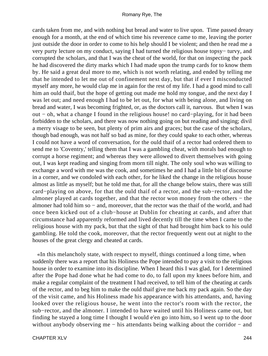cards taken from me, and with nothing but bread and water to live upon. Time passed dreary enough for a month, at the end of which time his reverence came to me, leaving the porter just outside the door in order to come to his help should I be violent; and then he read me a very purty lecture on my conduct, saying I had turned the religious house topsy− turvy, and corrupted the scholars, and that I was the cheat of the world, for that on inspecting the pack he had discovered the dirty marks which I had made upon the trump cards for to know them by. He said a great deal more to me, which is not worth relating, and ended by telling me that he intended to let me out of confinement next day, but that if ever I misconducted myself any more, he would clap me in again for the rest of my life. I had a good mind to call him an ould thaif, but the hope of getting out made me hold my tongue, and the next day I was let out; and need enough I had to be let out, for what with being alone, and living on bread and water, I was becoming frighted, or, as the doctors call it, narvous. But when I was out − oh, what a change I found in the religious house! no card−playing, for it had been forbidden to the scholars, and there was now nothing going on but reading and singing; divil a merry visage to be seen, but plenty of prim airs and graces; but the case of the scholars, though bad enough, was not half so bad as mine, for they could spake to each other, whereas I could not have a word of conversation, for the ould thaif of a rector had ordered them to send me to 'Coventry,' telling them that I was a gambling cheat, with morals bad enough to corrupt a horse regiment; and whereas they were allowed to divert themselves with going out, I was kept reading and singing from morn till night. The only soul who was willing to exchange a word with me was the cook, and sometimes he and I had a little bit of discourse in a corner, and we condoled with each other, for he liked the change in the religious house almost as little as myself; but he told me that, for all the change below stairs, there was still card−playing on above, for that the ould thaif of a rector, and the sub−rector, and the almoner played at cards together, and that the rector won money from the others − the almoner had told him so − and, moreover, that the rector was the thaif of the world, and had once been kicked out of a club−house at Dublin for cheating at cards, and after that circumstance had apparently reformed and lived decently till the time when I came to the religious house with my pack, but that the sight of that had brought him back to his ould gambling. He told the cook, moreover, that the rector frequently went out at night to the houses of the great clergy and cheated at cards.

 «In this melancholy state, with respect to myself, things continued a long time, when suddenly there was a report that his Holiness the Pope intended to pay a visit to the religious house in order to examine into its discipline. When I heard this I was glad, for I determined after the Pope had done what he had come to do, to fall upon my knees before him, and make a regular complaint of the treatment I had received, to tell him of the cheating at cards of the rector, and to beg him to make the ould thaif give me back my pack again. So the day of the visit came, and his Holiness made his appearance with his attendants, and, having looked over the religious house, he went into the rector's room with the rector, the sub−rector, and the almoner. I intended to have waited until his Holiness came out, but finding he stayed a long time I thought I would e'en go into him, so I went up to the door without anybody observing me – his attendants being walking about the corridor – and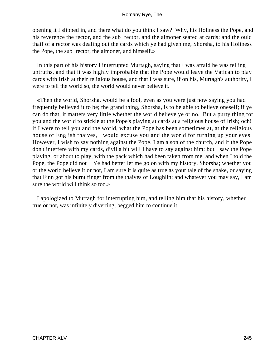opening it I slipped in, and there what do you think I saw? Why, his Holiness the Pope, and his reverence the rector, and the sub−rector, and the almoner seated at cards; and the ould thaif of a rector was dealing out the cards which ye had given me, Shorsha, to his Holiness the Pope, the sub−rector, the almoner, and himself.»

 In this part of his history I interrupted Murtagh, saying that I was afraid he was telling untruths, and that it was highly improbable that the Pope would leave the Vatican to play cards with Irish at their religious house, and that I was sure, if on his, Murtagh's authority, I were to tell the world so, the world would never believe it.

 «Then the world, Shorsha, would be a fool, even as you were just now saying you had frequently believed it to be; the grand thing, Shorsha, is to be able to believe oneself; if ye can do that, it matters very little whether the world believe ye or no. But a purty thing for you and the world to stickle at the Pope's playing at cards at a religious house of Irish; och! if I were to tell you and the world, what the Pope has been sometimes at, at the religious house of English thaives, I would excuse you and the world for turning up your eyes. However, I wish to say nothing against the Pope. I am a son of the church, and if the Pope don't interfere with my cards, divil a bit will I have to say against him; but I saw the Pope playing, or about to play, with the pack which had been taken from me, and when I told the Pope, the Pope did not − Ye had better let me go on with my history, Shorsha; whether you or the world believe it or not, I am sure it is quite as true as your tale of the snake, or saying that Finn got his burnt finger from the thaives of Loughlin; and whatever you may say, I am sure the world will think so too.»

 I apologized to Murtagh for interrupting him, and telling him that his history, whether true or not, was infinitely diverting, begged him to continue it.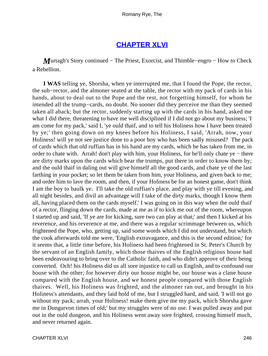## **[CHAPTER XLVI](#page-317-0)**

*M*urtagh's Story continued − The Priest, Exorcist, and Thimble–engro – How to Check a Rebellion.

**I WAS** telling ye, Shorsha, when ye interrupted me, that I found the Pope, the rector, the sub−rector, and the almoner seated at the table, the rector with my pack of cards in his hands, about to deal out to the Pope and the rest, not forgetting himself, for whom he intended all the trump−cards, no doubt. No sooner did they perceive me than they seemed taken all aback; but the rector, suddenly starting up with the cards in his hand, asked me what I did there, threatening to have me well disciplined if I did not go about my business; 'I am come for my pack,' said I, 'ye ould thaif, and to tell his Holiness how I have been treated by ye;' then going down on my knees before his Holiness, I said, 'Arrah, now, your Holiness! will ye not see justice done to a poor boy who has been sadly misused? The pack of cards which that old ruffian has in his hand are my cards, which he has taken from me, in order to chate with. Arrah! don't play with him, your Holiness, for he'll only chate ye − there are dirty marks upon the cards which bear the trumps, put there in order to know them by; and the ould thaif in daling out will give himself all the good cards, and chate ye of the last farthing in your pocket; so let them be taken from him, your Holiness, and given back to me; and order him to lave the room, and then, if your Holiness be for an honest game, don't think I am the boy to baulk ye. I'll take the old ruffian's place, and play with ye till evening, and all night besides, and divil an advantage will I take of the dirty marks, though I know them all, having placed them on the cards myself.' I was going on in this way when the ould thaif of a rector, flinging down the cards, made at me as if to kick me out of the room, whereupon I started up and said, 'If ye are for kicking, sure two can play at that;' and then I kicked at his reverence, and his reverence at me, and there was a regular scrimmage between us, which frightened the Pope, who, getting up, said some words which I did not understand, but which the cook afterwards told me were, 'English extravagance, and this is the second edition;' for it seems that, a little time before, his Holiness had been frightened in St. Peter's Church by the servant of an English family, which those thaives of the English religious house had been endeavouring to bring over to the Catholic faith, and who didn't approve of their being converted. Och! his Holiness did us all sore injustice to call us English, and to confound our house with the other; for however dirty our house might be, our house was a clane house compared with the English house, and we honest people compared with those English thaives. Well, his Holiness was frighted, and the almoner ran out, and brought in his Holiness's attendants, and they laid hold of me, but I struggled hard, and said, 'I will not go without my pack; arrah, your Holiness! make them give me my pack, which Shorsha gave me in Dungarvon times of old;' but my struggles were of no use. I was pulled away and put out in the ould dungeon, and his Holiness went away sore frighted, crossing himself much, and never returned again.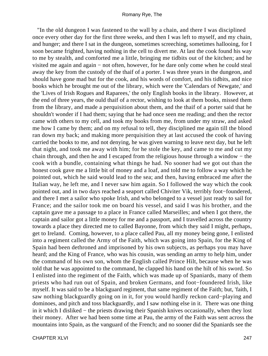"In the old dungeon I was fastened to the wall by a chain, and there I was disciplined once every other day for the first three weeks, and then I was left to myself, and my chain, and hunger; and there I sat in the dungeon, sometimes screeching, sometimes hallooing, for I soon became frighted, having nothing in the cell to divert me. At last the cook found his way to me by stealth, and comforted me a little, bringing me tidbits out of the kitchen; and he visited me again and again − not often, however, for he dare only come when he could steal away the key from the custody of the thaif of a porter. I was three years in the dungeon, and should have gone mad but for the cook, and his words of comfort, and his tidbits, and nice books which he brought me out of the library, which were the 'Calendars of Newgate,' and the 'Lives of Irish Rogues and Raparees,' the only English books in the library. However, at the end of three years, the ould thaif of a rector, wishing to look at them books, missed them from the library, and made a perquisition about them, and the thaif of a porter said that he shouldn't wonder if I had them; saying that he had once seen me reading; and then the rector came with others to my cell, and took my books from me, from under my straw, and asked me how I came by them; and on my refusal to tell, they disciplined me again till the blood ran down my back; and making more perquisition they at last accused the cook of having carried the books to me, and not denying, he was given warning to leave next day, but he left that night, and took me away with him; for he stole the key, and came to me and cut my chain through, and then he and I escaped from the religious house through a window − the cook with a bundle, containing what things he had. No sooner had we got out than the honest cook gave me a little bit of money and a loaf, and told me to follow a way which he pointed out, which he said would lead to the sea; and then, having embraced me after the Italian way, he left me, and I never saw him again. So I followed the way which the cook pointed out, and in two days reached a seaport called Chiviter Vik, terribly foot−foundered, and there I met a sailor who spoke Irish, and who belonged to a vessel just ready to sail for France; and the sailor took me on board his vessel, and said I was his brother, and the captain gave me a passage to a place in France called Marseilles; and when I got there, the captain and sailor got a little money for me and a passport, and I travelled across the country towards a place they directed me to called Bayonne, from which they said I might, perhaps, get to Ireland. Coming, however, to a place called Pau, all my money being gone, I enlisted into a regiment called the Army of the Faith, which was going into Spain, for the King of Spain had been dethroned and imprisoned by his own subjects, as perhaps you may have heard; and the King of France, who was his cousin, was sending an army to help him, under the command of his own son, whom the English called Prince Hilt, because when he was told that he was appointed to the command, he clapped his hand on the hilt of his sword. So I enlisted into the regiment of the Faith, which was made up of Spaniards, many of them priests who had run out of Spain, and broken Germans, and foot−foundered Irish, like myself. It was said to be a blackguard regiment, that same regiment of the Faith; but, 'faith, I saw nothing blackguardly going on in it, for you would hardly reckon card−playing and dominoes, and pitch and toss blackguardly, and I saw nothing else in it. There was one thing in it which I disliked − the priests drawing their Spanish knives occasionally, when they lost their money. After we had been some time at Pau, the army of the Faith was sent across the mountains into Spain, as the vanguard of the French; and no sooner did the Spaniards see the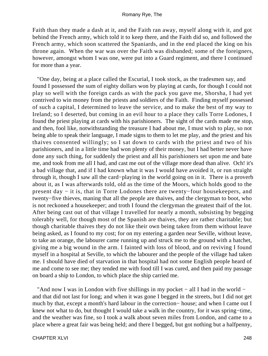Faith than they made a dash at it, and the Faith ran away, myself along with it, and got behind the French army, which told it to keep there, and the Faith did so, and followed the French army, which soon scattered the Spaniards, and in the end placed the king on his throne again. When the war was over the Faith was disbanded; some of the foreigners, however, amongst whom I was one, were put into a Guard regiment, and there I continued for more than a year.

 "One day, being at a place called the Escurial, I took stock, as the tradesmen say, and found I possessed the sum of eighty dollars won by playing at cards, for though I could not play so well with the foreign cards as with the pack you gave me, Shorsha, I had yet contrived to win money from the priests and soldiers of the Faith. Finding myself possessed of such a capital, I determined to leave the service, and to make the best of my way to Ireland; so I deserted, but coming in an evil hour to a place they calls Torre Lodones, I found the priest playing at cards with his parishioners. The sight of the cards made me stop, and then, fool like, notwithstanding the treasure I had about me, I must wish to play, so not being able to speak their language, I made signs to them to let me play, and the priest and his thaives consented willingly; so I sat down to cards with the priest and two of his parishioners, and in a little time had won plenty of their money, but I had better never have done any such thing, for suddenly the priest and all his parishioners set upon me and bate me, and took from me all I had, and cast me out of the village more dead than alive. Och! it's a bad village that, and if I had known what it was I would have avoided it, or run straight through it, though I saw all the card−playing in the world going on in it. There is a proverb about it, as I was afterwards told, old as the time of the Moors, which holds good to the present day − it is, that in Torre Lodones there are twenty−four housekeepers, and twenty−five thieves, maning that all the people are thaives, and the clergyman to boot, who is not reckoned a housekeeper; and troth I found the clergyman the greatest thaif of the lot. After being cast out of that village I travelled for nearly a month, subsisting by begging tolerably well, for though most of the Spanish are thaives, they are rather charitable; but though charitable thaives they do not like their own being taken from them without leave being asked, as I found to my cost; for on my entering a garden near Seville, without leave, to take an orange, the labourer came running up and struck me to the ground with a hatchet, giving me a big wound in the arm. I fainted with loss of blood, and on reviving I found myself in a hospital at Seville, to which the labourer and the people of the village had taken me. I should have died of starvation in that hospital had not some English people heard of me and come to see me; they tended me with food till I was cured, and then paid my passage on board a ship to London, to which place the ship carried me.

 "And now I was in London with five shillings in my pocket − all I had in the world − and that did not last for long; and when it was gone I begged in the streets, but I did not get much by that, except a month's hard labour in the correction− house; and when I came out I knew not what to do, but thought I would take a walk in the country, for it was spring−time, and the weather was fine, so I took a walk about seven miles from London, and came to a place where a great fair was being held; and there I begged, but got nothing but a halfpenny,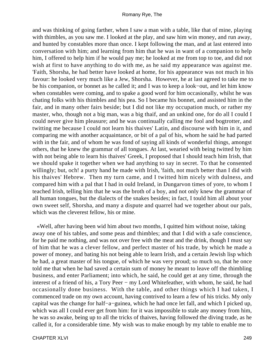and was thinking of going farther, when I saw a man with a table, like that of mine, playing with thimbles, as you saw me. I looked at the play, and saw him win money, and run away, and hunted by constables more than once. I kept following the man, and at last entered into conversation with him; and learning from him that he was in want of a companion to help him, I offered to help him if he would pay me; he looked at me from top to toe, and did not wish at first to have anything to do with me, as he said my appearance was against me. 'Faith, Shorsha, he had better have looked at home, for his appearance was not much in his favour: he looked very much like a Jew, Shorsha. However, he at last agreed to take me to be his companion, or bonnet as he called it; and I was to keep a look−out, and let him know when constables were coming, and to spake a good word for him occasionally, whilst he was chating folks with his thimbles and his pea. So I became his bonnet, and assisted him in the fair, and in many other fairs beside; but I did not like my occupation much, or rather my master, who, though not a big man, was a big thaif, and an unkind one, for do all I could I could never give him pleasure; and he was continually calling me fool and bogtrotter, and twitting me because I could not learn his thaives' Latin, and discourse with him in it, and comparing me with another acquaintance, or bit of a pal of his, whom he said he had parted with in the fair, and of whom he was fond of saying all kinds of wonderful things, amongst others, that he knew the grammar of all tongues. At last, wearied with being twitted by him with not being able to learn his thaives' Greek, I proposed that I should teach him Irish, that we should spake it together when we had anything to say in secret. To that he consented willingly; but, och! a purty hand he made with Irish, 'faith, not much better than I did with his thaives' Hebrew. Then my turn came, and I twitted him nicely with dulness, and compared him with a pal that I had in ould Ireland, in Dungarvon times of yore, to whom I teached Irish, telling him that he was the broth of a boy, and not only knew the grammar of all human tongues, but the dialects of the snakes besides; in fact, I tould him all about your own sweet self, Shorsha, and many a dispute and quarrel had we together about our pals, which was the cleverest fellow, his or mine.

 «Well, after having been wid him about two months, I quitted him without noise, taking away one of his tables, and some peas and thimbles; and that I did with a safe conscience, for he paid me nothing, and was not over free with the meat and the drink, though I must say of him that he was a clever fellow, and perfect master of his trade, by which he made a power of money, and bating his not being able to learn Irish, and a certain Jewish lisp which he had, a great master of his tongue, of which he was very proud; so much so, that he once told me that when he had saved a certain sum of money he meant to leave off the thimbling business, and enter Parliament; into which, he said, he could get at any time, through the interest of a friend of his, a Tory Peer − my Lord Whitefeather, with whom, he said, he had occasionally done business. With the table, and other things which I had taken, I commenced trade on my own account, having contrived to learn a few of his tricks. My only capital was the change for half−a−guinea, which he had once let fall, and which I picked up, which was all I could ever get from him: for it was impossible to stale any money from him, he was so awake, being up to all the tricks of thaives, having followed the diving trade, as he called it, for a considerable time. My wish was to make enough by my table to enable me to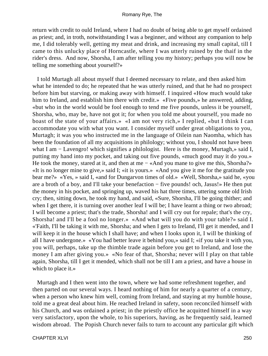return with credit to ould Ireland, where I had no doubt of being able to get myself ordained as priest; and, in troth, notwithstanding I was a beginner, and without any companion to help me, I did tolerably well, getting my meat and drink, and increasing my small capital, till I came to this unlucky place of Horncastle, where I was utterly ruined by the thaif in the rider's dress. And now, Shorsha, I am after telling you my history; perhaps you will now be telling me something about yourself?»

 I told Murtagh all about myself that I deemed necessary to relate, and then asked him what he intended to do; he repeated that he was utterly ruined, and that he had no prospect before him but starving, or making away with himself. I inquired «How much would take him to Ireland, and establish him there with credit.» «Five pounds,» he answered, adding, «but who in the world would be fool enough to tend me five pounds, unless it be yourself, Shorsha, who, may be, have not got it; for when you told me about yourself, you made no boast of the state of your affairs.» «I am not very rich,» I replied, «but I think I can accommodate you with what you want. I consider myself under great obligations to you, Murtagh; it was you who instructed me in the language of Oilein nan Naomha, which has been the foundation of all my acquisitions in philology; without you, I should not have been what I am − Lavengro! which signifies a philologist. Here is the money, Murtagh,» said I, putting my hand into my pocket, and taking out five pounds, «much good may it do you.» He took the money, stared at it, and then at me – «And you mane to give me this, Shorsha?» «It is no longer mine to give,» said I; «it is yours.» «And you give it me for the gratitude you bear me?» «Yes, » said I, «and for Dungarvon times of old.» «Well, Shorsha,» said he, «you are a broth of a boy, and I'll take your benefaction − five pounds! och, Jasus!» He then put the money in his pocket, and springing up, waved his hat three times, uttering some old Irish cry; then, sitting down, he took my hand, and said, «Sure, Shorsha, I'll be going thither; and when I get there, it is turning over another leaf I will be; I have learnt a thing or two abroad; I will become a priest; that's the trade, Shorsha! and I will cry out for repale; that's the cry, Shorsha! and I'll be a fool no longer.» «And what will you do with your table?» said I. «'Faith, I'll be taking it with me, Shorsha; and when I gets to Ireland, I'll get it mended, and I will keep it in the house which I shall have; and when I looks upon it, I will be thinking of all I have undergone.» «You had better leave it behind you,» said I; «if you take it with you, you will, perhaps, take up the thimble trade again before you get to Ireland, and lose the money I am after giving you.» «No fear of that, Shorsha; never will I play on that table again, Shorsha, till I get it mended, which shall not be till I am a priest, and have a house in which to place it.»

 Murtagh and I then went into the town, where we had some refreshment together, and then parted on our several ways. I heard nothing of him for nearly a quarter of a century, when a person who knew him well, coming from Ireland, and staying at my humble house, told me a great deal about him. He reached Ireland in safety, soon reconciled himself with his Church, and was ordained a priest; in the priestly office he acquitted himself in a way very satisfactory, upon the whole, to his superiors, having, as he frequently said, learned wisdom abroad. The Popish Church never fails to turn to account any particular gift which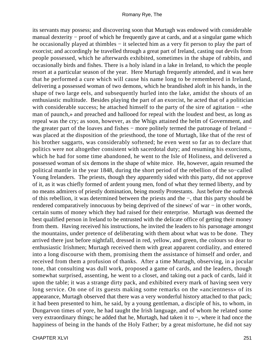its servants may possess; and discovering soon that Murtagh was endowed with considerable manual dexterity − proof of which he frequently gave at cards, and at a singular game which he occasionally played at thimbles – it selected him as a very fit person to play the part of exorcist; and accordingly he travelled through a great part of Ireland, casting out devils from people possessed, which he afterwards exhibited, sometimes in the shape of rabbits, and occasionally birds and fishes. There is a holy island in a lake in Ireland, to which the people resort at a particular season of the year. Here Murtagh frequently attended, and it was here that he performed a cure which will cause his name long to be remembered in Ireland, delivering a possessed woman of two demons, which he brandished aloft in his hands, in the shape of two large eels, and subsequently hurled into the lake, amidst the shouts of an enthusiastic multitude. Besides playing the part of an exorcist, he acted that of a politician with considerable success; he attached himself to the party of the sire of agitation – «the man of paunch,» and preached and hallooed for repeal with the loudest and best, as long as repeal was the cry; as soon, however, as the Whigs attained the helm of Government, and the greater part of the loaves and fishes – more politely termed the patronage of Ireland – was placed at the disposition of the priesthood, the tone of Murtagh, like that of the rest of his brother saggarts, was considerably softened; he even went so far as to declare that politics were not altogether consistent with sacerdotal duty; and resuming his exorcisms, which he had for some time abandoned, he went to the Isle of Holiness, and delivered a possessed woman of six demons in the shape of white mice. He, however, again resumed the political mantle in the year 1848, during the short period of the rebellion of the so−called Young Irelanders. The priests, though they apparently sided with this party, did not approve of it, as it was chiefly formed of ardent young men, fond of what they termed liberty, and by no means admirers of priestly domination, being mostly Protestants. Just before the outbreak of this rebellion, it was determined between the priests and the −, that this party should be rendered comparatively innocuous by being deprived of the sinews' of war − in other words, certain sums of money which they had raised for their enterprise. Murtagh was deemed the best qualified person in Ireland to be entrusted with the delicate office of getting their money from them. Having received his instructions, he invited the leaders to his parsonage amongst the mountains, under pretence of deliberating with them about what was to be done. They arrived there just before nightfall, dressed in red, yellow, and green, the colours so dear to enthusiastic Irishmen; Murtagh received them with great apparent cordiality, and entered into a long discourse with them, promising them the assistance of himself and order, and received from them a profusion of thanks. After a time Murtagh, observing, in a jocular tone, that consulting was dull work, proposed a game of cards, and the leaders, though somewhat surprised, assenting, he went to a closet, and taking out a pack of cards, laid it upon the table; it was a strange dirty pack, and exhibited every mark of having seen very long service. On one of its guests making some remarks on the «ancientness» of its appearance, Murtagh observed that there was a very wonderful history attached to that pack; it had been presented to him, he said, by a young gentleman, a disciple of his, to whom, in Dungarvon times of yore, he had taught the Irish language, and of whom he related some very extraordinary things; he added that he, Murtagh, had taken it to −, where it had once the happiness of being in the hands of the Holy Father; by a great misfortune, he did not say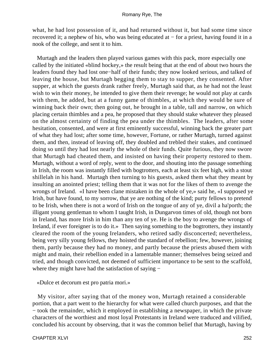what, he had lost possession of it, and had returned without it, but had some time since recovered it; a nephew of his, who was being educated at − for a priest, having found it in a nook of the college, and sent it to him.

 Murtagh and the leaders then played various games with this pack, more especially one called by the initiated «blind hockey,» the result being that at the end of about two hours the leaders found they had lost one−half of their funds; they now looked serious, and talked of leaving the house, but Murtagh begging them to stay to supper, they consented. After supper, at which the guests drank rather freely, Murtagh said that, as he had not the least wish to win their money, he intended to give them their revenge; he would not play at cards with them, he added, but at a funny game of thimbles, at which they would be sure of winning back their own; then going out, he brought in a table, tall and narrow, on which placing certain thimbles and a pea, he proposed that they should stake whatever they pleased on the almost certainty of finding the pea under the thimbles. The leaders, after some hesitation, consented, and were at first eminently successful, winning back the greater part of what they had lost; after some time, however, Fortune, or rather Murtagh, turned against them, and then, instead of leaving off, they doubled and trebled their stakes, and continued doing so until they had lost nearly the whole of their funds. Quite furious, they now swore that Murtagh had cheated them, and insisted on having their property restored to them. Murtagh, without a word of reply, went to the door, and shouting into the passage something in Irish, the room was instantly filled with bogtrotters, each at least six feet high, with a stout shillelah in his hand. Murtagh then turning to his guests, asked them what they meant by insulting an anointed priest; telling them that it was not for the likes of them to avenge the wrongs of Ireland. «I have been clane mistaken in the whole of ye,» said he, «I supposed ye Irish, but have found, to my sorrow, that ye are nothing of the kind; purty fellows to pretend to be Irish, when there is not a word of Irish on the tongue of any of ye, divil a ha'porth; the illigant young gentleman to whom I taught Irish, in Dungarvon times of old, though not born in Ireland, has more Irish in him than any ten of ye. He is the boy to avenge the wrongs of Ireland, if ever foreigner is to do it.» Then saying something to the bogtrotters, they instantly cleared the room of the young Irelanders, who retired sadly disconcerted; nevertheless, being very silly young fellows, they hoisted the standard of rebellion; few, however, joining them, partly because they had no money, and partly because the priests abused them with might and main, their rebellion ended in a lamentable manner; themselves being seized and tried, and though convicted, not deemed of sufficient importance to be sent to the scaffold, where they might have had the satisfaction of saying −

«Dulce et decorum est pro patria mori.»

 My visitor, after saying that of the money won, Murtagh retained a considerable portion, that a part went to the hierarchy for what were called church purposes, and that the − took the remainder, which it employed in establishing a newspaper, in which the private characters of the worthiest and most loyal Protestants in Ireland were traduced and vilified, concluded his account by observing, that it was the common belief that Murtagh, having by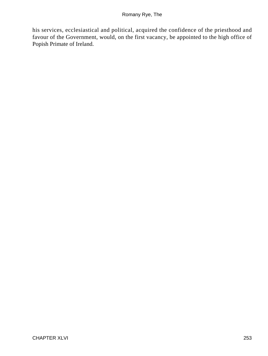his services, ecclesiastical and political, acquired the confidence of the priesthood and favour of the Government, would, on the first vacancy, be appointed to the high office of Popish Primate of Ireland.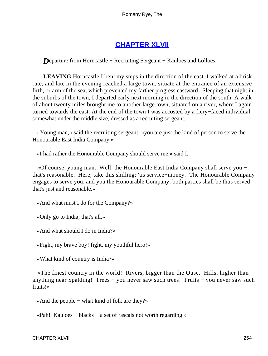## **[CHAPTER XLVII](#page-317-0)**

*Departure from Horncastle – Recruiting Sergeant – Kauloes and Lolloes.* 

**LEAVING** Horncastle I bent my steps in the direction of the east. I walked at a brisk rate, and late in the evening reached a large town, situate at the entrance of an extensive firth, or arm of the sea, which prevented my farther progress eastward. Sleeping that night in the suburbs of the town, I departed early next morning in the direction of the south. A walk of about twenty miles brought me to another large town, situated on a river, where I again turned towards the east. At the end of the town I was accosted by a fiery−faced individual, somewhat under the middle size, dressed as a recruiting sergeant.

 «Young man,» said the recruiting sergeant, «you are just the kind of person to serve the Honourable East India Company.»

«I had rather the Honourable Company should serve me,» said I.

 «Of course, young man. Well, the Honourable East India Company shall serve you − that's reasonable. Here, take this shilling; 'tis service−money. The Honourable Company engages to serve you, and you the Honourable Company; both parties shall be thus served; that's just and reasonable.»

«And what must I do for the Company?»

«Only go to India; that's all.»

«And what should I do in India?»

«Fight, my brave boy! fight, my youthful hero!»

«What kind of country is India?»

 «The finest country in the world! Rivers, bigger than the Ouse. Hills, higher than anything near Spalding! Trees − you never saw such trees! Fruits − you never saw such fruits!»

«And the people − what kind of folk are they?»

«Pah! Kauloes − blacks − a set of rascals not worth regarding.»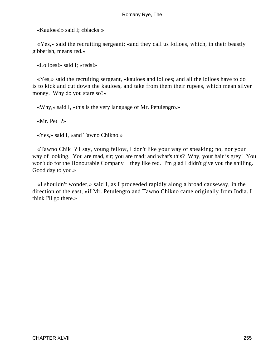«Kauloes!» said I; «blacks!»

 «Yes,» said the recruiting sergeant; «and they call us lolloes, which, in their beastly gibberish, means red.»

«Lolloes!» said I; «reds!»

 «Yes,» said the recruiting sergeant, «kauloes and lolloes; and all the lolloes have to do is to kick and cut down the kauloes, and take from them their rupees, which mean silver money. Why do you stare so?»

«Why,» said I, «this is the very language of Mr. Petulengro.»

«Mr. Pet−?»

«Yes,» said I, «and Tawno Chikno.»

 «Tawno Chik−? I say, young fellow, I don't like your way of speaking; no, nor your way of looking. You are mad, sir; you are mad; and what's this? Why, your hair is grey! You won't do for the Honourable Company – they like red. I'm glad I didn't give you the shilling. Good day to you.»

 «I shouldn't wonder,» said I, as I proceeded rapidly along a broad causeway, in the direction of the east, «if Mr. Petulengro and Tawno Chikno came originally from India. I think I'll go there.»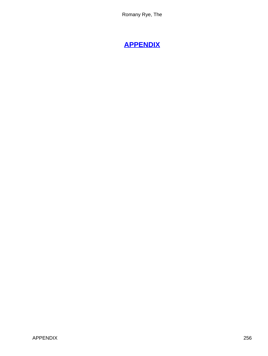# **[APPENDIX](#page-317-0)**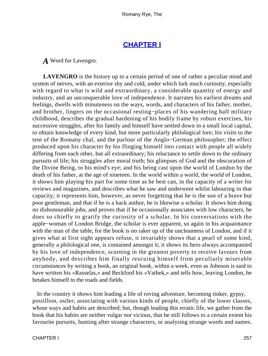## **[CHAPTER I](#page-317-0)**

*A* Word for Lavengro.

**LAVENGRO** is the history up to a certain period of one of rather a peculiar mind and system of nerves, with an exterior shy and cold, under which lurk much curiosity, especially with regard to what is wild and extraordinary, a considerable quantity of energy and industry, and an unconquerable love of independence. It narrates his earliest dreams and feelings, dwells with minuteness on the ways, words, and characters of his father, mother, and brother, lingers on the occasional resting−places of his wandering half military childhood, describes the gradual hardening of his bodily frame by robust exercises, his successive struggles, after his family and himself have settled down in a small local capital, to obtain knowledge of every kind, but more particularly philological lore; his visits to the tent of the Romany chal, and the parlour of the Anglo−German philosopher; the effect produced upon his character by his flinging himself into contact with people all widely differing from each other, but all extraordinary; his reluctance to settle down to the ordinary pursuits of life; his struggles after moral truth; his glimpses of God and the obscuration of the Divine Being, to his mind's eye; and his being cast upon the world of London by the death of his father, at the age of nineteen. In the world within a world, the world of London, it shows him playing his part for some time as he best can, in the capacity of a writer for reviews and magazines, and describes what he saw and underwent whilst labouring in that capacity; it represents him, however, as never forgetting that he is the son of a brave but poor gentleman, and that if he is a hack author, he is likewise a scholar. It shows him doing no dishonourable jobs, and proves that if he occasionally associates with low characters, he does so chiefly to gratify the curiosity of a scholar. In his conversations with the apple−woman of London Bridge, the scholar is ever apparent, so again in his acquaintance with the man of the table, for the book is no raker up of the uncleanness of London, and if it gives what at first sight appears refuse, it invariably shows that a pearl of some kind, generally a philological one, is contained amongst it; it shows its hero always accompanied by his love of independence, scorning in the greatest poverty to receive favours from anybody, and describes him finally rescuing himself from peculiarly miserable circumstances by writing a book, an original book, within a week, even as Johnson is said to have written his «Rasselas,» and Beckford his «Vathek,» and tells how, leaving London, he betakes himself to the roads and fields.

 In the country it shows him leading a life of roving adventure, becoming tinker, gypsy, postillion, ostler; associating with various kinds of people, chiefly of the lower classes, whose ways and habits are described; but, though leading this erratic life, we gather from the book that his habits are neither vulgar nor vicious, that he still follows to a certain extent his favourite pursuits, hunting after strange characters, or analysing strange words and names.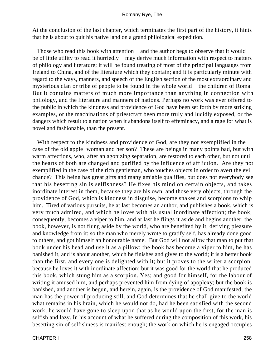At the conclusion of the last chapter, which terminates the first part of the history, it hints that he is about to quit his native land on a grand philological expedition.

Those who read this book with attention – and the author begs to observe that it would be of little utility to read it hurriedly − may derive much information with respect to matters of philology and literature; it will be found treating of most of the principal languages from Ireland to China, and of the literature which they contain; and it is particularly minute with regard to the ways, manners, and speech of the English section of the most extraordinary and mysterious clan or tribe of people to be found in the whole world − the children of Roma. But it contains matters of much more importance than anything in connection with philology, and the literature and manners of nations. Perhaps no work was ever offered to the public in which the kindness and providence of God have been set forth by more striking examples, or the machinations of priestcraft been more truly and lucidly exposed, or the dangers which result to a nation when it abandons itself to effeminacy, and a rage for what is novel and fashionable, than the present.

 With respect to the kindness and providence of God, are they not exemplified in the case of the old apple−woman and her son? These are beings in many points bad, but with warm affections, who, after an agonizing separation, are restored to each other, but not until the hearts of both are changed and purified by the influence of affliction. Are they not exemplified in the case of the rich gentleman, who touches objects in order to avert the evil chance? This being has great gifts and many amiable qualifies, but does not everybody see that his besetting sin is selfishness? He fixes his mind on certain objects, and takes inordinate interest in them, because they are his own, and those very objects, through the providence of God, which is kindness in disguise, become snakes and scorpions to whip him. Tired of various pursuits, he at last becomes an author, and publishes a book, which is very much admired, and which he loves with his usual inordinate affection; the book, consequently, becomes a viper to him, and at last he flings it aside and begins another; the book, however, is not flung aside by the world, who are benefited by it, deriving pleasure and knowledge from it: so the man who merely wrote to gratify self, has already done good to others, and got himself an honourable name. But God will not allow that man to put that book under his head and use it as a pillow: the book has become a viper to him, he has banished it, and is about another, which he finishes and gives to the world; it is a better book than the first, and every one is delighted with it; but it proves to the writer a scorpion, because he loves it with inordinate affection; but it was good for the world that he produced this book, which stung him as a scorpion. Yes; and good for himself, for the labour of writing it amused him, and perhaps prevented him from dying of apoplexy; but the book is banished, and another is begun, and herein, again, is the providence of God manifested; the man has the power of producing still, and God determines that he shall give to the world what remains in his brain, which he would not do, had he been satisfied with the second work; he would have gone to sleep upon that as he would upon the first, for the man is selfish and lazy. In his account of what he suffered during the composition of this work, his besetting sin of selfishness is manifest enough; the work on which he is engaged occupies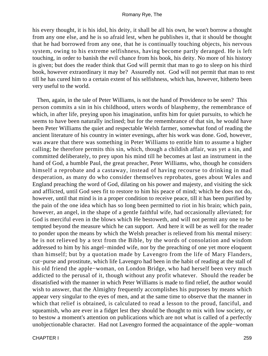his every thought, it is his idol, his deity, it shall be all his own, he won't borrow a thought from any one else, and he is so afraid lest, when he publishes it, that it should be thought that he had borrowed from any one, that he is continually touching objects, his nervous system, owing to his extreme selfishness, having become partly deranged. He is left touching, in order to banish the evil chance from his book, his deity. No more of his history is given; but does the reader think that God will permit that man to go to sleep on his third book, however extraordinary it may be? Assuredly not. God will not permit that man to rest till he has cured him to a certain extent of his selfishness, which has, however, hitherto been very useful to the world.

 Then, again, in the tale of Peter Williams, is not the hand of Providence to be seen? This person commits a sin in his childhood, utters words of blasphemy, the remembrance of which, in after life, preying upon his imagination, unfits him for quiet pursuits, to which he seems to have been naturally inclined; but for the remembrance of that sin, he would have been Peter Williams the quiet and respectable Welsh farmer, somewhat fond of reading the ancient literature of his country in winter evenings, after his work was done. God, however, was aware that there was something in Peter Williams to entitle him to assume a higher calling; he therefore permits this sin, which, though a childish affair, was yet a sin, and committed deliberately, to prey upon his mind till he becomes at last an instrument in the hand of God, a humble Paul, the great preacher, Peter Williams, who, though he considers himself a reprobate and a castaway, instead of having recourse to drinking in mad desperation, as many do who consider themselves reprobates, goes about Wales and England preaching the word of God, dilating on his power and majesty, and visiting the sick and afflicted, until God sees fit to restore to him his peace of mind; which he does not do, however, until that mind is in a proper condition to receive peace, till it has been purified by the pain of the one idea which has so long been permitted to riot in his brain; which pain, however, an angel, in the shape of a gentle faithful wife, had occasionally alleviated; for God is merciful even in the blows which He bestoweth, and will not permit any one to be tempted beyond the measure which he can support. And here it will be as well for the reader to ponder upon the means by which the Welsh preacher is relieved from his mental misery: he is not relieved by a text from the Bible, by the words of consolation and wisdom addressed to him by his angel−minded wife, nor by the preaching of one yet more eloquent than himself; but by a quotation made by Lavengro from the life of Mary Flanders, cut−purse and prostitute, which life Lavengro had been in the habit of reading at the stall of his old friend the apple−woman, on London Bridge, who had herself been very much addicted to the perusal of it, though without any profit whatever. Should the reader be dissatisfied with the manner in which Peter Williams is made to find relief, the author would wish to answer, that the Almighty frequently accomplishes his purposes by means which appear very singular to the eyes of men, and at the same time to observe that the manner in which that relief is obtained, is calculated to read a lesson to the proud, fanciful, and squeamish, who are ever in a fidget lest they should be thought to mix with low society, or to bestow a moment's attention on publications which are not what is called of a perfectly unobjectionable character. Had not Lavengro formed the acquaintance of the apple−woman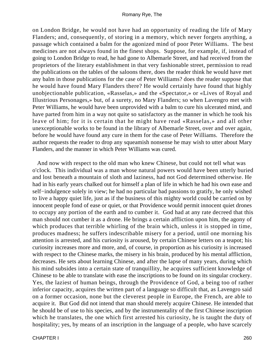on London Bridge, he would not have had an opportunity of reading the life of Mary Flanders; and, consequently, of storing in a memory, which never forgets anything, a passage which contained a balm for the agonized mind of poor Peter Williams. The best medicines are not always found in the finest shops. Suppose, for example, if, instead of going to London Bridge to read, he had gone to Albemarle Street, and had received from the proprietors of the literary establishment in that very fashionable street, permission to read the publications on the tables of the saloons there, does the reader think he would have met any balm in those publications for the case of Peter Williams? does the reader suppose that he would have found Mary Flanders there? He would certainly have found that highly unobjectionable publication, «Rasselas,» and the «Spectator,» or «Lives of Royal and Illustrious Personages,» but, of a surety, no Mary Flanders; so when Lavengro met with Peter Williams, he would have been unprovided with a balm to cure his ulcerated mind, and have parted from him in a way not quite so satisfactory as the manner in which he took his leave of him; for it is certain that he might have read «Rasselas,» and all other unexceptionable works to be found in the library of Albemarle Street, over and over again, before he would have found any cure in them for the case of Peter Williams. Therefore the author requests the reader to drop any squeamish nonsense he may wish to utter about Mary Flanders, and the manner in which Peter Williams was cured.

 And now with respect to the old man who knew Chinese, but could not tell what was o'clock. This individual was a man whose natural powers would have been utterly buried and lost beneath a mountain of sloth and laziness, had not God determined otherwise. He had in his early years chalked out for himself a plan of life in which he had his own ease and self−indulgence solely in view; he had no particular bad passions to gratify, he only wished to live a happy quiet life, just as if the business of this mighty world could be carried on by innocent people fond of ease or quiet, or that Providence would permit innocent quiet drones to occupy any portion of the earth and to cumber it. God had at any rate decreed that this man should not cumber it as a drone. He brings a certain affliction upon him, the agony of which produces that terrible whirling of the brain which, unless it is stopped in time, produces madness; he suffers indescribable misery for a period, until one morning his attention is arrested, and his curiosity is aroused, by certain Chinese letters on a teapot; his curiosity increases more and more, and, of course, in proportion as his curiosity is increased with respect to the Chinese marks, the misery in his brain, produced by his mental affliction, decreases. He sets about learning Chinese, and after the lapse of many years, during which his mind subsides into a certain state of tranquillity, he acquires sufficient knowledge of Chinese to be able to translate with ease the inscriptions to be found on its singular crockery. Yes, the laziest of human beings, through the Providence of God, a being too of rather inferior capacity, acquires the written part of a language so difficult that, as Lavengro said on a former occasion, none but the cleverest people in Europe, the French, are able to acquire it. But God did not intend that man should merely acquire Chinese. He intended that he should be of use to his species, and by the instrumentality of the first Chinese inscription which he translates, the one which first arrested his curiosity, he is taught the duty of hospitality; yes, by means of an inscription in the language of a people, who have scarcely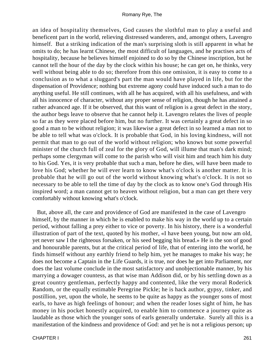an idea of hospitality themselves, God causes the slothful man to play a useful and beneficent part in the world, relieving distressed wanderers, and, amongst others, Lavengro himself. But a striking indication of the man's surprising sloth is still apparent in what he omits to do; he has learnt Chinese, the most difficult of languages, and he practises acts of hospitality, because he believes himself enjoined to do so by the Chinese inscription, but he cannot tell the hour of the day by the clock within his house; he can get on, he thinks, very well without being able to do so; therefore from this one omission, it is easy to come to a conclusion as to what a sluggard's part the man would have played in life, but for the dispensation of Providence; nothing but extreme agony could have induced such a man to do anything useful. He still continues, with all he has acquired, with all his usefulness, and with all his innocence of character, without any proper sense of religion, though he has attained a rather advanced age. If it be observed, that this want of religion is a great defect in the story, the author begs leave to observe that he cannot help it. Lavengro relates the lives of people so far as they were placed before him, but no further. It was certainly a great defect in so good a man to be without religion; it was likewise a great defect in so learned a man not to be able to tell what was o'clock. It is probable that God, in his loving kindness, will not permit that man to go out of the world without religion; who knows but some powerful minister of the church full of zeal for the glory of God, will illume that man's dark mind; perhaps some clergyman will come to the parish who will visit him and teach him his duty to his God. Yes, it is very probable that such a man, before he dies, will have been made to love his God; whether he will ever learn to know what's o'clock is another matter. It is probable that he will go out of the world without knowing what's o'clock. It is not so necessary to be able to tell the time of day by the clock as to know one's God through His inspired word; a man cannot get to heaven without religion, but a man can get there very comfortably without knowing what's o'clock.

 But, above all, the care and providence of God are manifested in the case of Lavengro himself, by the manner in which he is enabled to make his way in the world up to a certain period, without falling a prey either to vice or poverty. In his history, there is a wonderful illustration of part of the text, quoted by his mother, «I have been young, but now am old, yet never saw I the righteous forsaken, or his seed begging his bread.» He is the son of good and honourable parents, but at the critical period of life, that of entering into the world, he finds himself without any earthly friend to help him, yet he manages to make his way; he does not become a Captain in the Life Guards, it is true, nor does he get into Parliament, nor does the last volume conclude in the most satisfactory and unobjectionable manner, by his marrying a dowager countess, as that wise man Addison did, or by his settling down as a great country gentleman, perfectly happy and contented, like the very moral Roderick Random, or the equally estimable Peregrine Pickle; he is hack author, gypsy, tinker, and postillion, yet, upon the whole, he seems to be quite as happy as the younger sons of most earls, to have as high feelings of honour; and when the reader loses sight of him, he has money in his pocket honestly acquired, to enable him to commence a journey quite as laudable as those which the younger sons of earls generally undertake. Surely all this is a manifestation of the kindness and providence of God: and yet he is not a religious person; up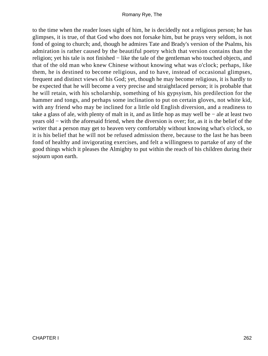to the time when the reader loses sight of him, he is decidedly not a religious person; he has glimpses, it is true, of that God who does not forsake him, but he prays very seldom, is not fond of going to church; and, though he admires Tate and Brady's version of the Psalms, his admiration is rather caused by the beautiful poetry which that version contains than the religion; yet his tale is not finished − like the tale of the gentleman who touched objects, and that of the old man who knew Chinese without knowing what was o'clock; perhaps, like them, he is destined to become religious, and to have, instead of occasional glimpses, frequent and distinct views of his God; yet, though he may become religious, it is hardly to be expected that he will become a very precise and straightlaced person; it is probable that he will retain, with his scholarship, something of his gypsyism, his predilection for the hammer and tongs, and perhaps some inclination to put on certain gloves, not white kid, with any friend who may be inclined for a little old English diversion, and a readiness to take a glass of ale, with plenty of malt in it, and as little hop as may well be − ale at least two years old − with the aforesaid friend, when the diversion is over; for, as it is the belief of the writer that a person may get to heaven very comfortably without knowing what's o'clock, so it is his belief that he will not be refused admission there, because to the last he has been fond of healthy and invigorating exercises, and felt a willingness to partake of any of the good things which it pleases the Almighty to put within the reach of his children during their sojourn upon earth.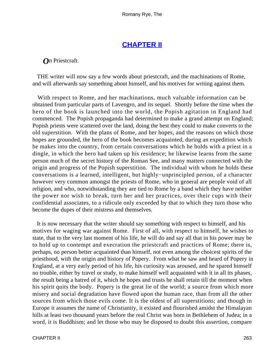## **[CHAPTER II](#page-317-0)**

### *O*n Priestcraft.

 THE writer will now say a few words about priestcraft, and the machinations of Rome, and will afterwards say something about himself, and his motives for writing against them.

 With respect to Rome, and her machinations, much valuable information can be obtained from particular parts of Lavengro, and its sequel. Shortly before the time when the hero of the book is launched into the world, the Popish agitation in England had commenced. The Popish propaganda had determined to make a grand attempt on England; Popish priests were scattered over the land, doing the best they could to make converts to the old superstition. With the plans of Rome, and her hopes, and the reasons on which those hopes are grounded, the hero of the book becomes acquainted, during an expedition which he makes into the country, from certain conversations which he holds with a priest in a dingle, in which the hero had taken up his residence; he likewise learns from the same person much of the secret history of the Roman See, and many matters connected with the origin and progress of the Popish superstition. The individual with whom he holds these conversations is a learned, intelligent, but highly−unprincipled person, of a character however very common amongst the priests of Rome, who in general are people void of all religion, and who, notwithstanding they are tied to Rome by a band which they have neither the power nor wish to break, turn her and her practices, over their cups with their confidential associates, to a ridicule only exceeded by that to which they turn those who become the dupes of their mistress and themselves.

 It is now necessary that the writer should say something with respect to himself, and his motives for waging war against Rome. First of all, with respect to himself, he wishes to state, that to the very last moment of his life, he will do and say all that in his power may be to hold up to contempt and execration the priestcraft and practices of Rome; there is, perhaps, no person better acquainted than himself, not even among the choicest spirits of the priesthood, with the origin and history of Popery. From what he saw and heard of Popery in England, at a very early period of his life, his curiosity was aroused, and he spared himself no trouble, either by travel or study, to make himself well acquainted with it in all its phases, the result being a hatred of it, which he hopes and trusts he shall retain till the moment when his spirit quits the body. Popery is the great lie of the world; a source from which more misery and social degradation have flowed upon the human race, than from all the other sources from which those evils come. It is the oldest of all superstitions; and though in Europe it assumes the name of Christianity, it existed and flourished amidst the Himalayan hills at least two thousand years before the real Christ was born in Bethlehem of Judea; in a word, it is Buddhism; and let those who may be disposed to doubt this assertion, compare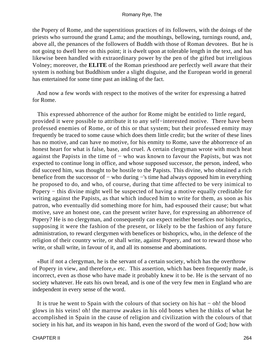the Popery of Rome, and the superstitious practices of its followers, with the doings of the priests who surround the grand Lama; and the mouthings, bellowing, turnings round, and, above all, the penances of the followers of Buddh with those of Roman devotees. But he is not going to dwell here on this point; it is dwelt upon at tolerable length in the text, and has likewise been handled with extraordinary power by the pen of the gifted but irreligious Volney; moreover, the **ELITE** of the Roman priesthood are perfectly well aware that their system is nothing but Buddhism under a slight disguise, and the European world in general has entertained for some time past an inkling of the fact.

 And now a few words with respect to the motives of the writer for expressing a hatred for Rome.

 This expressed abhorrence of the author for Rome might be entitled to little regard, provided it were possible to attribute it to any self−interested motive. There have been professed enemies of Rome, or of this or that system; but their professed enmity may frequently be traced to some cause which does them little credit; but the writer of these lines has no motive, and can have no motive, for his enmity to Rome, save the abhorrence of an honest heart for what is false, base, and cruel. A certain clergyman wrote with much heat against the Papists in the time of − who was known to favour the Papists, but was not expected to continue long in office, and whose supposed successor, the person, indeed, who did succeed him, was thought to be hostile to the Papists. This divine, who obtained a rich benefice from the successor of − who during −'s time had always opposed him in everything he proposed to do, and who, of course, during that time affected to be very inimical to Popery − this divine might well be suspected of having a motive equally creditable for writing against the Papists, as that which induced him to write for them, as soon as his patron, who eventually did something more for him, had espoused their cause; but what motive, save an honest one, can the present writer have, for expressing an abhorrence of Popery? He is no clergyman, and consequently can expect neither benefices nor bishoprics, supposing it were the fashion of the present, or likely to be the fashion of any future administration, to reward clergymen with benefices or bishoprics, who, in the defence of the religion of their country write, or shall write, against Popery, and not to reward those who write, or shall write, in favour of it, and all its nonsense and abominations.

 «But if not a clergyman, he is the servant of a certain society, which has the overthrow of Popery in view, and therefore,» etc. This assertion, which has been frequently made, is incorrect, even as those who have made it probably knew it to be. He is the servant of no society whatever. He eats his own bread, and is one of the very few men in England who are independent in every sense of the word.

 It is true he went to Spain with the colours of that society on his hat − oh! the blood glows in his veins! oh! the marrow awakes in his old bones when he thinks of what he accomplished in Spain in the cause of religion and civilization with the colours of that society in his hat, and its weapon in his hand, even the sword of the word of God; how with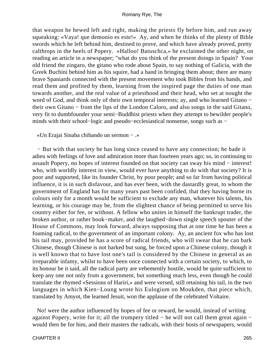that weapon he hewed left and right, making the priests fly before him, and run away squeaking: «Vaya! que demonio es este!» Ay, and when he thinks of the plenty of Bible swords which he left behind him, destined to prove, and which have already proved, pretty calthrops in the heels of Popery. «Halloo! Batuschca,» he exclaimed the other night, on reading an article in a newspaper; "what do you think of the present doings in Spain? Your old friend the zingaro, the gitano who rode about Spain, to say nothing of Galicia, with the Greek Buchini behind him as his squire, had a hand in bringing them about; there are many brave Spaniards connected with the present movement who took Bibles from his hands, and read them and profited by them, learning from the inspired page the duties of one man towards another, and the real value of a priesthood and their head, who set at nought the word of God, and think only of their own temporal interests; ay, and who learned Gitano − their own Gitano − from the lips of the London Caloro, and also songs in the said Gitano, very fit to dumbfounder your semi−Buddhist priests when they attempt to bewilder people's minds with their school−logic and pseudo−ecclesiastical nonsense, songs such as −

«Un Erajai Sinaba chibando un sermon − .»

 − But with that society he has long since ceased to have any connection; he bade it adieu with feelings of love and admiration more than fourteen years ago; so, in continuing to assault Popery, no hopes of interest founded on that society can sway his mind − interest! who, with worldly interest in view, would ever have anything to do with that society? It is poor and supported, like its founder Christ, by poor people; and so far from having political influence, it is in such disfavour, and has ever been, with the dastardly great, to whom the government of England has for many years past been confided, that they having borne its colours only for a month would be sufficient to exclude any man, whatever his talents, his learning, or his courage may be, from the slightest chance of being permitted to serve his country either for fee, or without. A fellow who unites in himself the bankrupt trader, the broken author, or rather book−maker, and the laughed−down single speech spouter of the House of Commons, may look forward, always supposing that at one time he has been a foaming radical, to the government of an important colony. Ay, an ancient fox who has lost his tail may, provided he has a score of radical friends, who will swear that he can bark Chinese, though Chinese is not barked but sung, be forced upon a Chinese colony, though it is well known that to have lost one's tail is considered by the Chinese in general as an irreparable infamy, whilst to have been once connected with a certain society, to which, to its honour be it said, all the radical party are vehemently hostile, would be quite sufficient to keep any one not only from a government, but something much less, even though he could translate the rhymed «Sessions of Hariri,» and were versed, still retaining his tail, in the two languages in which Kien−Loung wrote his Eulogium on Moukden, that piece which, translated by Amyot, the learned Jesuit, won the applause of the celebrated Voltaire.

 No! were the author influenced by hopes of fee or reward, he would, instead of writing against Popery, write for it; all the trumpery titled − he will not call them great again − would then be for him, and their masters the radicals, with their hosts of newspapers, would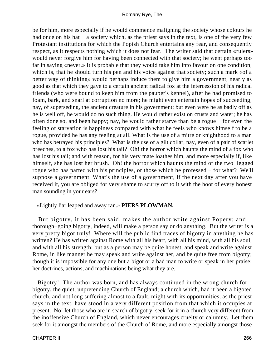be for him, more especially if he would commence maligning the society whose colours he had once on his hat − a society which, as the priest says in the text, is one of the very few Protestant institutions for which the Popish Church entertains any fear, and consequently respect, as it respects nothing which it does not fear. The writer said that certain «rulers» would never forgive him for having been connected with that society; he went perhaps too far in saying «never.» It is probable that they would take him into favour on one condition, which is, that he should turn his pen and his voice against that society; such a mark «of a better way of thinking» would perhaps induce them to give him a government, nearly as good as that which they gave to a certain ancient radical fox at the intercession of his radical friends (who were bound to keep him from the pauper's kennel), after he had promised to foam, bark, and snarl at corruption no more; he might even entertain hopes of succeeding, nay, of superseding, the ancient creature in his government; but even were he as badly off as he is well off, he would do no such thing. He would rather exist on crusts and water; he has often done so, and been happy; nay, he would rather starve than be a rogue − for even the feeling of starvation is happiness compared with what he feels who knows himself to be a rogue, provided he has any feeling at all. What is the use of a mitre or knighthood to a man who has betrayed his principles? What is the use of a gilt collar, nay, even of a pair of scarlet breeches, to a fox who has lost his tail? Oh! the horror which haunts the mind of a fox who has lost his tail; and with reason, for his very mate loathes him, and more especially if, like himself, she has lost her brush. Oh! the horror which haunts the mind of the two−legged rogue who has parted with his principles, or those which he professed − for what? We'll suppose a government. What's the use of a government, if the next day after you have received it, you are obliged for very shame to scurry off to it with the hoot of every honest man sounding in your ears?

«Lightly liar leaped and away ran.» **PIERS PLOWMAN.**

 But bigotry, it has been said, makes the author write against Popery; and thorough−going bigotry, indeed, will make a person say or do anything. But the writer is a very pretty bigot truly! Where will the public find traces of bigotry in anything he has written? He has written against Rome with all his heart, with all his mind, with all his soul, and with all his strength; but as a person may be quite honest, and speak and write against Rome, in like manner he may speak and write against her, and be quite free from bigotry; though it is impossible for any one but a bigot or a bad man to write or speak in her praise; her doctrines, actions, and machinations being what they are.

 Bigotry! The author was born, and has always continued in the wrong church for bigotry, the quiet, unpretending Church of England; a church which, had it been a bigoted church, and not long suffering almost to a fault, might with its opportunities, as the priest says in the text, have stood in a very different position from that which it occupies at present. No! let those who are in search of bigotry, seek for it in a church very different from the inoffensive Church of England, which never encourages cruelty or calumny. Let them seek for it amongst the members of the Church of Rome, and more especially amongst those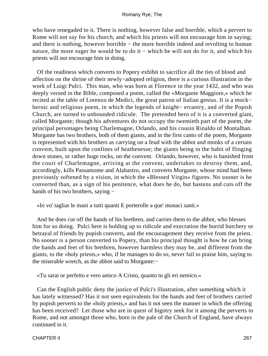who have renegaded to it. There is nothing, however false and horrible, which a pervert to Rome will not say for his church, and which his priests will not encourage him in saying; and there is nothing, however horrible – the more horrible indeed and revolting to human nature, the more eager he would be to do it – which he will not do for it, and which his priests will not encourage him in doing.

 Of the readiness which converts to Popery exhibit to sacrifice all the ties of blood and affection on the shrine of their newly−adopted religion, there is a curious illustration in the work of Luigi Pulci. This man, who was born at Florence in the year 1432, and who was deeply versed in the Bible, composed a poem, called the «Morgante Maggiore,» which he recited at the table of Lorenzo de Medici, the great patron of Italian genius. It is a mock− heroic and religious poem, in which the legends of knight− errantry, and of the Popish Church, are turned to unbounded ridicule. The pretended hero of it is a converted giant, called Morgante; though his adventures do not occupy the twentieth part of the poem, the principal personages being Charlemagne, Orlando, and his cousin Rinaldo of Montalban. Morgante has two brothers, both of them giants, and in the first canto of the poem, Morgante is represented with his brothers as carrying on a feud with the abbot and monks of a certain convent, built upon the confines of heathenesse; the giants being in the habit of flinging down stones, or rather huge rocks, on the convent. Orlando, however, who is banished from the court of Charlemagne, arriving at the convent, undertakes to destroy them, and, accordingly, kills Passamonte and Alabastro, and converts Morgante, whose mind had been previously softened by a vision, in which the «Blessed Virgin» figures. No sooner is he converted than, as a sign of his penitence, what does he do, but hastens and cuts off the hands of his two brothers, saying −

«Io vo' tagliar le mani a tutti quanti E porterolle a que' monaci santi.»

 And he does cut off the hands of his brethren, and carries them to the abbot, who blesses him for so doing. Pulci here is holding up to ridicule and execration the horrid butchery or betrayal of friends by popish converts, and the encouragement they receive from the priest. No sooner is a person converted to Popery, than his principal thought is how he can bring the hands and feet of his brethren, however harmless they may be, and different from the giants, to the «holy priests,» who, if he manages to do so, never fail to praise him, saying to the miserable wretch, as the abbot said to Morgante:−

«Tu sarai or perfetto e vero amico A Cristo, quanto tu gli eri nemico.»

 Can the English public deny the justice of Pulci's illustration, after something which it has lately witnessed? Has it not seen equivalents for the hands and feet of brothers carried by popish perverts to the «holy priests,» and has it not seen the manner in which the offering has been received? Let those who are in quest of bigotry seek for it among the perverts to Rome, and not amongst those who, born in the pale of the Church of England, have always continued in it.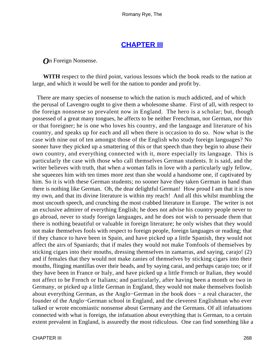## **[CHAPTER III](#page-317-0)**

*O*n Foreign Nonsense.

**WITH** respect to the third point, various lessons which the book reads to the nation at large, and which it would be well for the nation to ponder and profit by.

 There are many species of nonsense to which the nation is much addicted, and of which the perusal of Lavengro ought to give them a wholesome shame. First of all, with respect to the foreign nonsense so prevalent now in England. The hero is a scholar; but, though possessed of a great many tongues, he affects to be neither Frenchman, nor German, nor this or that foreigner; he is one who loves his country, and the language and literature of his country, and speaks up for each and all when there is occasion to do so. Now what is the case with nine out of ten amongst those of the English who study foreign languages? No sooner have they picked up a smattering of this or that speech than they begin to abuse their own country, and everything connected with it, more especially its language. This is particularly the case with those who call themselves German students. It is said, and the writer believes with truth, that when a woman falls in love with a particularly ugly fellow, she squeezes him with ten times more zest than she would a handsome one, if captivated by him. So it is with these German students; no sooner have they taken German in hand than there is nothing like German. Oh, the dear delightful German! How proud I am that it is now my own, and that its divine literature is within my reach! And all this whilst mumbling the most uncouth speech, and crunching the most crabbed literature in Europe. The writer is not an exclusive admirer of everything English; he does not advise his country people never to go abroad, never to study foreign languages, and he does not wish to persuade them that there is nothing beautiful or valuable in foreign literature; he only wishes that they would not make themselves fools with respect to foreign people, foreign languages or reading; that if they chance to have been in Spain, and have picked up a little Spanish, they would not affect the airs of Spaniards; that if males they would not make Tomfools of themselves by sticking cigars into their mouths, dressing themselves in zamarras, and saying, carajo! (2) and if females that they would not make zanies of themselves by sticking cigars into their mouths, flinging mantillas over their heads, and by saying carai, and perhaps carajo too; or if they have been in France or Italy, and have picked up a little French or Italian, they would not affect to be French or Italians; and particularly, after having been a month or two in Germany, or picked up a little German in England, they would not make themselves foolish about everything German, as the Anglo−German in the book does − a real character, the founder of the Anglo−German school in England, and the cleverest Englishman who ever talked or wrote encomiastic nonsense about Germany and the Germans. Of all infatuations connected with what is foreign, the infatuation about everything that is German, to a certain extent prevalent in England, is assuredly the most ridiculous. One can find something like a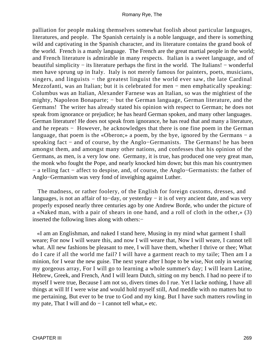palliation for people making themselves somewhat foolish about particular languages, literatures, and people. The Spanish certainly is a noble language, and there is something wild and captivating in the Spanish character, and its literature contains the grand book of the world. French is a manly language. The French are the great martial people in the world; and French literature is admirable in many respects. Italian is a sweet language, and of beautiful simplicity − its literature perhaps the first in the world. The Italians! − wonderful men have sprung up in Italy. Italy is not merely famous for painters, poets, musicians, singers, and linguists – the greatest linguist the world ever saw, the late Cardinal Mezzofanti, was an Italian; but it is celebrated for men − men emphatically speaking: Columbus was an Italian, Alexander Farnese was an Italian, so was the mightiest of the mighty, Napoleon Bonaparte; – but the German language, German literature, and the Germans! The writer has already stated his opinion with respect to German; he does not speak from ignorance or prejudice; he has heard German spoken, and many other languages. German literature! He does not speak from ignorance, he has read that and many a literature, and he repeats − However, he acknowledges that there is one fine poem in the German language, that poem is the «Oberon;» a poem, by the bye, ignored by the Germans  $-$  a speaking fact − and of course, by the Anglo−Germanists. The Germans! he has been amongst them, and amongst many other nations, and confesses that his opinion of the Germans, as men, is a very low one. Germany, it is true, has produced one very great man, the monk who fought the Pope, and nearly knocked him down; but this man his countrymen − a telling fact − affect to despise, and, of course, the Anglo−Germanists: the father of Anglo−Germanism was very fond of inveighing against Luther.

 The madness, or rather foolery, of the English for foreign customs, dresses, and languages, is not an affair of to−day, or yesterday − it is of very ancient date, and was very properly exposed nearly three centuries ago by one Andrew Borde, who under the picture of a «Naked man, with a pair of shears in one hand, and a roll of cloth in the other,» (3) inserted the following lines along with others:−

 «I am an Englishman, and naked I stand here, Musing in my mind what garment I shall weare; For now I will weare this, and now I will weare that, Now I will weare, I cannot tell what. All new fashions be pleasant to mee, I will have them, whether I thrive or thee; What do I care if all the world me fail? I will have a garment reach to my taile; Then am I a minion, for I wear the new guise. The next yeare after I hope to be wise, Not only in wearing my gorgeous array, For I will go to learning a whole summer's day; I will learn Latine, Hebrew, Greek, and French, And I will learn Dutch, sitting on my bench. I had no peere if to myself I were true, Because I am not so, divers times do I rue. Yet I lacke nothing, I have all things at will If I were wise and would hold myself still, And meddle with no matters but to me pertaining, But ever to be true to God and my king. But I have such matters rowling in my pate, That I will and do − I cannot tell what,» etc.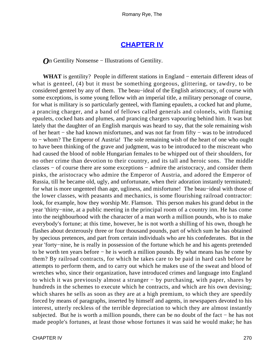### **[CHAPTER IV](#page-317-0)**

*O*n Gentility Nonsense − Illustrations of Gentility.

WHAT is gentility? People in different stations in England – entertain different ideas of what is genteel, (4) but it must be something gorgeous, glittering, or tawdry, to be considered genteel by any of them. The beau−ideal of the English aristocracy, of course with some exceptions, is some young fellow with an imperial title, a military personage of course, for what is military is so particularly genteel, with flaming epaulets, a cocked hat and plume, a prancing charger, and a band of fellows called generals and colonels, with flaming epaulets, cocked hats and plumes, and prancing chargers vapouring behind him. It was but lately that the daughter of an English marquis was heard to say, that the sole remaining wish of her heart − she had known misfortunes, and was not far from fifty − was to be introduced to − whom? The Emperor of Austria! The sole remaining wish of the heart of one who ought to have been thinking of the grave and judgment, was to be introduced to the miscreant who had caused the blood of noble Hungarian females to be whipped out of their shoulders, for no other crime than devotion to their country, and its tall and heroic sons. The middle classes − of course there are some exceptions − admire the aristocracy, and consider them pinks, the aristocracy who admire the Emperor of Austria, and adored the Emperor of Russia, till he became old, ugly, and unfortunate, when their adoration instantly terminated; for what is more ungenteel than age, ugliness, and misfortune! The beau−ideal with those of the lower classes, with peasants and mechanics, is some flourishing railroad contractor: look, for example, how they worship Mr. Flamson. This person makes his grand debut in the year 'thirty−nine, at a public meeting in the principal room of a country inn. He has come into the neighbourhood with the character of a man worth a million pounds, who is to make everybody's fortune; at this time, however, he is not worth a shilling of his own, though he flashes about dexterously three or four thousand pounds, part of which sum he has obtained by specious pretences, and part from certain individuals who are his confederates. But in the year 'forty−nine, he is really in possession of the fortune which he and his agents pretended to be worth ten years before − he is worth a million pounds. By what means has he come by them? By railroad contracts, for which he takes care to be paid in hard cash before he attempts to perform them, and to carry out which he makes use of the sweat and blood of wretches who, since their organization, have introduced crimes and language into England to which it was previously almost a stranger − by purchasing, with paper, shares by hundreds in the schemes to execute which he contracts, and which are his own devising; which shares he sells as soon as they are at a high premium, to which they are speedily forced by means of paragraphs, inserted by himself and agents, in newspapers devoted to his interest, utterly reckless of the terrible depreciation to which they are almost instantly subjected. But he is worth a million pounds, there can be no doubt of the fact − he has not made people's fortunes, at least those whose fortunes it was said he would make; he has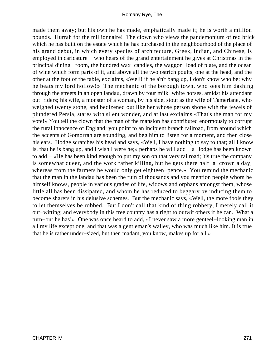made them away; but his own he has made, emphatically made it; he is worth a million pounds. Hurrah for the millionnaire! The clown who views the pandemonium of red brick which he has built on the estate which he has purchased in the neighbourhood of the place of his grand debut, in which every species of architecture, Greek, Indian, and Chinese, is employed in caricature − who hears of the grand entertainment he gives at Christmas in the principal dining− room, the hundred wax−candles, the waggon−load of plate, and the ocean of wine which form parts of it, and above all the two ostrich poults, one at the head, and the other at the foot of the table, exclaims, «Well! if he a'n't bang up, I don't know who be; why he beats my lord hollow!» The mechanic of the borough town, who sees him dashing through the streets in an open landau, drawn by four milk−white horses, amidst his attendant out−riders; his wife, a monster of a woman, by his side, stout as the wife of Tamerlane, who weighed twenty stone, and bedizened out like her whose person shone with the jewels of plundered Persia, stares with silent wonder, and at last exclaims «That's the man for my vote!» You tell the clown that the man of the mansion has contributed enormously to corrupt the rural innocence of England; you point to an incipient branch railroad, from around which the accents of Gomorrah are sounding, and beg him to listen for a moment, and then close his ears. Hodge scratches his head and says, «Well, I have nothing to say to that; all I know is, that he is bang up, and I wish I were he;» perhaps he will add − a Hodge has been known to add − «He has been kind enough to put my son on that very railroad; 'tis true the company is somewhat queer, and the work rather killing, but he gets there half−a−crown a day, whereas from the farmers he would only get eighteen−pence.» You remind the mechanic that the man in the landau has been the ruin of thousands and you mention people whom he himself knows, people in various grades of life, widows and orphans amongst them, whose little all has been dissipated, and whom he has reduced to beggary by inducing them to become sharers in his delusive schemes. But the mechanic says, «Well, the more fools they to let themselves be robbed. But I don't call that kind of thing robbery, I merely call it out−witting; and everybody in this free country has a right to outwit others if he can. What a turn−out he has!» One was once heard to add, «I never saw a more genteel−looking man in all my life except one, and that was a gentleman's walley, who was much like him. It is true that he is rather under−sized, but then madam, you know, makes up for all.»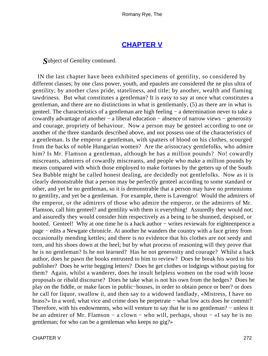### **[CHAPTER V](#page-317-0)**

*S*ubject of Gentility continued.

 IN the last chapter have been exhibited specimens of gentility, so considered by different classes; by one class power, youth, and epaulets are considered the ne plus ultra of gentility; by another class pride, stateliness, and title; by another, wealth and flaming tawdriness. But what constitutes a gentleman? It is easy to say at once what constitutes a gentleman, and there are no distinctions in what is gentlemanly, (5) as there are in what is genteel. The characteristics of a gentleman are high feeling − a determination never to take a cowardly advantage of another − a liberal education − absence of narrow views − generosity and courage, propriety of behaviour. Now a person may be genteel according to one or another of the three standards described above, and not possess one of the characteristics of a gentleman. Is the emperor a gentleman, with spatters of blood on his clothes, scourged from the backs of noble Hungarian women? Are the aristocracy gentlefolks, who admire him? Is Mr. Flamson a gentleman, although he has a million pounds? No! cowardly miscreants, admirers of cowardly miscreants, and people who make a million pounds by means compared with which those employed to make fortunes by the getters up of the South Sea Bubble might be called honest dealing, are decidedly not gentlefolks. Now as it is clearly demonstrable that a person may be perfectly genteel according to some standard or other, and yet be no gentleman, so it is demonstrable that a person may have no pretensions to gentility, and yet be a gentleman. For example, there is Lavengro! Would the admirers of the emperor, or the admirers of those who admire the emperor, or the admirers of Mr. Flamson, call him genteel? and gentility with them is everything! Assuredly they would not; and assuredly they would consider him respectively as a being to be shunned, despised, or hooted. Genteel! Why at one time he is a hack author – writes reviewals for eighteenpence a page − edits a Newgate chronicle. At another he wanders the country with a face grimy from occasionally mending kettles; and there is no evidence that his clothes are not seedy and torn, and his shoes down at the heel; but by what process of reasoning will they prove that he is no gentleman? Is he not learned? Has he not generosity and courage? Whilst a hack author, does he pawn the books entrusted to him to review? Does he break his word to his publisher? Does he write begging letters? Does he get clothes or lodgings without paying for them? Again, whilst a wanderer, does he insult helpless women on the road with loose proposals or ribald discourse? Does he take what is not his own from the hedges? Does he play on the fiddle, or make faces in public−houses, in order to obtain pence or beer? or does he call for liquor, swallow it, and then say to a widowed landlady, «Mistress, I have no brass?» In a word, what vice and crime does he perpetrate − what low acts does he commit? Therefore, with his endowments, who will venture to say that he is no gentleman? – unless it be an admirer of Mr. Flamson − a clown − who will, perhaps, shout − «I say he is no gentleman; for who can be a gentleman who keeps no gig?»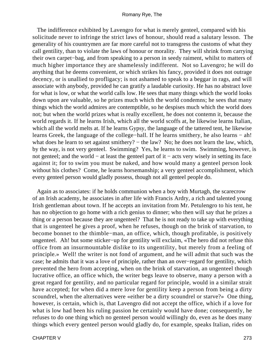The indifference exhibited by Lavengro for what is merely genteel, compared with his solicitude never to infringe the strict laws of honour, should read a salutary lesson. The generality of his countrymen are far more careful not to transgress the customs of what they call gentility, than to violate the laws of honour or morality. They will shrink from carrying their own carpet−bag, and from speaking to a person in seedy raiment, whilst to matters of much higher importance they are shamelessly indifferent. Not so Lavengro; he will do anything that he deems convenient, or which strikes his fancy, provided it does not outrage decency, or is unallied to profligacy; is not ashamed to speak to a beggar in rags, and will associate with anybody, provided he can gratify a laudable curiosity. He has no abstract love for what is low, or what the world calls low. He sees that many things which the world looks down upon are valuable, so he prizes much which the world condemns; he sees that many things which the world admires are contemptible, so he despises much which the world does not; but when the world prizes what is really excellent, he does not contemn it, because the world regards it. If he learns Irish, which all the world scoffs at, he likewise learns Italian, which all the world melts at. If he learns Gypsy, the language of the tattered tent, he likewise learns Greek, the language of the college−hall. If he learns smithery, he also learns − ah! what does he learn to set against smithery? – the law? No; he does not learn the law, which, by the way, is not very genteel. Swimming? Yes, he learns to swim. Swimming, however, is not genteel; and the world − at least the genteel part of it − acts very wisely in setting its face against it; for to swim you must be naked, and how would many a genteel person look without his clothes? Come, he learns horsemanship; a very genteel accomplishment, which every genteel person would gladly possess, though not all genteel people do.

 Again as to associates: if he holds communion when a boy with Murtagh, the scarecrow of an Irish academy, he associates in after life with Francis Ardry, a rich and talented young Irish gentleman about town. If he accepts an invitation from Mr. Petulengro to his tent, he has no objection to go home with a rich genius to dinner; who then will say that he prizes a thing or a person because they are ungenteel? That he is not ready to take up with everything that is ungenteel he gives a proof, when he refuses, though on the brink of starvation, to become bonnet to the thimble−man, an office, which, though profitable, is positively ungenteel. Ah! but some sticker−up for gentility will exclaim, «The hero did not refuse this office from an insurmountable dislike to its ungentility, but merely from a feeling of principle.» Well! the writer is not fond of argument, and he will admit that such was the case; he admits that it was a love of principle, rather than an over−regard for gentility, which prevented the hero from accepting, when on the brink of starvation, an ungenteel though lucrative office, an office which, the writer begs leave to observe, many a person with a great regard for gentility, and no particular regard for principle, would in a similar strait have accepted; for when did a mere love for gentility keep a person from being a dirty scoundrel, when the alternatives were «either be a dirty scoundrel or starve?» One thing, however, is certain, which is, that Lavengro did not accept the office, which if a love for what is low had been his ruling passion he certainly would have done; consequently, he refuses to do one thing which no genteel person would willingly do, even as he does many things which every genteel person would gladly do, for example, speaks Italian, rides on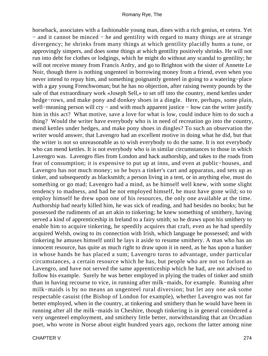horseback, associates with a fashionable young man, dines with a rich genius, et cetera. Yet − and it cannot be minced − he and gentility with regard to many things are at strange divergency; he shrinks from many things at which gentility placidly hums a tune, or approvingly simpers, and does some things at which gentility positively shrinks. He will not run into debt for clothes or lodgings, which he might do without any scandal to gentility; he will not receive money from Francis Ardry, and go to Brighton with the sister of Annette Le Noir, though there is nothing ungenteel in borrowing money from a friend, even when you never intend to repay him, and something poignantly genteel in going to a watering−place with a gay young Frenchwoman; but he has no objection, after raising twenty pounds by the sale of that extraordinary work «Joseph Sell,» to set off into the country, mend kettles under hedge−rows, and make pony and donkey shoes in a dingle. Here, perhaps, some plain, well–meaning person will cry – and with much apparent justice – how can the writer justify him in this act? What motive, save a love for what is low, could induce him to do such a thing? Would the writer have everybody who is in need of recreation go into the country, mend kettles under hedges, and make pony shoes in dingles? To such an observation the writer would answer, that Lavengro had an excellent motive in doing what he did, but that the writer is not so unreasonable as to wish everybody to do the same. It is not everybody who can mend kettles. It is not everybody who is in similar circumstances to those in which Lavengro was. Lavengro flies from London and hack authorship, and takes to the roads from fear of consumption; it is expensive to put up at inns, and even at public−houses, and Lavengro has not much money; so he buys a tinker's cart and apparatus, and sets up as tinker, and subsequently as blacksmith; a person living in a tent, or in anything else, must do something or go mad; Lavengro had a mind, as he himself well knew, with some slight tendency to madness, and had he not employed himself, he must have gone wild; so to employ himself he drew upon one of his resources, the only one available at the time. Authorship had nearly killed him, he was sick of reading, and had besides no books; but he possessed the rudiments of an art akin to tinkering; he knew something of smithery, having served a kind of apprenticeship in Ireland to a fairy smith; so he draws upon his smithery to enable him to acquire tinkering, he speedily acquires that craft, even as he had speedily acquired Welsh, owing to its connection with Irish, which language he possessed; and with tinkering he amuses himself until he lays it aside to resume smithery. A man who has an innocent resource, has quite as much right to draw upon it in need, as he has upon a banker in whose hands he has placed a sum; Lavengro turns to advantage, under particular circumstances, a certain resource which he has, but people who are not so forlorn as Lavengro, and have not served the same apprenticeship which he had, are not advised to follow his example. Surely he was better employed in plying the trades of tinker and smith than in having recourse to vice, in running after milk−maids, for example. Running after milk−maids is by no means an ungenteel rural diversion; but let any one ask some respectable casuist (the Bishop of London for example), whether Lavengro was not far better employed, when in the country, at tinkering and smithery than he would have been in running after all the milk−maids in Cheshire, though tinkering is in general considered a very ungenteel employment, and smithery little better, notwithstanding that an Orcadian poet, who wrote in Norse about eight hundred years ago, reckons the latter among nine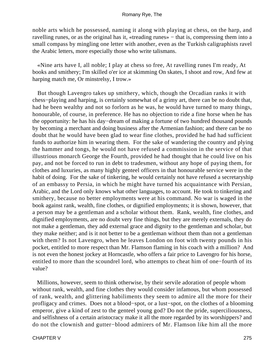noble arts which he possessed, naming it along with playing at chess, on the harp, and ravelling runes, or as the original has it, «treading runes» − that is, compressing them into a small compass by mingling one letter with another, even as the Turkish caligraphists ravel the Arabic letters, more especially those who write talismans.

 «Nine arts have I, all noble; I play at chess so free, At ravelling runes I'm ready, At books and smithery; I'm skilled o'er ice at skimming On skates, I shoot and row, And few at harping match me, Or minstrelsy, I trow.»

 But though Lavengro takes up smithery, which, though the Orcadian ranks it with chess−playing and harping, is certainly somewhat of a grimy art, there can be no doubt that, had he been wealthy and not so forlorn as he was, he would have turned to many things, honourable, of course, in preference. He has no objection to ride a fine horse when he has the opportunity: he has his day−dream of making a fortune of two hundred thousand pounds by becoming a merchant and doing business after the Armenian fashion; and there can be no doubt that he would have been glad to wear fine clothes, provided he had had sufficient funds to authorize him in wearing them. For the sake of wandering the country and plying the hammer and tongs, he would not have refused a commission in the service of that illustrious monarch George the Fourth, provided he had thought that he could live on his pay, and not be forced to run in debt to tradesmen, without any hope of paying them, for clothes and luxuries, as many highly genteel officers in that honourable service were in the habit of doing. For the sake of tinkering, he would certainly not have refused a secretaryship of an embassy to Persia, in which he might have turned his acquaintance with Persian, Arabic, and the Lord only knows what other languages, to account. He took to tinkering and smithery, because no better employments were at his command. No war is waged in the book against rank, wealth, fine clothes, or dignified employments; it is shown, however, that a person may be a gentleman and a scholar without them. Rank, wealth, fine clothes, and dignified employments, are no doubt very fine things, but they are merely externals, they do not make a gentleman, they add external grace and dignity to the gentleman and scholar, but they make neither; and is it not better to be a gentleman without them than not a gentleman with them? Is not Lavengro, when he leaves London on foot with twenty pounds in his pocket, entitled to more respect than Mr. Flamson flaming in his coach with a million? And is not even the honest jockey at Horncastle, who offers a fair price to Lavengro for his horse, entitled to more than the scoundrel lord, who attempts to cheat him of one−fourth of its value?

 Millions, however, seem to think otherwise, by their servile adoration of people whom without rank, wealth, and fine clothes they would consider infamous, but whom possessed of rank, wealth, and glittering habiliments they seem to admire all the more for their profligacy and crimes. Does not a blood−spot, or a lust−spot, on the clothes of a blooming emperor, give a kind of zest to the genteel young god? Do not the pride, superciliousness, and selfishness of a certain aristocracy make it all the more regarded by its worshippers? and do not the clownish and gutter−blood admirers of Mr. Flamson like him all the more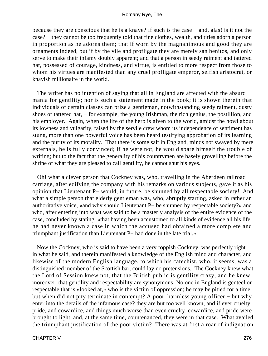because they are conscious that he is a knave? If such is the case − and, alas! is it not the case? − they cannot be too frequently told that fine clothes, wealth, and titles adorn a person in proportion as he adorns them; that if worn by the magnanimous and good they are ornaments indeed, but if by the vile and profligate they are merely san benitos, and only serve to make their infamy doubly apparent; and that a person in seedy raiment and tattered hat, possessed of courage, kindness, and virtue, is entitled to more respect from those to whom his virtues are manifested than any cruel profligate emperor, selfish aristocrat, or knavish millionaire in the world.

 The writer has no intention of saying that all in England are affected with the absurd mania for gentility; nor is such a statement made in the book; it is shown therein that individuals of certain classes can prize a gentleman, notwithstanding seedy raiment, dusty shoes or tattered hat, – for example, the young Irishman, the rich genius, the postillion, and his employer. Again, when the life of the hero is given to the world, amidst the howl about its lowness and vulgarity, raised by the servile crew whom its independence of sentiment has stung, more than one powerful voice has been heard testifying approbation of its learning and the purity of its morality. That there is some salt in England, minds not swayed by mere externals, he is fully convinced; if he were not, he would spare himself the trouble of writing; but to the fact that the generality of his countrymen are basely grovelling before the shrine of what they are pleased to call gentility, he cannot shut his eyes.

 Oh! what a clever person that Cockney was, who, travelling in the Aberdeen railroad carriage, after edifying the company with his remarks on various subjects, gave it as his opinion that Lieutenant P− would, in future, be shunned by all respectable society! And what a simple person that elderly gentleman was, who, abruptly starting, asked in rather an authoritative voice, «and why should Lieutenant P− be shunned by respectable society?» and who, after entering into what was said to be a masterly analysis of the entire evidence of the case, concluded by stating, «that having been accustomed to all kinds of evidence all his life, he had never known a case in which the accused had obtained a more complete and triumphant justification than Lieutenant P− had done in the late trial.»

 Now the Cockney, who is said to have been a very foppish Cockney, was perfectly right in what he said, and therein manifested a knowledge of the English mind and character, and likewise of the modern English language, to which his catechist, who, it seems, was a distinguished member of the Scottish bar, could lay no pretensions. The Cockney knew what the Lord of Session knew not, that the British public is gentility crazy, and he knew, moreover, that gentility and respectability are synonymous. No one in England is genteel or respectable that is «looked at,» who is the victim of oppression; he may be pitied for a time, but when did not pity terminate in contempt? A poor, harmless young officer − but why enter into the details of the infamous case? they are but too well known, and if ever cruelty, pride, and cowardice, and things much worse than even cruelty, cowardice, and pride were brought to light, and, at the same time, countenanced, they were in that case. What availed the triumphant justification of the poor victim? There was at first a roar of indignation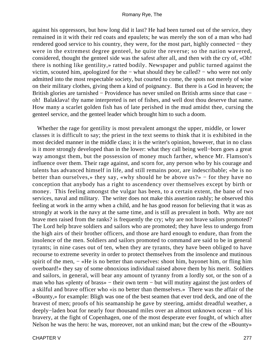against his oppressors, but how long did it last? He had been turned out of the service, they remained in it with their red coats and epaulets; he was merely the son of a man who had rendered good service to his country, they were, for the most part, highly connected − they were in the extremest degree genteel, he quite the reverse; so the nation wavered, considered, thought the genteel side was the safest after all, and then with the cry of, «Oh! there is nothing like gentility,» ratted bodily. Newspaper and public turned against the victim, scouted him, apologized for the − what should they be called? − who were not only admitted into the most respectable society, but courted to come, the spots not merely of wine on their military clothes, giving them a kind of poignancy. But there is a God in heaven; the British glories are tarnished − Providence has never smiled on British arms since that case − oh! Balaklava! thy name interpreted is net of fishes, and well dost thou deserve that name. How many a scarlet golden fish has of late perished in the mud amidst thee, cursing the genteel service, and the genteel leader which brought him to such a doom.

 Whether the rage for gentility is most prevalent amongst the upper, middle, or lower classes it is difficult to say; the priest in the text seems to think that it is exhibited in the most decided manner in the middle class; it is the writer's opinion, however, that in no class is it more strongly developed than in the lower: what they call being well−born goes a great way amongst them, but the possession of money much farther, whence Mr. Flamson's influence over them. Their rage against, and scorn for, any person who by his courage and talents has advanced himself in life, and still remains poor, are indescribable; «he is no better than ourselves,» they say, «why should he be above us?» – for they have no conception that anybody has a right to ascendency over themselves except by birth or money. This feeling amongst the vulgar has been, to a certain extent, the bane of two services, naval and military. The writer does not make this assertion rashly; he observed this feeling at work in the army when a child, and he has good reason for believing that it was as strongly at work in the navy at the same time, and is still as prevalent in both. Why are not brave men raised from the ranks? is frequently the cry; why are not brave sailors promoted? The Lord help brave soldiers and sailors who are promoted; they have less to undergo from the high airs of their brother officers, and those are hard enough to endure, than from the insolence of the men. Soldiers and sailors promoted to command are said to be in general tyrants; in nine cases out of ten, when they are tyrants, they have been obliged to have recourse to extreme severity in order to protect themselves from the insolence and mutinous spirit of the men, – «He is no better than ourselves: shoot him, bayonet him, or fling him overboard!» they say of some obnoxious individual raised above them by his merit. Soldiers and sailors, in general, will bear any amount of tyranny from a lordly sot, or the son of a man who has «plenty of brass» – their own term – but will mutiny against the just orders of a skilful and brave officer who «is no better than themselves.» There was the affair of the «Bounty,» for example: Bligh was one of the best seamen that ever trod deck, and one of the bravest of men; proofs of his seamanship he gave by steering, amidst dreadful weather, a deeply−laden boat for nearly four thousand miles over an almost unknown ocean − of his bravery, at the fight of Copenhagen, one of the most desperate ever fought, of which after Nelson he was the hero: he was, moreover, not an unkind man; but the crew of the «Bounty»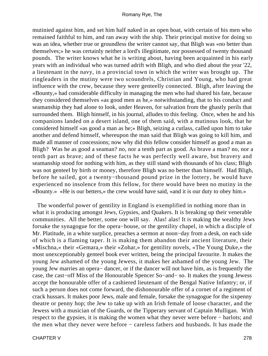mutinied against him, and set him half naked in an open boat, with certain of his men who remained faithful to him, and ran away with the ship. Their principal motive for doing so was an idea, whether true or groundless the writer cannot say, that Bligh was «no better than themselves;» he was certainly neither a lord's illegitimate, nor possessed of twenty thousand pounds. The writer knows what he is writing about, having been acquainted in his early years with an individual who was turned adrift with Bligh, and who died about the year '22, a lieutenant in the navy, in a provincial town in which the writer was brought up. The ringleaders in the mutiny were two scoundrels, Christian and Young, who had great influence with the crew, because they were genteelly connected. Bligh, after leaving the «Bounty,» had considerable difficulty in managing the men who had shared his fate, because they considered themselves «as good men as he,» notwithstanding, that to his conduct and seamanship they had alone to look, under Heaven, for salvation from the ghastly perils that surrounded them. Bligh himself, in his journal, alludes to this feeling. Once, when he and his companions landed on a desert island, one of them said, with a mutinous look, that he considered himself «as good a man as he;» Bligh, seizing a cutlass, called upon him to take another and defend himself, whereupon the man said that Bligh was going to kill him, and made all manner of concessions; now why did this fellow consider himself as good a man as Bligh? Was he as good a seaman? no, nor a tenth part as good. As brave a man? no, nor a tenth part as brave; and of these facts he was perfectly well aware, but bravery and seamanship stood for nothing with him, as they still stand with thousands of his class; Bligh was not genteel by birth or money, therefore Bligh was no better than himself. Had Bligh, before he sailed, got a twenty−thousand pound prize in the lottery, he would have experienced no insolence from this fellow, for there would have been no mutiny in the «Bounty.» «He is our betters,» the crew would have said, «and it is our duty to obey him.»

 The wonderful power of gentility in England is exemplified in nothing more than in what it is producing amongst Jews, Gypsies, and Quakers. It is breaking up their venerable communities. All the better, some one will say. Alas! alas! It is making the wealthy Jews forsake the synagogue for the opera−house, or the gentility chapel, in which a disciple of Mr. Platitude, in a white surplice, preaches a sermon at noon−day from a desk, on each side of which is a flaming taper. It is making them abandon their ancient literature, their «Mischna,» their «Gemara,» their «Zohar,» for gentility novels, «The Young Duke,» the most unexceptionably genteel book ever written, being the principal favourite. It makes the young Jew ashamed of the young Jewess, it makes her ashamed of the young Jew. The young Jew marries an opera− dancer, or if the dancer will not have him, as is frequently the case, the cast−off Miss of the Honourable Spencer So−and− so. It makes the young Jewess accept the honourable offer of a cashiered lieutenant of the Bengal Native Infantry; or, if such a person does not come forward, the dishonourable offer of a cornet of a regiment of crack hussars. It makes poor Jews, male and female, forsake the synagogue for the sixpenny theatre or penny hop; the Jew to take up with an Irish female of loose character, and the Jewess with a musician of the Guards, or the Tipperary servant of Captain Mulligan. With respect to the gypsies, it is making the women what they never were before − harlots; and the men what they never were before − careless fathers and husbands. It has made the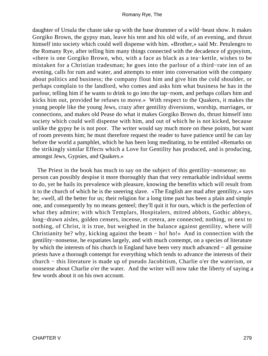daughter of Ursula the chaste take up with the base drummer of a wild−beast show. It makes Gorgiko Brown, the gypsy man, leave his tent and his old wife, of an evening, and thrust himself into society which could well dispense with him. «Brother,» said Mr. Petulengro to the Romany Rye, after telling him many things connected with the decadence of gypsyism, «there is one Gorgiko Brown, who, with a face as black as a tea−kettle, wishes to be mistaken for a Christian tradesman; he goes into the parlour of a third−rate inn of an evening, calls for rum and water, and attempts to enter into conversation with the company about politics and business; the company flout him and give him the cold shoulder, or perhaps complain to the landlord, who comes and asks him what business he has in the parlour, telling him if he wants to drink to go into the tap−room, and perhaps collars him and kicks him out, provided he refuses to move.» With respect to the Quakers, it makes the young people like the young Jews, crazy after gentility diversions, worship, marriages, or connections, and makes old Pease do what it makes Gorgiko Brown do, thrust himself into society which could well dispense with him, and out of which he is not kicked, because unlike the gypsy he is not poor. The writer would say much more on these points, but want of room prevents him; he must therefore request the reader to have patience until he can lay before the world a pamphlet, which he has been long meditating, to be entitled «Remarks on the strikingly similar Effects which a Love for Gentility has produced, and is producing, amongst Jews, Gypsies, and Quakers.»

The Priest in the book has much to say on the subject of this gentility–nonsense; no person can possibly despise it more thoroughly than that very remarkable individual seems to do, yet he hails its prevalence with pleasure, knowing the benefits which will result from it to the church of which he is the sneering slave. «The English are mad after gentility,» says he; «well, all the better for us; their religion for a long time past has been a plain and simple one, and consequently by no means genteel; they'll quit it for ours, which is the perfection of what they admire; with which Templars, Hospitalers, mitred abbots, Gothic abbeys, long−drawn aisles, golden censers, incense, et cetera, are connected; nothing, or next to nothing, of Christ, it is true, but weighed in the balance against gentility, where will Christianity be? why, kicking against the beam − ho! ho!» And in connection with the gentility−nonsense, he expatiates largely, and with much contempt, on a species of literature by which the interests of his church in England have been very much advanced − all genuine priests have a thorough contempt for everything which tends to advance the interests of their church − this literature is made up of pseudo Jacobitism, Charlie o'er the waterism, or nonsense about Charlie o'er the water. And the writer will now take the liberty of saying a few words about it on his own account.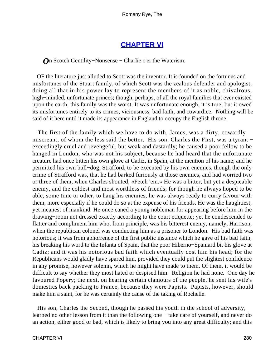### **[CHAPTER VI](#page-317-0)**

*O*n Scotch Gentility–Nonsense – Charlie o'er the Waterism.

 OF the literature just alluded to Scott was the inventor. It is founded on the fortunes and misfortunes of the Stuart family, of which Scott was the zealous defender and apologist, doing all that in his power lay to represent the members of it as noble, chivalrous, high−minded, unfortunate princes; though, perhaps, of all the royal families that ever existed upon the earth, this family was the worst. It was unfortunate enough, it is true; but it owed its misfortunes entirely to its crimes, viciousness, bad faith, and cowardice. Nothing will be said of it here until it made its appearance in England to occupy the English throne.

 The first of the family which we have to do with, James, was a dirty, cowardly miscreant, of whom the less said the better. His son, Charles the First, was a tyrant − exceedingly cruel and revengeful, but weak and dastardly; he caused a poor fellow to be hanged in London, who was not his subject, because he had heard that the unfortunate creature had once bitten his own glove at Cadiz, in Spain, at the mention of his name; and he permitted his own bull−dog, Strafford, to be executed by his own enemies, though the only crime of Strafford was, that he had barked furiously at those enemies, and had worried two or three of them, when Charles shouted, «Fetch 'em.» He was a bitter, but yet a despicable enemy, and the coldest and most worthless of friends; for though he always hoped to be able, some time or other, to hang his enemies, he was always ready to curry favour with them, more especially if he could do so at the expense of his friends. He was the haughtiest, yet meanest of mankind. He once caned a young nobleman for appearing before him in the drawing−room not dressed exactly according to the court etiquette; yet he condescended to flatter and compliment him who, from principle, was his bitterest enemy, namely, Harrison, when the republican colonel was conducting him as a prisoner to London. His bad faith was notorious; it was from abhorrence of the first public instance which he gave of his bad faith, his breaking his word to the Infanta of Spain, that the poor Hiberno−Spaniard bit his glove at Cadiz; and it was his notorious bad faith which eventually cost him his head; for the Republicans would gladly have spared him, provided they could put the slightest confidence in any promise, however solemn, which he might have made to them. Of them, it would be difficult to say whether they most hated or despised him. Religion he had none. One day he favoured Popery; the next, on hearing certain clamours of the people, he sent his wife's domestics back packing to France, because they were Papists. Papists, however, should make him a saint, for he was certainly the cause of the taking of Rochelle.

 His son, Charles the Second, though he passed his youth in the school of adversity, learned no other lesson from it than the following one − take care of yourself, and never do an action, either good or bad, which is likely to bring you into any great difficulty; and this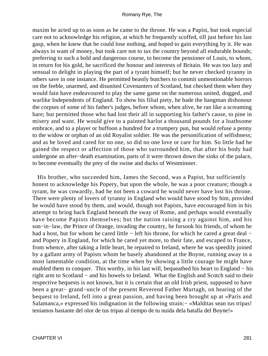maxim he acted up to as soon as he came to the throne. He was a Papist, but took especial care not to acknowledge his religion, at which he frequently scoffed, till just before his last gasp, when he knew that he could lose nothing, and hoped to gain everything by it. He was always in want of money, but took care not to tax the country beyond all endurable bounds; preferring to such a bold and dangerous course, to become the pensioner of Louis, to whom, in return for his gold, he sacrificed the honour and interests of Britain. He was too lazy and sensual to delight in playing the part of a tyrant himself; but he never checked tyranny in others save in one instance. He permitted beastly butchers to commit unmentionable horrors on the feeble, unarmed, and disunited Covenanters of Scotland, but checked them when they would fain have endeavoured to play the same game on the numerous united, dogged, and warlike Independents of England. To show his filial piety, he bade the hangman dishonour the corpses of some of his father's judges, before whom, when alive, he ran like a screaming hare; but permitted those who had lost their all in supporting his father's cause, to pine in misery and want. He would give to a painted harlot a thousand pounds for a loathsome embrace, and to a player or buffoon a hundred for a trumpery pun, but would refuse a penny to the widow or orphan of an old Royalist soldier. He was the personification of selfishness; and as he loved and cared for no one, so did no one love or care for him. So little had he gained the respect or affection of those who surrounded him, that after his body had undergone an after−death examination, parts of it were thrown down the sinks of the palace, to become eventually the prey of the swine and ducks of Westminster.

 His brother, who succeeded him, James the Second, was a Papist, but sufficiently honest to acknowledge his Popery, but upon the whole, he was a poor creature; though a tyrant, he was cowardly, had he not been a coward he would never have lost his throne. There were plenty of lovers of tyranny in England who would have stood by him, provided he would have stood by them, and would, though not Papists, have encouraged him in his attempt to bring back England beneath the sway of Rome, and perhaps would eventually have become Papists themselves; but the nation raising a cry against him, and his son−in−law, the Prince of Orange, invading the country, he forsook his friends, of whom he had a host, but for whom he cared little − left his throne, for which he cared a great deal − and Popery in England, for which he cared yet more, to their fate, and escaped to France, from whence, after taking a little heart, he repaired to Ireland, where he was speedily joined by a gallant army of Papists whom he basely abandoned at the Boyne, running away in a most lamentable condition, at the time when by showing a little courage he might have enabled them to conquer. This worthy, in his last will, bequeathed his heart to England – his right arm to Scotland − and his bowels to Ireland. What the English and Scotch said to their respective bequests is not known, but it is certain that an old Irish priest, supposed to have been a great− grand−uncle of the present Reverend Father Murtagh, on hearing of the bequest to Ireland, fell into a great passion, and having been brought up at «Paris and Salamanca,» expressed his indignation in the following strain: – «Malditas sean tus tripas! teniamos bastante del olor de tus tripas al tiempo de tu nuida dela batalla del Boyne!»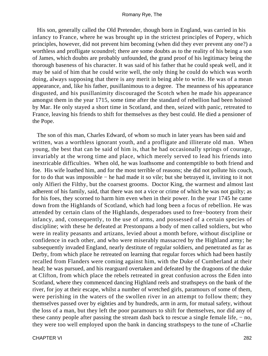His son, generally called the Old Pretender, though born in England, was carried in his infancy to France, where he was brought up in the strictest principles of Popery, which principles, however, did not prevent him becoming (when did they ever prevent any one?) a worthless and profligate scoundrel; there are some doubts as to the reality of his being a son of James, which doubts are probably unfounded, the grand proof of his legitimacy being the thorough baseness of his character. It was said of his father that he could speak well, and it may be said of him that he could write well, the only thing he could do which was worth doing, always supposing that there is any merit in being able to write. He was of a mean appearance, and, like his father, pusillanimous to a degree. The meanness of his appearance disgusted, and his pusillanimity discouraged the Scotch when he made his appearance amongst them in the year 1715, some time after the standard of rebellion had been hoisted by Mar. He only stayed a short time in Scotland, and then, seized with panic, retreated to France, leaving his friends to shift for themselves as they best could. He died a pensioner of the Pope.

 The son of this man, Charles Edward, of whom so much in later years has been said and written, was a worthless ignorant youth, and a profligate and illiterate old man. When young, the best that can be said of him is, that he had occasionally springs of courage, invariably at the wrong time and place, which merely served to lead his friends into inextricable difficulties. When old, he was loathsome and contemptible to both friend and foe. His wife loathed him, and for the most terrible of reasons; she did not pollute his couch, for to do that was impossible − he had made it so vile; but she betrayed it, inviting to it not only Alfieri the Filthy, but the coarsest grooms. Doctor King, the warmest and almost last adherent of his family, said, that there was not a vice or crime of which he was not guilty; as for his foes, they scorned to harm him even when in their power. In the year 1745 he came down from the Highlands of Scotland, which had long been a focus of rebellion. He was attended by certain clans of the Highlands, desperadoes used to free−bootery from their infancy, and, consequently, to the use of arms, and possessed of a certain species of discipline; with these he defeated at Prestonpans a body of men called soldiers, but who were in reality peasants and artizans, levied about a month before, without discipline or confidence in each other, and who were miserably massacred by the Highland army; he subsequently invaded England, nearly destitute of regular soldiers, and penetrated as far as Derby, from which place he retreated on learning that regular forces which had been hastily recalled from Flanders were coming against him, with the Duke of Cumberland at their head; he was pursued, and his rearguard overtaken and defeated by the dragoons of the duke at Clifton, from which place the rebels retreated in great confusion across the Eden into Scotland, where they commenced dancing Highland reels and strathspeys on the bank of the river, for joy at their escape, whilst a number of wretched girls, paramours of some of them, were perishing in the waters of the swollen river in an attempt to follow them; they themselves passed over by eighties and by hundreds, arm in arm, for mutual safety, without the loss of a man, but they left the poor paramours to shift for themselves, nor did any of these canny people after passing the stream dash back to rescue a single female life, − no, they were too well employed upon the bank in dancing strathspeys to the tune of «Charlie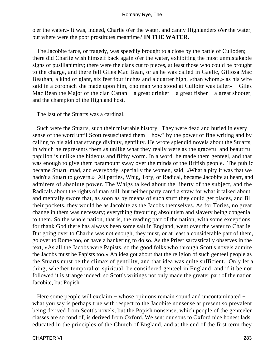o'er the water.» It was, indeed, Charlie o'er the water, and canny Highlanders o'er the water, but where were the poor prostitutes meantime? **IN THE WATER.**

 The Jacobite farce, or tragedy, was speedily brought to a close by the battle of Culloden; there did Charlie wish himself back again o'er the water, exhibiting the most unmistakable signs of pusillanimity; there were the clans cut to pieces, at least those who could be brought to the charge, and there fell Giles Mac Bean, or as he was called in Gaelic, Giliosa Mac Beathan, a kind of giant, six feet four inches and a quarter high, «than whom,» as his wife said in a coronach she made upon him, «no man who stood at Cuiloitr was taller» − Giles Mac Bean the Major of the clan Cattan − a great drinker − a great fisher − a great shooter, and the champion of the Highland host.

The last of the Stuarts was a cardinal.

 Such were the Stuarts, such their miserable history. They were dead and buried in every sense of the word until Scott resuscitated them − how? by the power of fine writing and by calling to his aid that strange divinity, gentility. He wrote splendid novels about the Stuarts, in which he represents them as unlike what they really were as the graceful and beautiful papillon is unlike the hideous and filthy worm. In a word, he made them genteel, and that was enough to give them paramount sway over the minds of the British people. The public became Stuart−mad, and everybody, specially the women, said, «What a pity it was that we hadn't a Stuart to govern.» All parties, Whig, Tory, or Radical, became Jacobite at heart, and admirers of absolute power. The Whigs talked about the liberty of the subject, and the Radicals about the rights of man still, but neither party cared a straw for what it talked about, and mentally swore that, as soon as by means of such stuff they could get places, and fill their pockets, they would be as Jacobite as the Jacobs themselves. As for Tories, no great change in them was necessary; everything favouring absolutism and slavery being congenial to them. So the whole nation, that is, the reading part of the nation, with some exceptions, for thank God there has always been some salt in England, went over the water to Charlie. But going over to Charlie was not enough, they must, or at least a considerable part of them, go over to Rome too, or have a hankering to do so. As the Priest sarcastically observes in the text, «As all the Jacobs were Papists, so the good folks who through Scott's novels admire the Jacobs must be Papists too.» An idea got about that the religion of such genteel people as the Stuarts must be the climax of gentility, and that idea was quite sufficient. Only let a thing, whether temporal or spiritual, be considered genteel in England, and if it be not followed it is strange indeed; so Scott's writings not only made the greater part of the nation Jacobite, but Popish.

Here some people will exclaim – whose opinions remain sound and uncontaminated – what you say is perhaps true with respect to the Jacobite nonsense at present so prevalent being derived from Scott's novels, but the Popish nonsense, which people of the genteeler classes are so fond of, is derived from Oxford. We sent our sons to Oxford nice honest lads, educated in the principles of the Church of England, and at the end of the first term they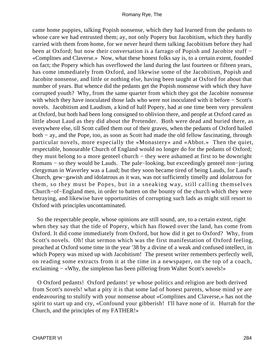came home puppies, talking Popish nonsense, which they had learned from the pedants to whose care we had entrusted them; ay, not only Popery but Jacobitism, which they hardly carried with them from home, for we never heard them talking Jacobitism before they had been at Oxford; but now their conversation is a farrago of Popish and Jacobite stuff − «Complines and Claverse.» Now, what these honest folks say is, to a certain extent, founded on fact; the Popery which has overflowed the land during the last fourteen or fifteen years, has come immediately from Oxford, and likewise some of the Jacobitism, Popish and Jacobite nonsense, and little or nothing else, having been taught at Oxford for about that number of years. But whence did the pedants get the Popish nonsense with which they have corrupted youth? Why, from the same quarter from which they got the Jacobite nonsense with which they have inoculated those lads who were not inoculated with it before − Scott's novels. Jacobitism and Laudism, a kind of half Popery, had at one time been very prevalent at Oxford, but both had been long consigned to oblivion there, and people at Oxford cared as little about Laud as they did about the Pretender. Both were dead and buried there, as everywhere else, till Scott called them out of their graves, when the pedants of Oxford hailed both − ay, and the Pope, too, as soon as Scott had made the old fellow fascinating, through particular novels, more especially the «Monastery» and «Abbot.» Then the quiet, respectable, honourable Church of England would no longer do for the pedants of Oxford; they must belong to a more genteel church − they were ashamed at first to be downright Romans − so they would be Lauds. The pale−looking, but exceedingly genteel non−juring clergyman in Waverley was a Laud; but they soon became tired of being Lauds, for Laud's Church, gew−gawish and idolatrous as it was, was not sufficiently tinselly and idolatrous for them, so they must be Popes, but in a sneaking way, still calling themselves Church−of−England men, in order to batten on the bounty of the church which they were betraying, and likewise have opportunities of corrupting such lads as might still resort to Oxford with principles uncontaminated.

 So the respectable people, whose opinions are still sound, are, to a certain extent, right when they say that the tide of Popery, which has flowed over the land, has come from Oxford. It did come immediately from Oxford, but how did it get to Oxford? Why, from Scott's novels. Oh! that sermon which was the first manifestation of Oxford feeling, preached at Oxford some time in the year '38 by a divine of a weak and confused intellect, in which Popery was mixed up with Jacobitism! The present writer remembers perfectly well, on reading some extracts from it at the time in a newspaper, on the top of a coach, exclaiming – «Why, the simpleton has been pilfering from Walter Scott's novels!»

 O Oxford pedants! Oxford pedants! ye whose politics and religion are both derived from Scott's novels! what a pity it is that some lad of honest parents, whose mind ye are endeavouring to stultify with your nonsense about «Complines and Claverse,» has not the spirit to start up and cry, «Confound your gibberish! I'll have none of it. Hurrah for the Church, and the principles of my FATHER!»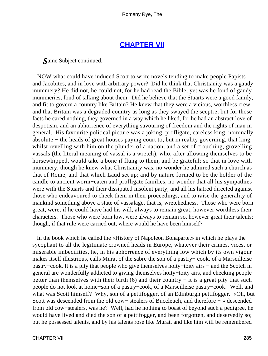### **[CHAPTER VII](#page-317-0)**

*S*ame Subject continued.

 NOW what could have induced Scott to write novels tending to make people Papists and Jacobites, and in love with arbitrary power? Did he think that Christianity was a gaudy mummery? He did not, he could not, for he had read the Bible; yet was he fond of gaudy mummeries, fond of talking about them. Did he believe that the Stuarts were a good family, and fit to govern a country like Britain? He knew that they were a vicious, worthless crew, and that Britain was a degraded country as long as they swayed the sceptre; but for those facts he cared nothing, they governed in a way which he liked, for he had an abstract love of despotism, and an abhorrence of everything savouring of freedom and the rights of man in general. His favourite political picture was a joking, profligate, careless king, nominally absolute − the heads of great houses paying court to, but in reality governing, that king, whilst revelling with him on the plunder of a nation, and a set of crouching, grovelling vassals (the literal meaning of vassal is a wretch), who, after allowing themselves to be horsewhipped, would take a bone if flung to them, and be grateful; so that in love with mummery, though he knew what Christianity was, no wonder he admired such a church as that of Rome, and that which Laud set up; and by nature formed to be the holder of the candle to ancient worm−eaten and profligate families, no wonder that all his sympathies were with the Stuarts and their dissipated insolent party, and all his hatred directed against those who endeavoured to check them in their proceedings, and to raise the generality of mankind something above a state of vassalage, that is, wretchedness. Those who were born great, were, if he could have had his will, always to remain great, however worthless their characters. Those who were born low, were always to remain so, however great their talents; though, if that rule were carried out, where would he have been himself?

 In the book which he called the «History of Napoleon Bonaparte,» in which he plays the sycophant to all the legitimate crowned heads in Europe, whatever their crimes, vices, or miserable imbecilities, he, in his abhorrence of everything low which by its own vigour makes itself illustrious, calls Murat of the sabre the son of a pastry− cook, of a Marseilleise pastry−cook. It is a pity that people who give themselves hoity−toity airs − and the Scotch in general are wonderfully addicted to giving themselves hoity−toity airs, and checking people better than themselves with their birth (6) and their country  $-$  it is a great pity that such people do not look at home−son of a pastry−cook, of a Marseilleise pastry−cook! Well, and what was Scott himself? Why, son of a pettifogger, of an Edinburgh pettifogger. «Oh, but Scott was descended from the old cow− stealers of Buccleuch, and therefore − » descended from old cow−stealers, was he? Well, had he nothing to boast of beyond such a pedigree, he would have lived and died the son of a pettifogger, and been forgotten, and deservedly so; but he possessed talents, and by his talents rose like Murat, and like him will be remembered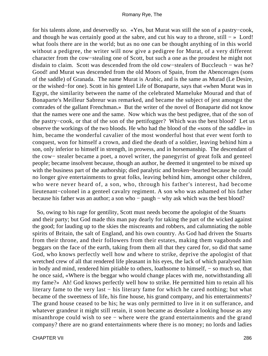for his talents alone, and deservedly so. «Yes, but Murat was still the son of a pastry−cook, and though he was certainly good at the sabre, and cut his way to a throne, still − » Lord! what fools there are in the world; but as no one can be thought anything of in this world without a pedigree, the writer will now give a pedigree for Murat, of a very different character from the cow−stealing one of Scott, but such a one as the proudest he might not disdain to claim. Scott was descended from the old cow−stealers of Buccleuch − was he? Good! and Murat was descended from the old Moors of Spain, from the Abencerages (sons of the saddle) of Granada. The name Murat is Arabic, and is the same as Murad (Le Desire, or the wished−for one). Scott in his genteel Life of Bonaparte, says that «when Murat was in Egypt, the similarity between the name of the celebrated Mameluke Mourad and that of Bonaparte's Meilleur Sabreur was remarked, and became the subject of jest amongst the comrades of the gallant Frenchman.» But the writer of the novel of Bonaparte did not know that the names were one and the same. Now which was the best pedigree, that of the son of the pastry−cook, or that of the son of the pettifogger? Which was the best blood? Let us observe the workings of the two bloods. He who had the blood of the «sons of the saddle» in him, became the wonderful cavalier of the most wonderful host that ever went forth to conquest, won for himself a crown, and died the death of a soldier, leaving behind him a son, only inferior to himself in strength, in prowess, and in horsemanship. The descendant of the cow− stealer became a poet, a novel writer, the panegyrist of great folk and genteel people; became insolvent because, though an author, he deemed it ungenteel to be mixed up with the business part of the authorship; died paralytic and broken−hearted because he could no longer give entertainments to great folks, leaving behind him, amongst other children, who were never heard of, a son, who, through his father's interest, had become lieutenant−colonel in a genteel cavalry regiment. A son who was ashamed of his father because his father was an author; a son who − paugh − why ask which was the best blood?

 So, owing to his rage for gentility, Scott must needs become the apologist of the Stuarts and their party; but God made this man pay dearly for taking the part of the wicked against the good; for lauding up to the skies the miscreants and robbers, and calumniating the noble spirits of Britain, the salt of England, and his own country. As God had driven the Stuarts from their throne, and their followers from their estates, making them vagabonds and beggars on the face of the earth, taking from them all that they cared for, so did that same God, who knows perfectly well how and where to strike, deprive the apologist of that wretched crew of all that rendered life pleasant in his eyes, the lack of which paralysed him in body and mind, rendered him pitiable to others, loathsome to himself, − so much so, that he once said, «Where is the beggar who would change places with me, notwithstanding all my fame?» Ah! God knows perfectly well how to strike. He permitted him to retain all his literary fame to the very last − his literary fame for which he cared nothing; but what became of the sweetness of life, his fine house, his grand company, and his entertainments? The grand house ceased to be his; he was only permitted to live in it on sufferance, and whatever grandeur it might still retain, it soon became as desolate a looking house as any misanthrope could wish to see − where were the grand entertainments and the grand company? there are no grand entertainments where there is no money; no lords and ladies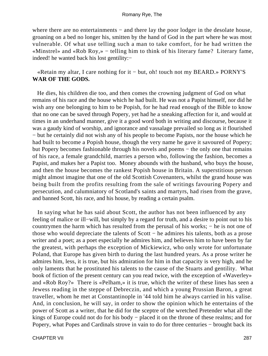where there are no entertainments – and there lay the poor lodger in the desolate house, groaning on a bed no longer his, smitten by the hand of God in the part where he was most vulnerable. Of what use telling such a man to take comfort, for he had written the «Minstrel» and «Rob Roy,» − telling him to think of his literary fame? Literary fame, indeed! he wanted back his lost gentility:−

### «Retain my altar, I care nothing for it − but, oh! touch not my BEARD.» PORNY'S **WAR OF THE GODS.**

 He dies, his children die too, and then comes the crowning judgment of God on what remains of his race and the house which he had built. He was not a Papist himself, nor did he wish any one belonging to him to be Popish, for he had read enough of the Bible to know that no one can be saved through Popery, yet had he a sneaking affection for it, and would at times in an underhand manner, give it a good word both in writing and discourse, because it was a gaudy kind of worship, and ignorance and vassalage prevailed so long as it flourished − but he certainly did not wish any of his people to become Papists, nor the house which he had built to become a Popish house, though the very name he gave it savoured of Popery; but Popery becomes fashionable through his novels and poems − the only one that remains of his race, a female grandchild, marries a person who, following the fashion, becomes a Papist, and makes her a Papist too. Money abounds with the husband, who buys the house, and then the house becomes the rankest Popish house in Britain. A superstitious person might almost imagine that one of the old Scottish Covenanters, whilst the grand house was being built from the profits resulting from the sale of writings favouring Popery and persecution, and calumniatory of Scotland's saints and martyrs, had risen from the grave, and banned Scott, his race, and his house, by reading a certain psalm.

 In saying what he has said about Scott, the author has not been influenced by any feeling of malice or ill−will, but simply by a regard for truth, and a desire to point out to his countrymen the harm which has resulted from the perusal of his works; − he is not one of those who would depreciate the talents of Scott − he admires his talents, both as a prose writer and a poet; as a poet especially he admires him, and believes him to have been by far the greatest, with perhaps the exception of Mickiewicz, who only wrote for unfortunate Poland, that Europe has given birth to during the last hundred years. As a prose writer he admires him, less, it is true, but his admiration for him in that capacity is very high, and he only laments that he prostituted his talents to the cause of the Stuarts and gentility. What book of fiction of the present century can you read twice, with the exception of «Waverley» and «Rob Roy?» There is «Pelham,» it is true, which the writer of these lines has seen a Jewess reading in the steppe of Debreczin, and which a young Prussian Baron, a great traveller, whom he met at Constantinople in '44 told him he always carried in his valise. And, in conclusion, he will say, in order to show the opinion which he entertains of the power of Scott as a writer, that he did for the sceptre of the wretched Pretender what all the kings of Europe could not do for his body − placed it on the throne of these realms; and for Popery, what Popes and Cardinals strove in vain to do for three centuries − brought back its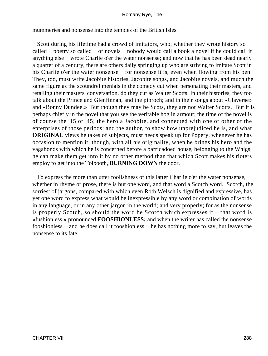mummeries and nonsense into the temples of the British Isles.

 Scott during his lifetime had a crowd of imitators, who, whether they wrote history so called − poetry so called − or novels − nobody would call a book a novel if he could call it anything else − wrote Charlie o'er the water nonsense; and now that he has been dead nearly a quarter of a century, there are others daily springing up who are striving to imitate Scott in his Charlie o'er the water nonsense – for nonsense it is, even when flowing from his pen. They, too, must write Jacobite histories, Jacobite songs, and Jacobite novels, and much the same figure as the scoundrel menials in the comedy cut when personating their masters, and retailing their masters' conversation, do they cut as Walter Scotts. In their histories, they too talk about the Prince and Glenfinnan, and the pibroch; and in their songs about «Claverse» and «Bonny Dundee.» But though they may be Scots, they are not Walter Scotts. But it is perhaps chiefly in the novel that you see the veritable hog in armour; the time of the novel is of course the '15 or '45; the hero a Jacobite, and connected with one or other of the enterprises of those periods; and the author, to show how unprejudiced he is, and what **ORIGINAL** views he takes of subjects, must needs speak up for Popery, whenever he has occasion to mention it; though, with all his originality, when he brings his hero and the vagabonds with which he is concerned before a barricadoed house, belonging to the Whigs, he can make them get into it by no other method than that which Scott makes his rioters employ to get into the Tolbooth, **BURNING DOWN** the door.

 To express the more than utter foolishness of this latter Charlie o'er the water nonsense, whether in rhyme or prose, there is but one word, and that word a Scotch word. Scotch, the sorriest of jargons, compared with which even Roth Welsch is dignified and expressive, has yet one word to express what would be inexpressible by any word or combination of words in any language, or in any other jargon in the world; and very properly; for as the nonsense is properly Scotch, so should the word be Scotch which expresses it − that word is «fushionless,» pronounced **FOOSHIONLESS;** and when the writer has called the nonsense fooshionless − and he does call it fooshionless − he has nothing more to say, but leaves the nonsense to its fate.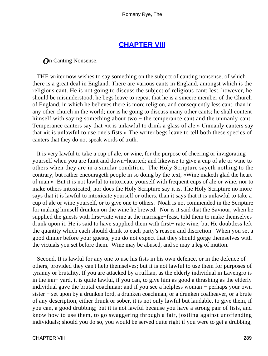## **[CHAPTER VIII](#page-317-0)**

<span id="page-289-0"></span>*O*n Canting Nonsense.

 THE writer now wishes to say something on the subject of canting nonsense, of which there is a great deal in England. There are various cants in England, amongst which is the religious cant. He is not going to discuss the subject of religious cant: lest, however, he should be misunderstood, he begs leave to repeat that he is a sincere member of the Church of England, in which he believes there is more religion, and consequently less cant, than in any other church in the world; nor is he going to discuss many other cants; he shall content himself with saying something about two – the temperance cant and the unmanly cant. Temperance canters say that «it is unlawful to drink a glass of ale.» Unmanly canters say that «it is unlawful to use one's fists.» The writer begs leave to tell both these species of canters that they do not speak words of truth.

 It is very lawful to take a cup of ale, or wine, for the purpose of cheering or invigorating yourself when you are faint and down−hearted; and likewise to give a cup of ale or wine to others when they are in a similar condition. The Holy Scripture sayeth nothing to the contrary, but rather encourageth people in so doing by the text, «Wine maketh glad the heart of man.» But it is not lawful to intoxicate yourself with frequent cups of ale or wine, nor to make others intoxicated, nor does the Holy Scripture say it is. The Holy Scripture no more says that it is lawful to intoxicate yourself or others, than it says that it is unlawful to take a cup of ale or wine yourself, or to give one to others. Noah is not commended in the Scripture for making himself drunken on the wine he brewed. Nor is it said that the Saviour, when he supplied the guests with first–rate wine at the marriage–feast, told them to make themselves drunk upon it. He is said to have supplied them with first− rate wine, but He doubtless left the quantity which each should drink to each party's reason and discretion. When you set a good dinner before your guests, you do not expect that they should gorge themselves with the victuals you set before them. Wine may be abused, and so may a leg of mutton.

 Second. It is lawful for any one to use his fists in his own defence, or in the defence of others, provided they can't help themselves; but it is not lawful to use them for purposes of tyranny or brutality. If you are attacked by a ruffian, as the elderly individual in Lavengro is in the inn− yard, it is quite lawful, if you can, to give him as good a thrashing as the elderly individual gave the brutal coachman; and if you see a helpless woman − perhaps your own sister − set upon by a drunken lord, a drunken coachman, or a drunken coalheaver, or a brute of any description, either drunk or sober, it is not only lawful but laudable, to give them, if you can, a good drubbing; but it is not lawful because you have a strong pair of fists, and know how to use them, to go swaggering through a fair, jostling against unoffending individuals; should you do so, you would be served quite right if you were to get a drubbing,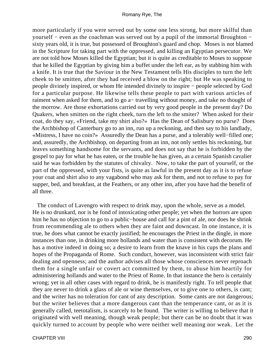more particularly if you were served out by some one less strong, but more skilful than yourself − even as the coachman was served out by a pupil of the immortal Broughton − sixty years old, it is true, but possessed of Broughton's guard and chop. Moses is not blamed in the Scripture for taking part with the oppressed, and killing an Egyptian persecutor. We are not told how Moses killed the Egyptian; but it is quite as creditable to Moses to suppose that he killed the Egyptian by giving him a buffet under the left ear, as by stabbing him with a knife. It is true that the Saviour in the New Testament tells His disciples to turn the left cheek to be smitten, after they had received a blow on the right; but He was speaking to people divinely inspired, or whom He intended divinely to inspire − people selected by God for a particular purpose. He likewise tells these people to part with various articles of raiment when asked for them, and to go a− travelling without money, and take no thought of the morrow. Are those exhortations carried out by very good people in the present day? Do Quakers, when smitten on the right cheek, turn the left to the smiter? When asked for their coat, do they say, «Friend, take my shirt also?» Has the Dean of Salisbury no purse? Does the Archbishop of Canterbury go to an inn, run up a reckoning, and then say to his landlady, «Mistress, I have no coin?» Assuredly the Dean has a purse, and a tolerably well−filled one; and, assuredly, the Archbishop, on departing from an inn, not only settles his reckoning, but leaves something handsome for the servants, and does not say that he is forbidden by the gospel to pay for what he has eaten, or the trouble he has given, as a certain Spanish cavalier said he was forbidden by the statutes of chivalry. Now, to take the part of yourself, or the part of the oppressed, with your fists, is quite as lawful in the present day as it is to refuse your coat and shirt also to any vagabond who may ask for them, and not to refuse to pay for supper, bed, and breakfast, at the Feathers, or any other inn, after you have had the benefit of all three.

 The conduct of Lavengro with respect to drink may, upon the whole, serve as a model. He is no drunkard, nor is he fond of intoxicating other people; yet when the horrors are upon him he has no objection to go to a public−house and call for a pint of ale, nor does he shrink from recommending ale to others when they are faint and downcast. In one instance, it is true, he does what cannot be exactly justified; he encourages the Priest in the dingle, in more instances than one, in drinking more hollands and water than is consistent with decorum. He has a motive indeed in doing so; a desire to learn from the knave in his cups the plans and hopes of the Propaganda of Rome. Such conduct, however, was inconsistent with strict fair dealing and openness; and the author advises all those whose consciences never reproach them for a single unfair or covert act committed by them, to abuse him heartily for administering hollands and water to the Priest of Rome. In that instance the hero is certainly wrong; yet in all other cases with regard to drink, he is manifestly right. To tell people that they are never to drink a glass of ale or wine themselves, or to give one to others, is cant; and the writer has no toleration for cant of any description. Some cants are not dangerous; but the writer believes that a more dangerous cant than the temperance cant, or as it is generally called, teetotalism, is scarcely to be found. The writer is willing to believe that it originated with well meaning, though weak people; but there can be no doubt that it was quickly turned to account by people who were neither well meaning nor weak. Let the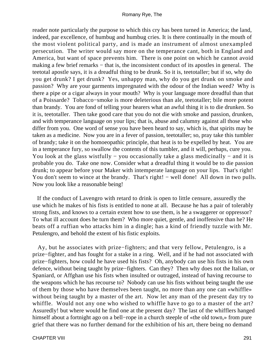reader note particularly the purpose to which this cry has been turned in America; the land, indeed, par excellence, of humbug and humbug cries. It is there continually in the mouth of the most violent political party, and is made an instrument of almost unexampled persecution. The writer would say more on the temperance cant, both in England and America, but want of space prevents him. There is one point on which he cannot avoid making a few brief remarks – that is, the inconsistent conduct of its apostles in general. The teetotal apostle says, it is a dreadful thing to be drunk. So it is, teetotaller; but if so, why do you get drunk? I get drunk? Yes, unhappy man, why do you get drunk on smoke and passion? Why are your garments impregnated with the odour of the Indian weed? Why is there a pipe or a cigar always in your mouth? Why is your language more dreadful than that of a Poissarde? Tobacco−smoke is more deleterious than ale, teetotaller; bile more potent than brandy. You are fond of telling your hearers what an awful thing it is to die drunken. So it is, teetotaller. Then take good care that you do not die with smoke and passion, drunken, and with temperance language on your lips; that is, abuse and calumny against all those who differ from you. One word of sense you have been heard to say, which is, that spirits may be taken as a medicine. Now you are in a fever of passion, teetotaller; so, pray take this tumbler of brandy; take it on the homoeopathic principle, that heat is to be expelled by heat. You are in a temperance fury, so swallow the contents of this tumbler, and it will, perhaps, cure you. You look at the glass wistfully − you occasionally take a glass medicinally − and it is probable you do. Take one now. Consider what a dreadful thing it would be to die passion drunk; to appear before your Maker with intemperate language on your lips. That's right! You don't seem to wince at the brandy. That's right! – well done! All down in two pulls. Now you look like a reasonable being!

 If the conduct of Lavengro with retard to drink is open to little censure, assuredly the use which he makes of his fists is entitled to none at all. Because he has a pair of tolerably strong fists, and knows to a certain extent how to use them, is he a swaggerer or oppressor? To what ill account does he turn them? Who more quiet, gentle, and inoffensive than he? He beats off a ruffian who attacks him in a dingle; has a kind of friendly tuzzle with Mr. Petulengro, and behold the extent of his fistic exploits.

 Ay, but he associates with prize−fighters; and that very fellow, Petulengro, is a prize−fighter, and has fought for a stake in a ring. Well, and if he had not associated with prize−fighters, how could he have used his fists? Oh, anybody can use his fists in his own defence, without being taught by prize−fighters. Can they? Then why does not the Italian, or Spaniard, or Affghan use his fists when insulted or outraged, instead of having recourse to the weapons which he has recourse to? Nobody can use his fists without being taught the use of them by those who have themselves been taught, no more than any one can «whiffle» without being taught by a master of the art. Now let any man of the present day try to whiffle. Would not any one who wished to whiffle have to go to a master of the art? Assuredly! but where would he find one at the present day? The last of the whifflers hanged himself about a fortnight ago on a bell−rope in a church steeple of «the old town,» from pure grief that there was no further demand for the exhibition of his art, there being no demand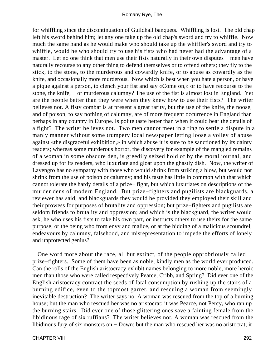for whiffling since the discontinuation of Guildhall banquets. Whiffling is lost. The old chap left his sword behind him; let any one take up the old chap's sword and try to whiffle. Now much the same hand as he would make who should take up the whiffler's sword and try to whiffle, would he who should try to use his fists who had never had the advantage of a master. Let no one think that men use their fists naturally in their own disputes – men have naturally recourse to any other thing to defend themselves or to offend others; they fly to the stick, to the stone, to the murderous and cowardly knife, or to abuse as cowardly as the knife, and occasionally more murderous. Now which is best when you hate a person, or have a pique against a person, to clench your fist and say «Come on,» or to have recourse to the stone, the knife, − or murderous calumny? The use of the fist is almost lost in England. Yet are the people better than they were when they knew how to use their fists? The writer believes not. A fisty combat is at present a great rarity, but the use of the knife, the noose, and of poison, to say nothing of calumny, are of more frequent occurrence in England than perhaps in any country in Europe. Is polite taste better than when it could bear the details of a fight? The writer believes not. Two men cannot meet in a ring to settle a dispute in a manly manner without some trumpery local newspaper letting loose a volley of abuse against «the disgraceful exhibition,» in which abuse it is sure to be sanctioned by its dainty readers; whereas some murderous horror, the discovery for example of the mangled remains of a woman in some obscure den, is greedily seized hold of by the moral journal, and dressed up for its readers, who luxuriate and gloat upon the ghastly dish. Now, the writer of Lavengro has no sympathy with those who would shrink from striking a blow, but would not shrink from the use of poison or calumny; and his taste has little in common with that which cannot tolerate the hardy details of a prize− fight, but which luxuriates on descriptions of the murder dens of modern England. But prize−fighters and pugilists are blackguards, a reviewer has said; and blackguards they would be provided they employed their skill and their prowess for purposes of brutality and oppression; but prize−fighters and pugilists are seldom friends to brutality and oppression; and which is the blackguard, the writer would ask, he who uses his fists to take his own part, or instructs others to use theirs for the same purpose, or the being who from envy and malice, or at the bidding of a malicious scoundrel, endeavours by calumny, falsehood, and misrepresentation to impede the efforts of lonely and unprotected genius?

 One word more about the race, all but extinct, of the people opprobriously called prize−fighters. Some of them have been as noble, kindly men as the world ever produced. Can the rolls of the English aristocracy exhibit names belonging to more noble, more heroic men than those who were called respectively Pearce, Cribb, and Spring? Did ever one of the English aristocracy contract the seeds of fatal consumption by rushing up the stairs of a burning edifice, even to the topmost garret, and rescuing a woman from seemingly inevitable destruction? The writer says no. A woman was rescued from the top of a burning house; but the man who rescued her was no aristocrat; it was Pearce, not Percy, who ran up the burning stairs. Did ever one of those glittering ones save a fainting female from the libidinous rage of six ruffians? The writer believes not. A woman was rescued from the libidinous fury of six monsters on − Down; but the man who rescued her was no aristocrat; it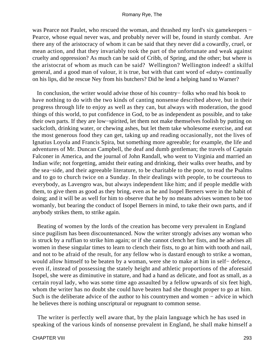was Pearce not Paulet, who rescued the woman, and thrashed my lord's six gamekeepers − Pearce, whose equal never was, and probably never will be, found in sturdy combat. Are there any of the aristocracy of whom it can be said that they never did a cowardly, cruel, or mean action, and that they invariably took the part of the unfortunate and weak against cruelty and oppression? As much can be said of Cribb, of Spring, and the other; but where is the aristocrat of whom as much can be said? Wellington? Wellington indeed! a skilful general, and a good man of valour, it is true, but with that cant word of «duty» continually on his lips, did he rescue Ney from his butchers? Did he lend a helping hand to Warner?

 In conclusion, the writer would advise those of his country− folks who read his book to have nothing to do with the two kinds of canting nonsense described above, but in their progress through life to enjoy as well as they can, but always with moderation, the good things of this world, to put confidence in God, to be as independent as possible, and to take their own parts. If they are low−spirited, let them not make themselves foolish by putting on sackcloth, drinking water, or chewing ashes, but let them take wholesome exercise, and eat the most generous food they can get, taking up and reading occasionally, not the lives of Ignatius Loyola and Francis Spira, but something more agreeable; for example, the life and adventures of Mr. Duncan Campbell, the deaf and dumb gentleman; the travels of Captain Falconer in America, and the journal of John Randall, who went to Virginia and married an Indian wife; not forgetting, amidst their eating and drinking, their walks over heaths, and by the sea−side, and their agreeable literature, to be charitable to the poor, to read the Psalms and to go to church twice on a Sunday. In their dealings with people, to be courteous to everybody, as Lavengro was, but always independent like him; and if people meddle with them, to give them as good as they bring, even as he and Isopel Berners were in the habit of doing; and it will be as well for him to observe that he by no means advises women to be too womanly, but bearing the conduct of Isopel Berners in mind, to take their own parts, and if anybody strikes them, to strike again.

 Beating of women by the lords of the creation has become very prevalent in England since pugilism has been discountenanced. Now the writer strongly advises any woman who is struck by a ruffian to strike him again; or if she cannot clench her fists, and he advises all women in these singular times to learn to clench their fists, to go at him with tooth and nail, and not to be afraid of the result, for any fellow who is dastard enough to strike a woman, would allow himself to be beaten by a woman, were she to make at him in self− defence, even if, instead of possessing the stately height and athletic proportions of the aforesaid Isopel, she were as diminutive in stature, and had a hand as delicate, and foot as small, as a certain royal lady, who was some time ago assaulted by a fellow upwards of six feet high, whom the writer has no doubt she could have beaten had she thought proper to go at him. Such is the deliberate advice of the author to his countrymen and women − advice in which he believes there is nothing unscriptural or repugnant to common sense.

 The writer is perfectly well aware that, by the plain language which he has used in speaking of the various kinds of nonsense prevalent in England, he shall make himself a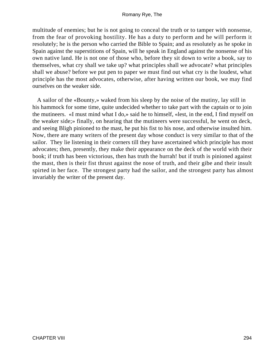multitude of enemies; but he is not going to conceal the truth or to tamper with nonsense, from the fear of provoking hostility. He has a duty to perform and he will perform it resolutely; he is the person who carried the Bible to Spain; and as resolutely as he spoke in Spain against the superstitions of Spain, will he speak in England against the nonsense of his own native land. He is not one of those who, before they sit down to write a book, say to themselves, what cry shall we take up? what principles shall we advocate? what principles shall we abuse? before we put pen to paper we must find out what cry is the loudest, what principle has the most advocates, otherwise, after having written our book, we may find ourselves on the weaker side.

 A sailor of the «Bounty,» waked from his sleep by the noise of the mutiny, lay still in his hammock for some time, quite undecided whether to take part with the captain or to join the mutineers. «I must mind what I do,» said he to himself, «lest, in the end, I find myself on the weaker side;» finally, on hearing that the mutineers were successful, he went on deck, and seeing Bligh pinioned to the mast, he put his fist to his nose, and otherwise insulted him. Now, there are many writers of the present day whose conduct is very similar to that of the sailor. They lie listening in their corners till they have ascertained which principle has most advocates; then, presently, they make their appearance on the deck of the world with their book; if truth has been victorious, then has truth the hurrah! but if truth is pinioned against the mast, then is their fist thrust against the nose of truth, and their gibe and their insult spirted in her face. The strongest party had the sailor, and the strongest party has almost invariably the writer of the present day.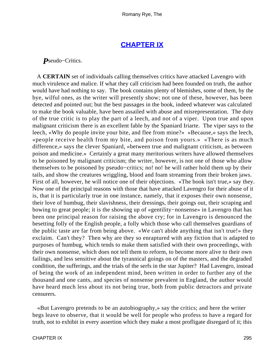# **[CHAPTER IX](#page-317-0)**

<span id="page-295-0"></span>*P*seudo−Critics.

 A **CERTAIN** set of individuals calling themselves critics have attacked Lavengro with much virulence and malice. If what they call criticism had been founded on truth, the author would have had nothing to say. The book contains plenty of blemishes, some of them, by the bye, wilful ones, as the writer will presently show; not one of these, however, has been detected and pointed out; but the best passages in the book, indeed whatever was calculated to make the book valuable, have been assailed with abuse and misrepresentation. The duty of the true critic is to play the part of a leech, and not of a viper. Upon true and upon malignant criticism there is an excellent fable by the Spaniard Iriarte. The viper says to the leech, «Why do people invite your bite, and flee from mine?» «Because,» says the leech, «people receive health from my bite, and poison from yours.» «There is as much difference,» says the clever Spaniard, «between true and malignant criticism, as between poison and medicine.» Certainly a great many meritorious writers have allowed themselves to be poisoned by malignant criticism; the writer, however, is not one of those who allow themselves to be poisoned by pseudo−critics; no! no! he will rather hold them up by their tails, and show the creatures wriggling, blood and foam streaming from their broken jaws. First of all, however, he will notice one of their objections. «The book isn't true,» say they. Now one of the principal reasons with those that have attacked Lavengro for their abuse of it is, that it is particularly true in one instance, namely, that it exposes their own nonsense, their love of humbug, their slavishness, their dressings, their goings out, their scraping and bowing to great people; it is the showing up of «gentility−nonsense» in Lavengro that has been one principal reason for raising the above cry; for in Lavengro is denounced the besetting folly of the English people, a folly which those who call themselves guardians of the public taste are far from being above. «We can't abide anything that isn't true!» they exclaim. Can't they? Then why are they so enraptured with any fiction that is adapted to purposes of humbug, which tends to make them satisfied with their own proceedings, with their own nonsense, which does not tell them to reform, to become more alive to their own failings, and less sensitive about the tyrannical goings on of the masters, and the degraded condition, the sufferings, and the trials of the serfs in the star Jupiter? Had Lavengro, instead of being the work of an independent mind, been written in order to further any of the thousand and one cants, and species of nonsense prevalent in England, the author would have heard much less about its not being true, both from public detractors and private censurers.

 «But Lavengro pretends to be an autobiography,» say the critics; and here the writer begs leave to observe, that it would be well for people who profess to have a regard for truth, not to exhibit in every assertion which they make a most profligate disregard of it; this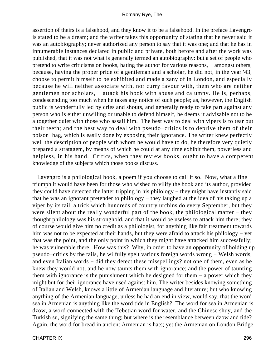assertion of theirs is a falsehood, and they know it to be a falsehood. In the preface Lavengro is stated to be a dream; and the writer takes this opportunity of stating that he never said it was an autobiography; never authorized any person to say that it was one; and that he has in innumerable instances declared in public and private, both before and after the work was published, that it was not what is generally termed an autobiography: but a set of people who pretend to write criticisms on books, hating the author for various reasons, − amongst others, because, having the proper pride of a gentleman and a scholar, he did not, in the year '43, choose to permit himself to be exhibited and made a zany of in London, and especially because he will neither associate with, nor curry favour with, them who are neither gentlemen nor scholars, – attack his book with abuse and calumny. He is, perhaps, condescending too much when he takes any notice of such people; as, however, the English public is wonderfully led by cries and shouts, and generally ready to take part against any person who is either unwilling or unable to defend himself, he deems it advisable not to be altogether quiet with those who assail him. The best way to deal with vipers is to tear out their teeth; and the best way to deal with pseudo−critics is to deprive them of their poison−bag, which is easily done by exposing their ignorance. The writer knew perfectly well the description of people with whom he would have to do, he therefore very quietly prepared a stratagem, by means of which he could at any time exhibit them, powerless and helpless, in his hand. Critics, when they review books, ought to have a competent knowledge of the subjects which those books discuss.

 Lavengro is a philological book, a poem if you choose to call it so. Now, what a fine triumph it would have been for those who wished to vilify the book and its author, provided they could have detected the latter tripping in his philology − they might have instantly said that he was an ignorant pretender to philology − they laughed at the idea of his taking up a viper by its tail, a trick which hundreds of country urchins do every September, but they were silent about the really wonderful part of the book, the philological matter – they thought philology was his stronghold, and that it would be useless to attack him there; they of course would give him no credit as a philologist, for anything like fair treatment towards him was not to be expected at their hands, but they were afraid to attack his philology − yet that was the point, and the only point in which they might have attacked him successfully; he was vulnerable there. How was this? Why, in order to have an opportunity of holding up pseudo−critics by the tails, he wilfully spelt various foreign words wrong − Welsh words, and even Italian words − did they detect these misspellings? not one of them, even as he knew they would not, and he now taunts them with ignorance; and the power of taunting them with ignorance is the punishment which he designed for them − a power which they might but for their ignorance have used against him. The writer besides knowing something of Italian and Welsh, knows a little of Armenian language and literature; but who knowing anything of the Armenian language, unless he had an end in view, would say, that the word sea in Armenian is anything like the word tide in English? The word for sea in Armenian is dzow, a word connected with the Tebetian word for water, and the Chinese shuy, and the Turkish su, signifying the same thing; but where is the resemblance between dzow and tide? Again, the word for bread in ancient Armenian is hats; yet the Armenian on London Bridge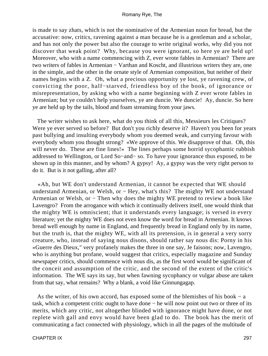is made to say zhats, which is not the nominative of the Armenian noun for bread, but the accusative: now, critics, ravening against a man because he is a gentleman and a scholar, and has not only the power but also the courage to write original works, why did you not discover that weak point? Why, because you were ignorant, so here ye are held up! Moreover, who with a name commencing with Z, ever wrote fables in Armenian? There are two writers of fables in Armenian − Varthan and Koscht, and illustrious writers they are, one in the simple, and the other in the ornate style of Armenian composition, but neither of their names begins with a Z. Oh, what a precious opportunity ye lost, ye ravening crew, of convicting the poor, half−starved, friendless boy of the book, of ignorance or misrepresentation, by asking who with a name beginning with Z ever wrote fables in Armenian; but ye couldn't help yourselves, ye are duncie. We duncie! Ay, duncie. So here ye are held up by the tails, blood and foam streaming from your jaws.

 The writer wishes to ask here, what do you think of all this, Messieurs les Critiques? Were ye ever served so before? But don't you richly deserve it? Haven't you been for years past bullying and insulting everybody whom you deemed weak, and currying favour with everybody whom you thought strong? «We approve of this. We disapprove of that. Oh, this will never do. These are fine lines!» The lines perhaps some horrid sycophantic rubbish addressed to Wellington, or Lord So−and− so. To have your ignorance thus exposed, to be shown up in this manner, and by whom? A gypsy! Ay, a gypsy was the very right person to do it. But is it not galling, after all?

 «Ah, but WE don't understand Armenian, it cannot be expected that WE should understand Armenian, or Welsh, or − Hey, what's this? The mighty WE not understand Armenian or Welsh, or − Then why does the mighty WE pretend to review a book like Lavengro? From the arrogance with which it continually delivers itself, one would think that the mighty WE is omniscient; that it understands every language; is versed in every literature; yet the mighty WE does not even know the word for bread in Armenian. It knows bread well enough by name in England, and frequently bread in England only by its name, but the truth is, that the mighty WE, with all its pretension, is in general a very sorry creature, who, instead of saying nous disons, should rather say nous dis: Porny in his »Guerre des Dieux," very profanely makes the three in one say, Je faisons; now, Lavengro, who is anything but profane, would suggest that critics, especially magazine and Sunday newspaper critics, should commence with nous dis, as the first word would be significant of the conceit and assumption of the critic, and the second of the extent of the critic's information. The WE says its say, but when fawning sycophancy or vulgar abuse are taken from that say, what remains? Why a blank, a void like Ginnungagap.

 As the writer, of his own accord, has exposed some of the blemishes of his book − a task, which a competent critic ought to have done − he will now point out two or three of its merits, which any critic, not altogether blinded with ignorance might have done, or not replete with gall and envy would have been glad to do. The book has the merit of communicating a fact connected with physiology, which in all the pages of the multitude of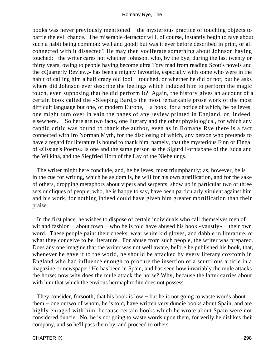books was never previously mentioned − the mysterious practice of touching objects to baffle the evil chance. The miserable detractor will, of course, instantly begin to rave about such a habit being common: well and good; but was it ever before described in print, or all connected with it dissected? He may then vociferate something about Johnson having touched:− the writer cares not whether Johnson, who, by the bye, during the last twenty or thirty years, owing to people having become ultra Tory mad from reading Scott's novels and the «Quarterly Review,» has been a mighty favourite, especially with some who were in the habit of calling him a half crazy old fool – touched, or whether he did or not; but he asks where did Johnson ever describe the feelings which induced him to perform the magic touch, even supposing that he did perform it? Again, the history gives an account of a certain book called the «Sleeping Bard,» the most remarkable prose work of the most difficult language but one, of modern Europe, – a book, for a notice of which, he believes, one might turn over in vain the pages of any review printed in England, or, indeed, elsewhere. − So here are two facts, one literary and the other physiological, for which any candid critic was bound to thank the author, even as in Romany Rye there is a fact connected with Iro Norman Myth, for the disclosing of which, any person who pretends to have a regard for literature is bound to thank him, namely, that the mysterious Finn or Fingal of «Ossian's Poems» is one and the same person as the Sigurd Fofnisbane of the Edda and the Wilkina, and the Siegfried Horn of the Lay of the Niebelungs.

 The writer might here conclude, and, he believes, most triumphantly; as, however, he is in the cue for writing, which he seldom is, he will for his own gratification, and for the sake of others, dropping metaphors about vipers and serpents, show up in particular two or three sets or cliques of people, who, he is happy to say, have been particularly virulent against him and his work, for nothing indeed could have given him greater mortification than their praise.

 In the first place, he wishes to dispose of certain individuals who call themselves men of wit and fashion – about town – who he is told have abused his book «vaustly» – their own word. These people paint their cheeks, wear white kid gloves, and dabble in literature, or what they conceive to be literature. For abuse from such people, the writer was prepared. Does any one imagine that the writer was not well aware, before he published his book, that, whenever he gave it to the world, he should be attacked by every literary coxcomb in England who had influence enough to procure the insertion of a scurrilous article in a magazine or newspaper! He has been in Spain, and has seen how invariably the mule attacks the horse; now why does the mule attack the horse? Why, because the latter carries about with him that which the envious hermaphrodite does not possess.

 They consider, forsooth, that his book is low − but he is not going to waste words about them − one or two of whom, he is told, have written very duncie books about Spain, and are highly enraged with him, because certain books which he wrote about Spain were not considered duncie. No, he is not going to waste words upon them, for verily he dislikes their company, and so he'll pass them by, and proceed to others.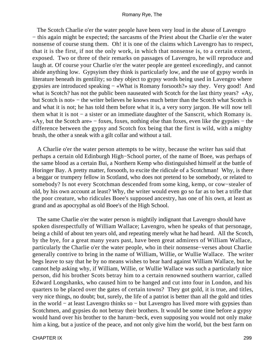The Scotch Charlie o'er the water people have been very loud in the abuse of Lavengro − this again might be expected; the sarcasms of the Priest about the Charlie o'er the water nonsense of course stung them. Oh! it is one of the claims which Lavengro has to respect, that it is the first, if not the only work, in which that nonsense is, to a certain extent, exposed. Two or three of their remarks on passages of Lavengro, he will reproduce and laugh at. Of course your Charlie o'er the water people are genteel exceedingly, and cannot abide anything low. Gypsyism they think is particularly low, and the use of gypsy words in literature beneath its gentility; so they object to gypsy words being used in Lavengro where gypsies are introduced speaking − «What is Romany forsooth?» say they. Very good! And what is Scotch? has not the public been nauseated with Scotch for the last thirty years? «Ay, but Scotch is not» − the writer believes he knows much better than the Scotch what Scotch is and what it is not; he has told them before what it is, a very sorry jargon. He will now tell them what it is not − a sister or an immediate daughter of the Sanscrit, which Romany is. «Ay, but the Scotch are» − foxes, foxes, nothing else than foxes, even like the gypsies − the difference between the gypsy and Scotch fox being that the first is wild, with a mighty brush, the other a sneak with a gilt collar and without a tail.

 A Charlie o'er the water person attempts to be witty, because the writer has said that perhaps a certain old Edinburgh High−School porter, of the name of Boee, was perhaps of the same blood as a certain Bui, a Northern Kemp who distinguished himself at the battle of Horinger Bay. A pretty matter, forsooth, to excite the ridicule of a Scotchman! Why, is there a beggar or trumpery fellow in Scotland, who does not pretend to be somebody, or related to somebody? Is not every Scotchman descended from some king, kemp, or cow−stealer of old, by his own account at least? Why, the writer would even go so far as to bet a trifle that the poor creature, who ridicules Boee's supposed ancestry, has one of his own, at least as grand and as apocryphal as old Boee's of the High School.

 The same Charlie o'er the water person is mightily indignant that Lavengro should have spoken disrespectfully of William Wallace; Lavengro, when he speaks of that personage, being a child of about ten years old, and repeating merely what he had heard. All the Scotch, by the bye, for a great many years past, have been great admirers of William Wallace, particularly the Charlie o'er the water people, who in their nonsense−verses about Charlie generally contrive to bring in the name of William, Willie, or Wullie Wallace. The writer begs leave to say that he by no means wishes to bear hard against William Wallace, but he cannot help asking why, if William, Willie, or Wullie Wallace was such a particularly nice person, did his brother Scots betray him to a certain renowned southern warrior, called Edward Longshanks, who caused him to be hanged and cut into four in London, and his quarters to be placed over the gates of certain towns? They got gold, it is true, and titles, very nice things, no doubt; but, surely, the life of a patriot is better than all the gold and titles in the world − at least Lavengro thinks so − but Lavengro has lived more with gypsies than Scotchmen, and gypsies do not betray their brothers. It would be some time before a gypsy would hand over his brother to the harum−beck, even supposing you would not only make him a king, but a justice of the peace, and not only give him the world, but the best farm on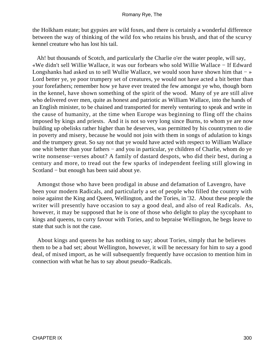the Holkham estate; but gypsies are wild foxes, and there is certainly a wonderful difference between the way of thinking of the wild fox who retains his brush, and that of the scurvy kennel creature who has lost his tail.

 Ah! but thousands of Scotch, and particularly the Charlie o'er the water people, will say, «We didn't sell Willie Wallace, it was our forbears who sold Willie Wallace − If Edward Longshanks had asked us to sell Wullie Wallace, we would soon have shown him that − » Lord better ye, ye poor trumpery set of creatures, ye would not have acted a bit better than your forefathers; remember how ye have ever treated the few amongst ye who, though born in the kennel, have shown something of the spirit of the wood. Many of ye are still alive who delivered over men, quite as honest and patriotic as William Wallace, into the hands of an English minister, to be chained and transported for merely venturing to speak and write in the cause of humanity, at the time when Europe was beginning to fling off the chains imposed by kings and priests. And it is not so very long since Burns, to whom ye are now building up obelisks rather higher than he deserves, was permitted by his countrymen to die in poverty and misery, because he would not join with them in songs of adulation to kings and the trumpery great. So say not that ye would have acted with respect to William Wallace one whit better than your fathers − and you in particular, ye children of Charlie, whom do ye write nonsense−verses about? A family of dastard despots, who did their best, during a century and more, to tread out the few sparks of independent feeling still glowing in Scotland − but enough has been said about ye.

 Amongst those who have been prodigal in abuse and defamation of Lavengro, have been your modern Radicals, and particularly a set of people who filled the country with noise against the King and Queen, Wellington, and the Tories, in '32. About these people the writer will presently have occasion to say a good deal, and also of real Radicals. As, however, it may be supposed that he is one of those who delight to play the sycophant to kings and queens, to curry favour with Tories, and to bepraise Wellington, he begs leave to state that such is not the case.

 About kings and queens he has nothing to say; about Tories, simply that he believes them to be a bad set; about Wellington, however, it will be necessary for him to say a good deal, of mixed import, as he will subsequently frequently have occasion to mention him in connection with what he has to say about pseudo−Radicals.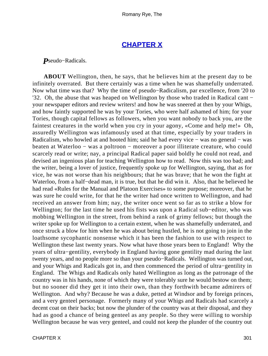# **[CHAPTER X](#page-317-0)**

<span id="page-301-0"></span>*P*seudo−Radicals.

**ABOUT** Wellington, then, he says, that he believes him at the present day to be infinitely overrated. But there certainly was a time when he was shamefully underrated. Now what time was that? Why the time of pseudo−Radicalism, par excellence, from '20 to '32. Oh, the abuse that was heaped on Wellington by those who traded in Radical cant − your newspaper editors and review writers! and how he was sneered at then by your Whigs, and how faintly supported he was by your Tories, who were half ashamed of him; for your Tories, though capital fellows as followers, when you want nobody to back you, are the faintest creatures in the world when you cry in your agony, «Come and help me!» Oh, assuredly Wellington was infamously used at that time, especially by your traders in Radicalism, who howled at and hooted him; said he had every vice – was no general – was beaten at Waterloo − was a poltroon − moreover a poor illiterate creature, who could scarcely read or write; nay, a principal Radical paper said boldly he could not read, and devised an ingenious plan for teaching Wellington how to read. Now this was too bad; and the writer, being a lover of justice, frequently spoke up for Wellington, saying, that as for vice, he was not worse than his neighbours; that he was brave; that he won the fight at Waterloo, from a half−dead man, it is true, but that he did win it. Also, that he believed he had read «Rules for the Manual and Platoon Exercises» to some purpose; moreover, that he was sure he could write, for that he the writer had once written to Wellington, and had received an answer from him; nay, the writer once went so far as to strike a blow for Wellington; for the last time he used his fists was upon a Radical sub−editor, who was mobbing Wellington in the street, from behind a rank of grimy fellows; but though the writer spoke up for Wellington to a certain extent, when he was shamefully underrated, and once struck a blow for him when he was about being hustled, he is not going to join in the loathsome sycophantic nonsense which it has been the fashion to use with respect to Wellington these last twenty years. Now what have those years been to England! Why the years of ultra−gentility, everybody in England having gone gentility mad during the last twenty years, and no people more so than your pseudo−Radicals. Wellington was turned out, and your Whigs and Radicals got in, and then commenced the period of ultra−gentility in England. The Whigs and Radicals only hated Wellington as long as the patronage of the country was in his hands, none of which they were tolerably sure he would bestow on them; but no sooner did they get it into their own, than they forthwith became admirers of Wellington. And why? Because he was a duke, petted at Windsor and by foreign princes, and a very genteel personage. Formerly many of your Whigs and Radicals had scarcely a decent coat on their backs; but now the plunder of the country was at their disposal, and they had as good a chance of being genteel as any people. So they were willing to worship Wellington because he was very genteel, and could not keep the plunder of the country out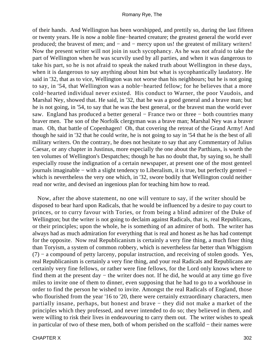of their hands. And Wellington has been worshipped, and prettily so, during the last fifteen or twenty years. He is now a noble fine−hearted creature; the greatest general the world ever produced; the bravest of men; and − and − mercy upon us! the greatest of military writers! Now the present writer will not join in such sycophancy. As he was not afraid to take the part of Wellington when he was scurvily used by all parties, and when it was dangerous to take his part, so he is not afraid to speak the naked truth about Wellington in these days, when it is dangerous to say anything about him but what is sycophantically laudatory. He said in '32, that as to vice, Wellington was not worse than his neighbours; but he is not going to say, in '54, that Wellington was a noble−hearted fellow; for he believes that a more cold−hearted individual never existed. His conduct to Warner, the poor Vaudois, and Marshal Ney, showed that. He said, in '32, that he was a good general and a brave man; but he is not going, in '54, to say that he was the best general, or the bravest man the world ever saw. England has produced a better general – France two or three – both countries many braver men. The son of the Norfolk clergyman was a brave man; Marshal Ney was a braver man. Oh, that battle of Copenhagen! Oh, that covering the retreat of the Grand Army! And though he said in '32 that he could write, he is not going to say in '54 that he is the best of all military writers. On the contrary, he does not hesitate to say that any Commentary of Julius Caesar, or any chapter in Justinus, more especially the one about the Parthians, is worth the ten volumes of Wellington's Despatches; though he has no doubt that, by saying so, he shall especially rouse the indignation of a certain newspaper, at present one of the most genteel journals imaginable − with a slight tendency to Liberalism, it is true, but perfectly genteel − which is nevertheless the very one which, in '32, swore bodily that Wellington could neither read nor write, and devised an ingenious plan for teaching him how to read.

 Now, after the above statement, no one will venture to say, if the writer should be disposed to bear hard upon Radicals, that he would be influenced by a desire to pay court to princes, or to curry favour with Tories, or from being a blind admirer of the Duke of Wellington; but the writer is not going to declaim against Radicals, that is, real Republicans, or their principles; upon the whole, he is something of an admirer of both. The writer has always had as much admiration for everything that is real and honest as he has had contempt for the opposite. Now real Republicanism is certainly a very fine thing, a much finer thing than Toryism, a system of common robbery, which is nevertheless far better than Whiggism (7) − a compound of petty larceny, popular instruction, and receiving of stolen goods. Yes, real Republicanism is certainly a very fine thing, and your real Radicals and Republicans are certainly very fine fellows, or rather were fine fellows, for the Lord only knows where to find them at the present day − the writer does not. If he did, he would at any time go five miles to invite one of them to dinner, even supposing that he had to go to a workhouse in order to find the person he wished to invite. Amongst the real Radicals of England, those who flourished from the year '16 to '20, there were certainly extraordinary characters, men partially insane, perhaps, but honest and brave − they did not make a market of the principles which they professed, and never intended to do so; they believed in them, and were willing to risk their lives in endeavouring to carry them out. The writer wishes to speak in particular of two of these men, both of whom perished on the scaffold − their names were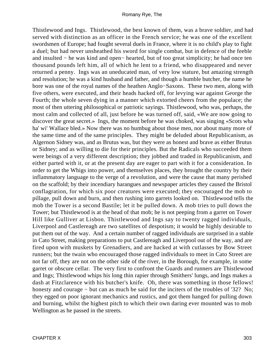Thistlewood and Ings. Thistlewood, the best known of them, was a brave soldier, and had served with distinction as an officer in the French service; he was one of the excellent swordsmen of Europe; had fought several duels in France, where it is no child's play to fight a duel; but had never unsheathed his sword for single combat, but in defence of the feeble and insulted − he was kind and open− hearted, but of too great simplicity; he had once ten thousand pounds left him, all of which he lent to a friend, who disappeared and never returned a penny. Ings was an uneducated man, of very low stature, but amazing strength and resolution; he was a kind husband and father, and though a humble butcher, the name he bore was one of the royal names of the heathen Anglo−Saxons. These two men, along with five others, were executed, and their heads hacked off, for levying war against George the Fourth; the whole seven dying in a manner which extorted cheers from the populace; the most of then uttering philosophical or patriotic sayings. Thistlewood, who was, perhaps, the most calm and collected of all, just before he was turned off, said, «We are now going to discover the great secret.» Ings, the moment before he was choked, was singing «Scots wha ha' wi' Wallace bled.» Now there was no humbug about those men, nor about many more of the same time and of the same principles. They might be deluded about Republicanism, as Algernon Sidney was, and as Brutus was, but they were as honest and brave as either Brutus or Sidney; and as willing to die for their principles. But the Radicals who succeeded them were beings of a very different description; they jobbed and traded in Republicanism, and either parted with it, or at the present day are eager to part with it for a consideration. In order to get the Whigs into power, and themselves places, they brought the country by their inflammatory language to the verge of a revolution, and were the cause that many perished on the scaffold; by their incendiary harangues and newspaper articles they caused the Bristol conflagration, for which six poor creatures were executed; they encouraged the mob to pillage, pull down and burn, and then rushing into garrets looked on. Thistlewood tells the mob the Tower is a second Bastile; let it be pulled down. A mob tries to pull down the Tower; but Thistlewood is at the head of that mob; he is not peeping from a garret on Tower Hill like Gulliver at Lisbon. Thistlewood and Ings say to twenty ragged individuals, Liverpool and Castlereagh are two satellites of despotism; it would be highly desirable to put them out of the way. And a certain number of ragged individuals are surprised in a stable in Cato Street, making preparations to put Castlereagh and Liverpool out of the way, and are fired upon with muskets by Grenadiers, and are hacked at with cutlasses by Bow Street runners; but the twain who encouraged those ragged individuals to meet in Cato Street are not far off, they are not on the other side of the river, in the Borough, for example, in some garret or obscure cellar. The very first to confront the Guards and runners are Thistlewood and Ings; Thistlewood whips his long thin rapier through Smithers' lungs, and Ings makes a dash at Fitzclarence with his butcher's knife. Oh, there was something in those fellows! honesty and courage − but can as much be said for the inciters of the troubles of '32? No; they egged on poor ignorant mechanics and rustics, and got them hanged for pulling down and burning, whilst the highest pitch to which their own daring ever mounted was to mob Wellington as he passed in the streets.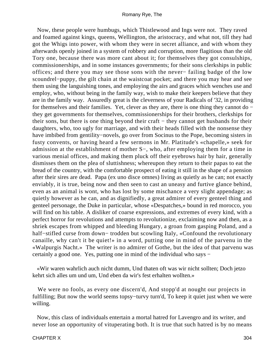Now, these people were humbugs, which Thistlewood and Ings were not. They raved and foamed against kings, queens, Wellington, the aristocracy, and what not, till they had got the Whigs into power, with whom they were in secret alliance, and with whom they afterwards openly joined in a system of robbery and corruption, more flagitious than the old Tory one, because there was more cant about it; for themselves they got consulships, commissionerships, and in some instances governments; for their sons clerkships in public offices; and there you may see those sons with the never− failing badge of the low scoundrel−puppy, the gilt chain at the waistcoat pocket; and there you may hear and see them using the languishing tones, and employing the airs and graces which wenches use and employ, who, without being in the family way, wish to make their keepers believe that they are in the family way. Assuredly great is the cleverness of your Radicals of '32, in providing for themselves and their families. Yet, clever as they are, there is one thing they cannot do − they get governments for themselves, commissionerships for their brothers, clerkships for their sons, but there is one thing beyond their craft − they cannot get husbands for their daughters, who, too ugly for marriage, and with their heads filled with the nonsense they have imbibed from gentility−novels, go over from Socinus to the Pope, becoming sisters in fusty convents, or having heard a few sermons in Mr. Platitude's «chapelle,» seek for admission at the establishment of mother S−, who, after employing them for a time in various menial offices, and making them pluck off their eyebrows hair by hair, generally dismisses them on the plea of sluttishness; whereupon they return to their papas to eat the bread of the country, with the comfortable prospect of eating it still in the shape of a pension after their sires are dead. Papa (ex uno disce omnes) living as quietly as he can; not exactly enviably, it is true, being now and then seen to cast an uneasy and furtive glance behind, even as an animal is wont, who has lost by some mischance a very slight appendage; as quietly however as he can, and as dignifiedly, a great admirer of every genteel thing and genteel personage, the Duke in particular, whose «Despatches,» bound in red morocco, you will find on his table. A disliker of coarse expressions, and extremes of every kind, with a perfect horror for revolutions and attempts to revolutionize, exclaiming now and then, as a shriek escapes from whipped and bleeding Hungary, a groan from gasping Poland, and a half−stifled curse from down− trodden but scowling Italy, «Confound the revolutionary canaille, why can't it be quiet!» in a word, putting one in mind of the parvenu in the «Walpurgis Nacht.» The writer is no admirer of Gothe, but the idea of that parvenu was certainly a good one. Yes, putting one in mind of the individual who says −

 «Wir waren wahrlich auch nicht dumm, Und thaten oft was wir nicht sollten; Doch jetzo kehrt sich alles um und um, Und eben da wir's fest erhalten wollten.»

 We were no fools, as every one discern'd, And stopp'd at nought our projects in fulfilling; But now the world seems topsy−turvy turn'd, To keep it quiet just when we were willing.

 Now, this class of individuals entertain a mortal hatred for Lavengro and its writer, and never lose an opportunity of vituperating both. It is true that such hatred is by no means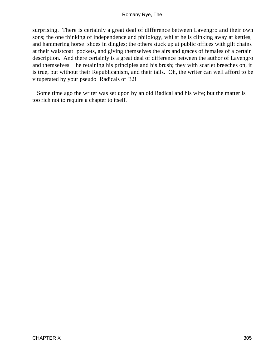surprising. There is certainly a great deal of difference between Lavengro and their own sons; the one thinking of independence and philology, whilst he is clinking away at kettles, and hammering horse−shoes in dingles; the others stuck up at public offices with gilt chains at their waistcoat−pockets, and giving themselves the airs and graces of females of a certain description. And there certainly is a great deal of difference between the author of Lavengro and themselves − he retaining his principles and his brush; they with scarlet breeches on, it is true, but without their Republicanism, and their tails. Oh, the writer can well afford to be vituperated by your pseudo−Radicals of '32!

 Some time ago the writer was set upon by an old Radical and his wife; but the matter is too rich not to require a chapter to itself.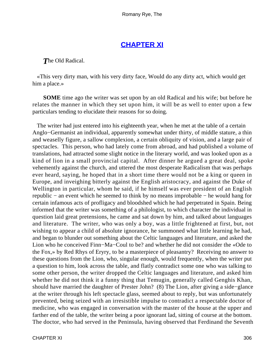# **[CHAPTER XI](#page-317-0)**

<span id="page-306-0"></span>*T*he Old Radical.

 «This very dirty man, with his very dirty face, Would do any dirty act, which would get him a place.»

**SOME** time ago the writer was set upon by an old Radical and his wife; but before he relates the manner in which they set upon him, it will be as well to enter upon a few particulars tending to elucidate their reasons for so doing.

 The writer had just entered into his eighteenth year, when he met at the table of a certain Anglo−Germanist an individual, apparently somewhat under thirty, of middle stature, a thin and weaselly figure, a sallow complexion, a certain obliquity of vision, and a large pair of spectacles. This person, who had lately come from abroad, and had published a volume of translations, had attracted some slight notice in the literary world, and was looked upon as a kind of lion in a small provincial capital. After dinner he argued a great deal, spoke vehemently against the church, and uttered the most desperate Radicalism that was perhaps ever heard, saying, he hoped that in a short time there would not be a king or queen in Europe, and inveighing bitterly against the English aristocracy, and against the Duke of Wellington in particular, whom he said, if he himself was ever president of an English republic − an event which he seemed to think by no means improbable − he would hang for certain infamous acts of profligacy and bloodshed which he had perpetrated in Spain. Being informed that the writer was something of a philologist, to which character the individual in question laid great pretensions, he came and sat down by him, and talked about languages and literature. The writer, who was only a boy, was a little frightened at first, but, not wishing to appear a child of absolute ignorance, he summoned what little learning he had, and began to blunder out something about the Celtic languages and literature, and asked the Lion who he conceived Finn−Ma−Coul to be? and whether he did not consider the «Ode to the Fox,» by Red Rhys of Eryry, to be a masterpiece of pleasantry? Receiving no answer to these questions from the Lion, who, singular enough, would frequently, when the writer put a question to him, look across the table, and flatly contradict some one who was talking to some other person, the writer dropped the Celtic languages and literature, and asked him whether he did not think it a funny thing that Temugin, generally called Genghis Khan, should have married the daughter of Prester John? (8) The Lion, after giving a side−glance at the writer through his left spectacle glass, seemed about to reply, but was unfortunately prevented, being seized with an irresistible impulse to contradict a respectable doctor of medicine, who was engaged in conversation with the master of the house at the upper and farther end of the table, the writer being a poor ignorant lad, sitting of course at the bottom. The doctor, who had served in the Peninsula, having observed that Ferdinand the Seventh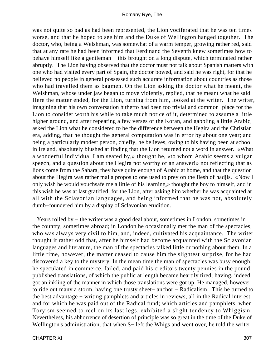was not quite so bad as had been represented, the Lion vociferated that he was ten times worse, and that he hoped to see him and the Duke of Wellington hanged together. The doctor, who, being a Welshman, was somewhat of a warm temper, growing rather red, said that at any rate he had been informed that Ferdinand the Seventh knew sometimes how to behave himself like a gentleman – this brought on a long dispute, which terminated rather abruptly. The Lion having observed that the doctor must not talk about Spanish matters with one who had visited every part of Spain, the doctor bowed, and said he was right, for that he believed no people in general possessed such accurate information about countries as those who had travelled them as bagmen. On the Lion asking the doctor what he meant, the Welshman, whose under jaw began to move violently, replied, that he meant what he said. Here the matter ended, for the Lion, turning from him, looked at the writer. The writer, imagining that his own conversation hitherto had been too trivial and common−place for the Lion to consider worth his while to take much notice of it, determined to assume a little higher ground, and after repeating a few verses of the Koran, and gabbling a little Arabic, asked the Lion what he considered to be the difference between the Hegira and the Christian era, adding, that he thought the general computation was in error by about one year; and being a particularly modest person, chiefly, he believes, owing to his having been at school in Ireland, absolutely blushed at finding that the Lion returned not a word in answer. «What a wonderful individual I am seated by,» thought he, «to whom Arabic seems a vulgar speech, and a question about the Hegira not worthy of an answer!» not reflecting that as lions come from the Sahara, they have quite enough of Arabic at home, and that the question about the Hegira was rather mal a propos to one used to prey on the flesh of hadjis. «Now I only wish he would vouchsafe me a little of his learning,» thought the boy to himself, and in this wish he was at last gratified; for the Lion, after asking him whether he was acquainted at all with the Sclavonian languages, and being informed that he was not, absolutely dumb−foundered him by a display of Sclavonian erudition.

 Years rolled by − the writer was a good deal about, sometimes in London, sometimes in the country, sometimes abroad; in London he occasionally met the man of the spectacles, who was always very civil to him, and, indeed, cultivated his acquaintance. The writer thought it rather odd that, after he himself had become acquainted with the Sclavonian languages and literature, the man of the spectacles talked little or nothing about them. In a little time, however, the matter ceased to cause him the slightest surprise, for he had discovered a key to the mystery. In the mean time the man of spectacles was busy enough; he speculated in commerce, failed, and paid his creditors twenty pennies in the pound; published translations, of which the public at length became heartily tired; having, indeed, got an inkling of the manner in which those translations were got up. He managed, however, to ride out many a storm, having one trusty sheet− anchor − Radicalism. This he turned to the best advantage − writing pamphlets and articles in reviews, all in the Radical interest, and for which he was paid out of the Radical fund; which articles and pamphlets, when Toryism seemed to reel on its last legs, exhibited a slight tendency to Whiggism. Nevertheless, his abhorrence of desertion of principle was so great in the time of the Duke of Wellington's administration, that when S− left the Whigs and went over, he told the writer,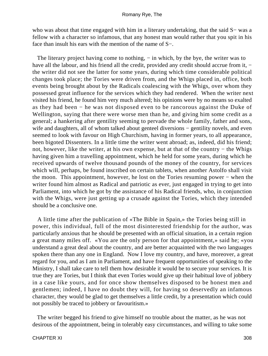who was about that time engaged with him in a literary undertaking, that the said S− was a fellow with a character so infamous, that any honest man would rather that you spit in his face than insult his ears with the mention of the name of S−.

The literary project having come to nothing, – in which, by the bye, the writer was to have all the labour, and his friend all the credit, provided any credit should accrue from it, − the writer did not see the latter for some years, during which time considerable political changes took place; the Tories were driven from, and the Whigs placed in, office, both events being brought about by the Radicals coalescing with the Whigs, over whom they possessed great influence for the services which they had rendered. When the writer next visited his friend, he found him very much altered; his opinions were by no means so exalted as they had been − he was not disposed even to be rancorous against the Duke of Wellington, saying that there were worse men than he, and giving him some credit as a general; a hankering after gentility seeming to pervade the whole family, father and sons, wife and daughters, all of whom talked about genteel diversions – gentility novels, and even seemed to look with favour on High Churchism, having in former years, to all appearance, been bigoted Dissenters. In a little time the writer went abroad; as, indeed, did his friend; not, however, like the writer, at his own expense, but at that of the country – the Whigs having given him a travelling appointment, which he held for some years, during which he received upwards of twelve thousand pounds of the money of the country, for services which will, perhaps, be found inscribed on certain tablets, when another Astolfo shall visit the moon. This appointment, however, he lost on the Tories resuming power − when the writer found him almost as Radical and patriotic as ever, just engaged in trying to get into Parliament, into which he got by the assistance of his Radical friends, who, in conjunction with the Whigs, were just getting up a crusade against the Tories, which they intended should be a conclusive one.

 A little time after the publication of «The Bible in Spain,» the Tories being still in power, this individual, full of the most disinterested friendship for the author, was particularly anxious that he should be presented with an official situation, in a certain region a great many miles off. «You are the only person for that appointment,» said he; «you understand a great deal about the country, and are better acquainted with the two languages spoken there than any one in England. Now I love my country, and have, moreover, a great regard for you, and as I am in Parliament, and have frequent opportunities of speaking to the Ministry, I shall take care to tell them how desirable it would be to secure your services. It is true they are Tories, but I think that even Tories would give up their habitual love of jobbery in a case like yours, and for once show themselves disposed to be honest men and gentlemen; indeed, I have no doubt they will, for having so deservedly an infamous character, they would be glad to get themselves a little credit, by a presentation which could not possibly be traced to jobbery or favouritism.»

 The writer begged his friend to give himself no trouble about the matter, as he was not desirous of the appointment, being in tolerably easy circumstances, and willing to take some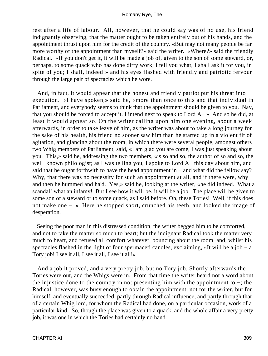rest after a life of labour. All, however, that he could say was of no use, his friend indignantly observing, that the matter ought to be taken entirely out of his hands, and the appointment thrust upon him for the credit of the country. «But may not many people be far more worthy of the appointment than myself?» said the writer. «Where?» said the friendly Radical. «If you don't get it, it will be made a job of, given to the son of some steward, or, perhaps, to some quack who has done dirty work; I tell you what, I shall ask it for you, in spite of you; I shall, indeed!» and his eyes flashed with friendly and patriotic fervour through the large pair of spectacles which he wore.

 And, in fact, it would appear that the honest and friendly patriot put his threat into execution. «I have spoken,» said he, «more than once to this and that individual in Parliament, and everybody seems to think that the appointment should be given to you. Nay, that you should be forced to accept it. I intend next to speak to Lord A− » And so he did, at least it would appear so. On the writer calling upon him one evening, about a week afterwards, in order to take leave of him, as the writer was about to take a long journey for the sake of his health, his friend no sooner saw him than he started up in a violent fit of agitation, and glancing about the room, in which there were several people, amongst others two Whig members of Parliament, said, «I am glad you are come, I was just speaking about you. This,» said he, addressing the two members, «is so and so, the author of so and so, the well−known philologist; as I was telling you, I spoke to Lord A− this day about him, and said that he ought forthwith to have the head appointment in – and what did the fellow say? Why, that there was no necessity for such an appointment at all, and if there were, why − and then he hummed and ha'd. Yes,» said he, looking at the writer, «he did indeed. What a scandal! what an infamy! But I see how it will be, it will be a job. The place will be given to some son of a steward or to some quack, as I said before. Oh, these Tories! Well, if this does not make one − » Here he stopped short, crunched his teeth, and looked the image of desperation.

 Seeing the poor man in this distressed condition, the writer begged him to be comforted, and not to take the matter so much to heart; but the indignant Radical took the matter very much to heart, and refused all comfort whatever, bouncing about the room, and, whilst his spectacles flashed in the light of four spermaceti candles, exclaiming, «It will be a job – a Tory job! I see it all, I see it all, I see it all!»

 And a job it proved, and a very pretty job, but no Tory job. Shortly afterwards the Tories were out, and the Whigs were in. From that time the writer heard not a word about the injustice done to the country in not presenting him with the appointment to −; the Radical, however, was busy enough to obtain the appointment, not for the writer, but for himself, and eventually succeeded, partly through Radical influence, and partly through that of a certain Whig lord, for whom the Radical had done, on a particular occasion, work of a particular kind. So, though the place was given to a quack, and the whole affair a very pretty job, it was one in which the Tories had certainly no hand.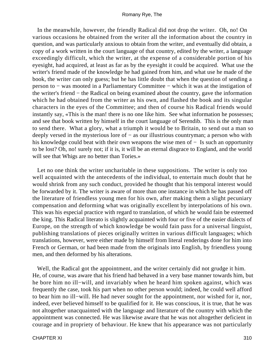In the meanwhile, however, the friendly Radical did not drop the writer. Oh, no! On various occasions he obtained from the writer all the information about the country in question, and was particularly anxious to obtain from the writer, and eventually did obtain, a copy of a work written in the court language of that country, edited by the writer, a language exceedingly difficult, which the writer, at the expense of a considerable portion of his eyesight, had acquired, at least as far as by the eyesight it could be acquired. What use the writer's friend made of the knowledge he had gained from him, and what use he made of the book, the writer can only guess; but he has little doubt that when the question of sending a person to − was mooted in a Parliamentary Committee − which it was at the instigation of the writer's friend − the Radical on being examined about the country, gave the information which he had obtained from the writer as his own, and flashed the book and its singular characters in the eyes of the Committee; and then of course his Radical friends would instantly say, «This is the man! there is no one like him. See what information he possesses; and see that book written by himself in the court language of Serendib. This is the only man to send there. What a glory, what a triumph it would be to Britain, to send out a man so deeply versed in the mysterious lore of − as our illustrious countryman; a person who with his knowledge could beat with their own weapons the wise men of − Is such an opportunity to be lost? Oh, no! surely not; if it is, it will be an eternal disgrace to England, and the world will see that Whigs are no better than Tories.»

 Let no one think the writer uncharitable in these suppositions. The writer is only too well acquainted with the antecedents of the individual, to entertain much doubt that he would shrink from any such conduct, provided he thought that his temporal interest would be forwarded by it. The writer is aware of more than one instance in which he has passed off the literature of friendless young men for his own, after making them a slight pecuniary compensation and deforming what was originally excellent by interpolations of his own. This was his especial practice with regard to translation, of which he would fain be esteemed the king. This Radical literato is slightly acquainted with four or five of the easier dialects of Europe, on the strength of which knowledge be would fain pass for a universal linguist, publishing translations of pieces originally written in various difficult languages; which translations, however, were either made by himself from literal renderings done for him into French or German, or had been made from the originals into English, by friendless young men, and then deformed by his alterations.

 Well, the Radical got the appointment, and the writer certainly did not grudge it him. He, of course, was aware that his friend had behaved in a very base manner towards him, but he bore him no ill−will, and invariably when he heard him spoken against, which was frequently the case, took his part when no other person would; indeed, he could well afford to bear him no ill−will. He had never sought for the appointment, nor wished for it, nor, indeed, ever believed himself to be qualified for it. He was conscious, it is true, that he was not altogether unacquainted with the language and literature of the country with which the appointment was connected. He was likewise aware that he was not altogether deficient in courage and in propriety of behaviour. He knew that his appearance was not particularly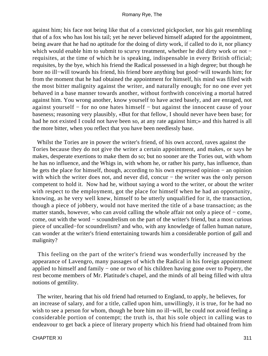against him; his face not being like that of a convicted pickpocket, nor his gait resembling that of a fox who has lost his tail; yet he never believed himself adapted for the appointment, being aware that he had no aptitude for the doing of dirty work, if called to do it, nor pliancy which would enable him to submit to scurvy treatment, whether he did dirty work or not − requisites, at the time of which he is speaking, indispensable in every British official; requisites, by the bye, which his friend the Radical possessed in a high degree; but though he bore no ill−will towards his friend, his friend bore anything but good−will towards him; for from the moment that he had obtained the appointment for himself, his mind was filled with the most bitter malignity against the writer, and naturally enough; for no one ever yet behaved in a base manner towards another, without forthwith conceiving a mortal hatred against him. You wrong another, know yourself to have acted basely, and are enraged, not against yourself − for no one hates himself − but against the innocent cause of your baseness; reasoning very plausibly, «But for that fellow, I should never have been base; for had he not existed I could not have been so, at any rate against him;» and this hatred is all the more bitter, when you reflect that you have been needlessly base.

 Whilst the Tories are in power the writer's friend, of his own accord, raves against the Tories because they do not give the writer a certain appointment, and makes, or says he makes, desperate exertions to make them do so; but no sooner are the Tories out, with whom he has no influence, and the Whigs in, with whom he, or rather his party, has influence, than he gets the place for himself, though, according to his own expressed opinion − an opinion with which the writer does not, and never did, concur – the writer was the only person competent to hold it. Now had he, without saying a word to the writer, or about the writer with respect to the employment, got the place for himself when he had an opportunity, knowing, as he very well knew, himself to be utterly unqualified for it, the transaction, though a piece of jobbery, would not have merited the title of a base transaction; as the matter stands, however, who can avoid calling the whole affair not only a piece of − come, come, out with the word − scoundrelism on the part of the writer's friend, but a most curious piece of uncalled−for scoundrelism? and who, with any knowledge of fallen human nature, can wonder at the writer's friend entertaining towards him a considerable portion of gall and malignity?

 This feeling on the part of the writer's friend was wonderfully increased by the appearance of Lavengro, many passages of which the Radical in his foreign appointment applied to himself and family − one or two of his children having gone over to Popery, the rest become members of Mr. Platitude's chapel, and the minds of all being filled with ultra notions of gentility.

 The writer, hearing that his old friend had returned to England, to apply, he believes, for an increase of salary, and for a title, called upon him, unwillingly, it is true, for he had no wish to see a person for whom, though he bore him no ill−will, he could not avoid feeling a considerable portion of contempt; the truth is, that his sole object in calling was to endeavour to get back a piece of literary property which his friend had obtained from him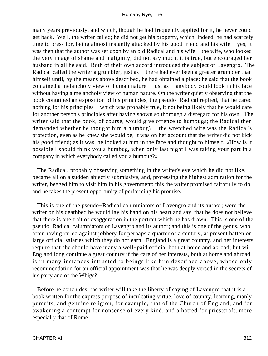many years previously, and which, though he had frequently applied for it, he never could get back. Well, the writer called; he did not get his property, which, indeed, he had scarcely time to press for, being almost instantly attacked by his good friend and his wife − yes, it was then that the author was set upon by an old Radical and his wife – the wife, who looked the very image of shame and malignity, did not say much, it is true, but encouraged her husband in all he said. Both of their own accord introduced the subject of Lavengro. The Radical called the writer a grumbler, just as if there had ever been a greater grumbler than himself until, by the means above described, he had obtained a place: he said that the book contained a melancholy view of human nature − just as if anybody could look in his face without having a melancholy view of human nature. On the writer quietly observing that the book contained an exposition of his principles, the pseudo−Radical replied, that he cared nothing for his principles – which was probably true, it not being likely that he would care for another person's principles after having shown so thorough a disregard for his own. The writer said that the book, of course, would give offence to humbugs; the Radical then demanded whether he thought him a humbug? – the wretched wife was the Radical's protection, even as he knew she would be; it was on her account that the writer did not kick his good friend; as it was, he looked at him in the face and thought to himself, «How is it possible I should think you a humbug, when only last night I was taking your part in a company in which everybody called you a humbug?»

 The Radical, probably observing something in the writer's eye which he did not like, became all on a sudden abjectly submissive, and, professing the highest admiration for the writer, begged him to visit him in his government; this the writer promised faithfully to do, and he takes the present opportunity of performing his promise.

 This is one of the pseudo−Radical calumniators of Lavengro and its author; were the writer on his deathbed he would lay his hand on his heart and say, that he does not believe that there is one trait of exaggeration in the portrait which he has drawn. This is one of the pseudo−Radical calumniators of Lavengro and its author; and this is one of the genus, who, after having railed against jobbery for perhaps a quarter of a century, at present batten on large official salaries which they do not earn. England is a great country, and her interests require that she should have many a well−paid official both at home and abroad; but will England long continue a great country if the care of her interests, both at home and abroad, is in many instances intrusted to beings like him described above, whose only recommendation for an official appointment was that he was deeply versed in the secrets of his party and of the Whigs?

 Before he concludes, the writer will take the liberty of saying of Lavengro that it is a book written for the express purpose of inculcating virtue, love of country, learning, manly pursuits, and genuine religion, for example, that of the Church of England, and for awakening a contempt for nonsense of every kind, and a hatred for priestcraft, more especially that of Rome.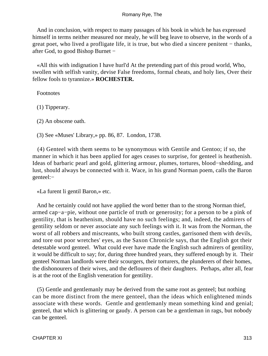And in conclusion, with respect to many passages of his book in which he has expressed himself in terms neither measured nor mealy, he will beg leave to observe, in the words of a great poet, who lived a profligate life, it is true, but who died a sincere penitent − thanks, after God, to good Bishop Burnet −

 «All this with indignation I have hurl'd At the pretending part of this proud world, Who, swollen with selfish vanity, devise False freedoms, formal cheats, and holy lies, Over their fellow fools to tyrannize.» **ROCHESTER.**

Footnotes

(1) Tipperary.

(2) An obscene oath.

(3) See «Muses' Library,» pp. 86, 87. London, 1738.

 (4) Genteel with them seems to be synonymous with Gentile and Gentoo; if so, the manner in which it has been applied for ages ceases to surprise, for genteel is heathenish. Ideas of barbaric pearl and gold, glittering armour, plumes, tortures, blood−shedding, and lust, should always be connected with it. Wace, in his grand Norman poem, calls the Baron genteel:−

«La furent li gentil Baron,» etc.

 And he certainly could not have applied the word better than to the strong Norman thief, armed cap−a−pie, without one particle of truth or generosity; for a person to be a pink of gentility, that is heathenism, should have no such feelings; and, indeed, the admirers of gentility seldom or never associate any such feelings with it. It was from the Norman, the worst of all robbers and miscreants, who built strong castles, garrisoned them with devils, and tore out poor wretches' eyes, as the Saxon Chronicle says, that the English got their detestable word genteel. What could ever have made the English such admirers of gentility, it would be difficult to say; for, during three hundred years, they suffered enough by it. Their genteel Norman landlords were their scourgers, their torturers, the plunderers of their homes, the dishonourers of their wives, and the deflourers of their daughters. Perhaps, after all, fear is at the root of the English veneration for gentility.

 (5) Gentle and gentlemanly may be derived from the same root as genteel; but nothing can be more distinct from the mere genteel, than the ideas which enlightened minds associate with these words. Gentle and gentlemanly mean something kind and genial; genteel, that which is glittering or gaudy. A person can be a gentleman in rags, but nobody can be genteel.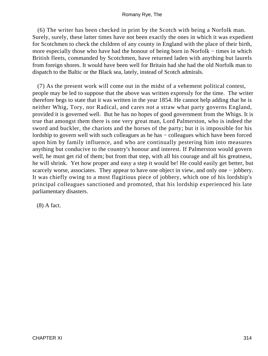(6) The writer has been checked in print by the Scotch with being a Norfolk man. Surely, surely, these latter times have not been exactly the ones in which it was expedient for Scotchmen to check the children of any county in England with the place of their birth, more especially those who have had the honour of being born in Norfolk – times in which British fleets, commanded by Scotchmen, have returned laden with anything but laurels from foreign shores. It would have been well for Britain had she had the old Norfolk man to dispatch to the Baltic or the Black sea, lately, instead of Scotch admirals.

 (7) As the present work will come out in the midst of a vehement political contest, people may be led to suppose that the above was written expressly for the time. The writer therefore begs to state that it was written in the year 1854. He cannot help adding that he is neither Whig, Tory, nor Radical, and cares not a straw what party governs England, provided it is governed well. But he has no hopes of good government from the Whigs. It is true that amongst them there is one very great man, Lord Palmerston, who is indeed the sword and buckler, the chariots and the horses of the party; but it is impossible for his lordship to govern well with such colleagues as he has − colleagues which have been forced upon him by family influence, and who are continually pestering him into measures anything but conducive to the country's honour and interest. If Palmerston would govern well, he must get rid of them; but from that step, with all his courage and all his greatness, he will shrink. Yet how proper and easy a step it would be! He could easily get better, but scarcely worse, associates. They appear to have one object in view, and only one – jobbery. It was chiefly owing to a most flagitious piece of jobbery, which one of his lordship's principal colleagues sanctioned and promoted, that his lordship experienced his late parliamentary disasters.

(8) A fact.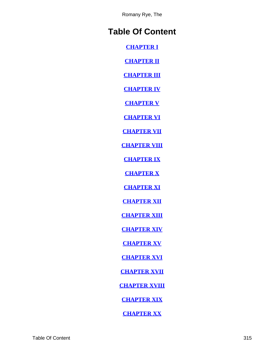# **Table Of Content**

**[CHAPTER I](#page-3-0)**

**[CHAPTER II](#page-6-0)**

**[CHAPTER III](#page-9-0)**

**[CHAPTER IV](#page-16-0)**

**[CHAPTER V](#page-26-0)**

**[CHAPTER VI](#page-30-0)**

**[CHAPTER VII](#page-37-0)**

**[CHAPTER VIII](#page-44-0)**

**[CHAPTER IX](#page-48-0)**

**[CHAPTER X](#page-56-0)**

**[CHAPTER XI](#page-69-0)**

**[CHAPTER XII](#page-75-0)**

**[CHAPTER XIII](#page-81-0)**

**[CHAPTER XIV](#page-83-0)**

**[CHAPTER XV](#page-88-0)**

**[CHAPTER XVI](#page-91-0)**

**[CHAPTER XVII](#page-96-0)**

**[CHAPTER XVIII](#page-102-0)**

**[CHAPTER XIX](#page-105-0)**

**[CHAPTER XX](#page-109-0)**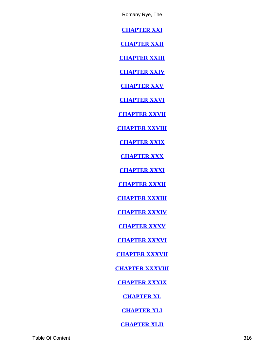**[CHAPTER XXI](#page-110-0)**

**[CHAPTER XXII](#page-115-0)**

**[CHAPTER XXIII](#page-119-0)**

**[CHAPTER XXIV](#page-123-0)**

**[CHAPTER XXV](#page-127-0)**

**[CHAPTER XXVI](#page-131-0)**

**[CHAPTER XXVII](#page-137-0)**

**[CHAPTER XXVIII](#page-142-0)**

**[CHAPTER XXIX](#page-147-0)**

**[CHAPTER XXX](#page-151-0)**

**[CHAPTER XXXI](#page-154-0)**

**[CHAPTER XXXII](#page-158-0)**

**[CHAPTER XXXIII](#page-164-0)**

**[CHAPTER XXXIV](#page-172-0)**

**[CHAPTER XXXV](#page-178-0)**

**[CHAPTER XXXVI](#page-180-0)**

**[CHAPTER XXXVII](#page-183-0)**

**[CHAPTER XXXVIII](#page-188-0)**

**[CHAPTER XXXIX](#page-191-0)**

**[CHAPTER XL](#page-204-0)**

**[CHAPTER XLI](#page-210-0)**

**[CHAPTER XLII](#page-221-0)**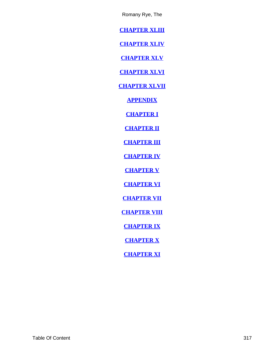<span id="page-317-0"></span>**[CHAPTER XLIII](#page-233-0)**

**[CHAPTER XLIV](#page-235-0)**

**[CHAPTER XLV](#page-241-0)**

**[CHAPTER XLVI](#page-246-0)**

**[CHAPTER XLVII](#page-254-0)**

**[APPENDIX](#page-256-0)**

**[CHAPTER I](#page-257-0)**

**[CHAPTER II](#page-263-0)**

**[CHAPTER III](#page-268-0)**

**[CHAPTER IV](#page-270-0)**

**[CHAPTER V](#page-272-0)**

**[CHAPTER VI](#page-280-0)**

**[CHAPTER VII](#page-285-0)**

**[CHAPTER VIII](#page-289-0)**

**[CHAPTER IX](#page-295-0)**

**[CHAPTER X](#page-301-0)**

**[CHAPTER XI](#page-306-0)**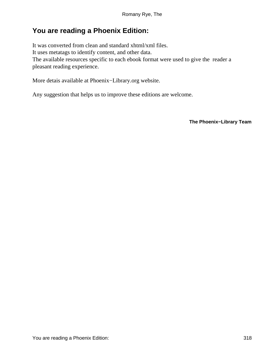# **You are reading a Phoenix Edition:**

It was converted from clean and standard xhtml/xml files. It uses metatags to identify content, and other data. The available resources specific to each ebook format were used to give the reader a pleasant reading experience.

More detais available at Phoenix−Library.org website.

Any suggestion that helps us to improve these editions are welcome.

**The Phoenix−Library Team**